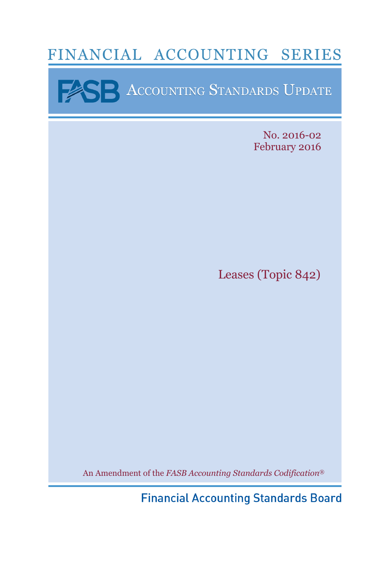# FINANCIAL ACCOUNTING SERIES



No. 2016-02 February 2016

Leases (Topic 842)

An Amendment of the *FASB Accounting Standards Codification*®

**Financial Accounting Standards Board**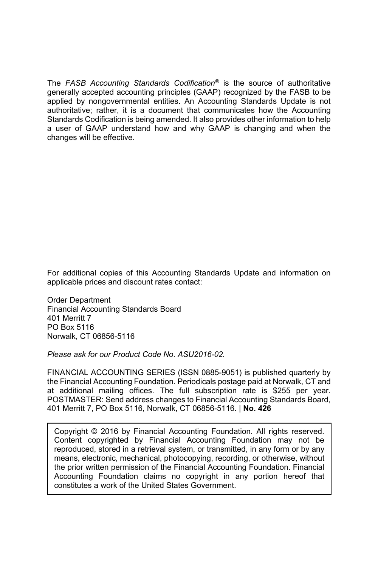The *FASB Accounting Standards Codification®* is the source of authoritative generally accepted accounting principles (GAAP) recognized by the FASB to be applied by nongovernmental entities. An Accounting Standards Update is not authoritative; rather, it is a document that communicates how the Accounting Standards Codification is being amended. It also provides other information to help a user of GAAP understand how and why GAAP is changing and when the changes will be effective.

For additional copies of this Accounting Standards Update and information on applicable prices and discount rates contact:

Order Department Financial Accounting Standards Board 401 Merritt 7 PO Box 5116 Norwalk, CT 06856-5116

*Please ask for our Product Code No. ASU2016-02.* 

FINANCIAL ACCOUNTING SERIES (ISSN 0885-9051) is published quarterly by the Financial Accounting Foundation. Periodicals postage paid at Norwalk, CT and at additional mailing offices. The full subscription rate is \$255 per year. POSTMASTER: Send address changes to Financial Accounting Standards Board, 401 Merritt 7, PO Box 5116, Norwalk, CT 06856-5116. | **No. 426**

Copyright © 2016 by Financial Accounting Foundation. All rights reserved. Content copyrighted by Financial Accounting Foundation may not be reproduced, stored in a retrieval system, or transmitted, in any form or by any means, electronic, mechanical, photocopying, recording, or otherwise, without the prior written permission of the Financial Accounting Foundation. Financial Accounting Foundation claims no copyright in any portion hereof that constitutes a work of the United States Government.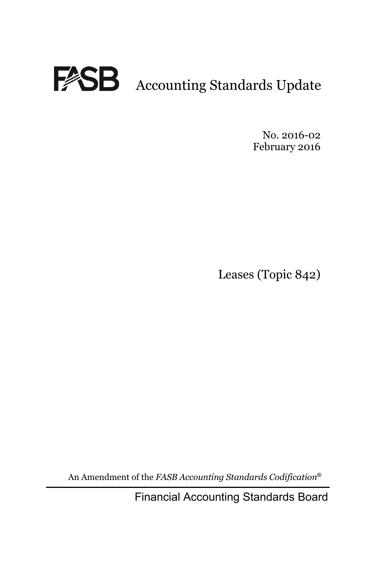

No. 2016-02 February 2016

Leases (Topic 842)

An Amendment of the *FASB Accounting Standards Codification*®

Financial Accounting Standards Board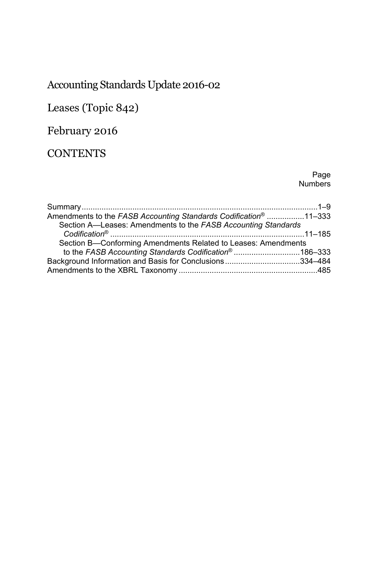# Accounting Standards Update 2016-02

# Leases (Topic 842)

# February 2016

# **CONTENTS**

Page **Numbers** 

| Amendments to the FASB Accounting Standards Codification <sup>®</sup> 11-333 |  |
|------------------------------------------------------------------------------|--|
| Section A-Leases: Amendments to the FASB Accounting Standards                |  |
|                                                                              |  |
| Section B—Conforming Amendments Related to Leases: Amendments                |  |
| to the FASB Accounting Standards Codification <sup>®</sup> 186–333           |  |
| Background Information and Basis for Conclusions334-484                      |  |
|                                                                              |  |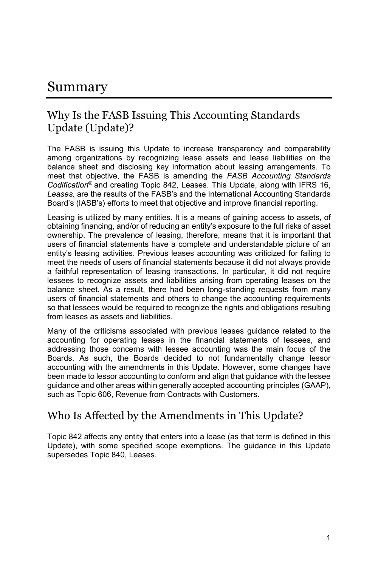# Summary

# Why Is the FASB Issuing This Accounting Standards Update (Update)?

The FASB is issuing this Update to increase transparency and comparability among organizations by recognizing lease assets and lease liabilities on the balance sheet and disclosing key information about leasing arrangements. To meet that objective, the FASB is amending the *FASB Accounting Standards Codification*® and creating Topic 842, Leases. This Update, along with IFRS 16, *Leases,* are the results of the FASB's and the International Accounting Standards Board's (IASB's) efforts to meet that objective and improve financial reporting.

Leasing is utilized by many entities. It is a means of gaining access to assets, of obtaining financing, and/or of reducing an entity's exposure to the full risks of asset ownership. The prevalence of leasing, therefore, means that it is important that users of financial statements have a complete and understandable picture of an entity's leasing activities. Previous leases accounting was criticized for failing to meet the needs of users of financial statements because it did not always provide a faithful representation of leasing transactions. In particular, it did not require lessees to recognize assets and liabilities arising from operating leases on the balance sheet. As a result, there had been long-standing requests from many users of financial statements and others to change the accounting requirements so that lessees would be required to recognize the rights and obligations resulting from leases as assets and liabilities.

Many of the criticisms associated with previous leases guidance related to the accounting for operating leases in the financial statements of lessees, and addressing those concerns with lessee accounting was the main focus of the Boards. As such, the Boards decided to not fundamentally change lessor accounting with the amendments in this Update. However, some changes have been made to lessor accounting to conform and align that guidance with the lessee guidance and other areas within generally accepted accounting principles (GAAP), such as Topic 606, Revenue from Contracts with Customers.

## Who Is Affected by the Amendments in This Update?

Topic 842 affects any entity that enters into a lease (as that term is defined in this Update), with some specified scope exemptions. The guidance in this Update supersedes Topic 840, Leases*.*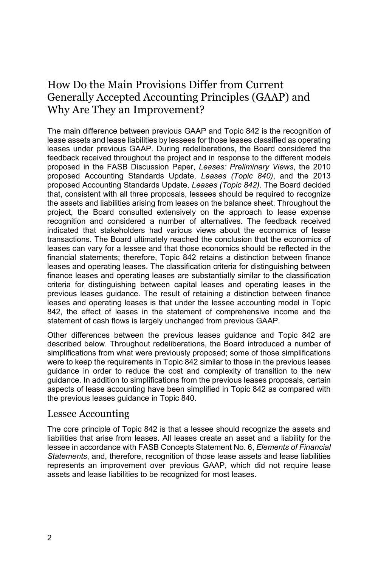# How Do the Main Provisions Differ from Current Generally Accepted Accounting Principles (GAAP) and Why Are They an Improvement?

The main difference between previous GAAP and Topic 842 is the recognition of lease assets and lease liabilities by lessees for those leases classified as operating leases under previous GAAP. During redeliberations, the Board considered the feedback received throughout the project and in response to the different models proposed in the FASB Discussion Paper, *Leases: Preliminary Views*, the 2010 proposed Accounting Standards Update, *Leases (Topic 840)*, and the 2013 proposed Accounting Standards Update, *Leases (Topic 842)*. The Board decided that, consistent with all three proposals, lessees should be required to recognize the assets and liabilities arising from leases on the balance sheet. Throughout the project, the Board consulted extensively on the approach to lease expense recognition and considered a number of alternatives. The feedback received indicated that stakeholders had various views about the economics of lease transactions. The Board ultimately reached the conclusion that the economics of leases can vary for a lessee and that those economics should be reflected in the financial statements; therefore, Topic 842 retains a distinction between finance leases and operating leases. The classification criteria for distinguishing between finance leases and operating leases are substantially similar to the classification criteria for distinguishing between capital leases and operating leases in the previous leases guidance. The result of retaining a distinction between finance leases and operating leases is that under the lessee accounting model in Topic 842, the effect of leases in the statement of comprehensive income and the statement of cash flows is largely unchanged from previous GAAP.

Other differences between the previous leases guidance and Topic 842 are described below. Throughout redeliberations, the Board introduced a number of simplifications from what were previously proposed; some of those simplifications were to keep the requirements in Topic 842 similar to those in the previous leases guidance in order to reduce the cost and complexity of transition to the new guidance. In addition to simplifications from the previous leases proposals, certain aspects of lease accounting have been simplified in Topic 842 as compared with the previous leases guidance in Topic 840.

#### Lessee Accounting

The core principle of Topic 842 is that a lessee should recognize the assets and liabilities that arise from leases. All leases create an asset and a liability for the lessee in accordance with FASB Concepts Statement No. 6, *Elements of Financial Statements*, and, therefore, recognition of those lease assets and lease liabilities represents an improvement over previous GAAP, which did not require lease assets and lease liabilities to be recognized for most leases.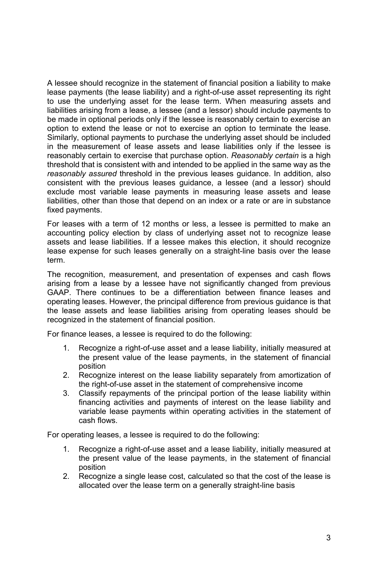A lessee should recognize in the statement of financial position a liability to make lease payments (the lease liability) and a right-of-use asset representing its right to use the underlying asset for the lease term. When measuring assets and liabilities arising from a lease, a lessee (and a lessor) should include payments to be made in optional periods only if the lessee is reasonably certain to exercise an option to extend the lease or not to exercise an option to terminate the lease. Similarly, optional payments to purchase the underlying asset should be included in the measurement of lease assets and lease liabilities only if the lessee is reasonably certain to exercise that purchase option. *Reasonably certain* is a high threshold that is consistent with and intended to be applied in the same way as the *reasonably assured* threshold in the previous leases guidance. In addition, also consistent with the previous leases guidance, a lessee (and a lessor) should exclude most variable lease payments in measuring lease assets and lease liabilities, other than those that depend on an index or a rate or are in substance fixed payments.

For leases with a term of 12 months or less, a lessee is permitted to make an accounting policy election by class of underlying asset not to recognize lease assets and lease liabilities. If a lessee makes this election, it should recognize lease expense for such leases generally on a straight-line basis over the lease term.

The recognition, measurement, and presentation of expenses and cash flows arising from a lease by a lessee have not significantly changed from previous GAAP. There continues to be a differentiation between finance leases and operating leases. However, the principal difference from previous guidance is that the lease assets and lease liabilities arising from operating leases should be recognized in the statement of financial position.

For finance leases, a lessee is required to do the following:

- 1. Recognize a right-of-use asset and a lease liability, initially measured at the present value of the lease payments, in the statement of financial position
- 2. Recognize interest on the lease liability separately from amortization of the right-of-use asset in the statement of comprehensive income
- 3. Classify repayments of the principal portion of the lease liability within financing activities and payments of interest on the lease liability and variable lease payments within operating activities in the statement of cash flows.

For operating leases, a lessee is required to do the following:

- 1. Recognize a right-of-use asset and a lease liability, initially measured at the present value of the lease payments, in the statement of financial position
- 2. Recognize a single lease cost, calculated so that the cost of the lease is allocated over the lease term on a generally straight-line basis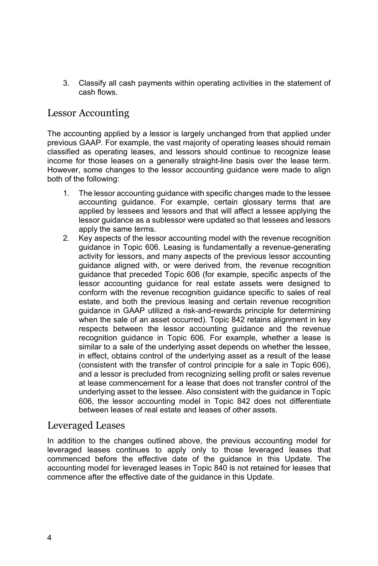3. Classify all cash payments within operating activities in the statement of cash flows.

### Lessor Accounting

The accounting applied by a lessor is largely unchanged from that applied under previous GAAP. For example, the vast majority of operating leases should remain classified as operating leases, and lessors should continue to recognize lease income for those leases on a generally straight-line basis over the lease term. However, some changes to the lessor accounting guidance were made to align both of the following:

- 1. The lessor accounting guidance with specific changes made to the lessee accounting guidance. For example, certain glossary terms that are applied by lessees and lessors and that will affect a lessee applying the lessor guidance as a sublessor were updated so that lessees and lessors apply the same terms.
- 2. Key aspects of the lessor accounting model with the revenue recognition guidance in Topic 606. Leasing is fundamentally a revenue-generating activity for lessors, and many aspects of the previous lessor accounting guidance aligned with, or were derived from, the revenue recognition guidance that preceded Topic 606 (for example, specific aspects of the lessor accounting guidance for real estate assets were designed to conform with the revenue recognition guidance specific to sales of real estate, and both the previous leasing and certain revenue recognition guidance in GAAP utilized a risk-and-rewards principle for determining when the sale of an asset occurred). Topic 842 retains alignment in key respects between the lessor accounting guidance and the revenue recognition guidance in Topic 606. For example, whether a lease is similar to a sale of the underlying asset depends on whether the lessee, in effect, obtains control of the underlying asset as a result of the lease (consistent with the transfer of control principle for a sale in Topic 606), and a lessor is precluded from recognizing selling profit or sales revenue at lease commencement for a lease that does not transfer control of the underlying asset to the lessee. Also consistent with the guidance in Topic 606, the lessor accounting model in Topic 842 does not differentiate between leases of real estate and leases of other assets.

### Leveraged Leases

In addition to the changes outlined above, the previous accounting model for leveraged leases continues to apply only to those leveraged leases that commenced before the effective date of the guidance in this Update. The accounting model for leveraged leases in Topic 840 is not retained for leases that commence after the effective date of the guidance in this Update.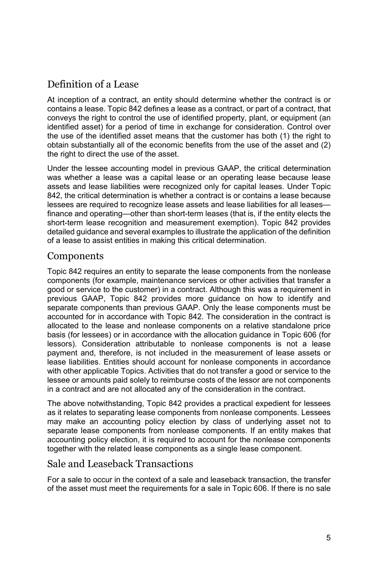# Definition of a Lease

At inception of a contract, an entity should determine whether the contract is or contains a lease. Topic 842 defines a lease as a contract, or part of a contract, that conveys the right to control the use of identified property, plant, or equipment (an identified asset) for a period of time in exchange for consideration. Control over the use of the identified asset means that the customer has both (1) the right to obtain substantially all of the economic benefits from the use of the asset and (2) the right to direct the use of the asset.

Under the lessee accounting model in previous GAAP, the critical determination was whether a lease was a capital lease or an operating lease because lease assets and lease liabilities were recognized only for capital leases. Under Topic 842, the critical determination is whether a contract is or contains a lease because lessees are required to recognize lease assets and lease liabilities for all leases finance and operating—other than short-term leases (that is, if the entity elects the short-term lease recognition and measurement exemption). Topic 842 provides detailed guidance and several examples to illustrate the application of the definition of a lease to assist entities in making this critical determination.

### Components

Topic 842 requires an entity to separate the lease components from the nonlease components (for example, maintenance services or other activities that transfer a good or service to the customer) in a contract. Although this was a requirement in previous GAAP, Topic 842 provides more guidance on how to identify and separate components than previous GAAP. Only the lease components must be accounted for in accordance with Topic 842. The consideration in the contract is allocated to the lease and nonlease components on a relative standalone price basis (for lessees) or in accordance with the allocation guidance in Topic 606 (for lessors). Consideration attributable to nonlease components is not a lease payment and, therefore, is not included in the measurement of lease assets or lease liabilities. Entities should account for nonlease components in accordance with other applicable Topics. Activities that do not transfer a good or service to the lessee or amounts paid solely to reimburse costs of the lessor are not components in a contract and are not allocated any of the consideration in the contract.

The above notwithstanding, Topic 842 provides a practical expedient for lessees as it relates to separating lease components from nonlease components. Lessees may make an accounting policy election by class of underlying asset not to separate lease components from nonlease components. If an entity makes that accounting policy election, it is required to account for the nonlease components together with the related lease components as a single lease component.

### Sale and Leaseback Transactions

For a sale to occur in the context of a sale and leaseback transaction, the transfer of the asset must meet the requirements for a sale in Topic 606. If there is no sale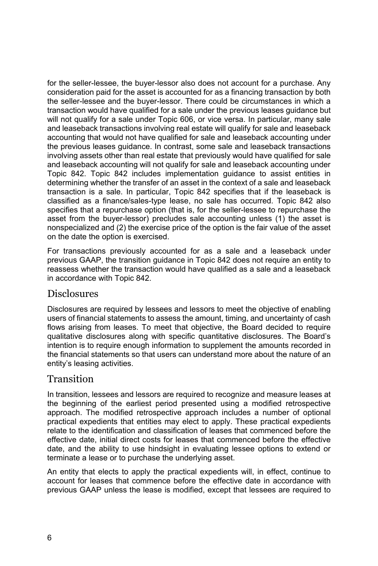for the seller-lessee, the buyer-lessor also does not account for a purchase. Any consideration paid for the asset is accounted for as a financing transaction by both the seller-lessee and the buyer-lessor. There could be circumstances in which a transaction would have qualified for a sale under the previous leases guidance but will not qualify for a sale under Topic 606, or vice versa. In particular, many sale and leaseback transactions involving real estate will qualify for sale and leaseback accounting that would not have qualified for sale and leaseback accounting under the previous leases guidance. In contrast, some sale and leaseback transactions involving assets other than real estate that previously would have qualified for sale and leaseback accounting will not qualify for sale and leaseback accounting under Topic 842. Topic 842 includes implementation guidance to assist entities in determining whether the transfer of an asset in the context of a sale and leaseback transaction is a sale. In particular, Topic 842 specifies that if the leaseback is classified as a finance/sales-type lease, no sale has occurred. Topic 842 also specifies that a repurchase option (that is, for the seller-lessee to repurchase the asset from the buyer-lessor) precludes sale accounting unless (1) the asset is nonspecialized and (2) the exercise price of the option is the fair value of the asset on the date the option is exercised.

For transactions previously accounted for as a sale and a leaseback under previous GAAP, the transition guidance in Topic 842 does not require an entity to reassess whether the transaction would have qualified as a sale and a leaseback in accordance with Topic 842.

### **Disclosures**

Disclosures are required by lessees and lessors to meet the objective of enabling users of financial statements to assess the amount, timing, and uncertainty of cash flows arising from leases. To meet that objective, the Board decided to require qualitative disclosures along with specific quantitative disclosures. The Board's intention is to require enough information to supplement the amounts recorded in the financial statements so that users can understand more about the nature of an entity's leasing activities.

### Transition

In transition, lessees and lessors are required to recognize and measure leases at the beginning of the earliest period presented using a modified retrospective approach. The modified retrospective approach includes a number of optional practical expedients that entities may elect to apply. These practical expedients relate to the identification and classification of leases that commenced before the effective date, initial direct costs for leases that commenced before the effective date, and the ability to use hindsight in evaluating lessee options to extend or terminate a lease or to purchase the underlying asset.

An entity that elects to apply the practical expedients will, in effect, continue to account for leases that commence before the effective date in accordance with previous GAAP unless the lease is modified, except that lessees are required to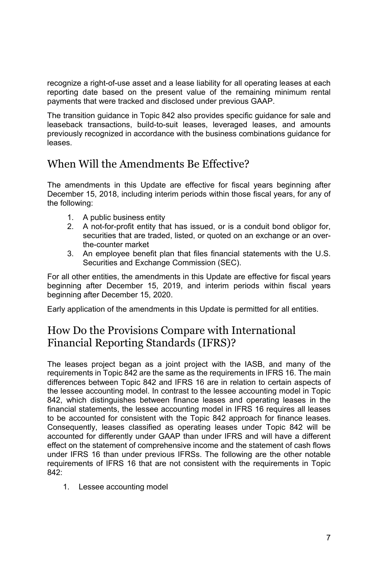recognize a right-of-use asset and a lease liability for all operating leases at each reporting date based on the present value of the remaining minimum rental payments that were tracked and disclosed under previous GAAP.

The transition guidance in Topic 842 also provides specific guidance for sale and leaseback transactions, build-to-suit leases, leveraged leases, and amounts previously recognized in accordance with the business combinations guidance for leases.

# When Will the Amendments Be Effective?

The amendments in this Update are effective for fiscal years beginning after December 15, 2018, including interim periods within those fiscal years, for any of the following:

- 1. A public business entity
- 2. A not-for-profit entity that has issued, or is a conduit bond obligor for, securities that are traded, listed, or quoted on an exchange or an overthe-counter market
- 3. An employee benefit plan that files financial statements with the U.S. Securities and Exchange Commission (SEC).

For all other entities, the amendments in this Update are effective for fiscal years beginning after December 15, 2019, and interim periods within fiscal years beginning after December 15, 2020.

Early application of the amendments in this Update is permitted for all entities.

# How Do the Provisions Compare with International Financial Reporting Standards (IFRS)?

The leases project began as a joint project with the IASB, and many of the requirements in Topic 842 are the same as the requirements in IFRS 16. The main differences between Topic 842 and IFRS 16 are in relation to certain aspects of the lessee accounting model. In contrast to the lessee accounting model in Topic 842, which distinguishes between finance leases and operating leases in the financial statements, the lessee accounting model in IFRS 16 requires all leases to be accounted for consistent with the Topic 842 approach for finance leases. Consequently, leases classified as operating leases under Topic 842 will be accounted for differently under GAAP than under IFRS and will have a different effect on the statement of comprehensive income and the statement of cash flows under IFRS 16 than under previous IFRSs. The following are the other notable requirements of IFRS 16 that are not consistent with the requirements in Topic 842:

1. Lessee accounting model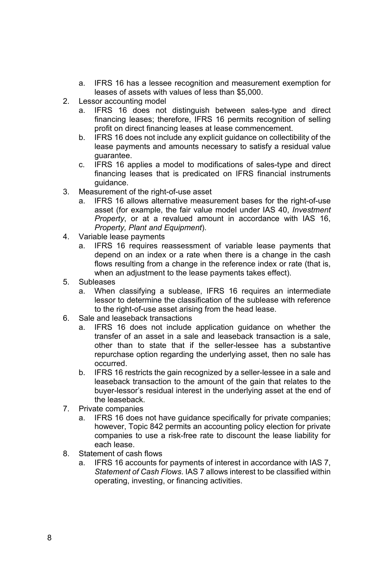- a. IFRS 16 has a lessee recognition and measurement exemption for leases of assets with values of less than \$5,000.
- 2. Lessor accounting model
	- a. IFRS 16 does not distinguish between sales-type and direct financing leases; therefore, IFRS 16 permits recognition of selling profit on direct financing leases at lease commencement.
	- b. IFRS 16 does not include any explicit guidance on collectibility of the lease payments and amounts necessary to satisfy a residual value guarantee.
	- c. IFRS 16 applies a model to modifications of sales-type and direct financing leases that is predicated on IFRS financial instruments guidance.
- 3. Measurement of the right-of-use asset
	- a. IFRS 16 allows alternative measurement bases for the right-of-use asset (for example, the fair value model under IAS 40, *Investment Property*, or at a revalued amount in accordance with IAS 16, *Property, Plant and Equipment*).
- 4. Variable lease payments
	- a. IFRS 16 requires reassessment of variable lease payments that depend on an index or a rate when there is a change in the cash flows resulting from a change in the reference index or rate (that is, when an adjustment to the lease payments takes effect).
- 5. Subleases
	- a. When classifying a sublease, IFRS 16 requires an intermediate lessor to determine the classification of the sublease with reference to the right-of-use asset arising from the head lease.
- 6. Sale and leaseback transactions
	- a. IFRS 16 does not include application guidance on whether the transfer of an asset in a sale and leaseback transaction is a sale, other than to state that if the seller-lessee has a substantive repurchase option regarding the underlying asset, then no sale has occurred.
	- b. IFRS 16 restricts the gain recognized by a seller-lessee in a sale and leaseback transaction to the amount of the gain that relates to the buyer-lessor's residual interest in the underlying asset at the end of the leaseback.
- 7. Private companies
	- a. IFRS 16 does not have guidance specifically for private companies; however, Topic 842 permits an accounting policy election for private companies to use a risk-free rate to discount the lease liability for each lease.
- 8. Statement of cash flows
	- a. IFRS 16 accounts for payments of interest in accordance with IAS 7, *Statement of Cash Flows*. IAS 7 allows interest to be classified within operating, investing, or financing activities.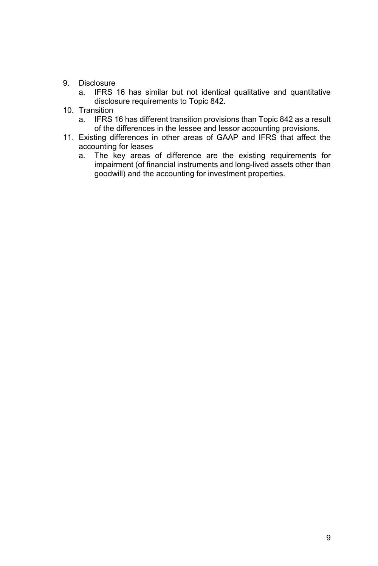- 9. Disclosure
	- a. IFRS 16 has similar but not identical qualitative and quantitative disclosure requirements to Topic 842.
- 10. Transition
	- a. IFRS 16 has different transition provisions than Topic 842 as a result of the differences in the lessee and lessor accounting provisions.
- 11. Existing differences in other areas of GAAP and IFRS that affect the accounting for leases
	- a. The key areas of difference are the existing requirements for impairment (of financial instruments and long-lived assets other than goodwill) and the accounting for investment properties.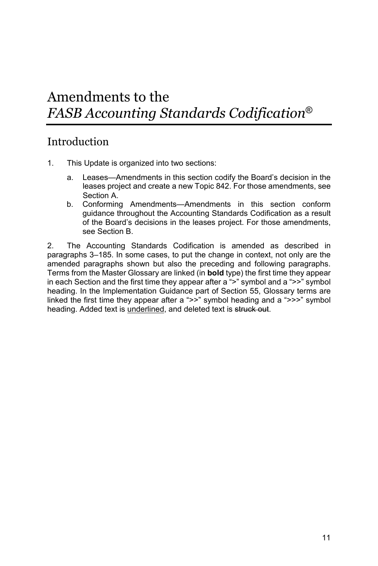# Amendments to the *FASB Accounting Standards Codification*®

# **Introduction**

- 1. This Update is organized into two sections:
	- a. Leases—Amendments in this section codify the Board's decision in the leases project and create a new Topic 842. For those amendments, see Section A.
	- b. Conforming Amendments—Amendments in this section conform guidance throughout the Accounting Standards Codification as a result of the Board's decisions in the leases project. For those amendments, see Section B.

2. The Accounting Standards Codification is amended as described in paragraphs 3–185. In some cases, to put the change in context, not only are the amended paragraphs shown but also the preceding and following paragraphs. Terms from the Master Glossary are linked (in **bold** type) the first time they appear in each Section and the first time they appear after a ">" symbol and a ">>" symbol heading. In the Implementation Guidance part of Section 55, Glossary terms are linked the first time they appear after a ">>" symbol heading and a ">>>" symbol heading. Added text is underlined, and deleted text is struck out.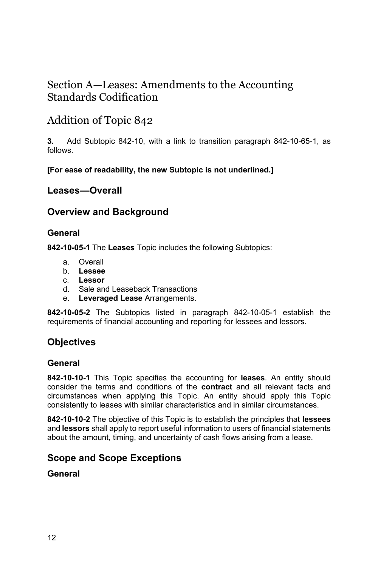# Section A—Leases: Amendments to the Accounting Standards Codification

# Addition of Topic 842

**3.** Add Subtopic 842-10, with a link to transition paragraph 842-10-65-1, as follows.

**[For ease of readability, the new Subtopic is not underlined.]** 

### **Leases—Overall**

### **Overview and Background**

### **General**

**842-10-05-1** The **Leases** Topic includes the following Subtopics:

- a. Overall
- b. **Lessee**
- c. **Lessor**
- d. Sale and Leaseback Transactions
- e. **Leveraged Lease** Arrangements.

**842-10-05-2** The Subtopics listed in paragraph 842-10-05-1 establish the requirements of financial accounting and reporting for lessees and lessors.

### **Objectives**

#### **General**

**842-10-10-1** This Topic specifies the accounting for **leases**. An entity should consider the terms and conditions of the **contract** and all relevant facts and circumstances when applying this Topic. An entity should apply this Topic consistently to leases with similar characteristics and in similar circumstances.

**842-10-10-2** The objective of this Topic is to establish the principles that **lessees** and **lessors** shall apply to report useful information to users of financial statements about the amount, timing, and uncertainty of cash flows arising from a lease.

## **Scope and Scope Exceptions**

### **General**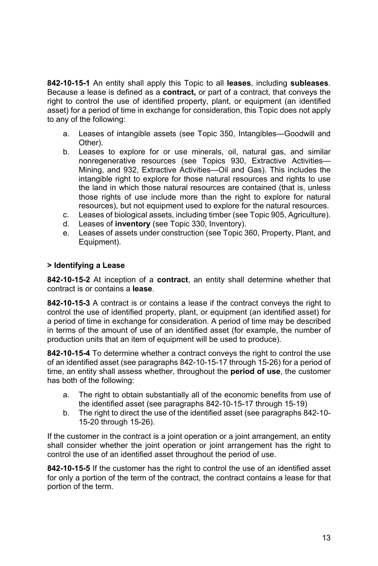**842-10-15-1** An entity shall apply this Topic to all **leases**, including **subleases**. Because a lease is defined as a **contract,** or part of a contract, that conveys the right to control the use of identified property, plant, or equipment (an identified asset) for a period of time in exchange for consideration, this Topic does not apply to any of the following:

- a. Leases of intangible assets (see Topic 350, Intangibles—Goodwill and Other).
- b. Leases to explore for or use minerals, oil, natural gas, and similar nonregenerative resources (see Topics 930, Extractive Activities— Mining, and 932, Extractive Activities—Oil and Gas). This includes the intangible right to explore for those natural resources and rights to use the land in which those natural resources are contained (that is, unless those rights of use include more than the right to explore for natural resources), but not equipment used to explore for the natural resources.
- c. Leases of biological assets, including timber (see Topic 905, Agriculture).
- d. Leases of **inventory** (see Topic 330, Inventory).
- e. Leases of assets under construction (see Topic 360, Property, Plant, and Equipment).

#### **> Identifying a Lease**

**842-10-15-2** At inception of a **contract**, an entity shall determine whether that contract is or contains a **lease**.

**842-10-15-3** A contract is or contains a lease if the contract conveys the right to control the use of identified property, plant, or equipment (an identified asset) for a period of time in exchange for consideration. A period of time may be described in terms of the amount of use of an identified asset (for example, the number of production units that an item of equipment will be used to produce).

**842-10-15-4** To determine whether a contract conveys the right to control the use of an identified asset (see paragraphs 842-10-15-17 through 15-26) for a period of time, an entity shall assess whether, throughout the **period of use**, the customer has both of the following:

- a. The right to obtain substantially all of the economic benefits from use of the identified asset (see paragraphs 842-10-15-17 through 15-19)
- b. The right to direct the use of the identified asset (see paragraphs 842-10- 15-20 through 15-26).

If the customer in the contract is a joint operation or a joint arrangement, an entity shall consider whether the joint operation or joint arrangement has the right to control the use of an identified asset throughout the period of use.

**842-10-15-5** If the customer has the right to control the use of an identified asset for only a portion of the term of the contract, the contract contains a lease for that portion of the term.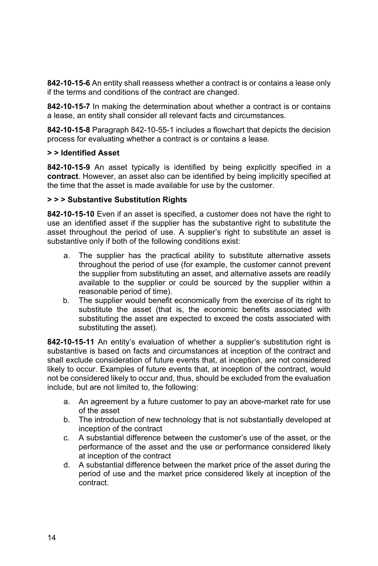**842-10-15-6** An entity shall reassess whether a contract is or contains a lease only if the terms and conditions of the contract are changed.

**842-10-15-7** In making the determination about whether a contract is or contains a lease, an entity shall consider all relevant facts and circumstances.

**842-10-15-8** Paragraph 842-10-55-1 includes a flowchart that depicts the decision process for evaluating whether a contract is or contains a lease.

#### **> > Identified Asset**

**842-10-15-9** An asset typically is identified by being explicitly specified in a **contract**. However, an asset also can be identified by being implicitly specified at the time that the asset is made available for use by the customer.

#### **> > > Substantive Substitution Rights**

**842-10-15-10** Even if an asset is specified, a customer does not have the right to use an identified asset if the supplier has the substantive right to substitute the asset throughout the period of use. A supplier's right to substitute an asset is substantive only if both of the following conditions exist:

- a. The supplier has the practical ability to substitute alternative assets throughout the period of use (for example, the customer cannot prevent the supplier from substituting an asset, and alternative assets are readily available to the supplier or could be sourced by the supplier within a reasonable period of time).
- b. The supplier would benefit economically from the exercise of its right to substitute the asset (that is, the economic benefits associated with substituting the asset are expected to exceed the costs associated with substituting the asset).

**842-10-15-11** An entity's evaluation of whether a supplier's substitution right is substantive is based on facts and circumstances at inception of the contract and shall exclude consideration of future events that, at inception, are not considered likely to occur. Examples of future events that, at inception of the contract, would not be considered likely to occur and, thus, should be excluded from the evaluation include, but are not limited to, the following:

- a. An agreement by a future customer to pay an above-market rate for use of the asset
- b. The introduction of new technology that is not substantially developed at inception of the contract
- c. A substantial difference between the customer's use of the asset, or the performance of the asset and the use or performance considered likely at inception of the contract
- d. A substantial difference between the market price of the asset during the period of use and the market price considered likely at inception of the contract.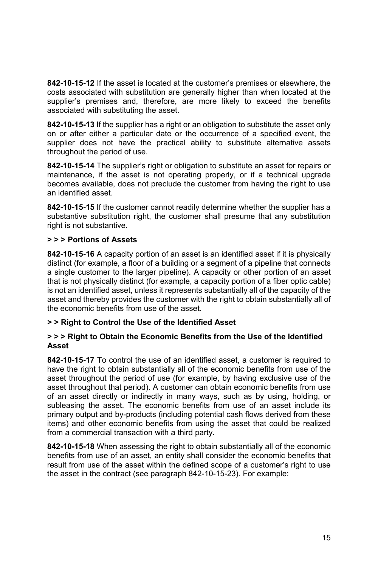**842-10-15-12** If the asset is located at the customer's premises or elsewhere, the costs associated with substitution are generally higher than when located at the supplier's premises and, therefore, are more likely to exceed the benefits associated with substituting the asset.

**842-10-15-13** If the supplier has a right or an obligation to substitute the asset only on or after either a particular date or the occurrence of a specified event, the supplier does not have the practical ability to substitute alternative assets throughout the period of use.

**842-10-15-14** The supplier's right or obligation to substitute an asset for repairs or maintenance, if the asset is not operating properly, or if a technical upgrade becomes available, does not preclude the customer from having the right to use an identified asset.

**842-10-15-15** If the customer cannot readily determine whether the supplier has a substantive substitution right, the customer shall presume that any substitution right is not substantive.

#### **> > > Portions of Assets**

**842-10-15-16** A capacity portion of an asset is an identified asset if it is physically distinct (for example, a floor of a building or a segment of a pipeline that connects a single customer to the larger pipeline). A capacity or other portion of an asset that is not physically distinct (for example, a capacity portion of a fiber optic cable) is not an identified asset, unless it represents substantially all of the capacity of the asset and thereby provides the customer with the right to obtain substantially all of the economic benefits from use of the asset.

#### **> > Right to Control the Use of the Identified Asset**

#### **> > > Right to Obtain the Economic Benefits from the Use of the Identified Asset**

**842-10-15-17** To control the use of an identified asset, a customer is required to have the right to obtain substantially all of the economic benefits from use of the asset throughout the period of use (for example, by having exclusive use of the asset throughout that period). A customer can obtain economic benefits from use of an asset directly or indirectly in many ways, such as by using, holding, or subleasing the asset. The economic benefits from use of an asset include its primary output and by-products (including potential cash flows derived from these items) and other economic benefits from using the asset that could be realized from a commercial transaction with a third party.

**842-10-15-18** When assessing the right to obtain substantially all of the economic benefits from use of an asset, an entity shall consider the economic benefits that result from use of the asset within the defined scope of a customer's right to use the asset in the contract (see paragraph 842-10-15-23). For example: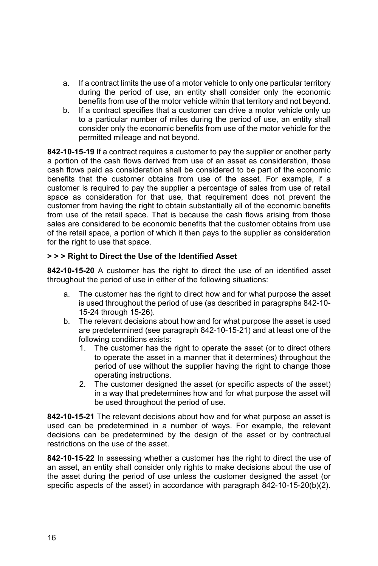- a. If a contract limits the use of a motor vehicle to only one particular territory during the period of use, an entity shall consider only the economic benefits from use of the motor vehicle within that territory and not beyond.
- b. If a contract specifies that a customer can drive a motor vehicle only up to a particular number of miles during the period of use, an entity shall consider only the economic benefits from use of the motor vehicle for the permitted mileage and not beyond.

**842-10-15-19** If a contract requires a customer to pay the supplier or another party a portion of the cash flows derived from use of an asset as consideration, those cash flows paid as consideration shall be considered to be part of the economic benefits that the customer obtains from use of the asset. For example, if a customer is required to pay the supplier a percentage of sales from use of retail space as consideration for that use, that requirement does not prevent the customer from having the right to obtain substantially all of the economic benefits from use of the retail space. That is because the cash flows arising from those sales are considered to be economic benefits that the customer obtains from use of the retail space, a portion of which it then pays to the supplier as consideration for the right to use that space.

#### **> > > Right to Direct the Use of the Identified Asset**

**842-10-15-20** A customer has the right to direct the use of an identified asset throughout the period of use in either of the following situations:

- a. The customer has the right to direct how and for what purpose the asset is used throughout the period of use (as described in paragraphs 842-10- 15-24 through 15-26).
- b. The relevant decisions about how and for what purpose the asset is used are predetermined (see paragraph 842-10-15-21) and at least one of the following conditions exists:
	- 1. The customer has the right to operate the asset (or to direct others to operate the asset in a manner that it determines) throughout the period of use without the supplier having the right to change those operating instructions.
	- 2. The customer designed the asset (or specific aspects of the asset) in a way that predetermines how and for what purpose the asset will be used throughout the period of use.

**842-10-15-21** The relevant decisions about how and for what purpose an asset is used can be predetermined in a number of ways. For example, the relevant decisions can be predetermined by the design of the asset or by contractual restrictions on the use of the asset.

**842-10-15-22** In assessing whether a customer has the right to direct the use of an asset, an entity shall consider only rights to make decisions about the use of the asset during the period of use unless the customer designed the asset (or specific aspects of the asset) in accordance with paragraph 842-10-15-20(b)(2).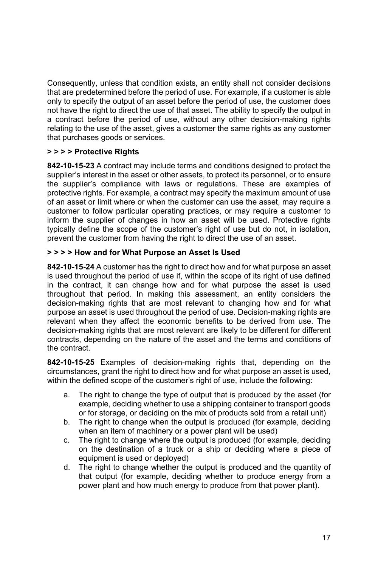Consequently, unless that condition exists, an entity shall not consider decisions that are predetermined before the period of use. For example, if a customer is able only to specify the output of an asset before the period of use, the customer does not have the right to direct the use of that asset. The ability to specify the output in a contract before the period of use, without any other decision-making rights relating to the use of the asset, gives a customer the same rights as any customer that purchases goods or services.

#### **> > > > Protective Rights**

**842-10-15-23** A contract may include terms and conditions designed to protect the supplier's interest in the asset or other assets, to protect its personnel, or to ensure the supplier's compliance with laws or regulations. These are examples of protective rights. For example, a contract may specify the maximum amount of use of an asset or limit where or when the customer can use the asset, may require a customer to follow particular operating practices, or may require a customer to inform the supplier of changes in how an asset will be used. Protective rights typically define the scope of the customer's right of use but do not, in isolation, prevent the customer from having the right to direct the use of an asset.

#### **> > > > How and for What Purpose an Asset Is Used**

**842-10-15-24** A customer has the right to direct how and for what purpose an asset is used throughout the period of use if, within the scope of its right of use defined in the contract, it can change how and for what purpose the asset is used throughout that period. In making this assessment, an entity considers the decision-making rights that are most relevant to changing how and for what purpose an asset is used throughout the period of use. Decision-making rights are relevant when they affect the economic benefits to be derived from use. The decision-making rights that are most relevant are likely to be different for different contracts, depending on the nature of the asset and the terms and conditions of the contract.

**842-10-15-25** Examples of decision-making rights that, depending on the circumstances, grant the right to direct how and for what purpose an asset is used, within the defined scope of the customer's right of use, include the following:

- a. The right to change the type of output that is produced by the asset (for example, deciding whether to use a shipping container to transport goods or for storage, or deciding on the mix of products sold from a retail unit)
- b. The right to change when the output is produced (for example, deciding when an item of machinery or a power plant will be used)
- c. The right to change where the output is produced (for example, deciding on the destination of a truck or a ship or deciding where a piece of equipment is used or deployed)
- d. The right to change whether the output is produced and the quantity of that output (for example, deciding whether to produce energy from a power plant and how much energy to produce from that power plant).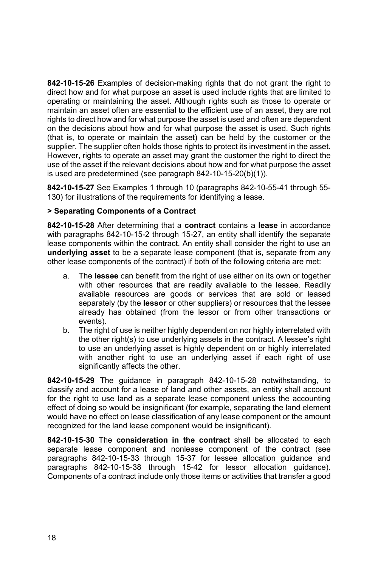**842-10-15-26** Examples of decision-making rights that do not grant the right to direct how and for what purpose an asset is used include rights that are limited to operating or maintaining the asset. Although rights such as those to operate or maintain an asset often are essential to the efficient use of an asset, they are not rights to direct how and for what purpose the asset is used and often are dependent on the decisions about how and for what purpose the asset is used. Such rights (that is, to operate or maintain the asset) can be held by the customer or the supplier. The supplier often holds those rights to protect its investment in the asset. However, rights to operate an asset may grant the customer the right to direct the use of the asset if the relevant decisions about how and for what purpose the asset is used are predetermined (see paragraph 842-10-15-20(b)(1)).

**842-10-15-27** See Examples 1 through 10 (paragraphs 842-10-55-41 through 55- 130) for illustrations of the requirements for identifying a lease.

#### **> Separating Components of a Contract**

**842-10-15-28** After determining that a **contract** contains a **lease** in accordance with paragraphs 842-10-15-2 through 15-27, an entity shall identify the separate lease components within the contract. An entity shall consider the right to use an **underlying asset** to be a separate lease component (that is, separate from any other lease components of the contract) if both of the following criteria are met:

- a. The **lessee** can benefit from the right of use either on its own or together with other resources that are readily available to the lessee. Readily available resources are goods or services that are sold or leased separately (by the **lessor** or other suppliers) or resources that the lessee already has obtained (from the lessor or from other transactions or events).
- b. The right of use is neither highly dependent on nor highly interrelated with the other right(s) to use underlying assets in the contract. A lessee's right to use an underlying asset is highly dependent on or highly interrelated with another right to use an underlying asset if each right of use significantly affects the other.

**842-10-15-29** The guidance in paragraph 842-10-15-28 notwithstanding, to classify and account for a lease of land and other assets, an entity shall account for the right to use land as a separate lease component unless the accounting effect of doing so would be insignificant (for example, separating the land element would have no effect on lease classification of any lease component or the amount recognized for the land lease component would be insignificant).

**842-10-15-30** The **consideration in the contract** shall be allocated to each separate lease component and nonlease component of the contract (see paragraphs 842-10-15-33 through 15-37 for lessee allocation guidance and paragraphs 842-10-15-38 through 15-42 for lessor allocation guidance). Components of a contract include only those items or activities that transfer a good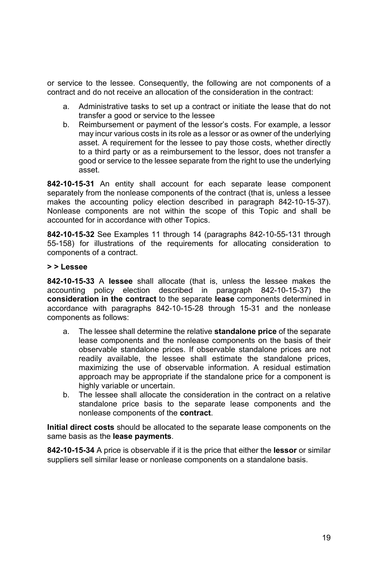or service to the lessee. Consequently, the following are not components of a contract and do not receive an allocation of the consideration in the contract:

- a. Administrative tasks to set up a contract or initiate the lease that do not transfer a good or service to the lessee
- b. Reimbursement or payment of the lessor's costs. For example, a lessor may incur various costs in its role as a lessor or as owner of the underlying asset. A requirement for the lessee to pay those costs, whether directly to a third party or as a reimbursement to the lessor, does not transfer a good or service to the lessee separate from the right to use the underlying asset.

**842-10-15-31** An entity shall account for each separate lease component separately from the nonlease components of the contract (that is, unless a lessee makes the accounting policy election described in paragraph 842-10-15-37). Nonlease components are not within the scope of this Topic and shall be accounted for in accordance with other Topics.

**842-10-15-32** See Examples 11 through 14 (paragraphs 842-10-55-131 through 55-158) for illustrations of the requirements for allocating consideration to components of a contract.

#### **> > Lessee**

**842-10-15-33** A **lessee** shall allocate (that is, unless the lessee makes the accounting policy election described in paragraph 842-10-15-37) the **consideration in the contract** to the separate **lease** components determined in accordance with paragraphs 842-10-15-28 through 15-31 and the nonlease components as follows:

- a. The lessee shall determine the relative **standalone price** of the separate lease components and the nonlease components on the basis of their observable standalone prices. If observable standalone prices are not readily available, the lessee shall estimate the standalone prices, maximizing the use of observable information. A residual estimation approach may be appropriate if the standalone price for a component is highly variable or uncertain.
- b. The lessee shall allocate the consideration in the contract on a relative standalone price basis to the separate lease components and the nonlease components of the **contract**.

**Initial direct costs** should be allocated to the separate lease components on the same basis as the **lease payments**.

**842-10-15-34** A price is observable if it is the price that either the **lessor** or similar suppliers sell similar lease or nonlease components on a standalone basis.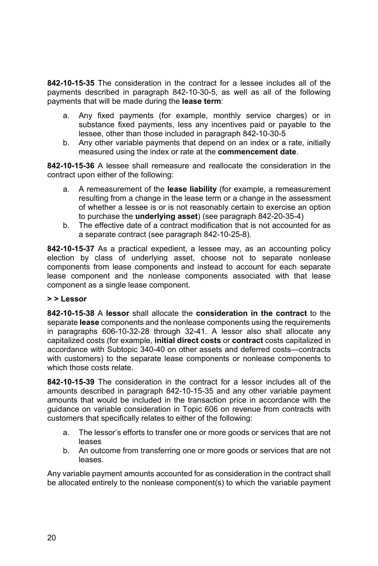**842-10-15-35** The consideration in the contract for a lessee includes all of the payments described in paragraph 842-10-30-5, as well as all of the following payments that will be made during the **lease term**:

- a. Any fixed payments (for example, monthly service charges) or in substance fixed payments, less any incentives paid or payable to the lessee, other than those included in paragraph 842-10-30-5
- b. Any other variable payments that depend on an index or a rate, initially measured using the index or rate at the **commencement date**.

**842-10-15-36** A lessee shall remeasure and reallocate the consideration in the contract upon either of the following:

- a. A remeasurement of the **lease liability** (for example, a remeasurement resulting from a change in the lease term or a change in the assessment of whether a lessee is or is not reasonably certain to exercise an option to purchase the **underlying asset**) (see paragraph 842-20-35-4)
- b. The effective date of a contract modification that is not accounted for as a separate contract (see paragraph 842-10-25-8).

**842-10-15-37** As a practical expedient, a lessee may, as an accounting policy election by class of underlying asset, choose not to separate nonlease components from lease components and instead to account for each separate lease component and the nonlease components associated with that lease component as a single lease component.

#### **> > Lessor**

**842-10-15-38** A **lessor** shall allocate the **consideration in the contract** to the separate **lease** components and the nonlease components using the requirements in paragraphs 606-10-32-28 through 32-41. A lessor also shall allocate any capitalized costs (for example, **initial direct costs** or **contract** costs capitalized in accordance with Subtopic 340-40 on other assets and deferred costs—contracts with customers) to the separate lease components or nonlease components to which those costs relate.

**842-10-15-39** The consideration in the contract for a lessor includes all of the amounts described in paragraph 842-10-15-35 and any other variable payment amounts that would be included in the transaction price in accordance with the guidance on variable consideration in Topic 606 on revenue from contracts with customers that specifically relates to either of the following:

- a. The lessor's efforts to transfer one or more goods or services that are not leases
- b. An outcome from transferring one or more goods or services that are not leases.

Any variable payment amounts accounted for as consideration in the contract shall be allocated entirely to the nonlease component(s) to which the variable payment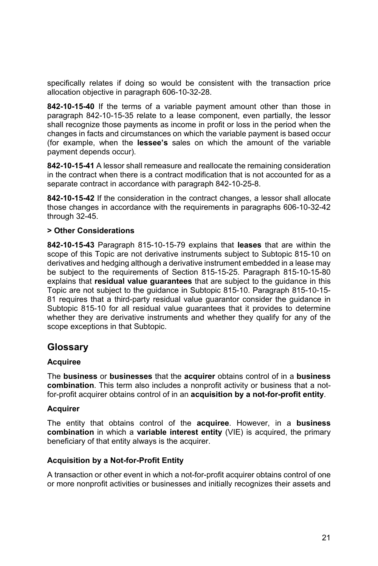specifically relates if doing so would be consistent with the transaction price allocation objective in paragraph 606-10-32-28.

**842-10-15-40** If the terms of a variable payment amount other than those in paragraph 842-10-15-35 relate to a lease component, even partially, the lessor shall recognize those payments as income in profit or loss in the period when the changes in facts and circumstances on which the variable payment is based occur (for example, when the **lessee's** sales on which the amount of the variable payment depends occur).

**842-10-15-41** A lessor shall remeasure and reallocate the remaining consideration in the contract when there is a contract modification that is not accounted for as a separate contract in accordance with paragraph 842-10-25-8.

**842-10-15-42** If the consideration in the contract changes, a lessor shall allocate those changes in accordance with the requirements in paragraphs 606-10-32-42 through 32-45.

#### **> Other Considerations**

**842-10-15-43** Paragraph 815-10-15-79 explains that **leases** that are within the scope of this Topic are not derivative instruments subject to Subtopic 815-10 on derivatives and hedging although a derivative instrument embedded in a lease may be subject to the requirements of Section 815-15-25. Paragraph 815-10-15-80 explains that **residual value guarantees** that are subject to the guidance in this Topic are not subject to the guidance in Subtopic 815-10. Paragraph 815-10-15- 81 requires that a third-party residual value guarantor consider the guidance in Subtopic 815-10 for all residual value guarantees that it provides to determine whether they are derivative instruments and whether they qualify for any of the scope exceptions in that Subtopic.

### **Glossary**

#### **Acquiree**

The **business** or **businesses** that the **acquirer** obtains control of in a **business combination**. This term also includes a nonprofit activity or business that a notfor-profit acquirer obtains control of in an **acquisition by a not-for-profit entity**.

#### **Acquirer**

The entity that obtains control of the **acquiree**. However, in a **business combination** in which a **variable interest entity** (VIE) is acquired, the primary beneficiary of that entity always is the acquirer.

#### **Acquisition by a Not-for-Profit Entity**

A transaction or other event in which a not-for-profit acquirer obtains control of one or more nonprofit activities or businesses and initially recognizes their assets and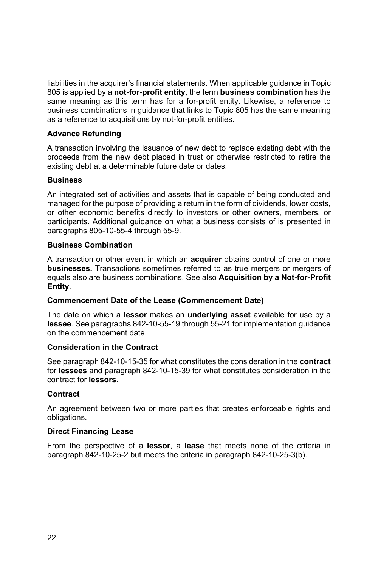liabilities in the acquirer's financial statements. When applicable guidance in Topic 805 is applied by a **not-for-profit entity**, the term **business combination** has the same meaning as this term has for a for-profit entity. Likewise, a reference to business combinations in guidance that links to Topic 805 has the same meaning as a reference to acquisitions by not-for-profit entities.

#### **Advance Refunding**

A transaction involving the issuance of new debt to replace existing debt with the proceeds from the new debt placed in trust or otherwise restricted to retire the existing debt at a determinable future date or dates.

#### **Business**

An integrated set of activities and assets that is capable of being conducted and managed for the purpose of providing a return in the form of dividends, lower costs, or other economic benefits directly to investors or other owners, members, or participants. Additional guidance on what a business consists of is presented in paragraphs 805-10-55-4 through 55-9.

#### **Business Combination**

A transaction or other event in which an **acquirer** obtains control of one or more **businesses.** Transactions sometimes referred to as true mergers or mergers of equals also are business combinations. See also **Acquisition by a Not-for-Profit Entity**.

#### **Commencement Date of the Lease (Commencement Date)**

The date on which a **lessor** makes an **underlying asset** available for use by a **lessee**. See paragraphs 842-10-55-19 through 55-21 for implementation guidance on the commencement date.

#### **Consideration in the Contract**

See paragraph 842-10-15-35 for what constitutes the consideration in the **contract** for **lessees** and paragraph 842-10-15-39 for what constitutes consideration in the contract for **lessors**.

#### **Contract**

An agreement between two or more parties that creates enforceable rights and obligations.

#### **Direct Financing Lease**

From the perspective of a **lessor**, a **lease** that meets none of the criteria in paragraph 842-10-25-2 but meets the criteria in paragraph 842-10-25-3(b).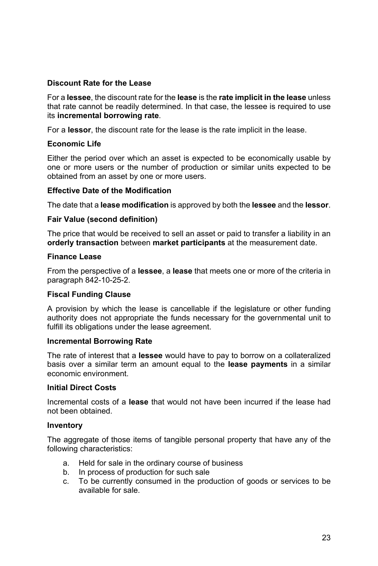#### **Discount Rate for the Lease**

For a **lessee**, the discount rate for the **lease** is the **rate implicit in the lease** unless that rate cannot be readily determined. In that case, the lessee is required to use its **incremental borrowing rate**.

For a **lessor**, the discount rate for the lease is the rate implicit in the lease.

#### **Economic Life**

Either the period over which an asset is expected to be economically usable by one or more users or the number of production or similar units expected to be obtained from an asset by one or more users.

#### **Effective Date of the Modification**

The date that a **lease modification** is approved by both the **lessee** and the **lessor**.

#### **Fair Value (second definition)**

The price that would be received to sell an asset or paid to transfer a liability in an **orderly transaction** between **market participants** at the measurement date.

#### **Finance Lease**

From the perspective of a **lessee**, a **lease** that meets one or more of the criteria in paragraph 842-10-25-2.

#### **Fiscal Funding Clause**

A provision by which the lease is cancellable if the legislature or other funding authority does not appropriate the funds necessary for the governmental unit to fulfill its obligations under the lease agreement.

#### **Incremental Borrowing Rate**

The rate of interest that a **lessee** would have to pay to borrow on a collateralized basis over a similar term an amount equal to the **lease payments** in a similar economic environment.

#### **Initial Direct Costs**

Incremental costs of a **lease** that would not have been incurred if the lease had not been obtained.

#### **Inventory**

The aggregate of those items of tangible personal property that have any of the following characteristics:

- a. Held for sale in the ordinary course of business
- b. In process of production for such sale
- c. To be currently consumed in the production of goods or services to be available for sale.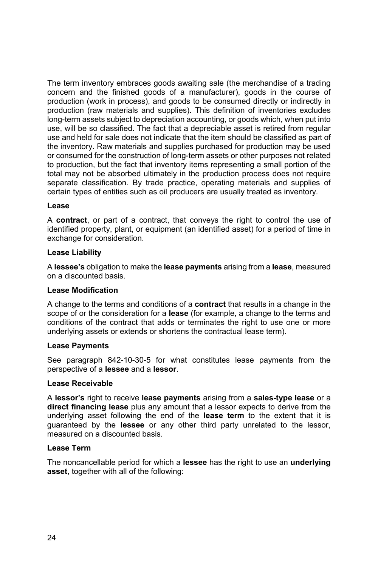The term inventory embraces goods awaiting sale (the merchandise of a trading concern and the finished goods of a manufacturer), goods in the course of production (work in process), and goods to be consumed directly or indirectly in production (raw materials and supplies). This definition of inventories excludes long-term assets subject to depreciation accounting, or goods which, when put into use, will be so classified. The fact that a depreciable asset is retired from regular use and held for sale does not indicate that the item should be classified as part of the inventory. Raw materials and supplies purchased for production may be used or consumed for the construction of long-term assets or other purposes not related to production, but the fact that inventory items representing a small portion of the total may not be absorbed ultimately in the production process does not require separate classification. By trade practice, operating materials and supplies of certain types of entities such as oil producers are usually treated as inventory.

#### **Lease**

A **contract**, or part of a contract, that conveys the right to control the use of identified property, plant, or equipment (an identified asset) for a period of time in exchange for consideration.

#### **Lease Liability**

A **lessee's** obligation to make the **lease payments** arising from a **lease**, measured on a discounted basis.

#### **Lease Modification**

A change to the terms and conditions of a **contract** that results in a change in the scope of or the consideration for a **lease** (for example, a change to the terms and conditions of the contract that adds or terminates the right to use one or more underlying assets or extends or shortens the contractual lease term).

#### **Lease Payments**

See paragraph 842-10-30-5 for what constitutes lease payments from the perspective of a **lessee** and a **lessor**.

#### **Lease Receivable**

A **lessor's** right to receive **lease payments** arising from a **sales-type lease** or a **direct financing lease** plus any amount that a lessor expects to derive from the underlying asset following the end of the **lease term** to the extent that it is guaranteed by the **lessee** or any other third party unrelated to the lessor, measured on a discounted basis.

#### **Lease Term**

The noncancellable period for which a **lessee** has the right to use an **underlying asset**, together with all of the following: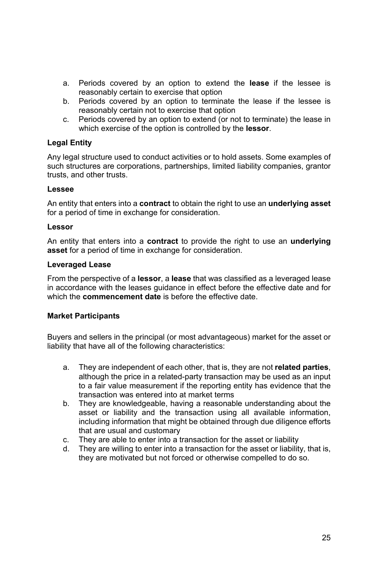- a. Periods covered by an option to extend the **lease** if the lessee is reasonably certain to exercise that option
- b. Periods covered by an option to terminate the lease if the lessee is reasonably certain not to exercise that option
- c. Periods covered by an option to extend (or not to terminate) the lease in which exercise of the option is controlled by the **lessor**.

#### **Legal Entity**

Any legal structure used to conduct activities or to hold assets. Some examples of such structures are corporations, partnerships, limited liability companies, grantor trusts, and other trusts.

#### **Lessee**

An entity that enters into a **contract** to obtain the right to use an **underlying asset** for a period of time in exchange for consideration.

#### **Lessor**

An entity that enters into a **contract** to provide the right to use an **underlying asset** for a period of time in exchange for consideration.

#### **Leveraged Lease**

From the perspective of a **lessor**, a **lease** that was classified as a leveraged lease in accordance with the leases guidance in effect before the effective date and for which the **commencement date** is before the effective date.

#### **Market Participants**

Buyers and sellers in the principal (or most advantageous) market for the asset or liability that have all of the following characteristics:

- a. They are independent of each other, that is, they are not **related parties**, although the price in a related-party transaction may be used as an input to a fair value measurement if the reporting entity has evidence that the transaction was entered into at market terms
- b. They are knowledgeable, having a reasonable understanding about the asset or liability and the transaction using all available information, including information that might be obtained through due diligence efforts that are usual and customary
- c. They are able to enter into a transaction for the asset or liability
- d. They are willing to enter into a transaction for the asset or liability, that is, they are motivated but not forced or otherwise compelled to do so.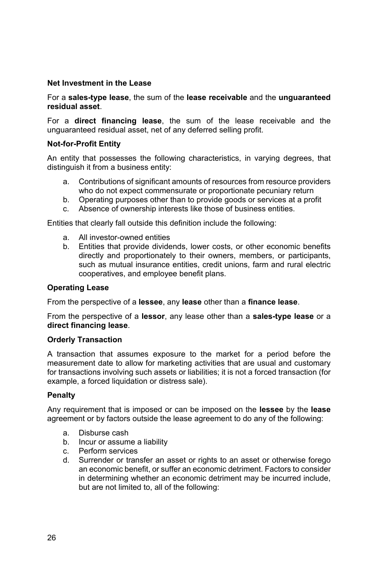#### **Net Investment in the Lease**

For a **sales-type lease**, the sum of the **lease receivable** and the **unguaranteed residual asset**.

For a **direct financing lease**, the sum of the lease receivable and the unguaranteed residual asset, net of any deferred selling profit.

#### **Not-for-Profit Entity**

An entity that possesses the following characteristics, in varying degrees, that distinguish it from a business entity:

- a. Contributions of significant amounts of resources from resource providers who do not expect commensurate or proportionate pecuniary return
- b. Operating purposes other than to provide goods or services at a profit
- c. Absence of ownership interests like those of business entities.

Entities that clearly fall outside this definition include the following:

- a. All investor-owned entities
- b. Entities that provide dividends, lower costs, or other economic benefits directly and proportionately to their owners, members, or participants, such as mutual insurance entities, credit unions, farm and rural electric cooperatives, and employee benefit plans.

#### **Operating Lease**

From the perspective of a **lessee**, any **lease** other than a **finance lease**.

From the perspective of a **lessor**, any lease other than a **sales-type lease** or a **direct financing lease**.

#### **Orderly Transaction**

A transaction that assumes exposure to the market for a period before the measurement date to allow for marketing activities that are usual and customary for transactions involving such assets or liabilities; it is not a forced transaction (for example, a forced liquidation or distress sale).

#### **Penalty**

Any requirement that is imposed or can be imposed on the **lessee** by the **lease** agreement or by factors outside the lease agreement to do any of the following:

- a. Disburse cash
- b. Incur or assume a liability
- c. Perform services<br>d. Surrender or tran
- Surrender or transfer an asset or rights to an asset or otherwise forego an economic benefit, or suffer an economic detriment. Factors to consider in determining whether an economic detriment may be incurred include, but are not limited to, all of the following: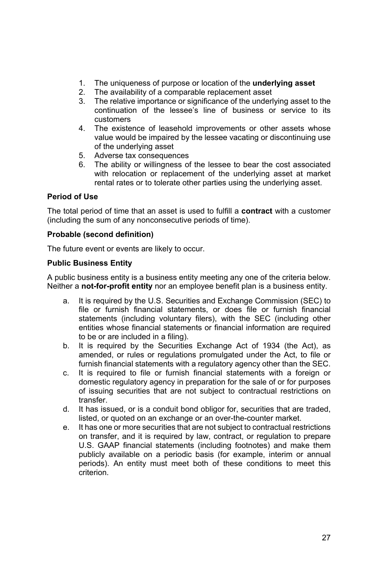- 1. The uniqueness of purpose or location of the **underlying asset**
- 2. The availability of a comparable replacement asset
- 3. The relative importance or significance of the underlying asset to the continuation of the lessee's line of business or service to its customers
- 4. The existence of leasehold improvements or other assets whose value would be impaired by the lessee vacating or discontinuing use of the underlying asset
- 5. Adverse tax consequences
- 6. The ability or willingness of the lessee to bear the cost associated with relocation or replacement of the underlying asset at market rental rates or to tolerate other parties using the underlying asset.

#### **Period of Use**

The total period of time that an asset is used to fulfill a **contract** with a customer (including the sum of any nonconsecutive periods of time).

#### **Probable (second definition)**

The future event or events are likely to occur.

#### **Public Business Entity**

A public business entity is a business entity meeting any one of the criteria below. Neither a **not-for-profit entity** nor an employee benefit plan is a business entity.

- a. It is required by the U.S. Securities and Exchange Commission (SEC) to file or furnish financial statements, or does file or furnish financial statements (including voluntary filers), with the SEC (including other entities whose financial statements or financial information are required to be or are included in a filing).
- b. It is required by the Securities Exchange Act of 1934 (the Act), as amended, or rules or regulations promulgated under the Act, to file or furnish financial statements with a regulatory agency other than the SEC.
- c. It is required to file or furnish financial statements with a foreign or domestic regulatory agency in preparation for the sale of or for purposes of issuing securities that are not subject to contractual restrictions on transfer.
- d. It has issued, or is a conduit bond obligor for, securities that are traded, listed, or quoted on an exchange or an over-the-counter market.
- e. It has one or more securities that are not subject to contractual restrictions on transfer, and it is required by law, contract, or regulation to prepare U.S. GAAP financial statements (including footnotes) and make them publicly available on a periodic basis (for example, interim or annual periods). An entity must meet both of these conditions to meet this criterion.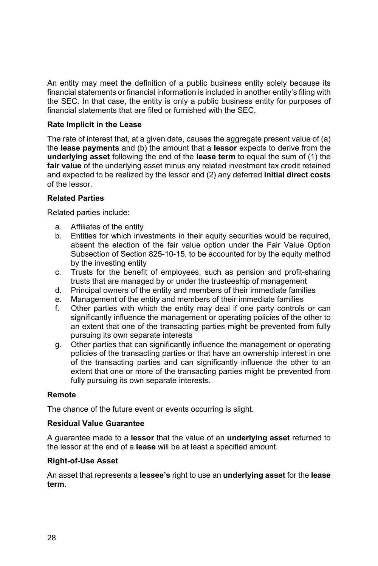An entity may meet the definition of a public business entity solely because its financial statements or financial information is included in another entity's filing with the SEC. In that case, the entity is only a public business entity for purposes of financial statements that are filed or furnished with the SEC.

#### **Rate Implicit in the Lease**

The rate of interest that, at a given date, causes the aggregate present value of (a) the **lease payments** and (b) the amount that a **lessor** expects to derive from the **underlying asset** following the end of the **lease term** to equal the sum of (1) the **fair value** of the underlying asset minus any related investment tax credit retained and expected to be realized by the lessor and (2) any deferred **initial direct costs** of the lessor.

#### **Related Parties**

Related parties include:

- a. Affiliates of the entity
- b. Entities for which investments in their equity securities would be required, absent the election of the fair value option under the Fair Value Option Subsection of Section 825-10-15, to be accounted for by the equity method by the investing entity
- c. Trusts for the benefit of employees, such as pension and profit-sharing trusts that are managed by or under the trusteeship of management
- d. Principal owners of the entity and members of their immediate families
- e. Management of the entity and members of their immediate families
- f. Other parties with which the entity may deal if one party controls or can significantly influence the management or operating policies of the other to an extent that one of the transacting parties might be prevented from fully pursuing its own separate interests
- g. Other parties that can significantly influence the management or operating policies of the transacting parties or that have an ownership interest in one of the transacting parties and can significantly influence the other to an extent that one or more of the transacting parties might be prevented from fully pursuing its own separate interests.

#### **Remote**

The chance of the future event or events occurring is slight.

#### **Residual Value Guarantee**

A guarantee made to a **lessor** that the value of an **underlying asset** returned to the lessor at the end of a **lease** will be at least a specified amount.

#### **Right-of-Use Asset**

An asset that represents a **lessee's** right to use an **underlying asset** for the **lease term**.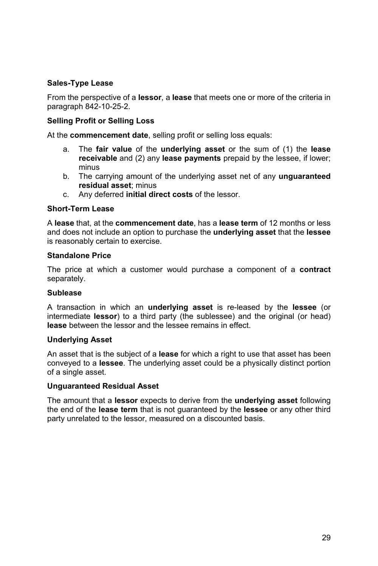#### **Sales-Type Lease**

From the perspective of a **lessor**, a **lease** that meets one or more of the criteria in paragraph 842-10-25-2.

#### **Selling Profit or Selling Loss**

At the **commencement date**, selling profit or selling loss equals:

- a. The **fair value** of the **underlying asset** or the sum of (1) the **lease receivable** and (2) any **lease payments** prepaid by the lessee, if lower; minus
- b. The carrying amount of the underlying asset net of any **unguaranteed residual asset**; minus
- c. Any deferred **initial direct costs** of the lessor.

#### **Short-Term Lease**

A **lease** that, at the **commencement date**, has a **lease term** of 12 months or less and does not include an option to purchase the **underlying asset** that the **lessee** is reasonably certain to exercise.

#### **Standalone Price**

The price at which a customer would purchase a component of a **contract** separately.

#### **Sublease**

A transaction in which an **underlying asset** is re-leased by the **lessee** (or intermediate **lessor**) to a third party (the sublessee) and the original (or head) **lease** between the lessor and the lessee remains in effect.

#### **Underlying Asset**

An asset that is the subject of a **lease** for which a right to use that asset has been conveyed to a **lessee**. The underlying asset could be a physically distinct portion of a single asset.

#### **Unguaranteed Residual Asset**

The amount that a **lessor** expects to derive from the **underlying asset** following the end of the **lease term** that is not guaranteed by the **lessee** or any other third party unrelated to the lessor, measured on a discounted basis.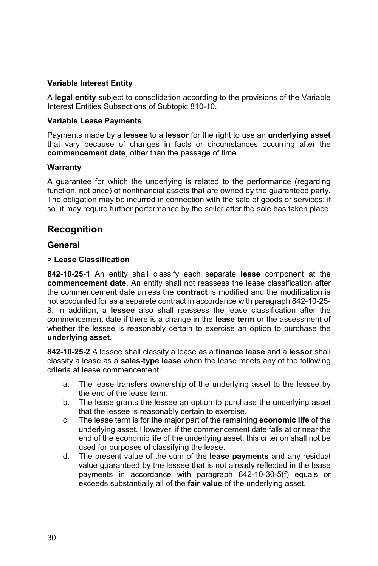#### **Variable Interest Entity**

A **legal entity** subject to consolidation according to the provisions of the Variable Interest Entities Subsections of Subtopic 810-10.

#### **Variable Lease Payments**

Payments made by a **lessee** to a **lessor** for the right to use an **underlying asset** that vary because of changes in facts or circumstances occurring after the **commencement date**, other than the passage of time.

#### **Warranty**

A guarantee for which the underlying is related to the performance (regarding function, not price) of nonfinancial assets that are owned by the guaranteed party. The obligation may be incurred in connection with the sale of goods or services; if so, it may require further performance by the seller after the sale has taken place.

### **Recognition**

#### **General**

#### **> Lease Classification**

**842-10-25-1** An entity shall classify each separate **lease** component at the **commencement date**. An entity shall not reassess the lease classification after the commencement date unless the **contract** is modified and the modification is not accounted for as a separate contract in accordance with paragraph 842-10-25- 8. In addition, a **lessee** also shall reassess the lease classification after the commencement date if there is a change in the **lease term** or the assessment of whether the lessee is reasonably certain to exercise an option to purchase the **underlying asset**.

**842-10-25-2** A lessee shall classify a lease as a **finance lease** and a **lessor** shall classify a lease as a **sales-type lease** when the lease meets any of the following criteria at lease commencement:

- a. The lease transfers ownership of the underlying asset to the lessee by the end of the lease term.
- b. The lease grants the lessee an option to purchase the underlying asset that the lessee is reasonably certain to exercise.
- c. The lease term is for the major part of the remaining **economic life** of the underlying asset. However, if the commencement date falls at or near the end of the economic life of the underlying asset, this criterion shall not be used for purposes of classifying the lease.
- d. The present value of the sum of the **lease payments** and any residual value guaranteed by the lessee that is not already reflected in the lease payments in accordance with paragraph 842-10-30-5(f) equals or exceeds substantially all of the **fair value** of the underlying asset.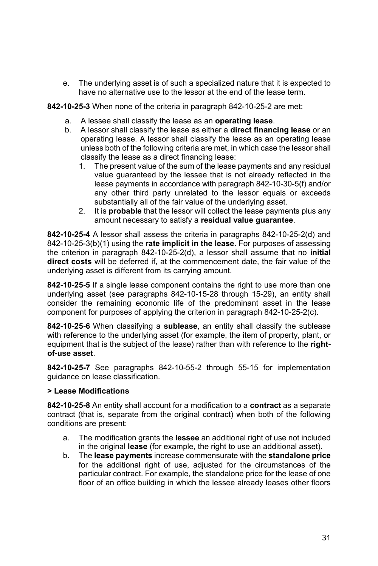e. The underlying asset is of such a specialized nature that it is expected to have no alternative use to the lessor at the end of the lease term.

**842-10-25-3** When none of the criteria in paragraph 842-10-25-2 are met:

- a. A lessee shall classify the lease as an **operating lease**.
- b. A lessor shall classify the lease as either a **direct financing lease** or an operating lease. A lessor shall classify the lease as an operating lease unless both of the following criteria are met, in which case the lessor shall classify the lease as a direct financing lease:
	- 1. The present value of the sum of the lease payments and any residual value guaranteed by the lessee that is not already reflected in the lease payments in accordance with paragraph 842-10-30-5(f) and/or any other third party unrelated to the lessor equals or exceeds substantially all of the fair value of the underlying asset.
	- 2. It is **probable** that the lessor will collect the lease payments plus any amount necessary to satisfy a **residual value guarantee**.

**842-10-25-4** A lessor shall assess the criteria in paragraphs 842-10-25-2(d) and 842-10-25-3(b)(1) using the **rate implicit in the lease**. For purposes of assessing the criterion in paragraph 842-10-25-2(d), a lessor shall assume that no **initial direct costs** will be deferred if, at the commencement date, the fair value of the underlying asset is different from its carrying amount.

**842-10-25-5** If a single lease component contains the right to use more than one underlying asset (see paragraphs 842-10-15-28 through 15-29), an entity shall consider the remaining economic life of the predominant asset in the lease component for purposes of applying the criterion in paragraph 842-10-25-2(c).

**842-10-25-6** When classifying a **sublease**, an entity shall classify the sublease with reference to the underlying asset (for example, the item of property, plant, or equipment that is the subject of the lease) rather than with reference to the **rightof-use asset**.

**842-10-25-7** See paragraphs 842-10-55-2 through 55-15 for implementation guidance on lease classification.

### **> Lease Modifications**

**842-10-25-8** An entity shall account for a modification to a **contract** as a separate contract (that is, separate from the original contract) when both of the following conditions are present:

- a. The modification grants the **lessee** an additional right of use not included in the original **lease** (for example, the right to use an additional asset).
- b. The **lease payments** increase commensurate with the **standalone price** for the additional right of use, adjusted for the circumstances of the particular contract. For example, the standalone price for the lease of one floor of an office building in which the lessee already leases other floors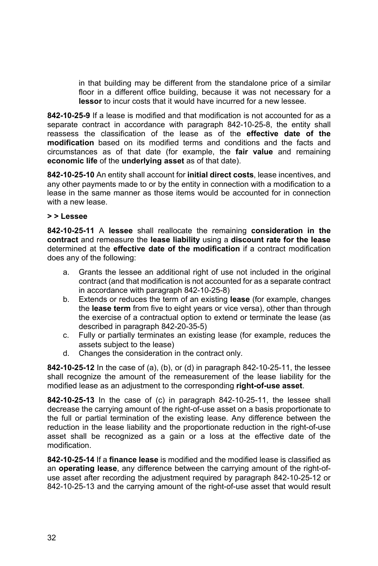in that building may be different from the standalone price of a similar floor in a different office building, because it was not necessary for a **lessor** to incur costs that it would have incurred for a new lessee.

**842-10-25-9** If a lease is modified and that modification is not accounted for as a separate contract in accordance with paragraph 842-10-25-8, the entity shall reassess the classification of the lease as of the **effective date of the modification** based on its modified terms and conditions and the facts and circumstances as of that date (for example, the **fair value** and remaining **economic life** of the **underlying asset** as of that date).

**842-10-25-10** An entity shall account for **initial direct costs**, lease incentives, and any other payments made to or by the entity in connection with a modification to a lease in the same manner as those items would be accounted for in connection with a new lease.

#### **> > Lessee**

**842-10-25-11** A **lessee** shall reallocate the remaining **consideration in the contract** and remeasure the **lease liability** using a **discount rate for the lease** determined at the **effective date of the modification** if a contract modification does any of the following:

- a. Grants the lessee an additional right of use not included in the original contract (and that modification is not accounted for as a separate contract in accordance with paragraph 842-10-25-8)
- b. Extends or reduces the term of an existing **lease** (for example, changes the **lease term** from five to eight years or vice versa), other than through the exercise of a contractual option to extend or terminate the lease (as described in paragraph 842-20-35-5)
- c. Fully or partially terminates an existing lease (for example, reduces the assets subject to the lease)
- d. Changes the consideration in the contract only.

**842-10-25-12** In the case of (a), (b), or (d) in paragraph 842-10-25-11, the lessee shall recognize the amount of the remeasurement of the lease liability for the modified lease as an adjustment to the corresponding **right-of-use asset**.

**842-10-25-13** In the case of (c) in paragraph 842-10-25-11, the lessee shall decrease the carrying amount of the right-of-use asset on a basis proportionate to the full or partial termination of the existing lease. Any difference between the reduction in the lease liability and the proportionate reduction in the right-of-use asset shall be recognized as a gain or a loss at the effective date of the modification.

**842-10-25-14** If a **finance lease** is modified and the modified lease is classified as an **operating lease**, any difference between the carrying amount of the right-ofuse asset after recording the adjustment required by paragraph 842-10-25-12 or 842-10-25-13 and the carrying amount of the right-of-use asset that would result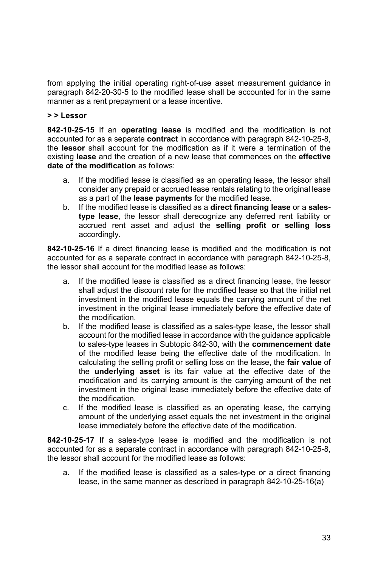from applying the initial operating right-of-use asset measurement guidance in paragraph 842-20-30-5 to the modified lease shall be accounted for in the same manner as a rent prepayment or a lease incentive.

#### **> > Lessor**

**842-10-25-15** If an **operating lease** is modified and the modification is not accounted for as a separate **contract** in accordance with paragraph 842-10-25-8, the **lessor** shall account for the modification as if it were a termination of the existing **lease** and the creation of a new lease that commences on the **effective date of the modification** as follows:

- a. If the modified lease is classified as an operating lease, the lessor shall consider any prepaid or accrued lease rentals relating to the original lease as a part of the **lease payments** for the modified lease.
- b. If the modified lease is classified as a **direct financing lease** or a **salestype lease**, the lessor shall derecognize any deferred rent liability or accrued rent asset and adjust the **selling profit or selling loss**  accordingly.

**842-10-25-16** If a direct financing lease is modified and the modification is not accounted for as a separate contract in accordance with paragraph 842-10-25-8, the lessor shall account for the modified lease as follows:

- a. If the modified lease is classified as a direct financing lease, the lessor shall adjust the discount rate for the modified lease so that the initial net investment in the modified lease equals the carrying amount of the net investment in the original lease immediately before the effective date of the modification.
- b. If the modified lease is classified as a sales-type lease, the lessor shall account for the modified lease in accordance with the guidance applicable to sales-type leases in Subtopic 842-30, with the **commencement date** of the modified lease being the effective date of the modification. In calculating the selling profit or selling loss on the lease, the **fair value** of the **underlying asset** is its fair value at the effective date of the modification and its carrying amount is the carrying amount of the net investment in the original lease immediately before the effective date of the modification.
- c. If the modified lease is classified as an operating lease, the carrying amount of the underlying asset equals the net investment in the original lease immediately before the effective date of the modification.

**842-10-25-17** If a sales-type lease is modified and the modification is not accounted for as a separate contract in accordance with paragraph 842-10-25-8, the lessor shall account for the modified lease as follows:

a. If the modified lease is classified as a sales-type or a direct financing lease, in the same manner as described in paragraph 842-10-25-16(a)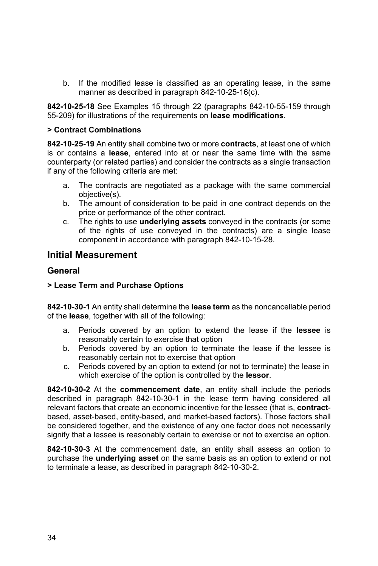b. If the modified lease is classified as an operating lease, in the same manner as described in paragraph 842-10-25-16(c).

**842-10-25-18** See Examples 15 through 22 (paragraphs 842-10-55-159 through 55-209) for illustrations of the requirements on **lease modifications**.

### **> Contract Combinations**

**842-10-25-19** An entity shall combine two or more **contracts**, at least one of which is or contains a **lease**, entered into at or near the same time with the same counterparty (or related parties) and consider the contracts as a single transaction if any of the following criteria are met:

- a. The contracts are negotiated as a package with the same commercial objective(s).
- b. The amount of consideration to be paid in one contract depends on the price or performance of the other contract.
- c. The rights to use **underlying assets** conveyed in the contracts (or some of the rights of use conveyed in the contracts) are a single lease component in accordance with paragraph 842-10-15-28.

## **Initial Measurement**

## **General**

### **> Lease Term and Purchase Options**

**842-10-30-1** An entity shall determine the **lease term** as the noncancellable period of the **lease**, together with all of the following:

- a. Periods covered by an option to extend the lease if the **lessee** is reasonably certain to exercise that option
- b. Periods covered by an option to terminate the lease if the lessee is reasonably certain not to exercise that option
- c. Periods covered by an option to extend (or not to terminate) the lease in which exercise of the option is controlled by the **lessor**.

**842-10-30-2** At the **commencement date**, an entity shall include the periods described in paragraph 842-10-30-1 in the lease term having considered all relevant factors that create an economic incentive for the lessee (that is, **contract**based, asset-based, entity-based, and market-based factors). Those factors shall be considered together, and the existence of any one factor does not necessarily signify that a lessee is reasonably certain to exercise or not to exercise an option.

**842-10-30-3** At the commencement date, an entity shall assess an option to purchase the **underlying asset** on the same basis as an option to extend or not to terminate a lease, as described in paragraph 842-10-30-2.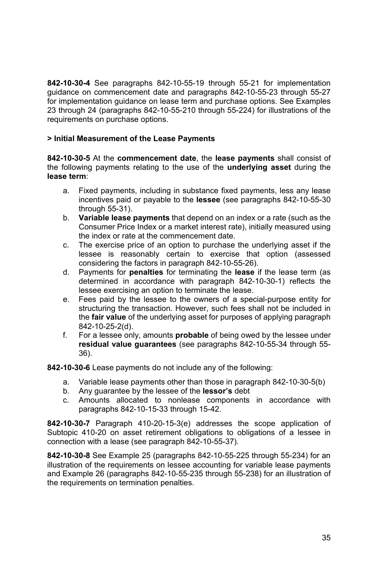**842-10-30-4** See paragraphs 842-10-55-19 through 55-21 for implementation guidance on commencement date and paragraphs 842-10-55-23 through 55-27 for implementation guidance on lease term and purchase options. See Examples 23 through 24 (paragraphs 842-10-55-210 through 55-224) for illustrations of the requirements on purchase options.

## **> Initial Measurement of the Lease Payments**

**842-10-30-5** At the **commencement date**, the **lease payments** shall consist of the following payments relating to the use of the **underlying asset** during the **lease term**:

- a. Fixed payments, including in substance fixed payments, less any lease incentives paid or payable to the **lessee** (see paragraphs 842-10-55-30 through 55-31).
- b. **Variable lease payments** that depend on an index or a rate (such as the Consumer Price Index or a market interest rate), initially measured using the index or rate at the commencement date.
- c. The exercise price of an option to purchase the underlying asset if the lessee is reasonably certain to exercise that option (assessed considering the factors in paragraph 842-10-55-26).
- d. Payments for **penalties** for terminating the **lease** if the lease term (as determined in accordance with paragraph 842-10-30-1) reflects the lessee exercising an option to terminate the lease.
- e. Fees paid by the lessee to the owners of a special-purpose entity for structuring the transaction. However, such fees shall not be included in the **fair value** of the underlying asset for purposes of applying paragraph 842-10-25-2(d).
- f. For a lessee only, amounts **probable** of being owed by the lessee under **residual value guarantees** (see paragraphs 842-10-55-34 through 55- 36).

**842-10-30-6** Lease payments do not include any of the following:

- a. Variable lease payments other than those in paragraph 842-10-30-5(b)
- b. Any guarantee by the lessee of the **lessor's** debt
- c. Amounts allocated to nonlease components in accordance with paragraphs 842-10-15-33 through 15-42.

**842-10-30-7** Paragraph 410-20-15-3(e) addresses the scope application of Subtopic 410-20 on asset retirement obligations to obligations of a lessee in connection with a lease (see paragraph 842-10-55-37).

**842-10-30-8** See Example 25 (paragraphs 842-10-55-225 through 55-234) for an illustration of the requirements on lessee accounting for variable lease payments and Example 26 (paragraphs 842-10-55-235 through 55-238) for an illustration of the requirements on termination penalties.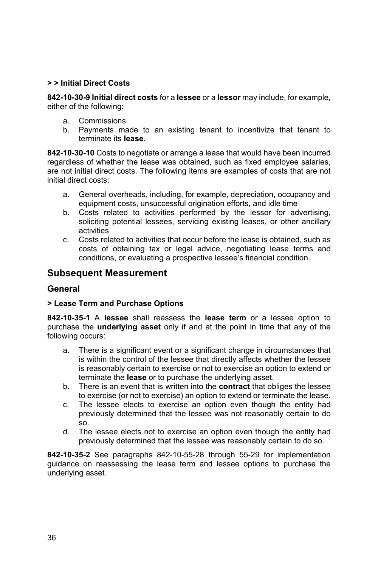## **> > Initial Direct Costs**

**842-10-30-9 Initial direct costs** for a **lessee** or a **lessor** may include, for example, either of the following:

- a. Commissions
- b. Payments made to an existing tenant to incentivize that tenant to terminate its **lease**.

**842-10-30-10** Costs to negotiate or arrange a lease that would have been incurred regardless of whether the lease was obtained, such as fixed employee salaries, are not initial direct costs. The following items are examples of costs that are not initial direct costs:

- a. General overheads, including, for example, depreciation, occupancy and equipment costs, unsuccessful origination efforts, and idle time
- b. Costs related to activities performed by the lessor for advertising, soliciting potential lessees, servicing existing leases, or other ancillary activities
- c. Costs related to activities that occur before the lease is obtained, such as costs of obtaining tax or legal advice, negotiating lease terms and conditions, or evaluating a prospective lessee's financial condition.

## **Subsequent Measurement**

## **General**

### **> Lease Term and Purchase Options**

**842-10-35-1** A **lessee** shall reassess the **lease term** or a lessee option to purchase the **underlying asset** only if and at the point in time that any of the following occurs:

- a. There is a significant event or a significant change in circumstances that is within the control of the lessee that directly affects whether the lessee is reasonably certain to exercise or not to exercise an option to extend or terminate the **lease** or to purchase the underlying asset.
- b. There is an event that is written into the **contract** that obliges the lessee to exercise (or not to exercise) an option to extend or terminate the lease.
- c. The lessee elects to exercise an option even though the entity had previously determined that the lessee was not reasonably certain to do so.
- d. The lessee elects not to exercise an option even though the entity had previously determined that the lessee was reasonably certain to do so.

**842-10-35-2** See paragraphs 842-10-55-28 through 55-29 for implementation guidance on reassessing the lease term and lessee options to purchase the underlying asset.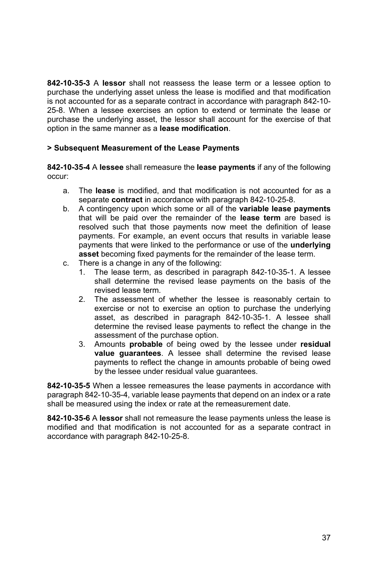**842-10-35-3** A **lessor** shall not reassess the lease term or a lessee option to purchase the underlying asset unless the lease is modified and that modification is not accounted for as a separate contract in accordance with paragraph 842-10- 25-8. When a lessee exercises an option to extend or terminate the lease or purchase the underlying asset, the lessor shall account for the exercise of that option in the same manner as a **lease modification**.

## **> Subsequent Measurement of the Lease Payments**

**842-10-35-4** A **lessee** shall remeasure the **lease payments** if any of the following occur:

- a. The **lease** is modified, and that modification is not accounted for as a separate **contract** in accordance with paragraph 842-10-25-8.
- b. A contingency upon which some or all of the **variable lease payments**  that will be paid over the remainder of the **lease term** are based is resolved such that those payments now meet the definition of lease payments. For example, an event occurs that results in variable lease payments that were linked to the performance or use of the **underlying asset** becoming fixed payments for the remainder of the lease term.
- c. There is a change in any of the following:
	- 1. The lease term, as described in paragraph 842-10-35-1. A lessee shall determine the revised lease payments on the basis of the revised lease term.
	- 2. The assessment of whether the lessee is reasonably certain to exercise or not to exercise an option to purchase the underlying asset, as described in paragraph 842-10-35-1. A lessee shall determine the revised lease payments to reflect the change in the assessment of the purchase option.
	- 3. Amounts **probable** of being owed by the lessee under **residual value guarantees**. A lessee shall determine the revised lease payments to reflect the change in amounts probable of being owed by the lessee under residual value guarantees.

**842-10-35-5** When a lessee remeasures the lease payments in accordance with paragraph 842-10-35-4, variable lease payments that depend on an index or a rate shall be measured using the index or rate at the remeasurement date.

**842-10-35-6** A **lessor** shall not remeasure the lease payments unless the lease is modified and that modification is not accounted for as a separate contract in accordance with paragraph 842-10-25-8.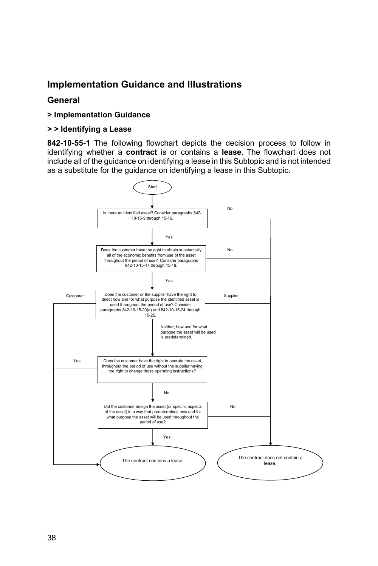# **Implementation Guidance and Illustrations**

## **General**

## **> Implementation Guidance**

## **> > Identifying a Lease**

**842-10-55-1** The following flowchart depicts the decision process to follow in identifying whether a **contract** is or contains a **lease**. The flowchart does not include all of the guidance on identifying a lease in this Subtopic and is not intended as a substitute for the guidance on identifying a lease in this Subtopic.

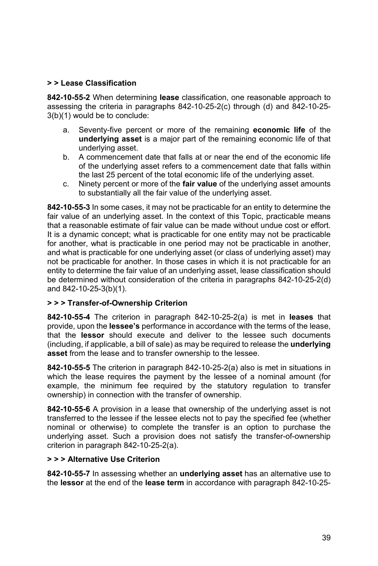## **> > Lease Classification**

**842-10-55-2** When determining **lease** classification, one reasonable approach to assessing the criteria in paragraphs 842-10-25-2(c) through (d) and 842-10-25- 3(b)(1) would be to conclude:

- a. Seventy-five percent or more of the remaining **economic life** of the **underlying asset** is a major part of the remaining economic life of that underlying asset.
- b. A commencement date that falls at or near the end of the economic life of the underlying asset refers to a commencement date that falls within the last 25 percent of the total economic life of the underlying asset.
- c. Ninety percent or more of the **fair value** of the underlying asset amounts to substantially all the fair value of the underlying asset.

**842-10-55-3** In some cases, it may not be practicable for an entity to determine the fair value of an underlying asset. In the context of this Topic, practicable means that a reasonable estimate of fair value can be made without undue cost or effort. It is a dynamic concept; what is practicable for one entity may not be practicable for another, what is practicable in one period may not be practicable in another, and what is practicable for one underlying asset (or class of underlying asset) may not be practicable for another. In those cases in which it is not practicable for an entity to determine the fair value of an underlying asset, lease classification should be determined without consideration of the criteria in paragraphs 842-10-25-2(d) and 842-10-25-3(b)(1).

### **> > > Transfer-of-Ownership Criterion**

**842-10-55-4** The criterion in paragraph 842-10-25-2(a) is met in **leases** that provide, upon the **lessee's** performance in accordance with the terms of the lease, that the **lessor** should execute and deliver to the lessee such documents (including, if applicable, a bill of sale) as may be required to release the **underlying asset** from the lease and to transfer ownership to the lessee.

**842-10-55-5** The criterion in paragraph 842-10-25-2(a) also is met in situations in which the lease requires the payment by the lessee of a nominal amount (for example, the minimum fee required by the statutory regulation to transfer ownership) in connection with the transfer of ownership.

**842-10-55-6** A provision in a lease that ownership of the underlying asset is not transferred to the lessee if the lessee elects not to pay the specified fee (whether nominal or otherwise) to complete the transfer is an option to purchase the underlying asset. Such a provision does not satisfy the transfer-of-ownership criterion in paragraph 842-10-25-2(a).

### **> > > Alternative Use Criterion**

**842-10-55-7** In assessing whether an **underlying asset** has an alternative use to the **lessor** at the end of the **lease term** in accordance with paragraph 842-10-25-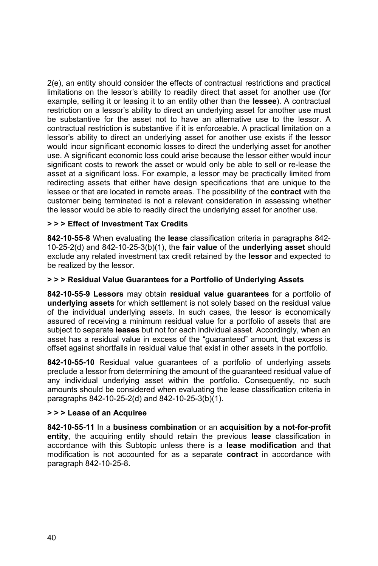2(e), an entity should consider the effects of contractual restrictions and practical limitations on the lessor's ability to readily direct that asset for another use (for example, selling it or leasing it to an entity other than the **lessee**). A contractual restriction on a lessor's ability to direct an underlying asset for another use must be substantive for the asset not to have an alternative use to the lessor. A contractual restriction is substantive if it is enforceable. A practical limitation on a lessor's ability to direct an underlying asset for another use exists if the lessor would incur significant economic losses to direct the underlying asset for another use. A significant economic loss could arise because the lessor either would incur significant costs to rework the asset or would only be able to sell or re-lease the asset at a significant loss. For example, a lessor may be practically limited from redirecting assets that either have design specifications that are unique to the lessee or that are located in remote areas. The possibility of the **contract** with the customer being terminated is not a relevant consideration in assessing whether the lessor would be able to readily direct the underlying asset for another use.

### **> > > Effect of Investment Tax Credits**

**842-10-55-8** When evaluating the **lease** classification criteria in paragraphs 842- 10-25-2(d) and 842-10-25-3(b)(1), the **fair value** of the **underlying asset** should exclude any related investment tax credit retained by the **lessor** and expected to be realized by the lessor.

#### **> > > Residual Value Guarantees for a Portfolio of Underlying Assets**

**842-10-55-9 Lessors** may obtain **residual value guarantees** for a portfolio of **underlying assets** for which settlement is not solely based on the residual value of the individual underlying assets. In such cases, the lessor is economically assured of receiving a minimum residual value for a portfolio of assets that are subject to separate **leases** but not for each individual asset. Accordingly, when an asset has a residual value in excess of the "guaranteed" amount, that excess is offset against shortfalls in residual value that exist in other assets in the portfolio.

**842-10-55-10** Residual value guarantees of a portfolio of underlying assets preclude a lessor from determining the amount of the guaranteed residual value of any individual underlying asset within the portfolio. Consequently, no such amounts should be considered when evaluating the lease classification criteria in paragraphs 842-10-25-2(d) and 842-10-25-3(b)(1).

#### **> > > Lease of an Acquiree**

**842-10-55-11** In a **business combination** or an **acquisition by a not-for-profit entity**, the acquiring entity should retain the previous **lease** classification in accordance with this Subtopic unless there is a **lease modification** and that modification is not accounted for as a separate **contract** in accordance with paragraph 842-10-25-8.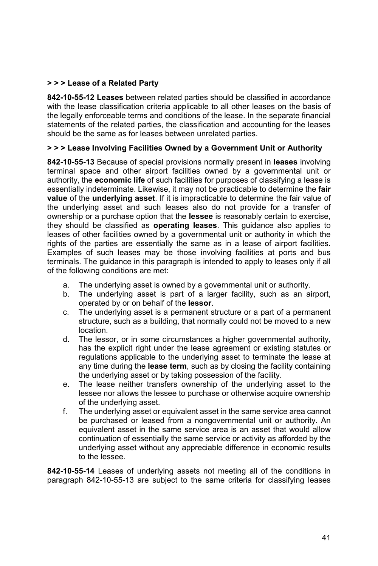## **> > > Lease of a Related Party**

**842-10-55-12 Leases** between related parties should be classified in accordance with the lease classification criteria applicable to all other leases on the basis of the legally enforceable terms and conditions of the lease. In the separate financial statements of the related parties, the classification and accounting for the leases should be the same as for leases between unrelated parties.

## **> > > Lease Involving Facilities Owned by a Government Unit or Authority**

**842-10-55-13** Because of special provisions normally present in **leases** involving terminal space and other airport facilities owned by a governmental unit or authority, the **economic life** of such facilities for purposes of classifying a lease is essentially indeterminate. Likewise, it may not be practicable to determine the **fair value** of the **underlying asset**. If it is impracticable to determine the fair value of the underlying asset and such leases also do not provide for a transfer of ownership or a purchase option that the **lessee** is reasonably certain to exercise, they should be classified as **operating leases**. This guidance also applies to leases of other facilities owned by a governmental unit or authority in which the rights of the parties are essentially the same as in a lease of airport facilities. Examples of such leases may be those involving facilities at ports and bus terminals. The guidance in this paragraph is intended to apply to leases only if all of the following conditions are met:

- a. The underlying asset is owned by a governmental unit or authority.
- b. The underlying asset is part of a larger facility, such as an airport, operated by or on behalf of the **lessor**.
- c. The underlying asset is a permanent structure or a part of a permanent structure, such as a building, that normally could not be moved to a new location.
- d. The lessor, or in some circumstances a higher governmental authority, has the explicit right under the lease agreement or existing statutes or regulations applicable to the underlying asset to terminate the lease at any time during the **lease term**, such as by closing the facility containing the underlying asset or by taking possession of the facility.
- e. The lease neither transfers ownership of the underlying asset to the lessee nor allows the lessee to purchase or otherwise acquire ownership of the underlying asset.
- f. The underlying asset or equivalent asset in the same service area cannot be purchased or leased from a nongovernmental unit or authority. An equivalent asset in the same service area is an asset that would allow continuation of essentially the same service or activity as afforded by the underlying asset without any appreciable difference in economic results to the lessee.

**842-10-55-14** Leases of underlying assets not meeting all of the conditions in paragraph 842-10-55-13 are subject to the same criteria for classifying leases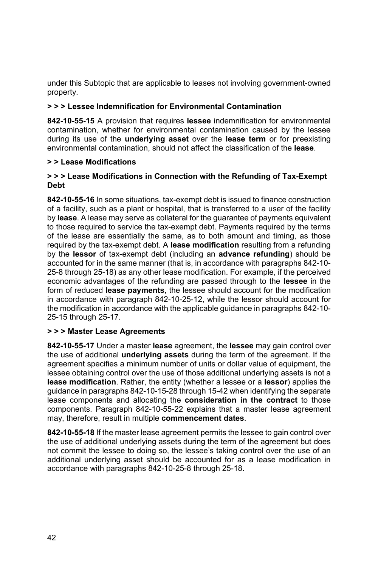under this Subtopic that are applicable to leases not involving government-owned property.

## **> > > Lessee Indemnification for Environmental Contamination**

**842-10-55-15** A provision that requires **lessee** indemnification for environmental contamination, whether for environmental contamination caused by the lessee during its use of the **underlying asset** over the **lease term** or for preexisting environmental contamination, should not affect the classification of the **lease**.

### **> > Lease Modifications**

## **> > > Lease Modifications in Connection with the Refunding of Tax-Exempt Debt**

**842-10-55-16** In some situations, tax-exempt debt is issued to finance construction of a facility, such as a plant or hospital, that is transferred to a user of the facility by **lease**. A lease may serve as collateral for the guarantee of payments equivalent to those required to service the tax-exempt debt. Payments required by the terms of the lease are essentially the same, as to both amount and timing, as those required by the tax-exempt debt. A **lease modification** resulting from a refunding by the **lessor** of tax-exempt debt (including an **advance refunding**) should be accounted for in the same manner (that is, in accordance with paragraphs 842-10- 25-8 through 25-18) as any other lease modification. For example, if the perceived economic advantages of the refunding are passed through to the **lessee** in the form of reduced **lease payments**, the lessee should account for the modification in accordance with paragraph 842-10-25-12, while the lessor should account for the modification in accordance with the applicable guidance in paragraphs 842-10- 25-15 through 25-17.

### **> > > Master Lease Agreements**

**842-10-55-17** Under a master **lease** agreement, the **lessee** may gain control over the use of additional **underlying assets** during the term of the agreement. If the agreement specifies a minimum number of units or dollar value of equipment, the lessee obtaining control over the use of those additional underlying assets is not a **lease modification**. Rather, the entity (whether a lessee or a **lessor**) applies the guidance in paragraphs 842-10-15-28 through 15-42 when identifying the separate lease components and allocating the **consideration in the contract** to those components. Paragraph 842-10-55-22 explains that a master lease agreement may, therefore, result in multiple **commencement dates**.

**842-10-55-18** If the master lease agreement permits the lessee to gain control over the use of additional underlying assets during the term of the agreement but does not commit the lessee to doing so, the lessee's taking control over the use of an additional underlying asset should be accounted for as a lease modification in accordance with paragraphs 842-10-25-8 through 25-18.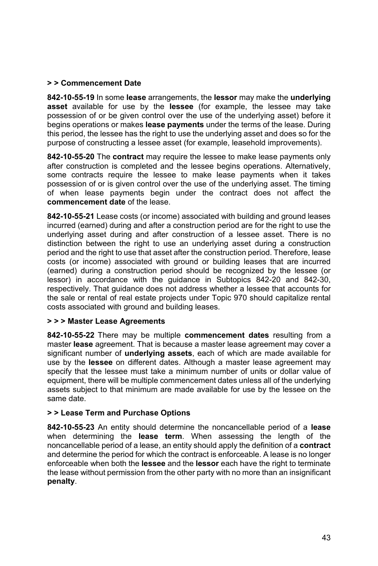## **> > Commencement Date**

**842-10-55-19** In some **lease** arrangements, the **lessor** may make the **underlying asset** available for use by the **lessee** (for example, the lessee may take possession of or be given control over the use of the underlying asset) before it begins operations or makes **lease payments** under the terms of the lease. During this period, the lessee has the right to use the underlying asset and does so for the purpose of constructing a lessee asset (for example, leasehold improvements).

**842-10-55-20** The **contract** may require the lessee to make lease payments only after construction is completed and the lessee begins operations. Alternatively, some contracts require the lessee to make lease payments when it takes possession of or is given control over the use of the underlying asset. The timing of when lease payments begin under the contract does not affect the **commencement date** of the lease.

**842-10-55-21** Lease costs (or income) associated with building and ground leases incurred (earned) during and after a construction period are for the right to use the underlying asset during and after construction of a lessee asset. There is no distinction between the right to use an underlying asset during a construction period and the right to use that asset after the construction period. Therefore, lease costs (or income) associated with ground or building leases that are incurred (earned) during a construction period should be recognized by the lessee (or lessor) in accordance with the guidance in Subtopics 842-20 and 842-30, respectively. That guidance does not address whether a lessee that accounts for the sale or rental of real estate projects under Topic 970 should capitalize rental costs associated with ground and building leases.

### **> > > Master Lease Agreements**

**842-10-55-22** There may be multiple **commencement dates** resulting from a master **lease** agreement. That is because a master lease agreement may cover a significant number of **underlying assets**, each of which are made available for use by the **lessee** on different dates. Although a master lease agreement may specify that the lessee must take a minimum number of units or dollar value of equipment, there will be multiple commencement dates unless all of the underlying assets subject to that minimum are made available for use by the lessee on the same date.

### **> > Lease Term and Purchase Options**

**842-10-55-23** An entity should determine the noncancellable period of a **lease** when determining the **lease term**. When assessing the length of the noncancellable period of a lease, an entity should apply the definition of a **contract** and determine the period for which the contract is enforceable. A lease is no longer enforceable when both the **lessee** and the **lessor** each have the right to terminate the lease without permission from the other party with no more than an insignificant **penalty**.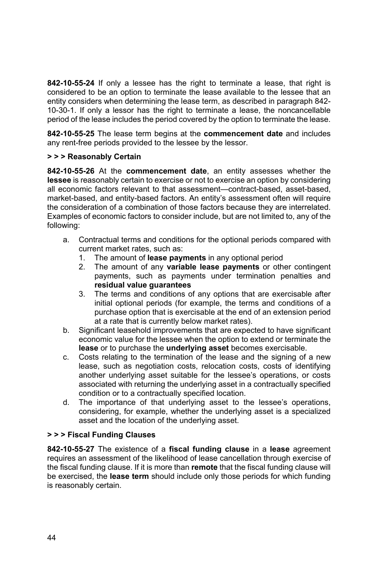**842-10-55-24** If only a lessee has the right to terminate a lease, that right is considered to be an option to terminate the lease available to the lessee that an entity considers when determining the lease term, as described in paragraph 842- 10-30-1. If only a lessor has the right to terminate a lease, the noncancellable period of the lease includes the period covered by the option to terminate the lease.

**842-10-55-25** The lease term begins at the **commencement date** and includes any rent-free periods provided to the lessee by the lessor.

## **> > > Reasonably Certain**

**842-10-55-26** At the **commencement date**, an entity assesses whether the **lessee** is reasonably certain to exercise or not to exercise an option by considering all economic factors relevant to that assessment—contract-based, asset-based, market-based, and entity-based factors. An entity's assessment often will require the consideration of a combination of those factors because they are interrelated. Examples of economic factors to consider include, but are not limited to, any of the following:

- a. Contractual terms and conditions for the optional periods compared with current market rates, such as:
	- 1. The amount of **lease payments** in any optional period
	- 2. The amount of any **variable lease payments** or other contingent payments, such as payments under termination penalties and **residual value guarantees**
	- 3. The terms and conditions of any options that are exercisable after initial optional periods (for example, the terms and conditions of a purchase option that is exercisable at the end of an extension period at a rate that is currently below market rates).
- b. Significant leasehold improvements that are expected to have significant economic value for the lessee when the option to extend or terminate the **lease** or to purchase the **underlying asset** becomes exercisable.
- c. Costs relating to the termination of the lease and the signing of a new lease, such as negotiation costs, relocation costs, costs of identifying another underlying asset suitable for the lessee's operations, or costs associated with returning the underlying asset in a contractually specified condition or to a contractually specified location.
- d. The importance of that underlying asset to the lessee's operations, considering, for example, whether the underlying asset is a specialized asset and the location of the underlying asset.

### **> > > Fiscal Funding Clauses**

**842-10-55-27** The existence of a **fiscal funding clause** in a **lease** agreement requires an assessment of the likelihood of lease cancellation through exercise of the fiscal funding clause. If it is more than **remote** that the fiscal funding clause will be exercised, the **lease term** should include only those periods for which funding is reasonably certain.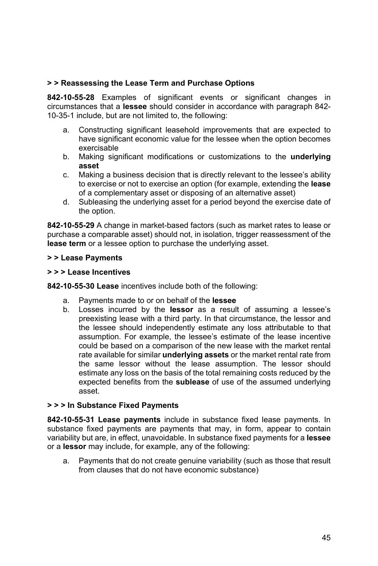## **> > Reassessing the Lease Term and Purchase Options**

**842-10-55-28** Examples of significant events or significant changes in circumstances that a **lessee** should consider in accordance with paragraph 842- 10-35-1 include, but are not limited to, the following:

- a. Constructing significant leasehold improvements that are expected to have significant economic value for the lessee when the option becomes exercisable
- b. Making significant modifications or customizations to the **underlying asset**
- c. Making a business decision that is directly relevant to the lessee's ability to exercise or not to exercise an option (for example, extending the **lease** of a complementary asset or disposing of an alternative asset)
- d. Subleasing the underlying asset for a period beyond the exercise date of the option.

**842-10-55-29** A change in market-based factors (such as market rates to lease or purchase a comparable asset) should not, in isolation, trigger reassessment of the **lease term** or a lessee option to purchase the underlying asset.

#### **> > Lease Payments**

#### **> > > Lease Incentives**

**842-10-55-30 Lease** incentives include both of the following:

- a. Payments made to or on behalf of the **lessee**
- b. Losses incurred by the **lessor** as a result of assuming a lessee's preexisting lease with a third party. In that circumstance, the lessor and the lessee should independently estimate any loss attributable to that assumption. For example, the lessee's estimate of the lease incentive could be based on a comparison of the new lease with the market rental rate available for similar **underlying assets** or the market rental rate from the same lessor without the lease assumption. The lessor should estimate any loss on the basis of the total remaining costs reduced by the expected benefits from the **sublease** of use of the assumed underlying asset.

### **> > > In Substance Fixed Payments**

**842-10-55-31 Lease payments** include in substance fixed lease payments. In substance fixed payments are payments that may, in form, appear to contain variability but are, in effect, unavoidable. In substance fixed payments for a **lessee** or a **lessor** may include, for example, any of the following:

a. Payments that do not create genuine variability (such as those that result from clauses that do not have economic substance)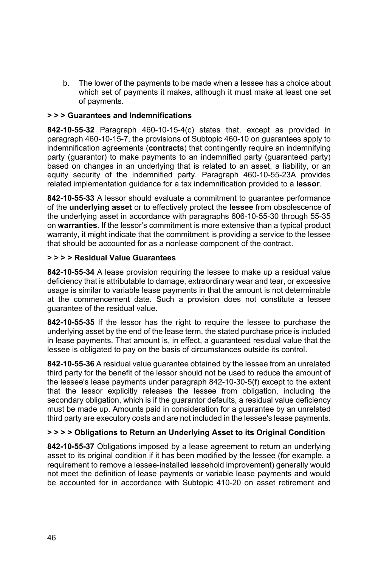b. The lower of the payments to be made when a lessee has a choice about which set of payments it makes, although it must make at least one set of payments.

### **> > > Guarantees and Indemnifications**

**842-10-55-32** Paragraph 460-10-15-4(c) states that, except as provided in paragraph 460-10-15-7, the provisions of Subtopic 460-10 on guarantees apply to indemnification agreements (**contracts**) that contingently require an indemnifying party (guarantor) to make payments to an indemnified party (guaranteed party) based on changes in an underlying that is related to an asset, a liability, or an equity security of the indemnified party. Paragraph 460-10-55-23A provides related implementation guidance for a tax indemnification provided to a **lessor**.

**842-10-55-33** A lessor should evaluate a commitment to guarantee performance of the **underlying asset** or to effectively protect the **lessee** from obsolescence of the underlying asset in accordance with paragraphs 606-10-55-30 through 55-35 on **warranties**. If the lessor's commitment is more extensive than a typical product warranty, it might indicate that the commitment is providing a service to the lessee that should be accounted for as a nonlease component of the contract.

#### **> > > > Residual Value Guarantees**

**842-10-55-34** A lease provision requiring the lessee to make up a residual value deficiency that is attributable to damage, extraordinary wear and tear, or excessive usage is similar to variable lease payments in that the amount is not determinable at the commencement date. Such a provision does not constitute a lessee guarantee of the residual value.

**842-10-55-35** If the lessor has the right to require the lessee to purchase the underlying asset by the end of the lease term, the stated purchase price is included in lease payments. That amount is, in effect, a guaranteed residual value that the lessee is obligated to pay on the basis of circumstances outside its control.

**842-10-55-36** A residual value guarantee obtained by the lessee from an unrelated third party for the benefit of the lessor should not be used to reduce the amount of the lessee's lease payments under paragraph 842-10-30-5(f) except to the extent that the lessor explicitly releases the lessee from obligation, including the secondary obligation, which is if the guarantor defaults, a residual value deficiency must be made up. Amounts paid in consideration for a guarantee by an unrelated third party are executory costs and are not included in the lessee's lease payments.

### **> > > > Obligations to Return an Underlying Asset to its Original Condition**

**842-10-55-37** Obligations imposed by a lease agreement to return an underlying asset to its original condition if it has been modified by the lessee (for example, a requirement to remove a lessee-installed leasehold improvement) generally would not meet the definition of lease payments or variable lease payments and would be accounted for in accordance with Subtopic 410-20 on asset retirement and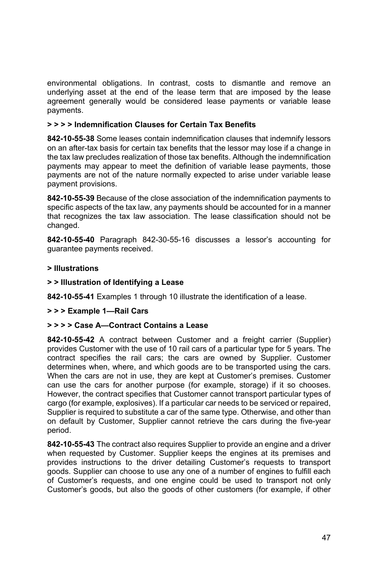environmental obligations. In contrast, costs to dismantle and remove an underlying asset at the end of the lease term that are imposed by the lease agreement generally would be considered lease payments or variable lease payments.

## **> > > > Indemnification Clauses for Certain Tax Benefits**

**842-10-55-38** Some leases contain indemnification clauses that indemnify lessors on an after-tax basis for certain tax benefits that the lessor may lose if a change in the tax law precludes realization of those tax benefits. Although the indemnification payments may appear to meet the definition of variable lease payments, those payments are not of the nature normally expected to arise under variable lease payment provisions.

**842-10-55-39** Because of the close association of the indemnification payments to specific aspects of the tax law, any payments should be accounted for in a manner that recognizes the tax law association. The lease classification should not be changed.

**842-10-55-40** Paragraph 842-30-55-16 discusses a lessor's accounting for guarantee payments received.

### **> Illustrations**

#### **> > Illustration of Identifying a Lease**

**842-10-55-41** Examples 1 through 10 illustrate the identification of a lease.

#### **> > > Example 1—Rail Cars**

### **> > > > Case A—Contract Contains a Lease**

**842-10-55-42** A contract between Customer and a freight carrier (Supplier) provides Customer with the use of 10 rail cars of a particular type for 5 years. The contract specifies the rail cars; the cars are owned by Supplier. Customer determines when, where, and which goods are to be transported using the cars. When the cars are not in use, they are kept at Customer's premises. Customer can use the cars for another purpose (for example, storage) if it so chooses. However, the contract specifies that Customer cannot transport particular types of cargo (for example, explosives). If a particular car needs to be serviced or repaired, Supplier is required to substitute a car of the same type. Otherwise, and other than on default by Customer, Supplier cannot retrieve the cars during the five-year period.

**842-10-55-43** The contract also requires Supplier to provide an engine and a driver when requested by Customer. Supplier keeps the engines at its premises and provides instructions to the driver detailing Customer's requests to transport goods. Supplier can choose to use any one of a number of engines to fulfill each of Customer's requests, and one engine could be used to transport not only Customer's goods, but also the goods of other customers (for example, if other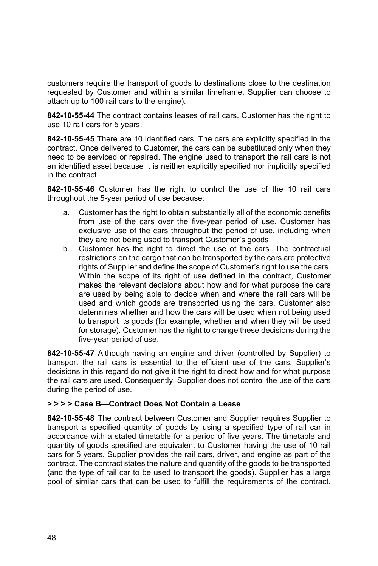customers require the transport of goods to destinations close to the destination requested by Customer and within a similar timeframe, Supplier can choose to attach up to 100 rail cars to the engine).

**842-10-55-44** The contract contains leases of rail cars. Customer has the right to use 10 rail cars for 5 years.

**842-10-55-45** There are 10 identified cars. The cars are explicitly specified in the contract. Once delivered to Customer, the cars can be substituted only when they need to be serviced or repaired. The engine used to transport the rail cars is not an identified asset because it is neither explicitly specified nor implicitly specified in the contract.

**842-10-55-46** Customer has the right to control the use of the 10 rail cars throughout the 5-year period of use because:

- a. Customer has the right to obtain substantially all of the economic benefits from use of the cars over the five-year period of use. Customer has exclusive use of the cars throughout the period of use, including when they are not being used to transport Customer's goods.
- b. Customer has the right to direct the use of the cars. The contractual restrictions on the cargo that can be transported by the cars are protective rights of Supplier and define the scope of Customer's right to use the cars. Within the scope of its right of use defined in the contract, Customer makes the relevant decisions about how and for what purpose the cars are used by being able to decide when and where the rail cars will be used and which goods are transported using the cars. Customer also determines whether and how the cars will be used when not being used to transport its goods (for example, whether and when they will be used for storage). Customer has the right to change these decisions during the five-year period of use.

**842-10-55-47** Although having an engine and driver (controlled by Supplier) to transport the rail cars is essential to the efficient use of the cars, Supplier's decisions in this regard do not give it the right to direct how and for what purpose the rail cars are used. Consequently, Supplier does not control the use of the cars during the period of use.

## **> > > > Case B—Contract Does Not Contain a Lease**

**842-10-55-48** The contract between Customer and Supplier requires Supplier to transport a specified quantity of goods by using a specified type of rail car in accordance with a stated timetable for a period of five years. The timetable and quantity of goods specified are equivalent to Customer having the use of 10 rail cars for 5 years. Supplier provides the rail cars, driver, and engine as part of the contract. The contract states the nature and quantity of the goods to be transported (and the type of rail car to be used to transport the goods). Supplier has a large pool of similar cars that can be used to fulfill the requirements of the contract.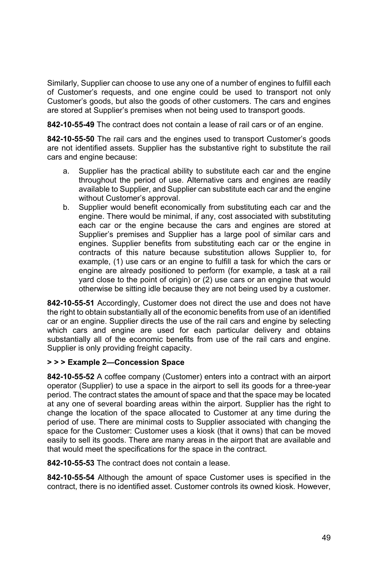Similarly, Supplier can choose to use any one of a number of engines to fulfill each of Customer's requests, and one engine could be used to transport not only Customer's goods, but also the goods of other customers. The cars and engines are stored at Supplier's premises when not being used to transport goods.

**842-10-55-49** The contract does not contain a lease of rail cars or of an engine.

**842-10-55-50** The rail cars and the engines used to transport Customer's goods are not identified assets. Supplier has the substantive right to substitute the rail cars and engine because:

- a. Supplier has the practical ability to substitute each car and the engine throughout the period of use. Alternative cars and engines are readily available to Supplier, and Supplier can substitute each car and the engine without Customer's approval.
- b. Supplier would benefit economically from substituting each car and the engine. There would be minimal, if any, cost associated with substituting each car or the engine because the cars and engines are stored at Supplier's premises and Supplier has a large pool of similar cars and engines. Supplier benefits from substituting each car or the engine in contracts of this nature because substitution allows Supplier to, for example, (1) use cars or an engine to fulfill a task for which the cars or engine are already positioned to perform (for example, a task at a rail yard close to the point of origin) or (2) use cars or an engine that would otherwise be sitting idle because they are not being used by a customer.

**842-10-55-51** Accordingly, Customer does not direct the use and does not have the right to obtain substantially all of the economic benefits from use of an identified car or an engine. Supplier directs the use of the rail cars and engine by selecting which cars and engine are used for each particular delivery and obtains substantially all of the economic benefits from use of the rail cars and engine. Supplier is only providing freight capacity.

### **> > > Example 2—Concession Space**

**842-10-55-52** A coffee company (Customer) enters into a contract with an airport operator (Supplier) to use a space in the airport to sell its goods for a three-year period. The contract states the amount of space and that the space may be located at any one of several boarding areas within the airport. Supplier has the right to change the location of the space allocated to Customer at any time during the period of use. There are minimal costs to Supplier associated with changing the space for the Customer: Customer uses a kiosk (that it owns) that can be moved easily to sell its goods. There are many areas in the airport that are available and that would meet the specifications for the space in the contract.

**842-10-55-53** The contract does not contain a lease.

**842-10-55-54** Although the amount of space Customer uses is specified in the contract, there is no identified asset. Customer controls its owned kiosk. However,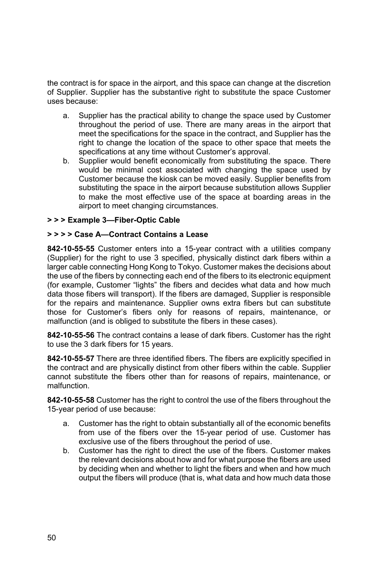the contract is for space in the airport, and this space can change at the discretion of Supplier. Supplier has the substantive right to substitute the space Customer uses because:

- a. Supplier has the practical ability to change the space used by Customer throughout the period of use. There are many areas in the airport that meet the specifications for the space in the contract, and Supplier has the right to change the location of the space to other space that meets the specifications at any time without Customer's approval.
- b. Supplier would benefit economically from substituting the space. There would be minimal cost associated with changing the space used by Customer because the kiosk can be moved easily. Supplier benefits from substituting the space in the airport because substitution allows Supplier to make the most effective use of the space at boarding areas in the airport to meet changing circumstances.

### **> > > Example 3—Fiber-Optic Cable**

#### **> > > > Case A—Contract Contains a Lease**

**842-10-55-55** Customer enters into a 15-year contract with a utilities company (Supplier) for the right to use 3 specified, physically distinct dark fibers within a larger cable connecting Hong Kong to Tokyo. Customer makes the decisions about the use of the fibers by connecting each end of the fibers to its electronic equipment (for example, Customer "lights" the fibers and decides what data and how much data those fibers will transport). If the fibers are damaged, Supplier is responsible for the repairs and maintenance. Supplier owns extra fibers but can substitute those for Customer's fibers only for reasons of repairs, maintenance, or malfunction (and is obliged to substitute the fibers in these cases).

**842-10-55-56** The contract contains a lease of dark fibers. Customer has the right to use the 3 dark fibers for 15 years.

**842-10-55-57** There are three identified fibers. The fibers are explicitly specified in the contract and are physically distinct from other fibers within the cable. Supplier cannot substitute the fibers other than for reasons of repairs, maintenance, or malfunction.

**842-10-55-58** Customer has the right to control the use of the fibers throughout the 15-year period of use because:

- a. Customer has the right to obtain substantially all of the economic benefits from use of the fibers over the 15-year period of use. Customer has exclusive use of the fibers throughout the period of use.
- b. Customer has the right to direct the use of the fibers. Customer makes the relevant decisions about how and for what purpose the fibers are used by deciding when and whether to light the fibers and when and how much output the fibers will produce (that is, what data and how much data those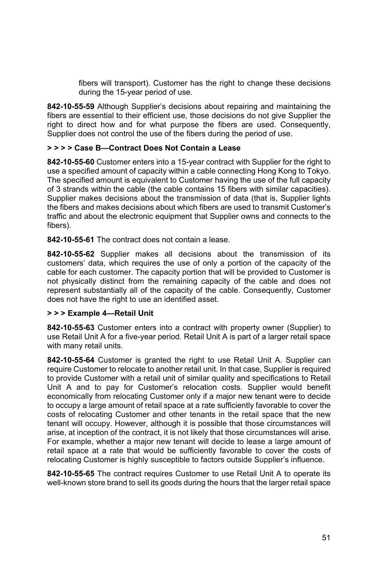fibers will transport). Customer has the right to change these decisions during the 15-year period of use.

**842-10-55-59** Although Supplier's decisions about repairing and maintaining the fibers are essential to their efficient use, those decisions do not give Supplier the right to direct how and for what purpose the fibers are used. Consequently, Supplier does not control the use of the fibers during the period of use.

#### **> > > > Case B—Contract Does Not Contain a Lease**

**842-10-55-60** Customer enters into a 15-year contract with Supplier for the right to use a specified amount of capacity within a cable connecting Hong Kong to Tokyo. The specified amount is equivalent to Customer having the use of the full capacity of 3 strands within the cable (the cable contains 15 fibers with similar capacities). Supplier makes decisions about the transmission of data (that is, Supplier lights the fibers and makes decisions about which fibers are used to transmit Customer's traffic and about the electronic equipment that Supplier owns and connects to the fibers).

**842-10-55-61** The contract does not contain a lease.

**842-10-55-62** Supplier makes all decisions about the transmission of its customers' data, which requires the use of only a portion of the capacity of the cable for each customer. The capacity portion that will be provided to Customer is not physically distinct from the remaining capacity of the cable and does not represent substantially all of the capacity of the cable. Consequently, Customer does not have the right to use an identified asset.

#### **> > > Example 4—Retail Unit**

**842-10-55-63** Customer enters into a contract with property owner (Supplier) to use Retail Unit A for a five-year period. Retail Unit A is part of a larger retail space with many retail units.

**842-10-55-64** Customer is granted the right to use Retail Unit A. Supplier can require Customer to relocate to another retail unit. In that case, Supplier is required to provide Customer with a retail unit of similar quality and specifications to Retail Unit A and to pay for Customer's relocation costs. Supplier would benefit economically from relocating Customer only if a major new tenant were to decide to occupy a large amount of retail space at a rate sufficiently favorable to cover the costs of relocating Customer and other tenants in the retail space that the new tenant will occupy. However, although it is possible that those circumstances will arise, at inception of the contract, it is not likely that those circumstances will arise. For example, whether a major new tenant will decide to lease a large amount of retail space at a rate that would be sufficiently favorable to cover the costs of relocating Customer is highly susceptible to factors outside Supplier's influence.

**842-10-55-65** The contract requires Customer to use Retail Unit A to operate its well-known store brand to sell its goods during the hours that the larger retail space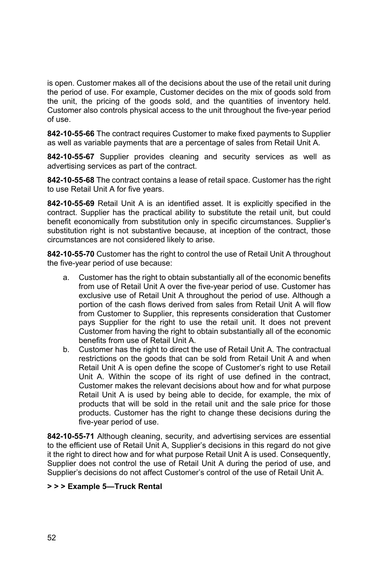is open. Customer makes all of the decisions about the use of the retail unit during the period of use. For example, Customer decides on the mix of goods sold from the unit, the pricing of the goods sold, and the quantities of inventory held. Customer also controls physical access to the unit throughout the five-year period of use.

**842-10-55-66** The contract requires Customer to make fixed payments to Supplier as well as variable payments that are a percentage of sales from Retail Unit A.

**842-10-55-67** Supplier provides cleaning and security services as well as advertising services as part of the contract.

**842-10-55-68** The contract contains a lease of retail space. Customer has the right to use Retail Unit A for five years.

**842-10-55-69** Retail Unit A is an identified asset. It is explicitly specified in the contract. Supplier has the practical ability to substitute the retail unit, but could benefit economically from substitution only in specific circumstances. Supplier's substitution right is not substantive because, at inception of the contract, those circumstances are not considered likely to arise.

**842-10-55-70** Customer has the right to control the use of Retail Unit A throughout the five-year period of use because:

- a. Customer has the right to obtain substantially all of the economic benefits from use of Retail Unit A over the five-year period of use. Customer has exclusive use of Retail Unit A throughout the period of use. Although a portion of the cash flows derived from sales from Retail Unit A will flow from Customer to Supplier, this represents consideration that Customer pays Supplier for the right to use the retail unit. It does not prevent Customer from having the right to obtain substantially all of the economic benefits from use of Retail Unit A.
- b. Customer has the right to direct the use of Retail Unit A. The contractual restrictions on the goods that can be sold from Retail Unit A and when Retail Unit A is open define the scope of Customer's right to use Retail Unit A. Within the scope of its right of use defined in the contract, Customer makes the relevant decisions about how and for what purpose Retail Unit A is used by being able to decide, for example, the mix of products that will be sold in the retail unit and the sale price for those products. Customer has the right to change these decisions during the five-year period of use.

**842-10-55-71** Although cleaning, security, and advertising services are essential to the efficient use of Retail Unit A, Supplier's decisions in this regard do not give it the right to direct how and for what purpose Retail Unit A is used. Consequently, Supplier does not control the use of Retail Unit A during the period of use, and Supplier's decisions do not affect Customer's control of the use of Retail Unit A.

### **> > > Example 5—Truck Rental**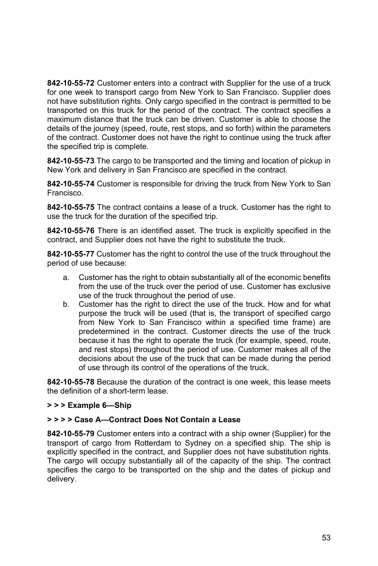**842-10-55-72** Customer enters into a contract with Supplier for the use of a truck for one week to transport cargo from New York to San Francisco. Supplier does not have substitution rights. Only cargo specified in the contract is permitted to be transported on this truck for the period of the contract. The contract specifies a maximum distance that the truck can be driven. Customer is able to choose the details of the journey (speed, route, rest stops, and so forth) within the parameters of the contract. Customer does not have the right to continue using the truck after the specified trip is complete.

**842-10-55-73** The cargo to be transported and the timing and location of pickup in New York and delivery in San Francisco are specified in the contract.

**842-10-55-74** Customer is responsible for driving the truck from New York to San Francisco.

**842-10-55-75** The contract contains a lease of a truck. Customer has the right to use the truck for the duration of the specified trip.

**842-10-55-76** There is an identified asset. The truck is explicitly specified in the contract, and Supplier does not have the right to substitute the truck.

**842-10-55-77** Customer has the right to control the use of the truck throughout the period of use because:

- a. Customer has the right to obtain substantially all of the economic benefits from the use of the truck over the period of use. Customer has exclusive use of the truck throughout the period of use.
- b. Customer has the right to direct the use of the truck. How and for what purpose the truck will be used (that is, the transport of specified cargo from New York to San Francisco within a specified time frame) are predetermined in the contract. Customer directs the use of the truck because it has the right to operate the truck (for example, speed, route, and rest stops) throughout the period of use. Customer makes all of the decisions about the use of the truck that can be made during the period of use through its control of the operations of the truck.

**842-10-55-78** Because the duration of the contract is one week, this lease meets the definition of a short-term lease.

### **> > > Example 6—Ship**

#### **> > > > Case A—Contract Does Not Contain a Lease**

**842-10-55-79** Customer enters into a contract with a ship owner (Supplier) for the transport of cargo from Rotterdam to Sydney on a specified ship. The ship is explicitly specified in the contract, and Supplier does not have substitution rights. The cargo will occupy substantially all of the capacity of the ship. The contract specifies the cargo to be transported on the ship and the dates of pickup and delivery.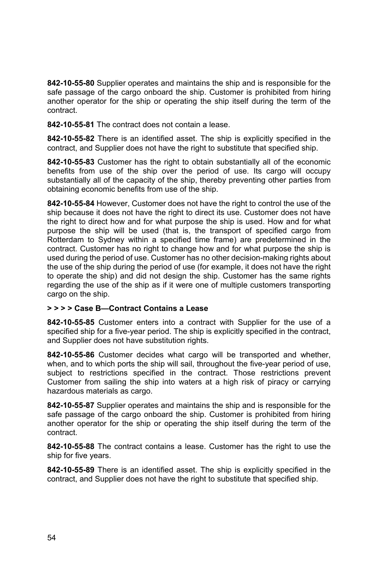**842-10-55-80** Supplier operates and maintains the ship and is responsible for the safe passage of the cargo onboard the ship. Customer is prohibited from hiring another operator for the ship or operating the ship itself during the term of the contract.

**842-10-55-81** The contract does not contain a lease.

**842-10-55-82** There is an identified asset. The ship is explicitly specified in the contract, and Supplier does not have the right to substitute that specified ship.

**842-10-55-83** Customer has the right to obtain substantially all of the economic benefits from use of the ship over the period of use. Its cargo will occupy substantially all of the capacity of the ship, thereby preventing other parties from obtaining economic benefits from use of the ship.

**842-10-55-84** However, Customer does not have the right to control the use of the ship because it does not have the right to direct its use. Customer does not have the right to direct how and for what purpose the ship is used. How and for what purpose the ship will be used (that is, the transport of specified cargo from Rotterdam to Sydney within a specified time frame) are predetermined in the contract. Customer has no right to change how and for what purpose the ship is used during the period of use. Customer has no other decision-making rights about the use of the ship during the period of use (for example, it does not have the right to operate the ship) and did not design the ship. Customer has the same rights regarding the use of the ship as if it were one of multiple customers transporting cargo on the ship.

### **> > > > Case B—Contract Contains a Lease**

**842-10-55-85** Customer enters into a contract with Supplier for the use of a specified ship for a five-year period. The ship is explicitly specified in the contract, and Supplier does not have substitution rights.

**842-10-55-86** Customer decides what cargo will be transported and whether, when, and to which ports the ship will sail, throughout the five-year period of use, subject to restrictions specified in the contract. Those restrictions prevent Customer from sailing the ship into waters at a high risk of piracy or carrying hazardous materials as cargo.

**842-10-55-87** Supplier operates and maintains the ship and is responsible for the safe passage of the cargo onboard the ship. Customer is prohibited from hiring another operator for the ship or operating the ship itself during the term of the contract.

**842-10-55-88** The contract contains a lease. Customer has the right to use the ship for five years.

**842-10-55-89** There is an identified asset. The ship is explicitly specified in the contract, and Supplier does not have the right to substitute that specified ship.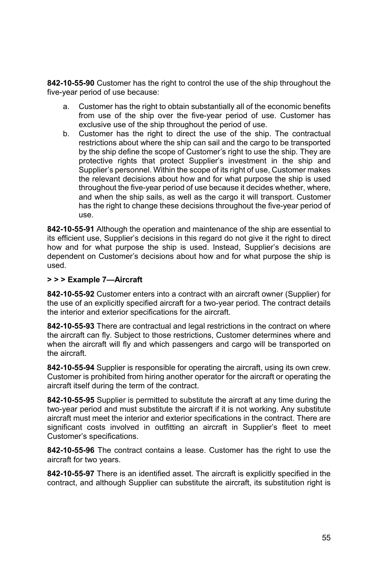**842-10-55-90** Customer has the right to control the use of the ship throughout the five-year period of use because:

- a. Customer has the right to obtain substantially all of the economic benefits from use of the ship over the five-year period of use. Customer has exclusive use of the ship throughout the period of use.
- b. Customer has the right to direct the use of the ship. The contractual restrictions about where the ship can sail and the cargo to be transported by the ship define the scope of Customer's right to use the ship. They are protective rights that protect Supplier's investment in the ship and Supplier's personnel. Within the scope of its right of use, Customer makes the relevant decisions about how and for what purpose the ship is used throughout the five-year period of use because it decides whether, where, and when the ship sails, as well as the cargo it will transport. Customer has the right to change these decisions throughout the five-year period of use.

**842-10-55-91** Although the operation and maintenance of the ship are essential to its efficient use, Supplier's decisions in this regard do not give it the right to direct how and for what purpose the ship is used. Instead, Supplier's decisions are dependent on Customer's decisions about how and for what purpose the ship is used.

#### **> > > Example 7—Aircraft**

**842-10-55-92** Customer enters into a contract with an aircraft owner (Supplier) for the use of an explicitly specified aircraft for a two-year period. The contract details the interior and exterior specifications for the aircraft.

**842-10-55-93** There are contractual and legal restrictions in the contract on where the aircraft can fly. Subject to those restrictions, Customer determines where and when the aircraft will fly and which passengers and cargo will be transported on the aircraft.

**842-10-55-94** Supplier is responsible for operating the aircraft, using its own crew. Customer is prohibited from hiring another operator for the aircraft or operating the aircraft itself during the term of the contract.

**842-10-55-95** Supplier is permitted to substitute the aircraft at any time during the two-year period and must substitute the aircraft if it is not working. Any substitute aircraft must meet the interior and exterior specifications in the contract. There are significant costs involved in outfitting an aircraft in Supplier's fleet to meet Customer's specifications.

**842-10-55-96** The contract contains a lease. Customer has the right to use the aircraft for two years.

**842-10-55-97** There is an identified asset. The aircraft is explicitly specified in the contract, and although Supplier can substitute the aircraft, its substitution right is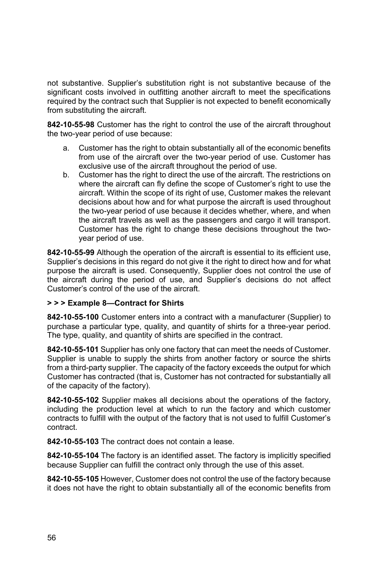not substantive. Supplier's substitution right is not substantive because of the significant costs involved in outfitting another aircraft to meet the specifications required by the contract such that Supplier is not expected to benefit economically from substituting the aircraft.

**842-10-55-98** Customer has the right to control the use of the aircraft throughout the two-year period of use because:

- a. Customer has the right to obtain substantially all of the economic benefits from use of the aircraft over the two-year period of use. Customer has exclusive use of the aircraft throughout the period of use.
- b. Customer has the right to direct the use of the aircraft. The restrictions on where the aircraft can fly define the scope of Customer's right to use the aircraft. Within the scope of its right of use, Customer makes the relevant decisions about how and for what purpose the aircraft is used throughout the two-year period of use because it decides whether, where, and when the aircraft travels as well as the passengers and cargo it will transport. Customer has the right to change these decisions throughout the twoyear period of use.

**842-10-55-99** Although the operation of the aircraft is essential to its efficient use, Supplier's decisions in this regard do not give it the right to direct how and for what purpose the aircraft is used. Consequently, Supplier does not control the use of the aircraft during the period of use, and Supplier's decisions do not affect Customer's control of the use of the aircraft.

### **> > > Example 8—Contract for Shirts**

**842-10-55-100** Customer enters into a contract with a manufacturer (Supplier) to purchase a particular type, quality, and quantity of shirts for a three-year period. The type, quality, and quantity of shirts are specified in the contract.

**842-10-55-101** Supplier has only one factory that can meet the needs of Customer. Supplier is unable to supply the shirts from another factory or source the shirts from a third-party supplier. The capacity of the factory exceeds the output for which Customer has contracted (that is, Customer has not contracted for substantially all of the capacity of the factory).

**842-10-55-102** Supplier makes all decisions about the operations of the factory, including the production level at which to run the factory and which customer contracts to fulfill with the output of the factory that is not used to fulfill Customer's contract.

**842-10-55-103** The contract does not contain a lease.

**842-10-55-104** The factory is an identified asset. The factory is implicitly specified because Supplier can fulfill the contract only through the use of this asset.

**842-10-55-105** However, Customer does not control the use of the factory because it does not have the right to obtain substantially all of the economic benefits from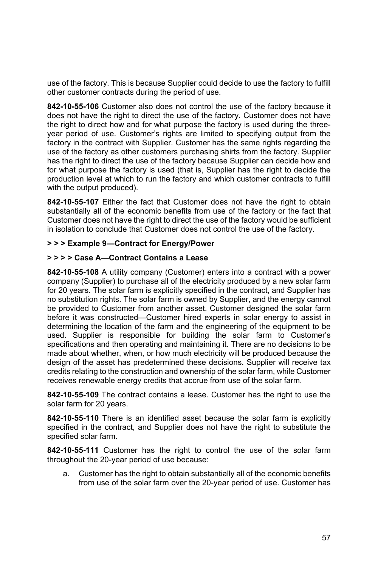use of the factory. This is because Supplier could decide to use the factory to fulfill other customer contracts during the period of use.

**842-10-55-106** Customer also does not control the use of the factory because it does not have the right to direct the use of the factory. Customer does not have the right to direct how and for what purpose the factory is used during the threeyear period of use. Customer's rights are limited to specifying output from the factory in the contract with Supplier. Customer has the same rights regarding the use of the factory as other customers purchasing shirts from the factory. Supplier has the right to direct the use of the factory because Supplier can decide how and for what purpose the factory is used (that is, Supplier has the right to decide the production level at which to run the factory and which customer contracts to fulfill with the output produced).

**842-10-55-107** Either the fact that Customer does not have the right to obtain substantially all of the economic benefits from use of the factory or the fact that Customer does not have the right to direct the use of the factory would be sufficient in isolation to conclude that Customer does not control the use of the factory.

## **> > > Example 9—Contract for Energy/Power**

#### **> > > > Case A—Contract Contains a Lease**

**842-10-55-108** A utility company (Customer) enters into a contract with a power company (Supplier) to purchase all of the electricity produced by a new solar farm for 20 years. The solar farm is explicitly specified in the contract, and Supplier has no substitution rights. The solar farm is owned by Supplier, and the energy cannot be provided to Customer from another asset. Customer designed the solar farm before it was constructed—Customer hired experts in solar energy to assist in determining the location of the farm and the engineering of the equipment to be used. Supplier is responsible for building the solar farm to Customer's specifications and then operating and maintaining it. There are no decisions to be made about whether, when, or how much electricity will be produced because the design of the asset has predetermined these decisions. Supplier will receive tax credits relating to the construction and ownership of the solar farm, while Customer receives renewable energy credits that accrue from use of the solar farm.

**842-10-55-109** The contract contains a lease. Customer has the right to use the solar farm for 20 years.

**842-10-55-110** There is an identified asset because the solar farm is explicitly specified in the contract, and Supplier does not have the right to substitute the specified solar farm.

**842-10-55-111** Customer has the right to control the use of the solar farm throughout the 20-year period of use because:

a. Customer has the right to obtain substantially all of the economic benefits from use of the solar farm over the 20-year period of use. Customer has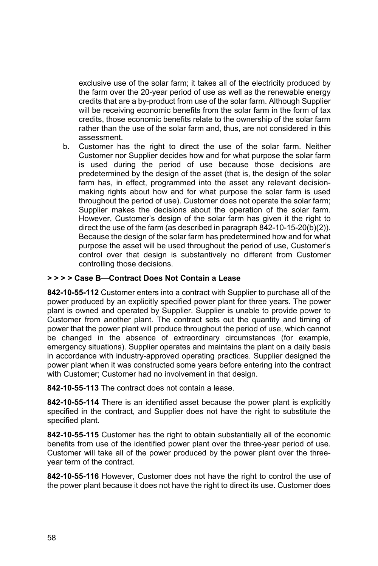exclusive use of the solar farm; it takes all of the electricity produced by the farm over the 20-year period of use as well as the renewable energy credits that are a by-product from use of the solar farm. Although Supplier will be receiving economic benefits from the solar farm in the form of tax credits, those economic benefits relate to the ownership of the solar farm rather than the use of the solar farm and, thus, are not considered in this assessment.

b. Customer has the right to direct the use of the solar farm. Neither Customer nor Supplier decides how and for what purpose the solar farm is used during the period of use because those decisions are predetermined by the design of the asset (that is, the design of the solar farm has, in effect, programmed into the asset any relevant decisionmaking rights about how and for what purpose the solar farm is used throughout the period of use). Customer does not operate the solar farm; Supplier makes the decisions about the operation of the solar farm. However, Customer's design of the solar farm has given it the right to direct the use of the farm (as described in paragraph 842-10-15-20(b)(2)). Because the design of the solar farm has predetermined how and for what purpose the asset will be used throughout the period of use, Customer's control over that design is substantively no different from Customer controlling those decisions.

#### **> > > > Case B—Contract Does Not Contain a Lease**

**842-10-55-112** Customer enters into a contract with Supplier to purchase all of the power produced by an explicitly specified power plant for three years. The power plant is owned and operated by Supplier. Supplier is unable to provide power to Customer from another plant. The contract sets out the quantity and timing of power that the power plant will produce throughout the period of use, which cannot be changed in the absence of extraordinary circumstances (for example, emergency situations). Supplier operates and maintains the plant on a daily basis in accordance with industry-approved operating practices. Supplier designed the power plant when it was constructed some years before entering into the contract with Customer; Customer had no involvement in that design.

**842-10-55-113** The contract does not contain a lease.

**842-10-55-114** There is an identified asset because the power plant is explicitly specified in the contract, and Supplier does not have the right to substitute the specified plant.

**842-10-55-115** Customer has the right to obtain substantially all of the economic benefits from use of the identified power plant over the three-year period of use. Customer will take all of the power produced by the power plant over the threeyear term of the contract.

**842-10-55-116** However, Customer does not have the right to control the use of the power plant because it does not have the right to direct its use. Customer does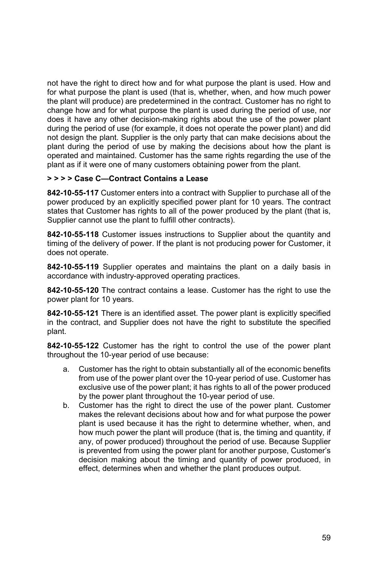not have the right to direct how and for what purpose the plant is used. How and for what purpose the plant is used (that is, whether, when, and how much power the plant will produce) are predetermined in the contract. Customer has no right to change how and for what purpose the plant is used during the period of use, nor does it have any other decision-making rights about the use of the power plant during the period of use (for example, it does not operate the power plant) and did not design the plant. Supplier is the only party that can make decisions about the plant during the period of use by making the decisions about how the plant is operated and maintained. Customer has the same rights regarding the use of the plant as if it were one of many customers obtaining power from the plant.

### **> > > > Case C—Contract Contains a Lease**

**842-10-55-117** Customer enters into a contract with Supplier to purchase all of the power produced by an explicitly specified power plant for 10 years. The contract states that Customer has rights to all of the power produced by the plant (that is, Supplier cannot use the plant to fulfill other contracts).

**842-10-55-118** Customer issues instructions to Supplier about the quantity and timing of the delivery of power. If the plant is not producing power for Customer, it does not operate.

**842-10-55-119** Supplier operates and maintains the plant on a daily basis in accordance with industry-approved operating practices.

**842-10-55-120** The contract contains a lease. Customer has the right to use the power plant for 10 years.

**842-10-55-121** There is an identified asset. The power plant is explicitly specified in the contract, and Supplier does not have the right to substitute the specified plant.

**842-10-55-122** Customer has the right to control the use of the power plant throughout the 10-year period of use because:

- a. Customer has the right to obtain substantially all of the economic benefits from use of the power plant over the 10-year period of use. Customer has exclusive use of the power plant; it has rights to all of the power produced by the power plant throughout the 10-year period of use.
- b. Customer has the right to direct the use of the power plant. Customer makes the relevant decisions about how and for what purpose the power plant is used because it has the right to determine whether, when, and how much power the plant will produce (that is, the timing and quantity, if any, of power produced) throughout the period of use. Because Supplier is prevented from using the power plant for another purpose, Customer's decision making about the timing and quantity of power produced, in effect, determines when and whether the plant produces output.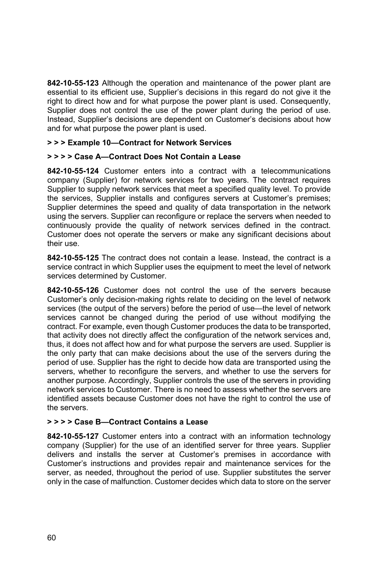**842-10-55-123** Although the operation and maintenance of the power plant are essential to its efficient use, Supplier's decisions in this regard do not give it the right to direct how and for what purpose the power plant is used. Consequently, Supplier does not control the use of the power plant during the period of use. Instead, Supplier's decisions are dependent on Customer's decisions about how and for what purpose the power plant is used.

### **> > > Example 10—Contract for Network Services**

#### **> > > > Case A—Contract Does Not Contain a Lease**

**842-10-55-124** Customer enters into a contract with a telecommunications company (Supplier) for network services for two years. The contract requires Supplier to supply network services that meet a specified quality level. To provide the services, Supplier installs and configures servers at Customer's premises; Supplier determines the speed and quality of data transportation in the network using the servers. Supplier can reconfigure or replace the servers when needed to continuously provide the quality of network services defined in the contract. Customer does not operate the servers or make any significant decisions about their use.

**842-10-55-125** The contract does not contain a lease. Instead, the contract is a service contract in which Supplier uses the equipment to meet the level of network services determined by Customer.

**842-10-55-126** Customer does not control the use of the servers because Customer's only decision-making rights relate to deciding on the level of network services (the output of the servers) before the period of use—the level of network services cannot be changed during the period of use without modifying the contract. For example, even though Customer produces the data to be transported, that activity does not directly affect the configuration of the network services and, thus, it does not affect how and for what purpose the servers are used. Supplier is the only party that can make decisions about the use of the servers during the period of use. Supplier has the right to decide how data are transported using the servers, whether to reconfigure the servers, and whether to use the servers for another purpose. Accordingly, Supplier controls the use of the servers in providing network services to Customer. There is no need to assess whether the servers are identified assets because Customer does not have the right to control the use of the servers.

#### **> > > > Case B—Contract Contains a Lease**

**842-10-55-127** Customer enters into a contract with an information technology company (Supplier) for the use of an identified server for three years. Supplier delivers and installs the server at Customer's premises in accordance with Customer's instructions and provides repair and maintenance services for the server, as needed, throughout the period of use. Supplier substitutes the server only in the case of malfunction. Customer decides which data to store on the server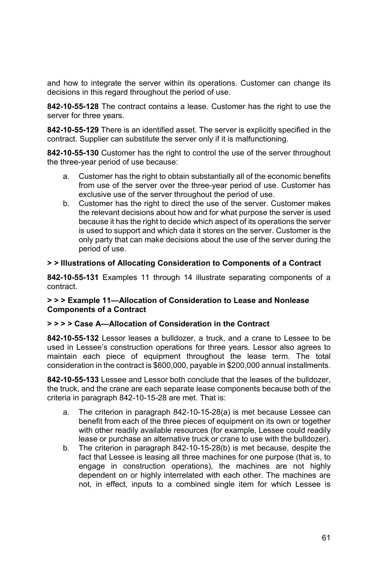and how to integrate the server within its operations. Customer can change its decisions in this regard throughout the period of use.

**842-10-55-128** The contract contains a lease. Customer has the right to use the server for three years.

**842-10-55-129** There is an identified asset. The server is explicitly specified in the contract. Supplier can substitute the server only if it is malfunctioning.

**842-10-55-130** Customer has the right to control the use of the server throughout the three-year period of use because:

- a. Customer has the right to obtain substantially all of the economic benefits from use of the server over the three-year period of use. Customer has exclusive use of the server throughout the period of use.
- b. Customer has the right to direct the use of the server. Customer makes the relevant decisions about how and for what purpose the server is used because it has the right to decide which aspect of its operations the server is used to support and which data it stores on the server. Customer is the only party that can make decisions about the use of the server during the period of use.

#### **> > Illustrations of Allocating Consideration to Components of a Contract**

**842-10-55-131** Examples 11 through 14 illustrate separating components of a contract.

#### **> > > Example 11—Allocation of Consideration to Lease and Nonlease Components of a Contract**

## **> > > > Case A—Allocation of Consideration in the Contract**

**842-10-55-132** Lessor leases a bulldozer, a truck, and a crane to Lessee to be used in Lessee's construction operations for three years. Lessor also agrees to maintain each piece of equipment throughout the lease term. The total consideration in the contract is \$600,000, payable in \$200,000 annual installments.

**842-10-55-133** Lessee and Lessor both conclude that the leases of the bulldozer, the truck, and the crane are each separate lease components because both of the criteria in paragraph 842-10-15-28 are met. That is:

- a. The criterion in paragraph 842-10-15-28(a) is met because Lessee can benefit from each of the three pieces of equipment on its own or together with other readily available resources (for example, Lessee could readily lease or purchase an alternative truck or crane to use with the bulldozer).
- b. The criterion in paragraph 842-10-15-28(b) is met because, despite the fact that Lessee is leasing all three machines for one purpose (that is, to engage in construction operations), the machines are not highly dependent on or highly interrelated with each other. The machines are not, in effect, inputs to a combined single item for which Lessee is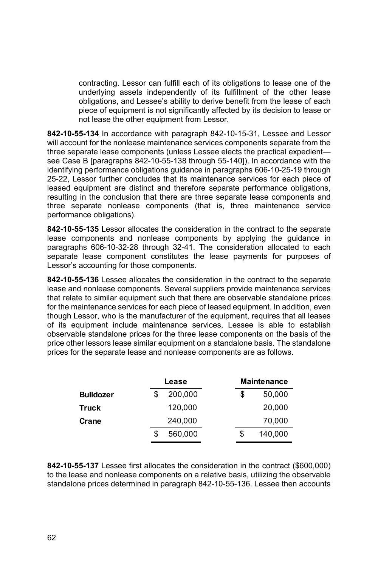contracting. Lessor can fulfill each of its obligations to lease one of the underlying assets independently of its fulfillment of the other lease obligations, and Lessee's ability to derive benefit from the lease of each piece of equipment is not significantly affected by its decision to lease or not lease the other equipment from Lessor.

**842-10-55-134** In accordance with paragraph 842-10-15-31, Lessee and Lessor will account for the nonlease maintenance services components separate from the three separate lease components (unless Lessee elects the practical expedient see Case B [paragraphs 842-10-55-138 through 55-140]). In accordance with the identifying performance obligations guidance in paragraphs 606-10-25-19 through 25-22, Lessor further concludes that its maintenance services for each piece of leased equipment are distinct and therefore separate performance obligations, resulting in the conclusion that there are three separate lease components and three separate nonlease components (that is, three maintenance service performance obligations).

**842-10-55-135** Lessor allocates the consideration in the contract to the separate lease components and nonlease components by applying the guidance in paragraphs 606-10-32-28 through 32-41. The consideration allocated to each separate lease component constitutes the lease payments for purposes of Lessor's accounting for those components.

**842-10-55-136** Lessee allocates the consideration in the contract to the separate lease and nonlease components. Several suppliers provide maintenance services that relate to similar equipment such that there are observable standalone prices for the maintenance services for each piece of leased equipment. In addition, even though Lessor, who is the manufacturer of the equipment, requires that all leases of its equipment include maintenance services, Lessee is able to establish observable standalone prices for the three lease components on the basis of the price other lessors lease similar equipment on a standalone basis. The standalone prices for the separate lease and nonlease components are as follows.

|                  | Lease |         | <b>Maintenance</b> |         |  |
|------------------|-------|---------|--------------------|---------|--|
| <b>Bulldozer</b> |       | 200,000 | \$                 | 50,000  |  |
| Truck            |       | 120,000 |                    | 20,000  |  |
| <b>Crane</b>     |       | 240,000 |                    | 70,000  |  |
|                  | \$    | 560,000 | \$                 | 140,000 |  |

**842-10-55-137** Lessee first allocates the consideration in the contract (\$600,000) to the lease and nonlease components on a relative basis, utilizing the observable standalone prices determined in paragraph 842-10-55-136. Lessee then accounts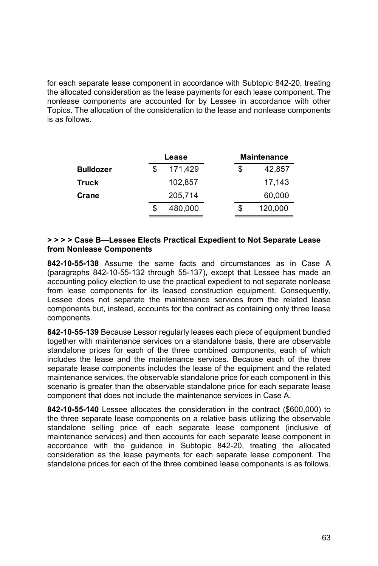for each separate lease component in accordance with Subtopic 842-20, treating the allocated consideration as the lease payments for each lease component. The nonlease components are accounted for by Lessee in accordance with other Topics. The allocation of the consideration to the lease and nonlease components is as follows.

|           | Lease         |  | <b>Maintenance</b> |         |  |
|-----------|---------------|--|--------------------|---------|--|
| Bulldozer | \$<br>171.429 |  | \$                 | 42,857  |  |
| Truck     | 102,857       |  |                    | 17.143  |  |
| Crane     | 205.714       |  |                    | 60,000  |  |
|           | \$<br>480,000 |  | \$                 | 120,000 |  |

### **> > > > Case B—Lessee Elects Practical Expedient to Not Separate Lease from Nonlease Components**

**842-10-55-138** Assume the same facts and circumstances as in Case A (paragraphs 842-10-55-132 through 55-137), except that Lessee has made an accounting policy election to use the practical expedient to not separate nonlease from lease components for its leased construction equipment. Consequently, Lessee does not separate the maintenance services from the related lease components but, instead, accounts for the contract as containing only three lease components.

**842-10-55-139** Because Lessor regularly leases each piece of equipment bundled together with maintenance services on a standalone basis, there are observable standalone prices for each of the three combined components, each of which includes the lease and the maintenance services. Because each of the three separate lease components includes the lease of the equipment and the related maintenance services, the observable standalone price for each component in this scenario is greater than the observable standalone price for each separate lease component that does not include the maintenance services in Case A.

**842-10-55-140** Lessee allocates the consideration in the contract (\$600,000) to the three separate lease components on a relative basis utilizing the observable standalone selling price of each separate lease component (inclusive of maintenance services) and then accounts for each separate lease component in accordance with the guidance in Subtopic 842-20, treating the allocated consideration as the lease payments for each separate lease component. The standalone prices for each of the three combined lease components is as follows.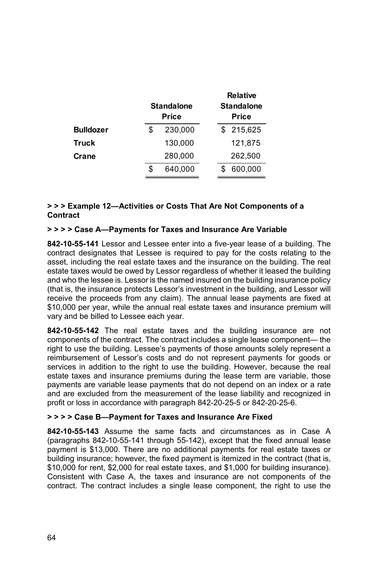|                  |    | <b>Standalone</b><br><b>Price</b> | <b>Relative</b><br><b>Standalone</b><br><b>Price</b> |            |
|------------------|----|-----------------------------------|------------------------------------------------------|------------|
| <b>Bulldozer</b> | S  | 230,000                           |                                                      | \$ 215,625 |
| Truck            |    | 130.000                           |                                                      | 121.875    |
| Crane            |    | 280,000                           |                                                      | 262,500    |
|                  | \$ | 640,000                           |                                                      | 600,000    |

## **> > > Example 12—Activities or Costs That Are Not Components of a Contract**

### **> > > > Case A—Payments for Taxes and Insurance Are Variable**

**842-10-55-141** Lessor and Lessee enter into a five-year lease of a building. The contract designates that Lessee is required to pay for the costs relating to the asset, including the real estate taxes and the insurance on the building. The real estate taxes would be owed by Lessor regardless of whether it leased the building and who the lessee is. Lessor is the named insured on the building insurance policy (that is, the insurance protects Lessor's investment in the building, and Lessor will receive the proceeds from any claim). The annual lease payments are fixed at \$10,000 per year, while the annual real estate taxes and insurance premium will vary and be billed to Lessee each year.

**842-10-55-142** The real estate taxes and the building insurance are not components of the contract. The contract includes a single lease component— the right to use the building. Lessee's payments of those amounts solely represent a reimbursement of Lessor's costs and do not represent payments for goods or services in addition to the right to use the building. However, because the real estate taxes and insurance premiums during the lease term are variable, those payments are variable lease payments that do not depend on an index or a rate and are excluded from the measurement of the lease liability and recognized in profit or loss in accordance with paragraph 842-20-25-5 or 842-20-25-6.

#### **> > > > Case B—Payment for Taxes and Insurance Are Fixed**

**842-10-55-143** Assume the same facts and circumstances as in Case A (paragraphs 842-10-55-141 through 55-142), except that the fixed annual lease payment is \$13,000. There are no additional payments for real estate taxes or building insurance; however, the fixed payment is itemized in the contract (that is, \$10,000 for rent, \$2,000 for real estate taxes, and \$1,000 for building insurance). Consistent with Case A, the taxes and insurance are not components of the contract. The contract includes a single lease component, the right to use the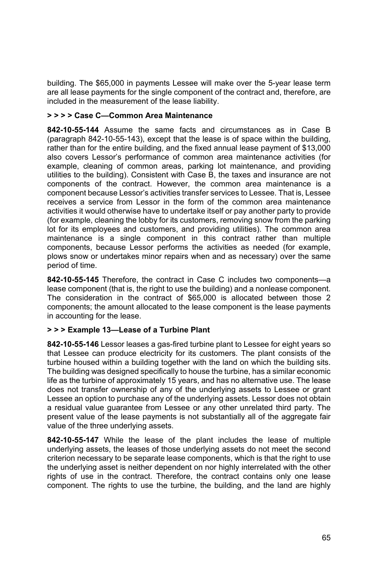building. The \$65,000 in payments Lessee will make over the 5-year lease term are all lease payments for the single component of the contract and, therefore, are included in the measurement of the lease liability.

#### **> > > > Case C—Common Area Maintenance**

**842-10-55-144** Assume the same facts and circumstances as in Case B (paragraph 842-10-55-143), except that the lease is of space within the building, rather than for the entire building, and the fixed annual lease payment of \$13,000 also covers Lessor's performance of common area maintenance activities (for example, cleaning of common areas, parking lot maintenance, and providing utilities to the building). Consistent with Case B, the taxes and insurance are not components of the contract. However, the common area maintenance is a component because Lessor's activities transfer services to Lessee. That is, Lessee receives a service from Lessor in the form of the common area maintenance activities it would otherwise have to undertake itself or pay another party to provide (for example, cleaning the lobby for its customers, removing snow from the parking lot for its employees and customers, and providing utilities). The common area maintenance is a single component in this contract rather than multiple components, because Lessor performs the activities as needed (for example, plows snow or undertakes minor repairs when and as necessary) over the same period of time.

**842-10-55-145** Therefore, the contract in Case C includes two components—a lease component (that is, the right to use the building) and a nonlease component. The consideration in the contract of \$65,000 is allocated between those 2 components; the amount allocated to the lease component is the lease payments in accounting for the lease.

### **> > > Example 13—Lease of a Turbine Plant**

**842-10-55-146** Lessor leases a gas-fired turbine plant to Lessee for eight years so that Lessee can produce electricity for its customers. The plant consists of the turbine housed within a building together with the land on which the building sits. The building was designed specifically to house the turbine, has a similar economic life as the turbine of approximately 15 years, and has no alternative use. The lease does not transfer ownership of any of the underlying assets to Lessee or grant Lessee an option to purchase any of the underlying assets. Lessor does not obtain a residual value guarantee from Lessee or any other unrelated third party. The present value of the lease payments is not substantially all of the aggregate fair value of the three underlying assets.

**842-10-55-147** While the lease of the plant includes the lease of multiple underlying assets, the leases of those underlying assets do not meet the second criterion necessary to be separate lease components, which is that the right to use the underlying asset is neither dependent on nor highly interrelated with the other rights of use in the contract. Therefore, the contract contains only one lease component. The rights to use the turbine, the building, and the land are highly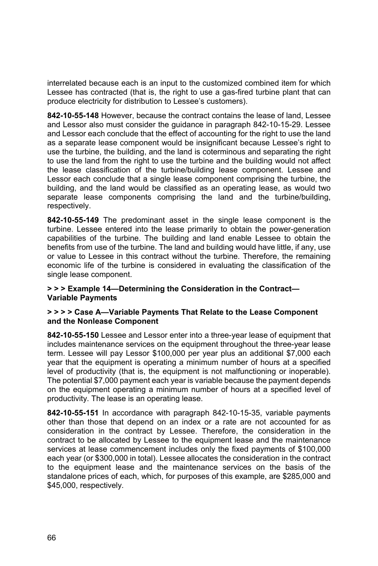interrelated because each is an input to the customized combined item for which Lessee has contracted (that is, the right to use a gas-fired turbine plant that can produce electricity for distribution to Lessee's customers).

**842-10-55-148** However, because the contract contains the lease of land, Lessee and Lessor also must consider the guidance in paragraph 842-10-15-29. Lessee and Lessor each conclude that the effect of accounting for the right to use the land as a separate lease component would be insignificant because Lessee's right to use the turbine, the building, and the land is coterminous and separating the right to use the land from the right to use the turbine and the building would not affect the lease classification of the turbine/building lease component. Lessee and Lessor each conclude that a single lease component comprising the turbine, the building, and the land would be classified as an operating lease, as would two separate lease components comprising the land and the turbine/building, respectively.

**842-10-55-149** The predominant asset in the single lease component is the turbine. Lessee entered into the lease primarily to obtain the power-generation capabilities of the turbine. The building and land enable Lessee to obtain the benefits from use of the turbine. The land and building would have little, if any, use or value to Lessee in this contract without the turbine. Therefore, the remaining economic life of the turbine is considered in evaluating the classification of the single lease component.

### **> > > Example 14—Determining the Consideration in the Contract— Variable Payments**

### **> > > > Case A—Variable Payments That Relate to the Lease Component and the Nonlease Component**

**842-10-55-150** Lessee and Lessor enter into a three-year lease of equipment that includes maintenance services on the equipment throughout the three-year lease term. Lessee will pay Lessor \$100,000 per year plus an additional \$7,000 each year that the equipment is operating a minimum number of hours at a specified level of productivity (that is, the equipment is not malfunctioning or inoperable). The potential \$7,000 payment each year is variable because the payment depends on the equipment operating a minimum number of hours at a specified level of productivity. The lease is an operating lease.

**842-10-55-151** In accordance with paragraph 842-10-15-35, variable payments other than those that depend on an index or a rate are not accounted for as consideration in the contract by Lessee. Therefore, the consideration in the contract to be allocated by Lessee to the equipment lease and the maintenance services at lease commencement includes only the fixed payments of \$100,000 each year (or \$300,000 in total). Lessee allocates the consideration in the contract to the equipment lease and the maintenance services on the basis of the standalone prices of each, which, for purposes of this example, are \$285,000 and \$45,000, respectively.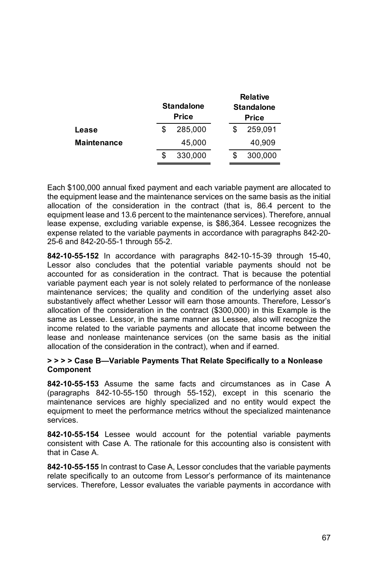|                    | <b>Standalone</b><br><b>Price</b> | <b>Relative</b><br><b>Standalone</b><br><b>Price</b> |         |
|--------------------|-----------------------------------|------------------------------------------------------|---------|
| Lease              | 285,000                           |                                                      | 259.091 |
| <b>Maintenance</b> | 45,000                            |                                                      | 40.909  |
|                    | 330,000                           |                                                      | 300,000 |

Each \$100,000 annual fixed payment and each variable payment are allocated to the equipment lease and the maintenance services on the same basis as the initial allocation of the consideration in the contract (that is, 86.4 percent to the equipment lease and 13.6 percent to the maintenance services). Therefore, annual lease expense, excluding variable expense, is \$86,364. Lessee recognizes the expense related to the variable payments in accordance with paragraphs 842-20- 25-6 and 842-20-55-1 through 55-2.

**842-10-55-152** In accordance with paragraphs 842-10-15-39 through 15-40, Lessor also concludes that the potential variable payments should not be accounted for as consideration in the contract. That is because the potential variable payment each year is not solely related to performance of the nonlease maintenance services; the quality and condition of the underlying asset also substantively affect whether Lessor will earn those amounts. Therefore, Lessor's allocation of the consideration in the contract (\$300,000) in this Example is the same as Lessee. Lessor, in the same manner as Lessee, also will recognize the income related to the variable payments and allocate that income between the lease and nonlease maintenance services (on the same basis as the initial allocation of the consideration in the contract), when and if earned.

### **> > > > Case B—Variable Payments That Relate Specifically to a Nonlease Component**

**842-10-55-153** Assume the same facts and circumstances as in Case A (paragraphs 842-10-55-150 through 55-152), except in this scenario the maintenance services are highly specialized and no entity would expect the equipment to meet the performance metrics without the specialized maintenance services.

**842-10-55-154** Lessee would account for the potential variable payments consistent with Case A. The rationale for this accounting also is consistent with that in Case A.

**842-10-55-155** In contrast to Case A, Lessor concludes that the variable payments relate specifically to an outcome from Lessor's performance of its maintenance services. Therefore, Lessor evaluates the variable payments in accordance with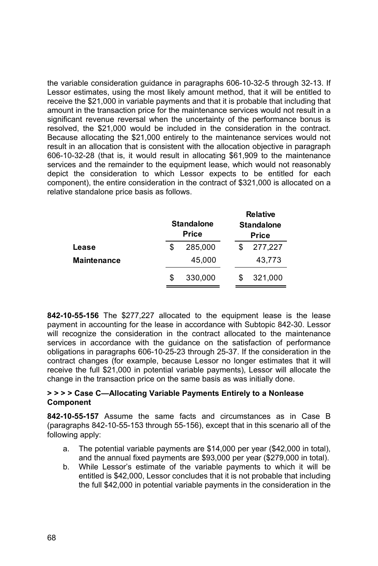the variable consideration guidance in paragraphs 606-10-32-5 through 32-13. If Lessor estimates, using the most likely amount method, that it will be entitled to receive the \$21,000 in variable payments and that it is probable that including that amount in the transaction price for the maintenance services would not result in a significant revenue reversal when the uncertainty of the performance bonus is resolved, the \$21,000 would be included in the consideration in the contract. Because allocating the \$21,000 entirely to the maintenance services would not result in an allocation that is consistent with the allocation objective in paragraph 606-10-32-28 (that is, it would result in allocating \$61,909 to the maintenance services and the remainder to the equipment lease, which would not reasonably depict the consideration to which Lessor expects to be entitled for each component), the entire consideration in the contract of \$321,000 is allocated on a relative standalone price basis as follows.

|                    |    | <b>Standalone</b><br><b>Price</b> | <b>Relative</b><br><b>Standalone</b><br><b>Price</b> |  |
|--------------------|----|-----------------------------------|------------------------------------------------------|--|
| Lease              | \$ | 285,000                           | 277,227                                              |  |
| <b>Maintenance</b> |    | 45,000                            | 43,773                                               |  |
|                    | S  | 330,000                           | 321,000                                              |  |

**842-10-55-156** The \$277,227 allocated to the equipment lease is the lease payment in accounting for the lease in accordance with Subtopic 842-30. Lessor will recognize the consideration in the contract allocated to the maintenance services in accordance with the guidance on the satisfaction of performance obligations in paragraphs 606-10-25-23 through 25-37. If the consideration in the contract changes (for example, because Lessor no longer estimates that it will receive the full \$21,000 in potential variable payments), Lessor will allocate the change in the transaction price on the same basis as was initially done.

# **> > > > Case C—Allocating Variable Payments Entirely to a Nonlease Component**

**842-10-55-157** Assume the same facts and circumstances as in Case B (paragraphs 842-10-55-153 through 55-156), except that in this scenario all of the following apply:

- a. The potential variable payments are \$14,000 per year (\$42,000 in total), and the annual fixed payments are \$93,000 per year (\$279,000 in total).
- b. While Lessor's estimate of the variable payments to which it will be entitled is \$42,000, Lessor concludes that it is not probable that including the full \$42,000 in potential variable payments in the consideration in the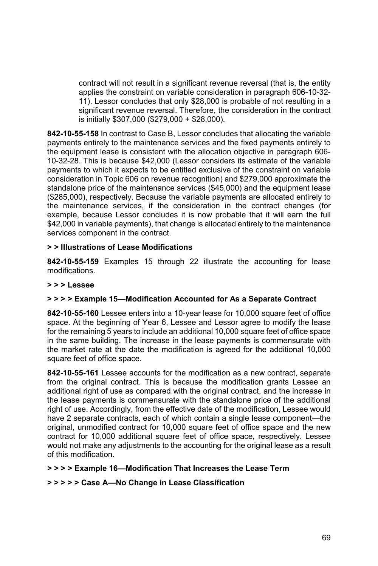contract will not result in a significant revenue reversal (that is, the entity applies the constraint on variable consideration in paragraph 606-10-32- 11). Lessor concludes that only \$28,000 is probable of not resulting in a significant revenue reversal. Therefore, the consideration in the contract is initially \$307,000 (\$279,000 + \$28,000).

**842-10-55-158** In contrast to Case B, Lessor concludes that allocating the variable payments entirely to the maintenance services and the fixed payments entirely to the equipment lease is consistent with the allocation objective in paragraph 606- 10-32-28. This is because \$42,000 (Lessor considers its estimate of the variable payments to which it expects to be entitled exclusive of the constraint on variable consideration in Topic 606 on revenue recognition) and \$279,000 approximate the standalone price of the maintenance services (\$45,000) and the equipment lease (\$285,000), respectively. Because the variable payments are allocated entirely to the maintenance services, if the consideration in the contract changes (for example, because Lessor concludes it is now probable that it will earn the full \$42,000 in variable payments), that change is allocated entirely to the maintenance services component in the contract.

# **> > Illustrations of Lease Modifications**

**842-10-55-159** Examples 15 through 22 illustrate the accounting for lease modifications.

### **> > > Lessee**

# **> > > > Example 15—Modification Accounted for As a Separate Contract**

**842-10-55-160** Lessee enters into a 10-year lease for 10,000 square feet of office space. At the beginning of Year 6, Lessee and Lessor agree to modify the lease for the remaining 5 years to include an additional 10,000 square feet of office space in the same building. The increase in the lease payments is commensurate with the market rate at the date the modification is agreed for the additional 10,000 square feet of office space.

**842-10-55-161** Lessee accounts for the modification as a new contract, separate from the original contract. This is because the modification grants Lessee an additional right of use as compared with the original contract, and the increase in the lease payments is commensurate with the standalone price of the additional right of use. Accordingly, from the effective date of the modification, Lessee would have 2 separate contracts, each of which contain a single lease component—the original, unmodified contract for 10,000 square feet of office space and the new contract for 10,000 additional square feet of office space, respectively. Lessee would not make any adjustments to the accounting for the original lease as a result of this modification.

# **> > > > Example 16—Modification That Increases the Lease Term**

# **> > > > > Case A—No Change in Lease Classification**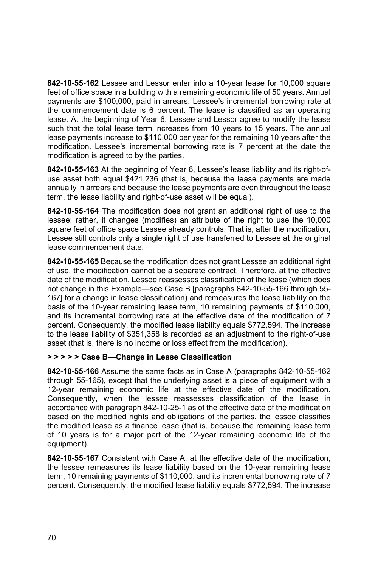**842-10-55-162** Lessee and Lessor enter into a 10-year lease for 10,000 square feet of office space in a building with a remaining economic life of 50 years. Annual payments are \$100,000, paid in arrears. Lessee's incremental borrowing rate at the commencement date is 6 percent. The lease is classified as an operating lease. At the beginning of Year 6, Lessee and Lessor agree to modify the lease such that the total lease term increases from 10 years to 15 years. The annual lease payments increase to \$110,000 per year for the remaining 10 years after the modification. Lessee's incremental borrowing rate is 7 percent at the date the modification is agreed to by the parties.

**842-10-55-163** At the beginning of Year 6, Lessee's lease liability and its right-ofuse asset both equal \$421,236 (that is, because the lease payments are made annually in arrears and because the lease payments are even throughout the lease term, the lease liability and right-of-use asset will be equal).

**842-10-55-164** The modification does not grant an additional right of use to the lessee; rather, it changes (modifies) an attribute of the right to use the 10,000 square feet of office space Lessee already controls. That is, after the modification, Lessee still controls only a single right of use transferred to Lessee at the original lease commencement date.

**842-10-55-165** Because the modification does not grant Lessee an additional right of use, the modification cannot be a separate contract. Therefore, at the effective date of the modification, Lessee reassesses classification of the lease (which does not change in this Example—see Case B [paragraphs 842-10-55-166 through 55- 167] for a change in lease classification) and remeasures the lease liability on the basis of the 10-year remaining lease term, 10 remaining payments of \$110,000, and its incremental borrowing rate at the effective date of the modification of 7 percent. Consequently, the modified lease liability equals \$772,594. The increase to the lease liability of \$351,358 is recorded as an adjustment to the right-of-use asset (that is, there is no income or loss effect from the modification).

# **> > > > > Case B—Change in Lease Classification**

**842-10-55-166** Assume the same facts as in Case A (paragraphs 842-10-55-162 through 55-165), except that the underlying asset is a piece of equipment with a 12-year remaining economic life at the effective date of the modification. Consequently, when the lessee reassesses classification of the lease in accordance with paragraph 842-10-25-1 as of the effective date of the modification based on the modified rights and obligations of the parties, the lessee classifies the modified lease as a finance lease (that is, because the remaining lease term of 10 years is for a major part of the 12-year remaining economic life of the equipment).

**842-10-55-167** Consistent with Case A, at the effective date of the modification, the lessee remeasures its lease liability based on the 10-year remaining lease term, 10 remaining payments of \$110,000, and its incremental borrowing rate of 7 percent. Consequently, the modified lease liability equals \$772,594. The increase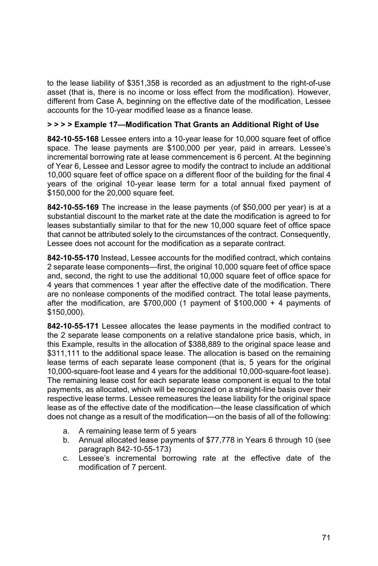to the lease liability of \$351,358 is recorded as an adjustment to the right-of-use asset (that is, there is no income or loss effect from the modification). However, different from Case A, beginning on the effective date of the modification, Lessee accounts for the 10-year modified lease as a finance lease.

# **> > > > Example 17—Modification That Grants an Additional Right of Use**

**842-10-55-168** Lessee enters into a 10-year lease for 10,000 square feet of office space. The lease payments are \$100,000 per year, paid in arrears. Lessee's incremental borrowing rate at lease commencement is 6 percent. At the beginning of Year 6, Lessee and Lessor agree to modify the contract to include an additional 10,000 square feet of office space on a different floor of the building for the final 4 years of the original 10-year lease term for a total annual fixed payment of \$150,000 for the 20,000 square feet.

**842-10-55-169** The increase in the lease payments (of \$50,000 per year) is at a substantial discount to the market rate at the date the modification is agreed to for leases substantially similar to that for the new 10,000 square feet of office space that cannot be attributed solely to the circumstances of the contract. Consequently, Lessee does not account for the modification as a separate contract.

**842-10-55-170** Instead, Lessee accounts for the modified contract, which contains 2 separate lease components—first, the original 10,000 square feet of office space and, second, the right to use the additional 10,000 square feet of office space for 4 years that commences 1 year after the effective date of the modification. There are no nonlease components of the modified contract. The total lease payments, after the modification, are \$700,000 (1 payment of \$100,000 + 4 payments of \$150,000).

**842-10-55-171** Lessee allocates the lease payments in the modified contract to the 2 separate lease components on a relative standalone price basis, which, in this Example, results in the allocation of \$388,889 to the original space lease and \$311,111 to the additional space lease. The allocation is based on the remaining lease terms of each separate lease component (that is, 5 years for the original 10,000-square-foot lease and 4 years for the additional 10,000-square-foot lease). The remaining lease cost for each separate lease component is equal to the total payments, as allocated, which will be recognized on a straight-line basis over their respective lease terms. Lessee remeasures the lease liability for the original space lease as of the effective date of the modification—the lease classification of which does not change as a result of the modification—on the basis of all of the following:

- a. A remaining lease term of 5 years
- b. Annual allocated lease payments of \$77,778 in Years 6 through 10 (see paragraph 842-10-55-173)
- c. Lessee's incremental borrowing rate at the effective date of the modification of 7 percent.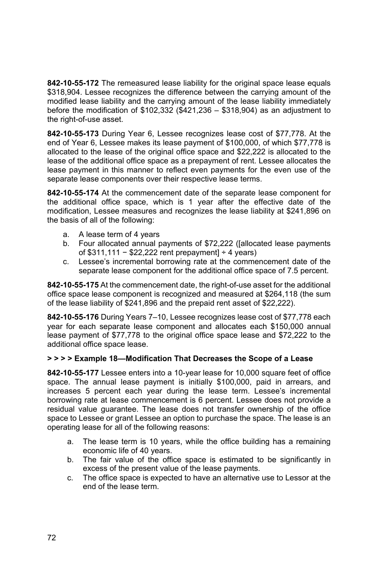**842-10-55-172** The remeasured lease liability for the original space lease equals \$318,904. Lessee recognizes the difference between the carrying amount of the modified lease liability and the carrying amount of the lease liability immediately before the modification of \$102,332 (\$421,236 – \$318,904) as an adjustment to the right-of-use asset.

**842-10-55-173** During Year 6, Lessee recognizes lease cost of \$77,778. At the end of Year 6, Lessee makes its lease payment of \$100,000, of which \$77,778 is allocated to the lease of the original office space and \$22,222 is allocated to the lease of the additional office space as a prepayment of rent. Lessee allocates the lease payment in this manner to reflect even payments for the even use of the separate lease components over their respective lease terms.

**842-10-55-174** At the commencement date of the separate lease component for the additional office space, which is 1 year after the effective date of the modification, Lessee measures and recognizes the lease liability at \$241,896 on the basis of all of the following:

- a. A lease term of 4 years
- b. Four allocated annual payments of \$72,222 ([allocated lease payments of \$311,111 − \$22,222 rent prepayment] ÷ 4 years)
- c. Lessee's incremental borrowing rate at the commencement date of the separate lease component for the additional office space of 7.5 percent.

**842-10-55-175** At the commencement date, the right-of-use asset for the additional office space lease component is recognized and measured at \$264,118 (the sum of the lease liability of \$241,896 and the prepaid rent asset of \$22,222).

**842-10-55-176** During Years 7–10, Lessee recognizes lease cost of \$77,778 each year for each separate lease component and allocates each \$150,000 annual lease payment of \$77,778 to the original office space lease and \$72,222 to the additional office space lease.

# **> > > > Example 18—Modification That Decreases the Scope of a Lease**

**842-10-55-177** Lessee enters into a 10-year lease for 10,000 square feet of office space. The annual lease payment is initially \$100,000, paid in arrears, and increases 5 percent each year during the lease term. Lessee's incremental borrowing rate at lease commencement is 6 percent. Lessee does not provide a residual value guarantee. The lease does not transfer ownership of the office space to Lessee or grant Lessee an option to purchase the space. The lease is an operating lease for all of the following reasons:

- a. The lease term is 10 years, while the office building has a remaining economic life of 40 years.
- b. The fair value of the office space is estimated to be significantly in excess of the present value of the lease payments.
- c. The office space is expected to have an alternative use to Lessor at the end of the lease term.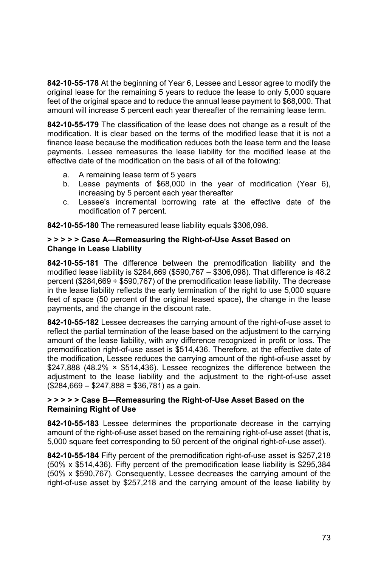**842-10-55-178** At the beginning of Year 6, Lessee and Lessor agree to modify the original lease for the remaining 5 years to reduce the lease to only 5,000 square feet of the original space and to reduce the annual lease payment to \$68,000. That amount will increase 5 percent each year thereafter of the remaining lease term.

**842-10-55-179** The classification of the lease does not change as a result of the modification. It is clear based on the terms of the modified lease that it is not a finance lease because the modification reduces both the lease term and the lease payments. Lessee remeasures the lease liability for the modified lease at the effective date of the modification on the basis of all of the following:

- a. A remaining lease term of 5 years
- b. Lease payments of \$68,000 in the year of modification (Year 6), increasing by 5 percent each year thereafter
- c. Lessee's incremental borrowing rate at the effective date of the modification of 7 percent.

**842-10-55-180** The remeasured lease liability equals \$306,098.

# **> > > > > Case A—Remeasuring the Right-of-Use Asset Based on Change in Lease Liability**

**842-10-55-181** The difference between the premodification liability and the modified lease liability is \$284,669 (\$590,767 – \$306,098). That difference is 48.2 percent (\$284,669 ÷ \$590,767) of the premodification lease liability. The decrease in the lease liability reflects the early termination of the right to use 5,000 square feet of space (50 percent of the original leased space), the change in the lease payments, and the change in the discount rate.

**842-10-55-182** Lessee decreases the carrying amount of the right-of-use asset to reflect the partial termination of the lease based on the adjustment to the carrying amount of the lease liability, with any difference recognized in profit or loss. The premodification right-of-use asset is \$514,436. Therefore, at the effective date of the modification, Lessee reduces the carrying amount of the right-of-use asset by \$247,888 (48.2% × \$514,436). Lessee recognizes the difference between the adjustment to the lease liability and the adjustment to the right-of-use asset  $($284,669 - $247,888 = $36,781)$  as a gain.

# **> > > > > Case B—Remeasuring the Right-of-Use Asset Based on the Remaining Right of Use**

**842-10-55-183** Lessee determines the proportionate decrease in the carrying amount of the right-of-use asset based on the remaining right-of-use asset (that is, 5,000 square feet corresponding to 50 percent of the original right-of-use asset).

**842-10-55-184** Fifty percent of the premodification right-of-use asset is \$257,218 (50% x \$514,436). Fifty percent of the premodification lease liability is \$295,384 (50% x \$590,767). Consequently, Lessee decreases the carrying amount of the right-of-use asset by \$257,218 and the carrying amount of the lease liability by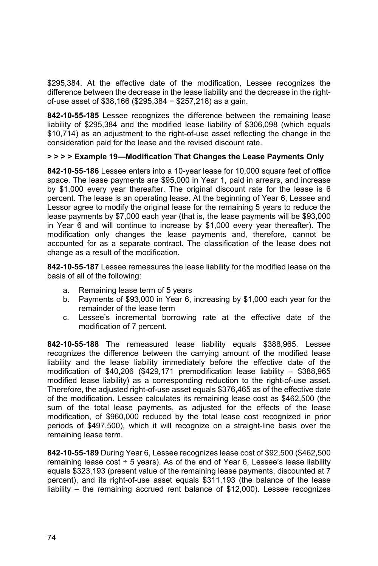\$295,384. At the effective date of the modification, Lessee recognizes the difference between the decrease in the lease liability and the decrease in the rightof-use asset of \$38,166 (\$295,384 − \$257,218) as a gain.

**842-10-55-185** Lessee recognizes the difference between the remaining lease liability of \$295,384 and the modified lease liability of \$306,098 (which equals \$10,714) as an adjustment to the right-of-use asset reflecting the change in the consideration paid for the lease and the revised discount rate.

# **> > > > Example 19—Modification That Changes the Lease Payments Only**

**842-10-55-186** Lessee enters into a 10-year lease for 10,000 square feet of office space. The lease payments are \$95,000 in Year 1, paid in arrears, and increase by \$1,000 every year thereafter. The original discount rate for the lease is 6 percent. The lease is an operating lease. At the beginning of Year 6, Lessee and Lessor agree to modify the original lease for the remaining 5 years to reduce the lease payments by \$7,000 each year (that is, the lease payments will be \$93,000 in Year 6 and will continue to increase by \$1,000 every year thereafter). The modification only changes the lease payments and, therefore, cannot be accounted for as a separate contract. The classification of the lease does not change as a result of the modification.

**842-10-55-187** Lessee remeasures the lease liability for the modified lease on the basis of all of the following:

- a. Remaining lease term of 5 years
- b. Payments of \$93,000 in Year 6, increasing by \$1,000 each year for the remainder of the lease term
- c. Lessee's incremental borrowing rate at the effective date of the modification of 7 percent.

**842-10-55-188** The remeasured lease liability equals \$388,965. Lessee recognizes the difference between the carrying amount of the modified lease liability and the lease liability immediately before the effective date of the modification of \$40,206 (\$429,171 premodification lease liability – \$388,965 modified lease liability) as a corresponding reduction to the right-of-use asset. Therefore, the adjusted right-of-use asset equals \$376,465 as of the effective date of the modification. Lessee calculates its remaining lease cost as \$462,500 (the sum of the total lease payments, as adjusted for the effects of the lease modification, of \$960,000 reduced by the total lease cost recognized in prior periods of \$497,500), which it will recognize on a straight-line basis over the remaining lease term.

**842-10-55-189** During Year 6, Lessee recognizes lease cost of \$92,500 (\$462,500 remaining lease  $cost \div 5$  years). As of the end of Year 6, Lessee's lease liability equals \$323,193 (present value of the remaining lease payments, discounted at 7 percent), and its right-of-use asset equals \$311,193 (the balance of the lease liability – the remaining accrued rent balance of \$12,000). Lessee recognizes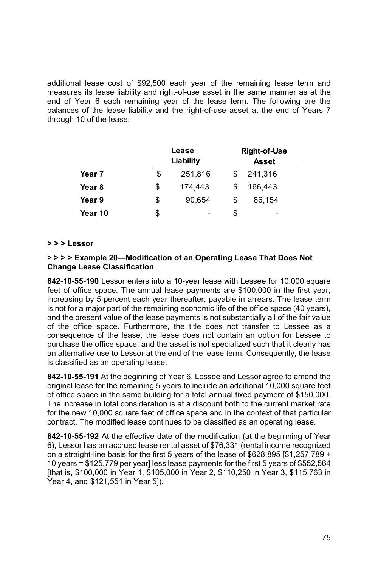additional lease cost of \$92,500 each year of the remaining lease term and measures its lease liability and right-of-use asset in the same manner as at the end of Year 6 each remaining year of the lease term. The following are the balances of the lease liability and the right-of-use asset at the end of Years 7 through 10 of the lease.

|                   |    | Lease<br>Liability |    | Right-of-Use<br><b>Asset</b> |  |  |
|-------------------|----|--------------------|----|------------------------------|--|--|
| Year <sub>7</sub> | S  | 251.816            |    | 241,316                      |  |  |
| Year 8            | S  | 174.443            | \$ | 166.443                      |  |  |
| Year 9            | \$ | 90.654             | S  | 86,154                       |  |  |
| Year 10           | \$ |                    | \$ | -                            |  |  |

#### **> > > Lessor**

### **> > > > Example 20—Modification of an Operating Lease That Does Not Change Lease Classification**

**842-10-55-190** Lessor enters into a 10-year lease with Lessee for 10,000 square feet of office space. The annual lease payments are \$100,000 in the first year, increasing by 5 percent each year thereafter, payable in arrears. The lease term is not for a major part of the remaining economic life of the office space (40 years), and the present value of the lease payments is not substantially all of the fair value of the office space. Furthermore, the title does not transfer to Lessee as a consequence of the lease, the lease does not contain an option for Lessee to purchase the office space, and the asset is not specialized such that it clearly has an alternative use to Lessor at the end of the lease term. Consequently, the lease is classified as an operating lease.

**842-10-55-191** At the beginning of Year 6, Lessee and Lessor agree to amend the original lease for the remaining 5 years to include an additional 10,000 square feet of office space in the same building for a total annual fixed payment of \$150,000. The increase in total consideration is at a discount both to the current market rate for the new 10,000 square feet of office space and in the context of that particular contract. The modified lease continues to be classified as an operating lease.

**842-10-55-192** At the effective date of the modification (at the beginning of Year 6), Lessor has an accrued lease rental asset of \$76,331 (rental income recognized on a straight-line basis for the first 5 years of the lease of \$628,895 [\$1,257,789  $\div$ 10 years = \$125,779 per year] less lease payments for the first 5 years of \$552,564 [that is, \$100,000 in Year 1, \$105,000 in Year 2, \$110,250 in Year 3, \$115,763 in Year 4, and \$121,551 in Year 5]).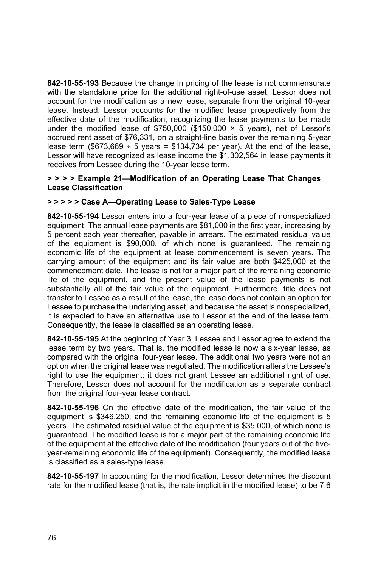**842-10-55-193** Because the change in pricing of the lease is not commensurate with the standalone price for the additional right-of-use asset, Lessor does not account for the modification as a new lease, separate from the original 10-year lease. Instead, Lessor accounts for the modified lease prospectively from the effective date of the modification, recognizing the lease payments to be made under the modified lease of \$750,000 (\$150,000  $\times$  5 years), net of Lessor's accrued rent asset of \$76,331, on a straight-line basis over the remaining 5-year lease term (\$673,669  $\div$  5 years = \$134,734 per year). At the end of the lease, Lessor will have recognized as lease income the \$1,302,564 in lease payments it receives from Lessee during the 10-year lease term.

# **> > > > Example 21—Modification of an Operating Lease That Changes Lease Classification**

# **> > > > > Case A—Operating Lease to Sales-Type Lease**

**842-10-55-194** Lessor enters into a four-year lease of a piece of nonspecialized equipment. The annual lease payments are \$81,000 in the first year, increasing by 5 percent each year thereafter, payable in arrears. The estimated residual value of the equipment is \$90,000, of which none is guaranteed. The remaining economic life of the equipment at lease commencement is seven years. The carrying amount of the equipment and its fair value are both \$425,000 at the commencement date. The lease is not for a major part of the remaining economic life of the equipment, and the present value of the lease payments is not substantially all of the fair value of the equipment. Furthermore, title does not transfer to Lessee as a result of the lease, the lease does not contain an option for Lessee to purchase the underlying asset, and because the asset is nonspecialized, it is expected to have an alternative use to Lessor at the end of the lease term. Consequently, the lease is classified as an operating lease.

**842-10-55-195** At the beginning of Year 3, Lessee and Lessor agree to extend the lease term by two years. That is, the modified lease is now a six-year lease, as compared with the original four-year lease. The additional two years were not an option when the original lease was negotiated. The modification alters the Lessee's right to use the equipment; it does not grant Lessee an additional right of use. Therefore, Lessor does not account for the modification as a separate contract from the original four-year lease contract.

**842-10-55-196** On the effective date of the modification, the fair value of the equipment is \$346,250, and the remaining economic life of the equipment is 5 years. The estimated residual value of the equipment is \$35,000, of which none is guaranteed. The modified lease is for a major part of the remaining economic life of the equipment at the effective date of the modification (four years out of the fiveyear-remaining economic life of the equipment). Consequently, the modified lease is classified as a sales-type lease.

**842-10-55-197** In accounting for the modification, Lessor determines the discount rate for the modified lease (that is, the rate implicit in the modified lease) to be 7.6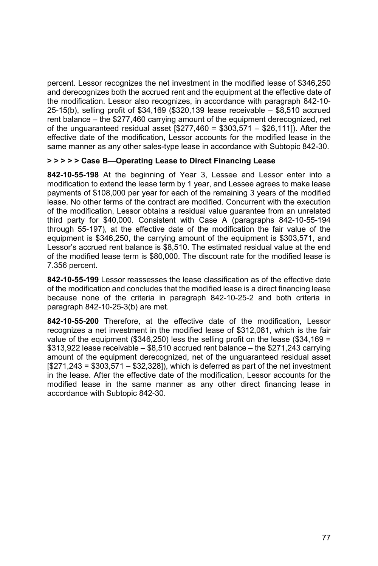percent. Lessor recognizes the net investment in the modified lease of \$346,250 and derecognizes both the accrued rent and the equipment at the effective date of the modification. Lessor also recognizes, in accordance with paragraph 842-10- 25-15(b), selling profit of \$34,169 (\$320,139 lease receivable – \$8,510 accrued rent balance – the \$277,460 carrying amount of the equipment derecognized, net of the unguaranteed residual asset  $[$277,460 = $303,571 - $26,111]$ . After the effective date of the modification, Lessor accounts for the modified lease in the same manner as any other sales-type lease in accordance with Subtopic 842-30.

# **> > > > > Case B—Operating Lease to Direct Financing Lease**

**842-10-55-198** At the beginning of Year 3, Lessee and Lessor enter into a modification to extend the lease term by 1 year, and Lessee agrees to make lease payments of \$108,000 per year for each of the remaining 3 years of the modified lease. No other terms of the contract are modified. Concurrent with the execution of the modification, Lessor obtains a residual value guarantee from an unrelated third party for \$40,000. Consistent with Case A (paragraphs 842-10-55-194 through 55-197), at the effective date of the modification the fair value of the equipment is \$346,250, the carrying amount of the equipment is \$303,571, and Lessor's accrued rent balance is \$8,510. The estimated residual value at the end of the modified lease term is \$80,000. The discount rate for the modified lease is 7.356 percent.

**842-10-55-199** Lessor reassesses the lease classification as of the effective date of the modification and concludes that the modified lease is a direct financing lease because none of the criteria in paragraph 842-10-25-2 and both criteria in paragraph 842-10-25-3(b) are met.

**842-10-55-200** Therefore, at the effective date of the modification, Lessor recognizes a net investment in the modified lease of \$312,081, which is the fair value of the equipment (\$346,250) less the selling profit on the lease (\$34,169 = \$313,922 lease receivable – \$8,510 accrued rent balance – the \$271,243 carrying amount of the equipment derecognized, net of the unguaranteed residual asset  $[$271,243 = $303,571 - $32,328]$ , which is deferred as part of the net investment in the lease. After the effective date of the modification, Lessor accounts for the modified lease in the same manner as any other direct financing lease in accordance with Subtopic 842-30.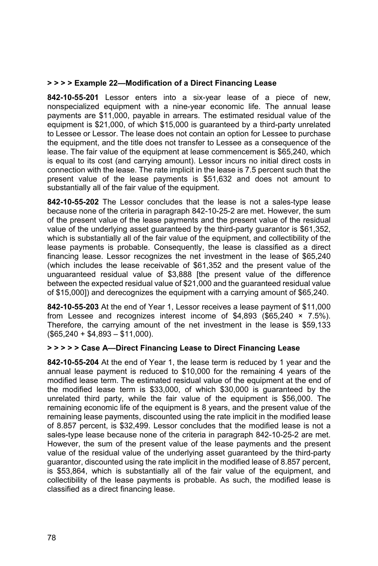# **> > > > Example 22—Modification of a Direct Financing Lease**

**842-10-55-201** Lessor enters into a six-year lease of a piece of new, nonspecialized equipment with a nine-year economic life. The annual lease payments are \$11,000, payable in arrears. The estimated residual value of the equipment is \$21,000, of which \$15,000 is guaranteed by a third-party unrelated to Lessee or Lessor. The lease does not contain an option for Lessee to purchase the equipment, and the title does not transfer to Lessee as a consequence of the lease. The fair value of the equipment at lease commencement is \$65,240, which is equal to its cost (and carrying amount). Lessor incurs no initial direct costs in connection with the lease. The rate implicit in the lease is 7.5 percent such that the present value of the lease payments is \$51,632 and does not amount to substantially all of the fair value of the equipment.

**842-10-55-202** The Lessor concludes that the lease is not a sales-type lease because none of the criteria in paragraph 842-10-25-2 are met. However, the sum of the present value of the lease payments and the present value of the residual value of the underlying asset guaranteed by the third-party guarantor is \$61,352, which is substantially all of the fair value of the equipment, and collectibility of the lease payments is probable. Consequently, the lease is classified as a direct financing lease. Lessor recognizes the net investment in the lease of \$65,240 (which includes the lease receivable of \$61,352 and the present value of the unguaranteed residual value of \$3,888 [the present value of the difference between the expected residual value of \$21,000 and the guaranteed residual value of \$15,000]) and derecognizes the equipment with a carrying amount of \$65,240.

**842-10-55-203** At the end of Year 1, Lessor receives a lease payment of \$11,000 from Lessee and recognizes interest income of \$4,893 (\$65,240  $\times$  7.5%). Therefore, the carrying amount of the net investment in the lease is \$59,133  $(S65.240 + S4.893 - S11.000)$ .

# **> > > > > Case A—Direct Financing Lease to Direct Financing Lease**

**842-10-55-204** At the end of Year 1, the lease term is reduced by 1 year and the annual lease payment is reduced to \$10,000 for the remaining 4 years of the modified lease term. The estimated residual value of the equipment at the end of the modified lease term is \$33,000, of which \$30,000 is guaranteed by the unrelated third party, while the fair value of the equipment is \$56,000. The remaining economic life of the equipment is 8 years, and the present value of the remaining lease payments, discounted using the rate implicit in the modified lease of 8.857 percent, is \$32,499. Lessor concludes that the modified lease is not a sales-type lease because none of the criteria in paragraph 842-10-25-2 are met. However, the sum of the present value of the lease payments and the present value of the residual value of the underlying asset guaranteed by the third-party guarantor, discounted using the rate implicit in the modified lease of 8.857 percent, is \$53,864, which is substantially all of the fair value of the equipment, and collectibility of the lease payments is probable. As such, the modified lease is classified as a direct financing lease.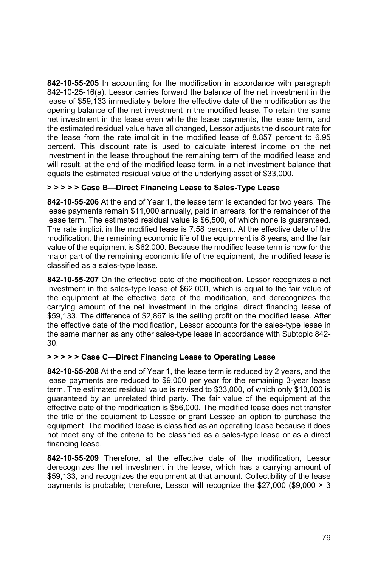**842-10-55-205** In accounting for the modification in accordance with paragraph 842-10-25-16(a), Lessor carries forward the balance of the net investment in the lease of \$59,133 immediately before the effective date of the modification as the opening balance of the net investment in the modified lease. To retain the same net investment in the lease even while the lease payments, the lease term, and the estimated residual value have all changed, Lessor adjusts the discount rate for the lease from the rate implicit in the modified lease of 8.857 percent to 6.95 percent. This discount rate is used to calculate interest income on the net investment in the lease throughout the remaining term of the modified lease and will result, at the end of the modified lease term, in a net investment balance that equals the estimated residual value of the underlying asset of \$33,000.

# **> > > > > Case B—Direct Financing Lease to Sales-Type Lease**

**842-10-55-206** At the end of Year 1, the lease term is extended for two years. The lease payments remain \$11,000 annually, paid in arrears, for the remainder of the lease term. The estimated residual value is \$6,500, of which none is guaranteed. The rate implicit in the modified lease is 7.58 percent. At the effective date of the modification, the remaining economic life of the equipment is 8 years, and the fair value of the equipment is \$62,000. Because the modified lease term is now for the major part of the remaining economic life of the equipment, the modified lease is classified as a sales-type lease.

**842-10-55-207** On the effective date of the modification, Lessor recognizes a net investment in the sales-type lease of \$62,000, which is equal to the fair value of the equipment at the effective date of the modification, and derecognizes the carrying amount of the net investment in the original direct financing lease of \$59,133. The difference of \$2,867 is the selling profit on the modified lease. After the effective date of the modification, Lessor accounts for the sales-type lease in the same manner as any other sales-type lease in accordance with Subtopic 842- 30.

# **> > > > > Case C—Direct Financing Lease to Operating Lease**

**842-10-55-208** At the end of Year 1, the lease term is reduced by 2 years, and the lease payments are reduced to \$9,000 per year for the remaining 3-year lease term. The estimated residual value is revised to \$33,000, of which only \$13,000 is guaranteed by an unrelated third party. The fair value of the equipment at the effective date of the modification is \$56,000. The modified lease does not transfer the title of the equipment to Lessee or grant Lessee an option to purchase the equipment. The modified lease is classified as an operating lease because it does not meet any of the criteria to be classified as a sales-type lease or as a direct financing lease.

**842-10-55-209** Therefore, at the effective date of the modification, Lessor derecognizes the net investment in the lease, which has a carrying amount of \$59,133, and recognizes the equipment at that amount. Collectibility of the lease payments is probable; therefore, Lessor will recognize the \$27,000 (\$9,000  $\times$  3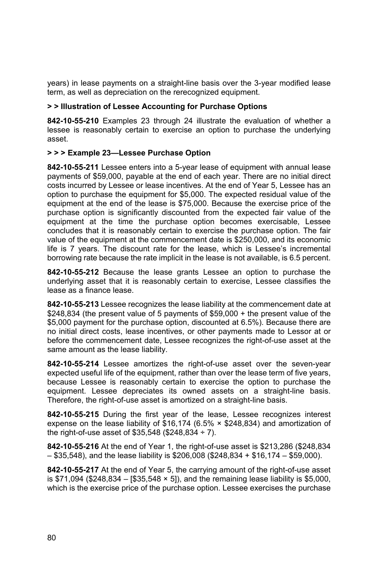years) in lease payments on a straight-line basis over the 3-year modified lease term, as well as depreciation on the rerecognized equipment.

### **> > Illustration of Lessee Accounting for Purchase Options**

**842-10-55-210** Examples 23 through 24 illustrate the evaluation of whether a lessee is reasonably certain to exercise an option to purchase the underlying asset.

### **> > > Example 23—Lessee Purchase Option**

**842-10-55-211** Lessee enters into a 5-year lease of equipment with annual lease payments of \$59,000, payable at the end of each year. There are no initial direct costs incurred by Lessee or lease incentives. At the end of Year 5, Lessee has an option to purchase the equipment for \$5,000. The expected residual value of the equipment at the end of the lease is \$75,000. Because the exercise price of the purchase option is significantly discounted from the expected fair value of the equipment at the time the purchase option becomes exercisable, Lessee concludes that it is reasonably certain to exercise the purchase option. The fair value of the equipment at the commencement date is \$250,000, and its economic life is 7 years. The discount rate for the lease, which is Lessee's incremental borrowing rate because the rate implicit in the lease is not available, is 6.5 percent.

**842-10-55-212** Because the lease grants Lessee an option to purchase the underlying asset that it is reasonably certain to exercise, Lessee classifies the lease as a finance lease.

**842-10-55-213** Lessee recognizes the lease liability at the commencement date at \$248,834 (the present value of 5 payments of \$59,000 + the present value of the \$5,000 payment for the purchase option, discounted at 6.5%). Because there are no initial direct costs, lease incentives, or other payments made to Lessor at or before the commencement date, Lessee recognizes the right-of-use asset at the same amount as the lease liability.

**842-10-55-214** Lessee amortizes the right-of-use asset over the seven-year expected useful life of the equipment, rather than over the lease term of five years, because Lessee is reasonably certain to exercise the option to purchase the equipment. Lessee depreciates its owned assets on a straight-line basis. Therefore, the right-of-use asset is amortized on a straight-line basis.

**842-10-55-215** During the first year of the lease, Lessee recognizes interest expense on the lease liability of \$16,174  $(6.5\% \times $248.834)$  and amortization of the right-of-use asset of  $$35,548$  (\$248,834 ÷ 7).

**842-10-55-216** At the end of Year 1, the right-of-use asset is \$213,286 (\$248,834  $-$  \$35,548), and the lease liability is \$206,008 (\$248,834 + \$16,174 – \$59,000).

**842-10-55-217** At the end of Year 5, the carrying amount of the right-of-use asset is  $$71,094$  ( $$248,834 - $35,548 \times 5$ ), and the remaining lease liability is \$5,000, which is the exercise price of the purchase option. Lessee exercises the purchase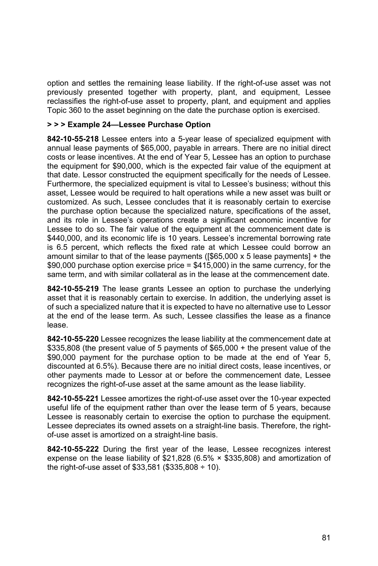option and settles the remaining lease liability. If the right-of-use asset was not previously presented together with property, plant, and equipment, Lessee reclassifies the right-of-use asset to property, plant, and equipment and applies Topic 360 to the asset beginning on the date the purchase option is exercised.

# **> > > Example 24—Lessee Purchase Option**

**842-10-55-218** Lessee enters into a 5-year lease of specialized equipment with annual lease payments of \$65,000, payable in arrears. There are no initial direct costs or lease incentives. At the end of Year 5, Lessee has an option to purchase the equipment for \$90,000, which is the expected fair value of the equipment at that date. Lessor constructed the equipment specifically for the needs of Lessee. Furthermore, the specialized equipment is vital to Lessee's business; without this asset, Lessee would be required to halt operations while a new asset was built or customized. As such, Lessee concludes that it is reasonably certain to exercise the purchase option because the specialized nature, specifications of the asset, and its role in Lessee's operations create a significant economic incentive for Lessee to do so. The fair value of the equipment at the commencement date is \$440,000, and its economic life is 10 years. Lessee's incremental borrowing rate is 6.5 percent, which reflects the fixed rate at which Lessee could borrow an amount similar to that of the lease payments ([\$65,000 x 5 lease payments] + the \$90,000 purchase option exercise price = \$415,000) in the same currency, for the same term, and with similar collateral as in the lease at the commencement date.

**842-10-55-219** The lease grants Lessee an option to purchase the underlying asset that it is reasonably certain to exercise. In addition, the underlying asset is of such a specialized nature that it is expected to have no alternative use to Lessor at the end of the lease term. As such, Lessee classifies the lease as a finance lease.

**842-10-55-220** Lessee recognizes the lease liability at the commencement date at \$335,808 (the present value of 5 payments of \$65,000 + the present value of the \$90,000 payment for the purchase option to be made at the end of Year 5, discounted at 6.5%). Because there are no initial direct costs, lease incentives, or other payments made to Lessor at or before the commencement date, Lessee recognizes the right-of-use asset at the same amount as the lease liability.

**842-10-55-221** Lessee amortizes the right-of-use asset over the 10-year expected useful life of the equipment rather than over the lease term of 5 years, because Lessee is reasonably certain to exercise the option to purchase the equipment. Lessee depreciates its owned assets on a straight-line basis. Therefore, the rightof-use asset is amortized on a straight-line basis.

**842-10-55-222** During the first year of the lease, Lessee recognizes interest expense on the lease liability of \$21,828 (6.5% × \$335,808) and amortization of the right-of-use asset of  $$33,581$  (\$335,808 ÷ 10).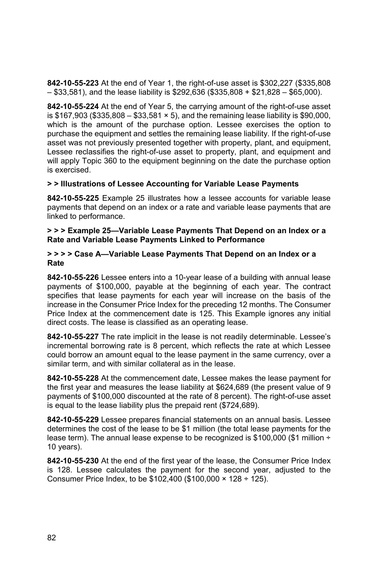**842-10-55-223** At the end of Year 1, the right-of-use asset is \$302,227 (\$335,808  $-$  \$33,581), and the lease liability is \$292,636 (\$335,808 + \$21,828 - \$65,000).

**842-10-55-224** At the end of Year 5, the carrying amount of the right-of-use asset is \$167,903 (\$335,808 – \$33,581 × 5), and the remaining lease liability is \$90,000, which is the amount of the purchase option. Lessee exercises the option to purchase the equipment and settles the remaining lease liability. If the right-of-use asset was not previously presented together with property, plant, and equipment, Lessee reclassifies the right-of-use asset to property, plant, and equipment and will apply Topic 360 to the equipment beginning on the date the purchase option is exercised.

# **> > Illustrations of Lessee Accounting for Variable Lease Payments**

**842-10-55-225** Example 25 illustrates how a lessee accounts for variable lease payments that depend on an index or a rate and variable lease payments that are linked to performance.

### **> > > Example 25—Variable Lease Payments That Depend on an Index or a Rate and Variable Lease Payments Linked to Performance**

### **> > > > Case A—Variable Lease Payments That Depend on an Index or a Rate**

**842-10-55-226** Lessee enters into a 10-year lease of a building with annual lease payments of \$100,000, payable at the beginning of each year. The contract specifies that lease payments for each year will increase on the basis of the increase in the Consumer Price Index for the preceding 12 months. The Consumer Price Index at the commencement date is 125. This Example ignores any initial direct costs. The lease is classified as an operating lease.

**842-10-55-227** The rate implicit in the lease is not readily determinable. Lessee's incremental borrowing rate is 8 percent, which reflects the rate at which Lessee could borrow an amount equal to the lease payment in the same currency, over a similar term, and with similar collateral as in the lease.

**842-10-55-228** At the commencement date, Lessee makes the lease payment for the first year and measures the lease liability at \$624,689 (the present value of 9 payments of \$100,000 discounted at the rate of 8 percent). The right-of-use asset is equal to the lease liability plus the prepaid rent (\$724,689).

**842-10-55-229** Lessee prepares financial statements on an annual basis. Lessee determines the cost of the lease to be \$1 million (the total lease payments for the lease term). The annual lease expense to be recognized is \$100,000 (\$1 million  $\div$ 10 years).

**842-10-55-230** At the end of the first year of the lease, the Consumer Price Index is 128. Lessee calculates the payment for the second year, adjusted to the Consumer Price Index, to be \$102,400 (\$100,000 × 128 ÷ 125).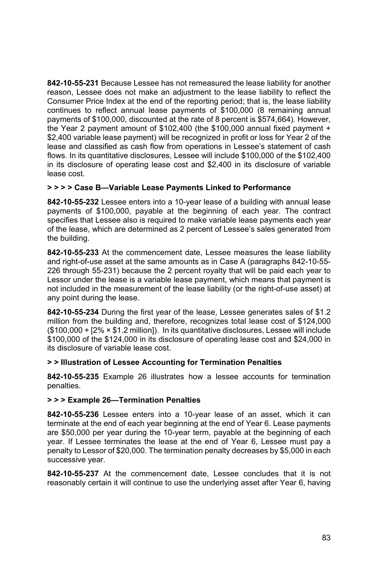**842-10-55-231** Because Lessee has not remeasured the lease liability for another reason, Lessee does not make an adjustment to the lease liability to reflect the Consumer Price Index at the end of the reporting period; that is, the lease liability continues to reflect annual lease payments of \$100,000 (8 remaining annual payments of \$100,000, discounted at the rate of 8 percent is \$574,664). However, the Year 2 payment amount of \$102,400 (the \$100,000 annual fixed payment + \$2,400 variable lease payment) will be recognized in profit or loss for Year 2 of the lease and classified as cash flow from operations in Lessee's statement of cash flows. In its quantitative disclosures, Lessee will include \$100,000 of the \$102,400 in its disclosure of operating lease cost and \$2,400 in its disclosure of variable lease cost.

# **> > > > Case B—Variable Lease Payments Linked to Performance**

**842-10-55-232** Lessee enters into a 10-year lease of a building with annual lease payments of \$100,000, payable at the beginning of each year. The contract specifies that Lessee also is required to make variable lease payments each year of the lease, which are determined as 2 percent of Lessee's sales generated from the building.

**842-10-55-233** At the commencement date, Lessee measures the lease liability and right-of-use asset at the same amounts as in Case A (paragraphs 842-10-55- 226 through 55-231) because the 2 percent royalty that will be paid each year to Lessor under the lease is a variable lease payment, which means that payment is not included in the measurement of the lease liability (or the right-of-use asset) at any point during the lease.

**842-10-55-234** During the first year of the lease, Lessee generates sales of \$1.2 million from the building and, therefore, recognizes total lease cost of \$124,000 (\$100,000 + [2% × \$1.2 million]). In its quantitative disclosures, Lessee will include \$100,000 of the \$124,000 in its disclosure of operating lease cost and \$24,000 in its disclosure of variable lease cost.

### **> > Illustration of Lessee Accounting for Termination Penalties**

**842-10-55-235** Example 26 illustrates how a lessee accounts for termination penalties.

#### **> > > Example 26—Termination Penalties**

**842-10-55-236** Lessee enters into a 10-year lease of an asset, which it can terminate at the end of each year beginning at the end of Year 6. Lease payments are \$50,000 per year during the 10-year term, payable at the beginning of each year. If Lessee terminates the lease at the end of Year 6, Lessee must pay a penalty to Lessor of \$20,000. The termination penalty decreases by \$5,000 in each successive year.

**842-10-55-237** At the commencement date, Lessee concludes that it is not reasonably certain it will continue to use the underlying asset after Year 6, having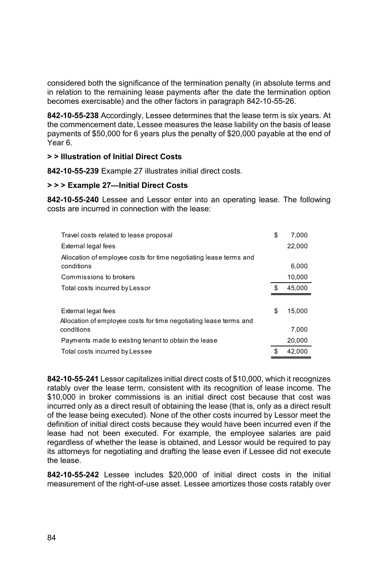considered both the significance of the termination penalty (in absolute terms and in relation to the remaining lease payments after the date the termination option becomes exercisable) and the other factors in paragraph 842-10-55-26.

**842-10-55-238** Accordingly, Lessee determines that the lease term is six years. At the commencement date, Lessee measures the lease liability on the basis of lease payments of \$50,000 for 6 years plus the penalty of \$20,000 payable at the end of Year 6.

### **> > Illustration of Initial Direct Costs**

**842-10-55-239** Example 27 illustrates initial direct costs.

### **> > > Example 27—Initial Direct Costs**

**842-10-55-240** Lessee and Lessor enter into an operating lease. The following costs are incurred in connection with the lease:

| Travel costs related to lease proposal                            | \$<br>7.000  |
|-------------------------------------------------------------------|--------------|
| External legal fees                                               | 22,000       |
| Allocation of employee costs for time negotiating lease terms and |              |
| conditions                                                        | 6.000        |
| Commissions to brokers                                            | 10,000       |
| Total costs incurred by Lessor                                    | \$<br>45,000 |
|                                                                   |              |
|                                                                   |              |
| External legal fees                                               | \$<br>15,000 |
| Allocation of employee costs for time negotiating lease terms and |              |
| conditions                                                        | 7.000        |
| Payments made to existing tenant to obtain the lease              | 20,000       |

**842-10-55-241** Lessor capitalizes initial direct costs of \$10,000, which it recognizes ratably over the lease term, consistent with its recognition of lease income. The \$10,000 in broker commissions is an initial direct cost because that cost was incurred only as a direct result of obtaining the lease (that is, only as a direct result of the lease being executed). None of the other costs incurred by Lessor meet the definition of initial direct costs because they would have been incurred even if the lease had not been executed. For example, the employee salaries are paid regardless of whether the lease is obtained, and Lessor would be required to pay its attorneys for negotiating and drafting the lease even if Lessee did not execute the lease.

**842-10-55-242** Lessee includes \$20,000 of initial direct costs in the initial measurement of the right-of-use asset. Lessee amortizes those costs ratably over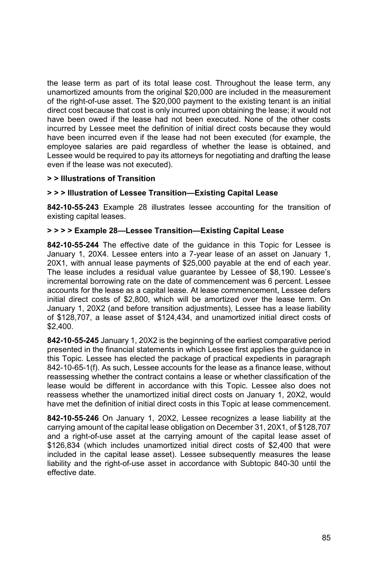the lease term as part of its total lease cost. Throughout the lease term, any unamortized amounts from the original \$20,000 are included in the measurement of the right-of-use asset. The \$20,000 payment to the existing tenant is an initial direct cost because that cost is only incurred upon obtaining the lease; it would not have been owed if the lease had not been executed. None of the other costs incurred by Lessee meet the definition of initial direct costs because they would have been incurred even if the lease had not been executed (for example, the employee salaries are paid regardless of whether the lease is obtained, and Lessee would be required to pay its attorneys for negotiating and drafting the lease even if the lease was not executed).

### **> > Illustrations of Transition**

### **> > > Illustration of Lessee Transition—Existing Capital Lease**

**842-10-55-243** Example 28 illustrates lessee accounting for the transition of existing capital leases.

#### **> > > > Example 28—Lessee Transition—Existing Capital Lease**

**842-10-55-244** The effective date of the guidance in this Topic for Lessee is January 1, 20X4. Lessee enters into a 7-year lease of an asset on January 1, 20X1, with annual lease payments of \$25,000 payable at the end of each year. The lease includes a residual value guarantee by Lessee of \$8,190. Lessee's incremental borrowing rate on the date of commencement was 6 percent. Lessee accounts for the lease as a capital lease. At lease commencement, Lessee defers initial direct costs of \$2,800, which will be amortized over the lease term. On January 1, 20X2 (and before transition adjustments), Lessee has a lease liability of \$128,707, a lease asset of \$124,434, and unamortized initial direct costs of \$2,400.

**842-10-55-245** January 1, 20X2 is the beginning of the earliest comparative period presented in the financial statements in which Lessee first applies the guidance in this Topic. Lessee has elected the package of practical expedients in paragraph 842-10-65-1(f). As such, Lessee accounts for the lease as a finance lease, without reassessing whether the contract contains a lease or whether classification of the lease would be different in accordance with this Topic. Lessee also does not reassess whether the unamortized initial direct costs on January 1, 20X2, would have met the definition of initial direct costs in this Topic at lease commencement.

**842-10-55-246** On January 1, 20X2, Lessee recognizes a lease liability at the carrying amount of the capital lease obligation on December 31, 20X1, of \$128,707 and a right-of-use asset at the carrying amount of the capital lease asset of \$126,834 (which includes unamortized initial direct costs of \$2,400 that were included in the capital lease asset). Lessee subsequently measures the lease liability and the right-of-use asset in accordance with Subtopic 840-30 until the effective date.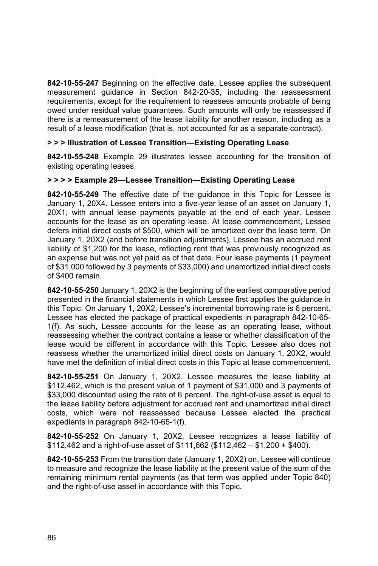**842-10-55-247** Beginning on the effective date, Lessee applies the subsequent measurement guidance in Section 842-20-35, including the reassessment requirements, except for the requirement to reassess amounts probable of being owed under residual value guarantees. Such amounts will only be reassessed if there is a remeasurement of the lease liability for another reason, including as a result of a lease modification (that is, not accounted for as a separate contract).

# **> > > Illustration of Lessee Transition—Existing Operating Lease**

**842-10-55-248** Example 29 illustrates lessee accounting for the transition of existing operating leases.

#### **> > > > Example 29—Lessee Transition—Existing Operating Lease**

**842-10-55-249** The effective date of the guidance in this Topic for Lessee is January 1, 20X4. Lessee enters into a five-year lease of an asset on January 1, 20X1, with annual lease payments payable at the end of each year. Lessee accounts for the lease as an operating lease. At lease commencement, Lessee defers initial direct costs of \$500, which will be amortized over the lease term. On January 1, 20X2 (and before transition adjustments), Lessee has an accrued rent liability of \$1,200 for the lease, reflecting rent that was previously recognized as an expense but was not yet paid as of that date. Four lease payments (1 payment of \$31,000 followed by 3 payments of \$33,000) and unamortized initial direct costs of \$400 remain.

**842-10-55-250** January 1, 20X2 is the beginning of the earliest comparative period presented in the financial statements in which Lessee first applies the guidance in this Topic. On January 1, 20X2, Lessee's incremental borrowing rate is 6 percent. Lessee has elected the package of practical expedients in paragraph 842-10-65- 1(f). As such, Lessee accounts for the lease as an operating lease, without reassessing whether the contract contains a lease or whether classification of the lease would be different in accordance with this Topic. Lessee also does not reassess whether the unamortized initial direct costs on January 1, 20X2, would have met the definition of initial direct costs in this Topic at lease commencement.

**842-10-55-251** On January 1, 20X2, Lessee measures the lease liability at \$112,462, which is the present value of 1 payment of \$31,000 and 3 payments of \$33,000 discounted using the rate of 6 percent. The right-of-use asset is equal to the lease liability before adjustment for accrued rent and unamortized initial direct costs, which were not reassessed because Lessee elected the practical expedients in paragraph 842-10-65-1(f).

**842-10-55-252** On January 1, 20X2, Lessee recognizes a lease liability of \$112,462 and a right-of-use asset of \$111,662 (\$112,462 – \$1,200 + \$400).

**842-10-55-253** From the transition date (January 1, 20X2) on, Lessee will continue to measure and recognize the lease liability at the present value of the sum of the remaining minimum rental payments (as that term was applied under Topic 840) and the right-of-use asset in accordance with this Topic.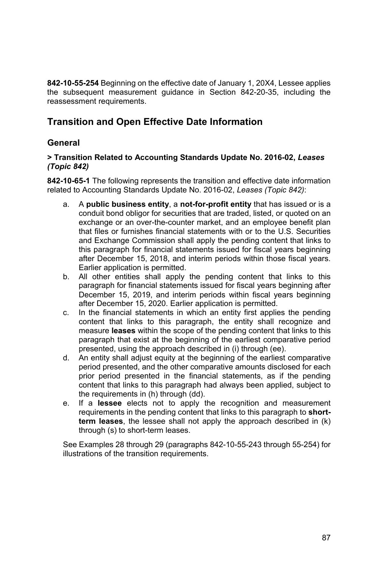**842-10-55-254** Beginning on the effective date of January 1, 20X4, Lessee applies the subsequent measurement guidance in Section 842-20-35, including the reassessment requirements.

# **Transition and Open Effective Date Information**

# **General**

### **> Transition Related to Accounting Standards Update No. 2016-02,** *Leases (Topic 842)*

**842-10-65-1** The following represents the transition and effective date information related to Accounting Standards Update No. 2016-02, *Leases (Topic 842)*:

- a. A **public business entity**, a **not-for-profit entity** that has issued or is a conduit bond obligor for securities that are traded, listed, or quoted on an exchange or an over-the-counter market, and an employee benefit plan that files or furnishes financial statements with or to the U.S. Securities and Exchange Commission shall apply the pending content that links to this paragraph for financial statements issued for fiscal years beginning after December 15, 2018, and interim periods within those fiscal years. Earlier application is permitted.
- b. All other entities shall apply the pending content that links to this paragraph for financial statements issued for fiscal years beginning after December 15, 2019, and interim periods within fiscal years beginning after December 15, 2020. Earlier application is permitted.
- c. In the financial statements in which an entity first applies the pending content that links to this paragraph, the entity shall recognize and measure **leases** within the scope of the pending content that links to this paragraph that exist at the beginning of the earliest comparative period presented, using the approach described in (i) through (ee).
- d. An entity shall adjust equity at the beginning of the earliest comparative period presented, and the other comparative amounts disclosed for each prior period presented in the financial statements, as if the pending content that links to this paragraph had always been applied, subject to the requirements in (h) through (dd).
- e. If a **lessee** elects not to apply the recognition and measurement requirements in the pending content that links to this paragraph to **shortterm leases**, the lessee shall not apply the approach described in (k) through (s) to short-term leases.

See Examples 28 through 29 (paragraphs 842-10-55-243 through 55-254) for illustrations of the transition requirements.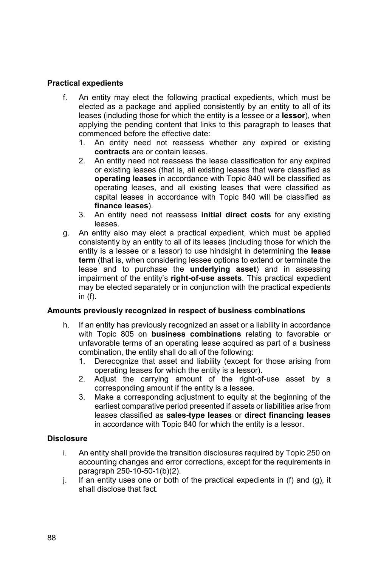# **Practical expedients**

- f. An entity may elect the following practical expedients, which must be elected as a package and applied consistently by an entity to all of its leases (including those for which the entity is a lessee or a **lessor**), when applying the pending content that links to this paragraph to leases that commenced before the effective date:
	- 1. An entity need not reassess whether any expired or existing **contracts** are or contain leases.
	- 2. An entity need not reassess the lease classification for any expired or existing leases (that is, all existing leases that were classified as **operating leases** in accordance with Topic 840 will be classified as operating leases, and all existing leases that were classified as capital leases in accordance with Topic 840 will be classified as **finance leases**).
	- 3. An entity need not reassess **initial direct costs** for any existing leases.
- g. An entity also may elect a practical expedient, which must be applied consistently by an entity to all of its leases (including those for which the entity is a lessee or a lessor) to use hindsight in determining the **lease term** (that is, when considering lessee options to extend or terminate the lease and to purchase the **underlying asset**) and in assessing impairment of the entity's **right-of-use assets**. This practical expedient may be elected separately or in conjunction with the practical expedients in (f).

# **Amounts previously recognized in respect of business combinations**

- h. If an entity has previously recognized an asset or a liability in accordance with Topic 805 on **business combinations** relating to favorable or unfavorable terms of an operating lease acquired as part of a business combination, the entity shall do all of the following:
	- 1. Derecognize that asset and liability (except for those arising from operating leases for which the entity is a lessor).
	- 2. Adjust the carrying amount of the right-of-use asset by a corresponding amount if the entity is a lessee.
	- 3. Make a corresponding adjustment to equity at the beginning of the earliest comparative period presented if assets or liabilities arise from leases classified as **sales-type leases** or **direct financing leases** in accordance with Topic 840 for which the entity is a lessor.

# **Disclosure**

- i. An entity shall provide the transition disclosures required by Topic 250 on accounting changes and error corrections, except for the requirements in paragraph 250-10-50-1(b)(2).
- j. If an entity uses one or both of the practical expedients in (f) and (g), it shall disclose that fact.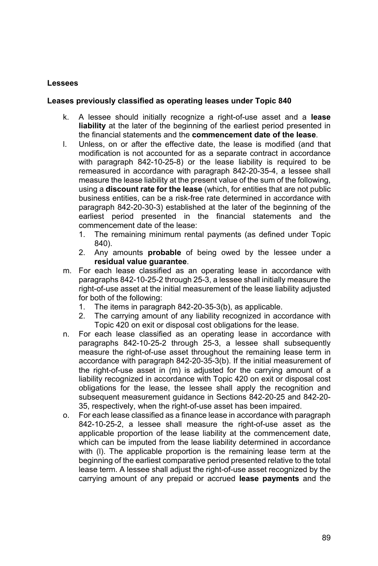# **Lessees**

### **Leases previously classified as operating leases under Topic 840**

- k. A lessee should initially recognize a right-of-use asset and a **lease liability** at the later of the beginning of the earliest period presented in the financial statements and the **commencement date of the lease**.
- l. Unless, on or after the effective date, the lease is modified (and that modification is not accounted for as a separate contract in accordance with paragraph 842-10-25-8) or the lease liability is required to be remeasured in accordance with paragraph 842-20-35-4, a lessee shall measure the lease liability at the present value of the sum of the following, using a **discount rate for the lease** (which, for entities that are not public business entities, can be a risk-free rate determined in accordance with paragraph 842-20-30-3) established at the later of the beginning of the earliest period presented in the financial statements and the commencement date of the lease:
	- 1. The remaining minimum rental payments (as defined under Topic 840).
	- 2. Any amounts **probable** of being owed by the lessee under a **residual value guarantee**.
- m. For each lease classified as an operating lease in accordance with paragraphs 842-10-25-2 through 25-3, a lessee shall initially measure the right-of-use asset at the initial measurement of the lease liability adjusted for both of the following:
	- 1. The items in paragraph 842-20-35-3(b), as applicable.
	- 2. The carrying amount of any liability recognized in accordance with Topic 420 on exit or disposal cost obligations for the lease.
- n. For each lease classified as an operating lease in accordance with paragraphs 842-10-25-2 through 25-3, a lessee shall subsequently measure the right-of-use asset throughout the remaining lease term in accordance with paragraph 842-20-35-3(b). If the initial measurement of the right-of-use asset in (m) is adjusted for the carrying amount of a liability recognized in accordance with Topic 420 on exit or disposal cost obligations for the lease, the lessee shall apply the recognition and subsequent measurement guidance in Sections 842-20-25 and 842-20- 35, respectively, when the right-of-use asset has been impaired.
- o. For each lease classified as a finance lease in accordance with paragraph 842-10-25-2, a lessee shall measure the right-of-use asset as the applicable proportion of the lease liability at the commencement date, which can be imputed from the lease liability determined in accordance with (l). The applicable proportion is the remaining lease term at the beginning of the earliest comparative period presented relative to the total lease term. A lessee shall adjust the right-of-use asset recognized by the carrying amount of any prepaid or accrued **lease payments** and the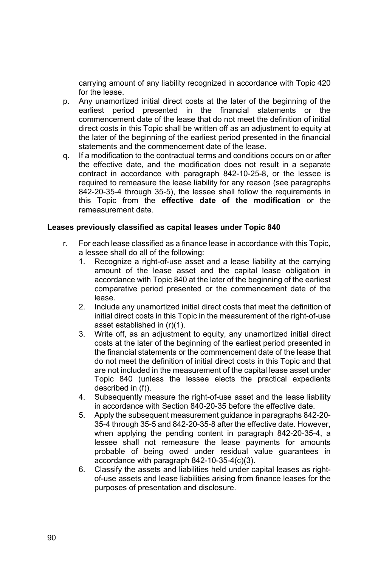carrying amount of any liability recognized in accordance with Topic 420 for the lease.

- p. Any unamortized initial direct costs at the later of the beginning of the earliest period presented in the financial statements or the commencement date of the lease that do not meet the definition of initial direct costs in this Topic shall be written off as an adjustment to equity at the later of the beginning of the earliest period presented in the financial statements and the commencement date of the lease.
- q. If a modification to the contractual terms and conditions occurs on or after the effective date, and the modification does not result in a separate contract in accordance with paragraph 842-10-25-8, or the lessee is required to remeasure the lease liability for any reason (see paragraphs 842-20-35-4 through 35-5), the lessee shall follow the requirements in this Topic from the **effective date of the modification** or the remeasurement date.

# **Leases previously classified as capital leases under Topic 840**

- r. For each lease classified as a finance lease in accordance with this Topic, a lessee shall do all of the following:
	- 1. Recognize a right-of-use asset and a lease liability at the carrying amount of the lease asset and the capital lease obligation in accordance with Topic 840 at the later of the beginning of the earliest comparative period presented or the commencement date of the lease.
	- 2. Include any unamortized initial direct costs that meet the definition of initial direct costs in this Topic in the measurement of the right-of-use asset established in (r)(1).
	- 3. Write off, as an adjustment to equity, any unamortized initial direct costs at the later of the beginning of the earliest period presented in the financial statements or the commencement date of the lease that do not meet the definition of initial direct costs in this Topic and that are not included in the measurement of the capital lease asset under Topic 840 (unless the lessee elects the practical expedients described in (f)).
	- 4. Subsequently measure the right-of-use asset and the lease liability in accordance with Section 840-20-35 before the effective date.
	- 5. Apply the subsequent measurement guidance in paragraphs 842-20- 35-4 through 35-5 and 842-20-35-8 after the effective date. However, when applying the pending content in paragraph 842-20-35-4, a lessee shall not remeasure the lease payments for amounts probable of being owed under residual value guarantees in accordance with paragraph 842-10-35-4(c)(3).
	- 6. Classify the assets and liabilities held under capital leases as rightof-use assets and lease liabilities arising from finance leases for the purposes of presentation and disclosure.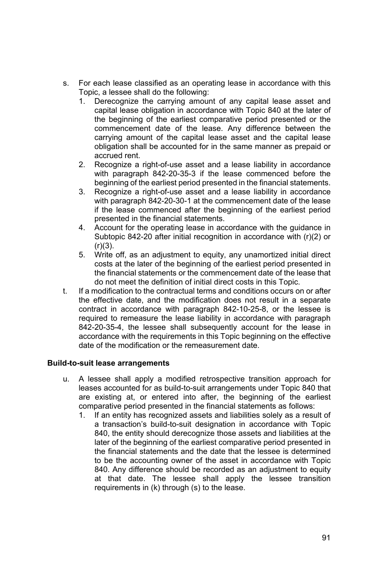- s. For each lease classified as an operating lease in accordance with this Topic, a lessee shall do the following:
	- 1. Derecognize the carrying amount of any capital lease asset and capital lease obligation in accordance with Topic 840 at the later of the beginning of the earliest comparative period presented or the commencement date of the lease. Any difference between the carrying amount of the capital lease asset and the capital lease obligation shall be accounted for in the same manner as prepaid or accrued rent.
	- 2. Recognize a right-of-use asset and a lease liability in accordance with paragraph 842-20-35-3 if the lease commenced before the beginning of the earliest period presented in the financial statements.
	- 3. Recognize a right-of-use asset and a lease liability in accordance with paragraph 842-20-30-1 at the commencement date of the lease if the lease commenced after the beginning of the earliest period presented in the financial statements.
	- 4. Account for the operating lease in accordance with the guidance in Subtopic 842-20 after initial recognition in accordance with (r)(2) or  $(r)(3)$ .
	- 5. Write off, as an adjustment to equity, any unamortized initial direct costs at the later of the beginning of the earliest period presented in the financial statements or the commencement date of the lease that do not meet the definition of initial direct costs in this Topic.
- t. If a modification to the contractual terms and conditions occurs on or after the effective date, and the modification does not result in a separate contract in accordance with paragraph 842-10-25-8, or the lessee is required to remeasure the lease liability in accordance with paragraph 842-20-35-4, the lessee shall subsequently account for the lease in accordance with the requirements in this Topic beginning on the effective date of the modification or the remeasurement date.

# **Build-to-suit lease arrangements**

- u. A lessee shall apply a modified retrospective transition approach for leases accounted for as build-to-suit arrangements under Topic 840 that are existing at, or entered into after, the beginning of the earliest comparative period presented in the financial statements as follows:
	- 1. If an entity has recognized assets and liabilities solely as a result of a transaction's build-to-suit designation in accordance with Topic 840, the entity should derecognize those assets and liabilities at the later of the beginning of the earliest comparative period presented in the financial statements and the date that the lessee is determined to be the accounting owner of the asset in accordance with Topic 840. Any difference should be recorded as an adjustment to equity at that date. The lessee shall apply the lessee transition requirements in (k) through (s) to the lease.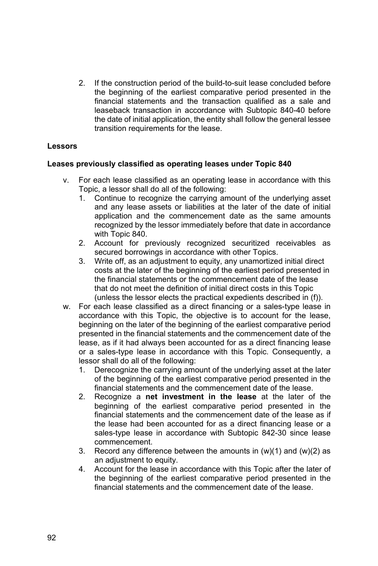2. If the construction period of the build-to-suit lease concluded before the beginning of the earliest comparative period presented in the financial statements and the transaction qualified as a sale and leaseback transaction in accordance with Subtopic 840-40 before the date of initial application, the entity shall follow the general lessee transition requirements for the lease.

# **Lessors**

### **Leases previously classified as operating leases under Topic 840**

- v. For each lease classified as an operating lease in accordance with this Topic, a lessor shall do all of the following:
	- 1. Continue to recognize the carrying amount of the underlying asset and any lease assets or liabilities at the later of the date of initial application and the commencement date as the same amounts recognized by the lessor immediately before that date in accordance with Topic 840.
	- 2. Account for previously recognized securitized receivables as secured borrowings in accordance with other Topics.
	- 3. Write off, as an adjustment to equity, any unamortized initial direct costs at the later of the beginning of the earliest period presented in the financial statements or the commencement date of the lease that do not meet the definition of initial direct costs in this Topic (unless the lessor elects the practical expedients described in (f)).
- w. For each lease classified as a direct financing or a sales-type lease in accordance with this Topic, the objective is to account for the lease, beginning on the later of the beginning of the earliest comparative period presented in the financial statements and the commencement date of the lease, as if it had always been accounted for as a direct financing lease or a sales-type lease in accordance with this Topic. Consequently, a lessor shall do all of the following:
	- 1. Derecognize the carrying amount of the underlying asset at the later of the beginning of the earliest comparative period presented in the financial statements and the commencement date of the lease.
	- 2. Recognize a **net investment in the lease** at the later of the beginning of the earliest comparative period presented in the financial statements and the commencement date of the lease as if the lease had been accounted for as a direct financing lease or a sales-type lease in accordance with Subtopic 842-30 since lease commencement.
	- 3. Record any difference between the amounts in  $(w)(1)$  and  $(w)(2)$  as an adjustment to equity.
	- 4. Account for the lease in accordance with this Topic after the later of the beginning of the earliest comparative period presented in the financial statements and the commencement date of the lease.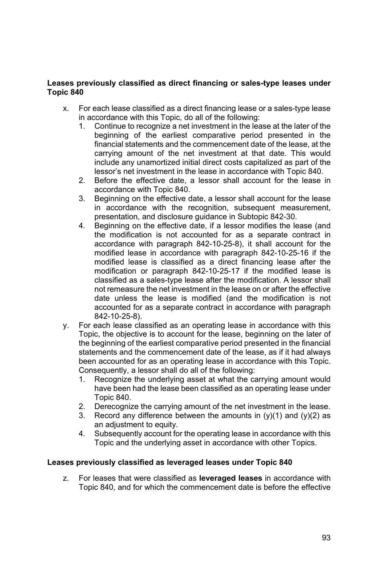# **Leases previously classified as direct financing or sales-type leases under Topic 840**

- x. For each lease classified as a direct financing lease or a sales-type lease in accordance with this Topic, do all of the following:
	- 1. Continue to recognize a net investment in the lease at the later of the beginning of the earliest comparative period presented in the financial statements and the commencement date of the lease, at the carrying amount of the net investment at that date. This would include any unamortized initial direct costs capitalized as part of the lessor's net investment in the lease in accordance with Topic 840.
	- 2. Before the effective date, a lessor shall account for the lease in accordance with Topic 840.
	- 3. Beginning on the effective date, a lessor shall account for the lease in accordance with the recognition, subsequent measurement, presentation, and disclosure guidance in Subtopic 842-30.
	- 4. Beginning on the effective date, if a lessor modifies the lease (and the modification is not accounted for as a separate contract in accordance with paragraph 842-10-25-8), it shall account for the modified lease in accordance with paragraph 842-10-25-16 if the modified lease is classified as a direct financing lease after the modification or paragraph 842-10-25-17 if the modified lease is classified as a sales-type lease after the modification. A lessor shall not remeasure the net investment in the lease on or after the effective date unless the lease is modified (and the modification is not accounted for as a separate contract in accordance with paragraph 842-10-25-8).
- y. For each lease classified as an operating lease in accordance with this Topic, the objective is to account for the lease, beginning on the later of the beginning of the earliest comparative period presented in the financial statements and the commencement date of the lease, as if it had always been accounted for as an operating lease in accordance with this Topic. Consequently, a lessor shall do all of the following:
	- 1. Recognize the underlying asset at what the carrying amount would have been had the lease been classified as an operating lease under Topic 840.
	- 2. Derecognize the carrying amount of the net investment in the lease.
	- 3. Record any difference between the amounts in  $(y)(1)$  and  $(y)(2)$  as an adjustment to equity.
	- 4. Subsequently account for the operating lease in accordance with this Topic and the underlying asset in accordance with other Topics.

# **Leases previously classified as leveraged leases under Topic 840**

z. For leases that were classified as **leveraged leases** in accordance with Topic 840, and for which the commencement date is before the effective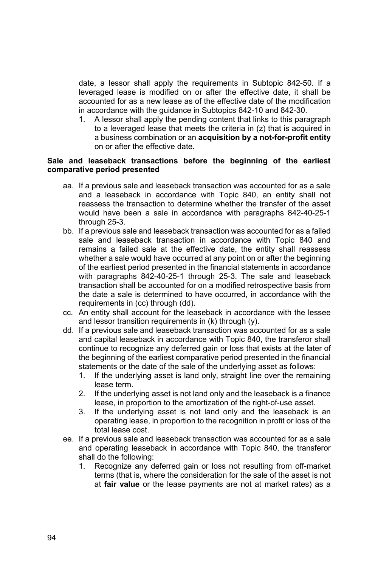date, a lessor shall apply the requirements in Subtopic 842-50. If a leveraged lease is modified on or after the effective date, it shall be accounted for as a new lease as of the effective date of the modification in accordance with the guidance in Subtopics 842-10 and 842-30.

1. A lessor shall apply the pending content that links to this paragraph to a leveraged lease that meets the criteria in (z) that is acquired in a business combination or an **acquisition by a not-for-profit entity** on or after the effective date.

### **Sale and leaseback transactions before the beginning of the earliest comparative period presented**

- aa. If a previous sale and leaseback transaction was accounted for as a sale and a leaseback in accordance with Topic 840, an entity shall not reassess the transaction to determine whether the transfer of the asset would have been a sale in accordance with paragraphs 842-40-25-1 through 25-3.
- bb. If a previous sale and leaseback transaction was accounted for as a failed sale and leaseback transaction in accordance with Topic 840 and remains a failed sale at the effective date, the entity shall reassess whether a sale would have occurred at any point on or after the beginning of the earliest period presented in the financial statements in accordance with paragraphs 842-40-25-1 through 25-3. The sale and leaseback transaction shall be accounted for on a modified retrospective basis from the date a sale is determined to have occurred, in accordance with the requirements in (cc) through (dd).
- cc. An entity shall account for the leaseback in accordance with the lessee and lessor transition requirements in (k) through (y).
- dd. If a previous sale and leaseback transaction was accounted for as a sale and capital leaseback in accordance with Topic 840, the transferor shall continue to recognize any deferred gain or loss that exists at the later of the beginning of the earliest comparative period presented in the financial statements or the date of the sale of the underlying asset as follows:
	- 1. If the underlying asset is land only, straight line over the remaining lease term.
	- 2. If the underlying asset is not land only and the leaseback is a finance lease, in proportion to the amortization of the right-of-use asset.
	- 3. If the underlying asset is not land only and the leaseback is an operating lease, in proportion to the recognition in profit or loss of the total lease cost.
- ee. If a previous sale and leaseback transaction was accounted for as a sale and operating leaseback in accordance with Topic 840, the transferor shall do the following:
	- 1. Recognize any deferred gain or loss not resulting from off-market terms (that is, where the consideration for the sale of the asset is not at **fair value** or the lease payments are not at market rates) as a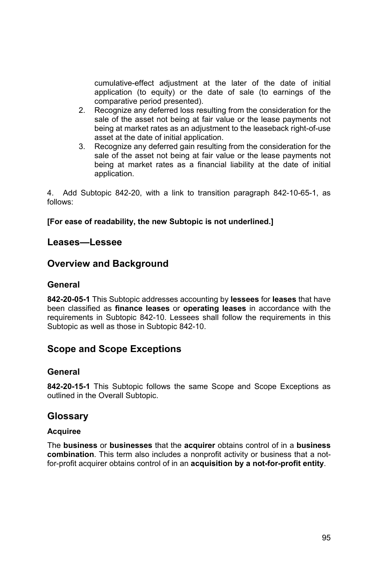cumulative-effect adjustment at the later of the date of initial application (to equity) or the date of sale (to earnings of the comparative period presented).

- 2. Recognize any deferred loss resulting from the consideration for the sale of the asset not being at fair value or the lease payments not being at market rates as an adjustment to the leaseback right-of-use asset at the date of initial application.
- 3. Recognize any deferred gain resulting from the consideration for the sale of the asset not being at fair value or the lease payments not being at market rates as a financial liability at the date of initial application.

4. Add Subtopic 842-20, with a link to transition paragraph 842-10-65-1, as follows:

# **[For ease of readability, the new Subtopic is not underlined.]**

# **Leases—Lessee**

# **Overview and Background**

# **General**

**842-20-05-1** This Subtopic addresses accounting by **lessees** for **leases** that have been classified as **finance leases** or **operating leases** in accordance with the requirements in Subtopic 842-10. Lessees shall follow the requirements in this Subtopic as well as those in Subtopic 842-10.

# **Scope and Scope Exceptions**

# **General**

**842-20-15-1** This Subtopic follows the same Scope and Scope Exceptions as outlined in the Overall Subtopic.

# **Glossary**

# **Acquiree**

The **business** or **businesses** that the **acquirer** obtains control of in a **business combination**. This term also includes a nonprofit activity or business that a notfor-profit acquirer obtains control of in an **acquisition by a not-for-profit entity**.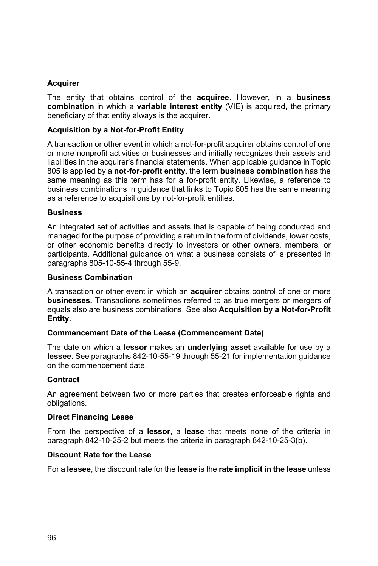# **Acquirer**

The entity that obtains control of the **acquiree**. However, in a **business combination** in which a **variable interest entity** (VIE) is acquired, the primary beneficiary of that entity always is the acquirer.

# **Acquisition by a Not-for-Profit Entity**

A transaction or other event in which a not-for-profit acquirer obtains control of one or more nonprofit activities or businesses and initially recognizes their assets and liabilities in the acquirer's financial statements. When applicable guidance in Topic 805 is applied by a **not-for-profit entity**, the term **business combination** has the same meaning as this term has for a for-profit entity. Likewise, a reference to business combinations in guidance that links to Topic 805 has the same meaning as a reference to acquisitions by not-for-profit entities.

#### **Business**

An integrated set of activities and assets that is capable of being conducted and managed for the purpose of providing a return in the form of dividends, lower costs, or other economic benefits directly to investors or other owners, members, or participants. Additional guidance on what a business consists of is presented in paragraphs 805-10-55-4 through 55-9.

### **Business Combination**

A transaction or other event in which an **acquirer** obtains control of one or more **businesses.** Transactions sometimes referred to as true mergers or mergers of equals also are business combinations. See also **Acquisition by a Not-for-Profit Entity**.

### **Commencement Date of the Lease (Commencement Date)**

The date on which a **lessor** makes an **underlying asset** available for use by a **lessee**. See paragraphs 842-10-55-19 through 55-21 for implementation guidance on the commencement date.

#### **Contract**

An agreement between two or more parties that creates enforceable rights and obligations.

#### **Direct Financing Lease**

From the perspective of a **lessor**, a **lease** that meets none of the criteria in paragraph 842-10-25-2 but meets the criteria in paragraph 842-10-25-3(b).

#### **Discount Rate for the Lease**

For a **lessee**, the discount rate for the **lease** is the **rate implicit in the lease** unless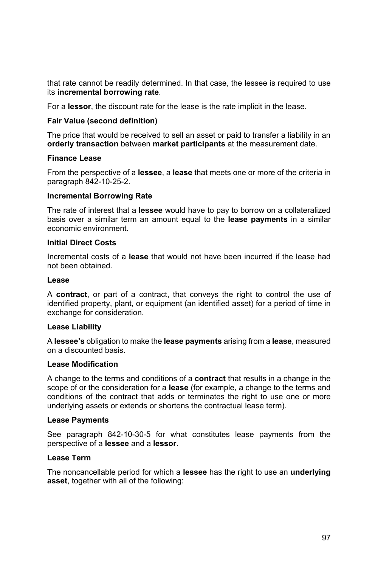that rate cannot be readily determined. In that case, the lessee is required to use its **incremental borrowing rate**.

For a **lessor**, the discount rate for the lease is the rate implicit in the lease.

### **Fair Value (second definition)**

The price that would be received to sell an asset or paid to transfer a liability in an **orderly transaction** between **market participants** at the measurement date.

### **Finance Lease**

From the perspective of a **lessee**, a **lease** that meets one or more of the criteria in paragraph 842-10-25-2.

### **Incremental Borrowing Rate**

The rate of interest that a **lessee** would have to pay to borrow on a collateralized basis over a similar term an amount equal to the **lease payments** in a similar economic environment.

### **Initial Direct Costs**

Incremental costs of a **lease** that would not have been incurred if the lease had not been obtained.

### **Lease**

A **contract**, or part of a contract, that conveys the right to control the use of identified property, plant, or equipment (an identified asset) for a period of time in exchange for consideration.

### **Lease Liability**

A **lessee's** obligation to make the **lease payments** arising from a **lease**, measured on a discounted basis.

### **Lease Modification**

A change to the terms and conditions of a **contract** that results in a change in the scope of or the consideration for a **lease** (for example, a change to the terms and conditions of the contract that adds or terminates the right to use one or more underlying assets or extends or shortens the contractual lease term).

### **Lease Payments**

See paragraph 842-10-30-5 for what constitutes lease payments from the perspective of a **lessee** and a **lessor**.

# **Lease Term**

The noncancellable period for which a **lessee** has the right to use an **underlying asset**, together with all of the following: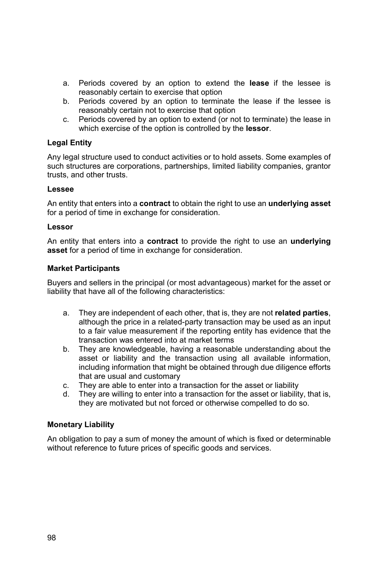- a. Periods covered by an option to extend the **lease** if the lessee is reasonably certain to exercise that option
- b. Periods covered by an option to terminate the lease if the lessee is reasonably certain not to exercise that option
- c. Periods covered by an option to extend (or not to terminate) the lease in which exercise of the option is controlled by the **lessor**.

# **Legal Entity**

Any legal structure used to conduct activities or to hold assets. Some examples of such structures are corporations, partnerships, limited liability companies, grantor trusts, and other trusts.

#### **Lessee**

An entity that enters into a **contract** to obtain the right to use an **underlying asset** for a period of time in exchange for consideration.

#### **Lessor**

An entity that enters into a **contract** to provide the right to use an **underlying asset** for a period of time in exchange for consideration.

#### **Market Participants**

Buyers and sellers in the principal (or most advantageous) market for the asset or liability that have all of the following characteristics:

- a. They are independent of each other, that is, they are not **related parties**, although the price in a related-party transaction may be used as an input to a fair value measurement if the reporting entity has evidence that the transaction was entered into at market terms
- b. They are knowledgeable, having a reasonable understanding about the asset or liability and the transaction using all available information, including information that might be obtained through due diligence efforts that are usual and customary
- c. They are able to enter into a transaction for the asset or liability
- d. They are willing to enter into a transaction for the asset or liability, that is, they are motivated but not forced or otherwise compelled to do so.

### **Monetary Liability**

An obligation to pay a sum of money the amount of which is fixed or determinable without reference to future prices of specific goods and services.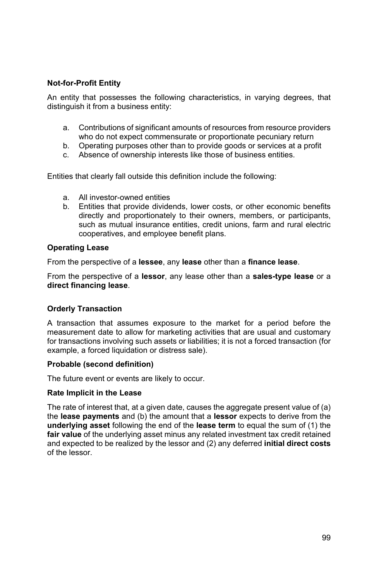# **Not-for-Profit Entity**

An entity that possesses the following characteristics, in varying degrees, that distinguish it from a business entity:

- a. Contributions of significant amounts of resources from resource providers who do not expect commensurate or proportionate pecuniary return
- b. Operating purposes other than to provide goods or services at a profit
- c. Absence of ownership interests like those of business entities.

Entities that clearly fall outside this definition include the following:

- a. All investor-owned entities
- b. Entities that provide dividends, lower costs, or other economic benefits directly and proportionately to their owners, members, or participants, such as mutual insurance entities, credit unions, farm and rural electric cooperatives, and employee benefit plans.

### **Operating Lease**

From the perspective of a **lessee**, any **lease** other than a **finance lease**.

From the perspective of a **lessor**, any lease other than a **sales-type lease** or a **direct financing lease**.

# **Orderly Transaction**

A transaction that assumes exposure to the market for a period before the measurement date to allow for marketing activities that are usual and customary for transactions involving such assets or liabilities; it is not a forced transaction (for example, a forced liquidation or distress sale).

#### **Probable (second definition)**

The future event or events are likely to occur.

#### **Rate Implicit in the Lease**

The rate of interest that, at a given date, causes the aggregate present value of (a) the **lease payments** and (b) the amount that a **lessor** expects to derive from the **underlying asset** following the end of the **lease term** to equal the sum of (1) the **fair value** of the underlying asset minus any related investment tax credit retained and expected to be realized by the lessor and (2) any deferred **initial direct costs** of the lessor.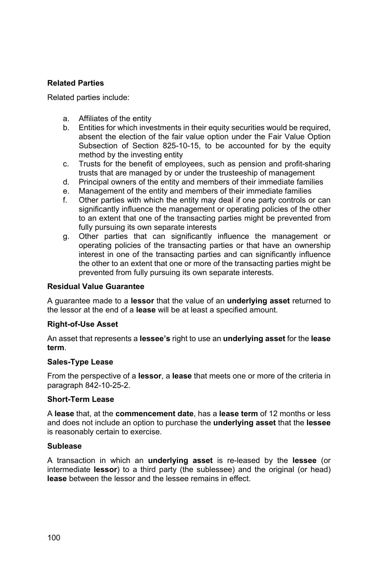# **Related Parties**

Related parties include:

- a. Affiliates of the entity
- b. Entities for which investments in their equity securities would be required, absent the election of the fair value option under the Fair Value Option Subsection of Section 825-10-15, to be accounted for by the equity method by the investing entity
- c. Trusts for the benefit of employees, such as pension and profit-sharing trusts that are managed by or under the trusteeship of management
- d. Principal owners of the entity and members of their immediate families
- e. Management of the entity and members of their immediate families
- f. Other parties with which the entity may deal if one party controls or can significantly influence the management or operating policies of the other to an extent that one of the transacting parties might be prevented from fully pursuing its own separate interests
- g. Other parties that can significantly influence the management or operating policies of the transacting parties or that have an ownership interest in one of the transacting parties and can significantly influence the other to an extent that one or more of the transacting parties might be prevented from fully pursuing its own separate interests.

#### **Residual Value Guarantee**

A guarantee made to a **lessor** that the value of an **underlying asset** returned to the lessor at the end of a **lease** will be at least a specified amount.

### **Right-of-Use Asset**

An asset that represents a **lessee's** right to use an **underlying asset** for the **lease term**.

#### **Sales-Type Lease**

From the perspective of a **lessor**, a **lease** that meets one or more of the criteria in paragraph 842-10-25-2.

### **Short-Term Lease**

A **lease** that, at the **commencement date**, has a **lease term** of 12 months or less and does not include an option to purchase the **underlying asset** that the **lessee** is reasonably certain to exercise.

### **Sublease**

A transaction in which an **underlying asset** is re-leased by the **lessee** (or intermediate **lessor**) to a third party (the sublessee) and the original (or head) **lease** between the lessor and the lessee remains in effect.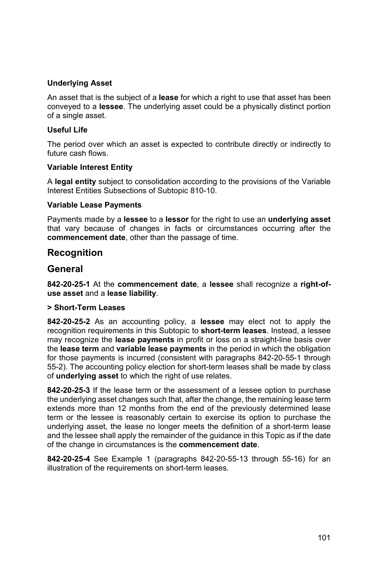# **Underlying Asset**

An asset that is the subject of a **lease** for which a right to use that asset has been conveyed to a **lessee**. The underlying asset could be a physically distinct portion of a single asset.

### **Useful Life**

The period over which an asset is expected to contribute directly or indirectly to future cash flows.

### **Variable Interest Entity**

A **legal entity** subject to consolidation according to the provisions of the Variable Interest Entities Subsections of Subtopic 810-10.

#### **Variable Lease Payments**

Payments made by a **lessee** to a **lessor** for the right to use an **underlying asset** that vary because of changes in facts or circumstances occurring after the **commencement date**, other than the passage of time.

# **Recognition**

# **General**

**842-20-25-1** At the **commencement date**, a **lessee** shall recognize a **right-ofuse asset** and a **lease liability**.

### **> Short-Term Leases**

**842-20-25-2** As an accounting policy, a **lessee** may elect not to apply the recognition requirements in this Subtopic to **short-term leases**. Instead, a lessee may recognize the **lease payments** in profit or loss on a straight-line basis over the **lease term** and **variable lease payments** in the period in which the obligation for those payments is incurred (consistent with paragraphs 842-20-55-1 through 55-2). The accounting policy election for short-term leases shall be made by class of **underlying asset** to which the right of use relates.

**842-20-25-3** If the lease term or the assessment of a lessee option to purchase the underlying asset changes such that, after the change, the remaining lease term extends more than 12 months from the end of the previously determined lease term or the lessee is reasonably certain to exercise its option to purchase the underlying asset, the lease no longer meets the definition of a short-term lease and the lessee shall apply the remainder of the guidance in this Topic as if the date of the change in circumstances is the **commencement date**.

**842-20-25-4** See Example 1 (paragraphs 842-20-55-13 through 55-16) for an illustration of the requirements on short-term leases.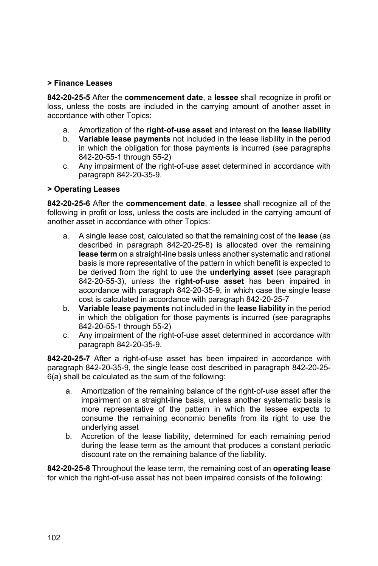# **> Finance Leases**

**842-20-25-5** After the **commencement date**, a **lessee** shall recognize in profit or loss, unless the costs are included in the carrying amount of another asset in accordance with other Topics:

- a. Amortization of the **right-of-use asset** and interest on the **lease liability**
- b. **Variable lease payments** not included in the lease liability in the period in which the obligation for those payments is incurred (see paragraphs 842-20-55-1 through 55-2)
- c. Any impairment of the right-of-use asset determined in accordance with paragraph 842-20-35-9.

### **> Operating Leases**

**842-20-25-6** After the **commencement date**, a **lessee** shall recognize all of the following in profit or loss, unless the costs are included in the carrying amount of another asset in accordance with other Topics:

- a. A single lease cost, calculated so that the remaining cost of the **lease** (as described in paragraph 842-20-25-8) is allocated over the remaining **lease term** on a straight-line basis unless another systematic and rational basis is more representative of the pattern in which benefit is expected to be derived from the right to use the **underlying asset** (see paragraph 842-20-55-3), unless the **right-of-use asset** has been impaired in accordance with paragraph 842-20-35-9, in which case the single lease cost is calculated in accordance with paragraph 842-20-25-7
- b. **Variable lease payments** not included in the **lease liability** in the period in which the obligation for those payments is incurred (see paragraphs 842-20-55-1 through 55-2)
- c. Any impairment of the right-of-use asset determined in accordance with paragraph 842-20-35-9.

**842-20-25-7** After a right-of-use asset has been impaired in accordance with paragraph 842-20-35-9, the single lease cost described in paragraph 842-20-25- 6(a) shall be calculated as the sum of the following:

- a. Amortization of the remaining balance of the right-of-use asset after the impairment on a straight-line basis, unless another systematic basis is more representative of the pattern in which the lessee expects to consume the remaining economic benefits from its right to use the underlying asset
- b. Accretion of the lease liability, determined for each remaining period during the lease term as the amount that produces a constant periodic discount rate on the remaining balance of the liability.

**842-20-25-8** Throughout the lease term, the remaining cost of an **operating lease** for which the right-of-use asset has not been impaired consists of the following: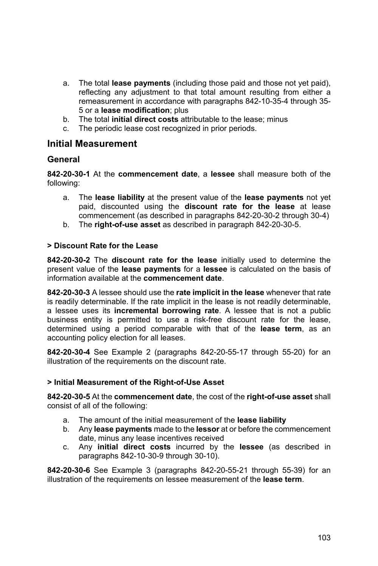- a. The total **lease payments** (including those paid and those not yet paid), reflecting any adjustment to that total amount resulting from either a remeasurement in accordance with paragraphs 842-10-35-4 through 35- 5 or a **lease modification**; plus
- b. The total **initial direct costs** attributable to the lease; minus
- c. The periodic lease cost recognized in prior periods.

## **Initial Measurement**

## **General**

**842-20-30-1** At the **commencement date**, a **lessee** shall measure both of the following:

- a. The **lease liability** at the present value of the **lease payments** not yet paid, discounted using the **discount rate for the lease** at lease commencement (as described in paragraphs 842-20-30-2 through 30-4)
- b. The **right-of-use asset** as described in paragraph 842-20-30-5.

#### **> Discount Rate for the Lease**

**842-20-30-2** The **discount rate for the lease** initially used to determine the present value of the **lease payments** for a **lessee** is calculated on the basis of information available at the **commencement date**.

**842-20-30-3** A lessee should use the **rate implicit in the lease** whenever that rate is readily determinable. If the rate implicit in the lease is not readily determinable, a lessee uses its **incremental borrowing rate**. A lessee that is not a public business entity is permitted to use a risk-free discount rate for the lease, determined using a period comparable with that of the **lease term**, as an accounting policy election for all leases.

**842-20-30-4** See Example 2 (paragraphs 842-20-55-17 through 55-20) for an illustration of the requirements on the discount rate.

#### **> Initial Measurement of the Right-of-Use Asset**

**842-20-30-5** At the **commencement date**, the cost of the **right-of-use asset** shall consist of all of the following:

- a. The amount of the initial measurement of the **lease liability**
- b. Any **lease payments** made to the **lessor** at or before the commencement date, minus any lease incentives received
- c. Any **initial direct costs** incurred by the **lessee** (as described in paragraphs 842-10-30-9 through 30-10).

**842-20-30-6** See Example 3 (paragraphs 842-20-55-21 through 55-39) for an illustration of the requirements on lessee measurement of the **lease term**.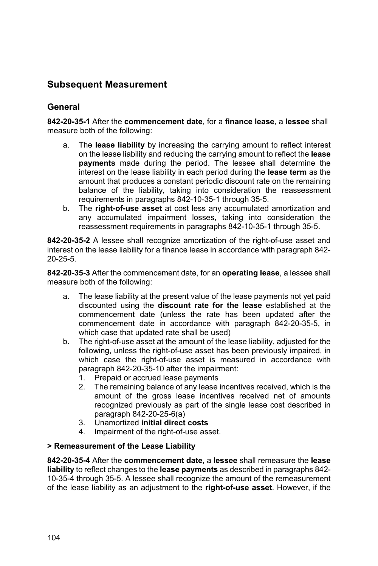# **Subsequent Measurement**

# **General**

**842-20-35-1** After the **commencement date**, for a **finance lease**, a **lessee** shall measure both of the following:

- a. The **lease liability** by increasing the carrying amount to reflect interest on the lease liability and reducing the carrying amount to reflect the **lease payments** made during the period. The lessee shall determine the interest on the lease liability in each period during the **lease term** as the amount that produces a constant periodic discount rate on the remaining balance of the liability, taking into consideration the reassessment requirements in paragraphs 842-10-35-1 through 35-5.
- b. The **right-of-use asset** at cost less any accumulated amortization and any accumulated impairment losses, taking into consideration the reassessment requirements in paragraphs 842-10-35-1 through 35-5.

**842-20-35-2** A lessee shall recognize amortization of the right-of-use asset and interest on the lease liability for a finance lease in accordance with paragraph 842- 20-25-5.

**842-20-35-3** After the commencement date, for an **operating lease**, a lessee shall measure both of the following:

- a. The lease liability at the present value of the lease payments not yet paid discounted using the **discount rate for the lease** established at the commencement date (unless the rate has been updated after the commencement date in accordance with paragraph 842-20-35-5, in which case that updated rate shall be used)
- b. The right-of-use asset at the amount of the lease liability, adjusted for the following, unless the right-of-use asset has been previously impaired, in which case the right-of-use asset is measured in accordance with paragraph 842-20-35-10 after the impairment:
	- 1. Prepaid or accrued lease payments
	- 2. The remaining balance of any lease incentives received, which is the amount of the gross lease incentives received net of amounts recognized previously as part of the single lease cost described in paragraph 842-20-25-6(a)
	- 3. Unamortized **initial direct costs**
	- 4. Impairment of the right-of-use asset.

## **> Remeasurement of the Lease Liability**

**842-20-35-4** After the **commencement date**, a **lessee** shall remeasure the **lease liability** to reflect changes to the **lease payments** as described in paragraphs 842- 10-35-4 through 35-5. A lessee shall recognize the amount of the remeasurement of the lease liability as an adjustment to the **right-of-use asset**. However, if the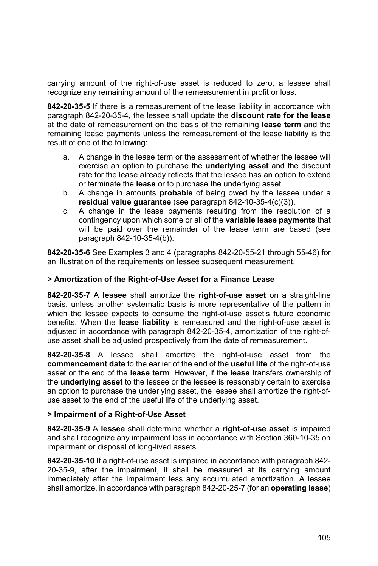carrying amount of the right-of-use asset is reduced to zero, a lessee shall recognize any remaining amount of the remeasurement in profit or loss.

**842-20-35-5** If there is a remeasurement of the lease liability in accordance with paragraph 842-20-35-4, the lessee shall update the **discount rate for the lease**  at the date of remeasurement on the basis of the remaining **lease term** and the remaining lease payments unless the remeasurement of the lease liability is the result of one of the following:

- a. A change in the lease term or the assessment of whether the lessee will exercise an option to purchase the **underlying asset** and the discount rate for the lease already reflects that the lessee has an option to extend or terminate the **lease** or to purchase the underlying asset.
- b. A change in amounts **probable** of being owed by the lessee under a **residual value guarantee** (see paragraph 842-10-35-4(c)(3)).
- c. A change in the lease payments resulting from the resolution of a contingency upon which some or all of the **variable lease payments** that will be paid over the remainder of the lease term are based (see paragraph 842-10-35-4(b)).

**842-20-35-6** See Examples 3 and 4 (paragraphs 842-20-55-21 through 55-46) for an illustration of the requirements on lessee subsequent measurement.

### **> Amortization of the Right-of-Use Asset for a Finance Lease**

**842-20-35-7** A **lessee** shall amortize the **right-of-use asset** on a straight-line basis, unless another systematic basis is more representative of the pattern in which the lessee expects to consume the right-of-use asset's future economic benefits. When the **lease liability** is remeasured and the right-of-use asset is adjusted in accordance with paragraph 842-20-35-4, amortization of the right-ofuse asset shall be adjusted prospectively from the date of remeasurement.

**842-20-35-8** A lessee shall amortize the right-of-use asset from the **commencement date** to the earlier of the end of the **useful life** of the right-of-use asset or the end of the **lease term**. However, if the **lease** transfers ownership of the **underlying asset** to the lessee or the lessee is reasonably certain to exercise an option to purchase the underlying asset, the lessee shall amortize the right-ofuse asset to the end of the useful life of the underlying asset.

#### **> Impairment of a Right-of-Use Asset**

**842-20-35-9** A **lessee** shall determine whether a **right-of-use asset** is impaired and shall recognize any impairment loss in accordance with Section 360-10-35 on impairment or disposal of long-lived assets.

**842-20-35-10** If a right-of-use asset is impaired in accordance with paragraph 842- 20-35-9, after the impairment, it shall be measured at its carrying amount immediately after the impairment less any accumulated amortization. A lessee shall amortize, in accordance with paragraph 842-20-25-7 (for an **operating lease**)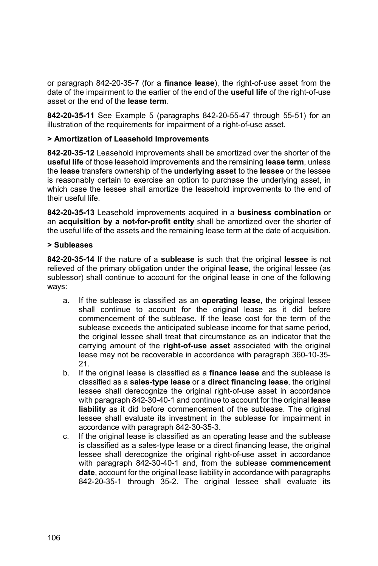or paragraph 842-20-35-7 (for a **finance lease**), the right-of-use asset from the date of the impairment to the earlier of the end of the **useful life** of the right-of-use asset or the end of the **lease term**.

**842-20-35-11** See Example 5 (paragraphs 842-20-55-47 through 55-51) for an illustration of the requirements for impairment of a right-of-use asset.

## **> Amortization of Leasehold Improvements**

**842-20-35-12** Leasehold improvements shall be amortized over the shorter of the **useful life** of those leasehold improvements and the remaining **lease term**, unless the **lease** transfers ownership of the **underlying asset** to the **lessee** or the lessee is reasonably certain to exercise an option to purchase the underlying asset, in which case the lessee shall amortize the leasehold improvements to the end of their useful life.

**842-20-35-13** Leasehold improvements acquired in a **business combination** or an **acquisition by a not-for-profit entity** shall be amortized over the shorter of the useful life of the assets and the remaining lease term at the date of acquisition.

#### **> Subleases**

**842-20-35-14** If the nature of a **sublease** is such that the original **lessee** is not relieved of the primary obligation under the original **lease**, the original lessee (as sublessor) shall continue to account for the original lease in one of the following ways:

- a. If the sublease is classified as an **operating lease**, the original lessee shall continue to account for the original lease as it did before commencement of the sublease. If the lease cost for the term of the sublease exceeds the anticipated sublease income for that same period, the original lessee shall treat that circumstance as an indicator that the carrying amount of the **right-of-use asset** associated with the original lease may not be recoverable in accordance with paragraph 360-10-35- 21.
- b. If the original lease is classified as a **finance lease** and the sublease is classified as a **sales-type lease** or a **direct financing lease**, the original lessee shall derecognize the original right-of-use asset in accordance with paragraph 842-30-40-1 and continue to account for the original **lease liability** as it did before commencement of the sublease. The original lessee shall evaluate its investment in the sublease for impairment in accordance with paragraph 842-30-35-3.
- c. If the original lease is classified as an operating lease and the sublease is classified as a sales-type lease or a direct financing lease, the original lessee shall derecognize the original right-of-use asset in accordance with paragraph 842-30-40-1 and, from the sublease **commencement date**, account for the original lease liability in accordance with paragraphs 842-20-35-1 through 35-2. The original lessee shall evaluate its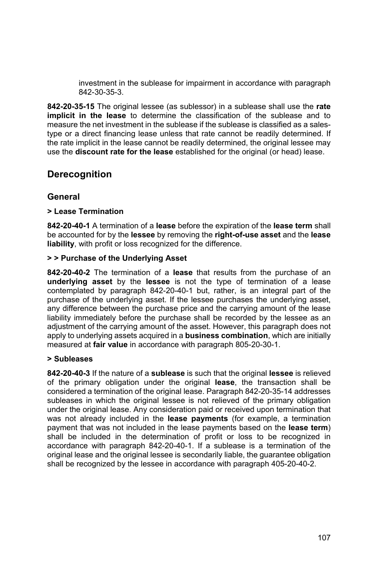investment in the sublease for impairment in accordance with paragraph 842-30-35-3.

**842-20-35-15** The original lessee (as sublessor) in a sublease shall use the **rate implicit in the lease** to determine the classification of the sublease and to measure the net investment in the sublease if the sublease is classified as a salestype or a direct financing lease unless that rate cannot be readily determined. If the rate implicit in the lease cannot be readily determined, the original lessee may use the **discount rate for the lease** established for the original (or head) lease.

# **Derecognition**

## **General**

## **> Lease Termination**

**842-20-40-1** A termination of a **lease** before the expiration of the **lease term** shall be accounted for by the **lessee** by removing the **right-of-use asset** and the **lease liability**, with profit or loss recognized for the difference.

## **> > Purchase of the Underlying Asset**

**842-20-40-2** The termination of a **lease** that results from the purchase of an **underlying asset** by the **lessee** is not the type of termination of a lease contemplated by paragraph 842-20-40-1 but, rather, is an integral part of the purchase of the underlying asset. If the lessee purchases the underlying asset, any difference between the purchase price and the carrying amount of the lease liability immediately before the purchase shall be recorded by the lessee as an adjustment of the carrying amount of the asset. However, this paragraph does not apply to underlying assets acquired in a **business combination**, which are initially measured at **fair value** in accordance with paragraph 805-20-30-1.

#### **> Subleases**

**842-20-40-3** If the nature of a **sublease** is such that the original **lessee** is relieved of the primary obligation under the original **lease**, the transaction shall be considered a termination of the original lease. Paragraph 842-20-35-14 addresses subleases in which the original lessee is not relieved of the primary obligation under the original lease. Any consideration paid or received upon termination that was not already included in the **lease payments** (for example, a termination payment that was not included in the lease payments based on the **lease term**) shall be included in the determination of profit or loss to be recognized in accordance with paragraph 842-20-40-1. If a sublease is a termination of the original lease and the original lessee is secondarily liable, the guarantee obligation shall be recognized by the lessee in accordance with paragraph 405-20-40-2.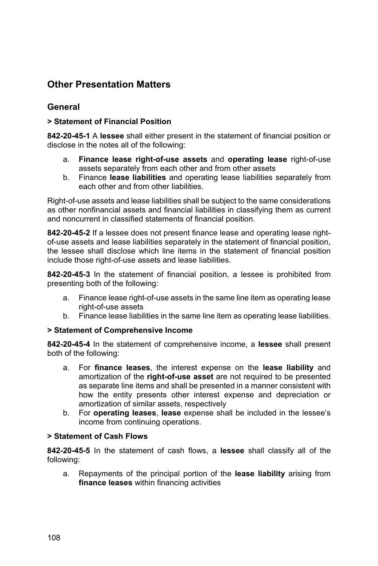# **Other Presentation Matters**

# **General**

## **> Statement of Financial Position**

**842-20-45-1** A **lessee** shall either present in the statement of financial position or disclose in the notes all of the following:

- a. **Finance lease right-of-use assets** and **operating lease** right-of-use assets separately from each other and from other assets
- b. Finance **lease liabilities** and operating lease liabilities separately from each other and from other liabilities.

Right-of-use assets and lease liabilities shall be subject to the same considerations as other nonfinancial assets and financial liabilities in classifying them as current and noncurrent in classified statements of financial position.

**842-20-45-2** If a lessee does not present finance lease and operating lease rightof-use assets and lease liabilities separately in the statement of financial position, the lessee shall disclose which line items in the statement of financial position include those right-of-use assets and lease liabilities.

**842-20-45-3** In the statement of financial position, a lessee is prohibited from presenting both of the following:

- a. Finance lease right-of-use assets in the same line item as operating lease right-of-use assets
- b. Finance lease liabilities in the same line item as operating lease liabilities.

## **> Statement of Comprehensive Income**

**842-20-45-4** In the statement of comprehensive income, a **lessee** shall present both of the following:

- a. For **finance leases**, the interest expense on the **lease liability** and amortization of the **right-of-use asset** are not required to be presented as separate line items and shall be presented in a manner consistent with how the entity presents other interest expense and depreciation or amortization of similar assets, respectively
- b. For **operating leases**, **lease** expense shall be included in the lessee's income from continuing operations.

## **> Statement of Cash Flows**

**842-20-45-5** In the statement of cash flows, a **lessee** shall classify all of the following:

a. Repayments of the principal portion of the **lease liability** arising from **finance leases** within financing activities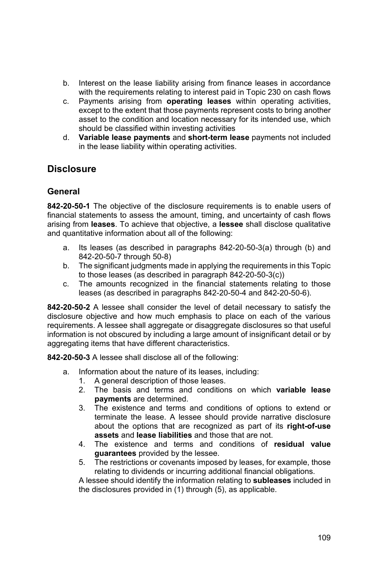- b. Interest on the lease liability arising from finance leases in accordance with the requirements relating to interest paid in Topic 230 on cash flows
- c. Payments arising from **operating leases** within operating activities, except to the extent that those payments represent costs to bring another asset to the condition and location necessary for its intended use, which should be classified within investing activities
- d. **Variable lease payments** and **short-term lease** payments not included in the lease liability within operating activities.

# **Disclosure**

# **General**

**842-20-50-1** The objective of the disclosure requirements is to enable users of financial statements to assess the amount, timing, and uncertainty of cash flows arising from **leases**. To achieve that objective, a **lessee** shall disclose qualitative and quantitative information about all of the following:

- a. Its leases (as described in paragraphs 842-20-50-3(a) through (b) and 842-20-50-7 through 50-8)
- b. The significant judgments made in applying the requirements in this Topic to those leases (as described in paragraph 842-20-50-3(c))
- c. The amounts recognized in the financial statements relating to those leases (as described in paragraphs 842-20-50-4 and 842-20-50-6).

**842-20-50-2** A lessee shall consider the level of detail necessary to satisfy the disclosure objective and how much emphasis to place on each of the various requirements. A lessee shall aggregate or disaggregate disclosures so that useful information is not obscured by including a large amount of insignificant detail or by aggregating items that have different characteristics.

**842-20-50-3** A lessee shall disclose all of the following:

- a. Information about the nature of its leases, including:
	- 1. A general description of those leases.
	- 2. The basis and terms and conditions on which **variable lease payments** are determined.
	- 3. The existence and terms and conditions of options to extend or terminate the lease. A lessee should provide narrative disclosure about the options that are recognized as part of its **right-of-use assets** and **lease liabilities** and those that are not.
	- 4. The existence and terms and conditions of **residual value guarantees** provided by the lessee.
	- 5. The restrictions or covenants imposed by leases, for example, those relating to dividends or incurring additional financial obligations.

A lessee should identify the information relating to **subleases** included in the disclosures provided in (1) through (5), as applicable.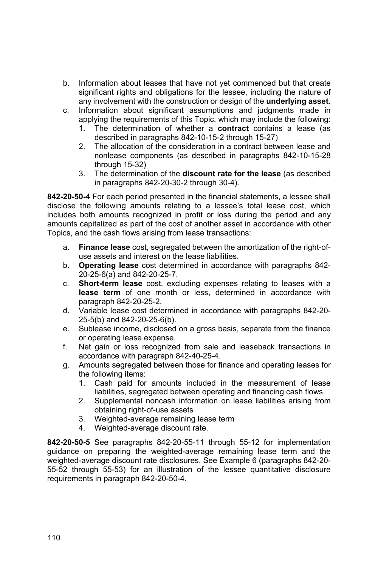- b. Information about leases that have not yet commenced but that create significant rights and obligations for the lessee, including the nature of any involvement with the construction or design of the **underlying asset**.
- c. Information about significant assumptions and judgments made in applying the requirements of this Topic, which may include the following:
	- 1. The determination of whether a **contract** contains a lease (as described in paragraphs 842-10-15-2 through 15-27)
	- 2. The allocation of the consideration in a contract between lease and nonlease components (as described in paragraphs 842-10-15-28 through 15-32)
	- 3. The determination of the **discount rate for the lease** (as described in paragraphs 842-20-30-2 through 30-4).

**842-20-50-4** For each period presented in the financial statements, a lessee shall disclose the following amounts relating to a lessee's total lease cost, which includes both amounts recognized in profit or loss during the period and any amounts capitalized as part of the cost of another asset in accordance with other Topics, and the cash flows arising from lease transactions:

- a. **Finance lease** cost, segregated between the amortization of the right-ofuse assets and interest on the lease liabilities.
- b. **Operating lease** cost determined in accordance with paragraphs 842- 20-25-6(a) and 842-20-25-7.
- c. **Short-term lease** cost, excluding expenses relating to leases with a **lease term** of one month or less, determined in accordance with paragraph 842-20-25-2.
- d. Variable lease cost determined in accordance with paragraphs 842-20- 25-5(b) and 842-20-25-6(b).
- e. Sublease income, disclosed on a gross basis, separate from the finance or operating lease expense.
- f. Net gain or loss recognized from sale and leaseback transactions in accordance with paragraph 842-40-25-4.
- g. Amounts segregated between those for finance and operating leases for the following items:
	- 1. Cash paid for amounts included in the measurement of lease liabilities, segregated between operating and financing cash flows
	- 2. Supplemental noncash information on lease liabilities arising from obtaining right-of-use assets
	- 3. Weighted-average remaining lease term
	- 4. Weighted-average discount rate.

**842-20-50-5** See paragraphs 842-20-55-11 through 55-12 for implementation guidance on preparing the weighted-average remaining lease term and the weighted-average discount rate disclosures. See Example 6 (paragraphs 842-20- 55-52 through 55-53) for an illustration of the lessee quantitative disclosure requirements in paragraph 842-20-50-4.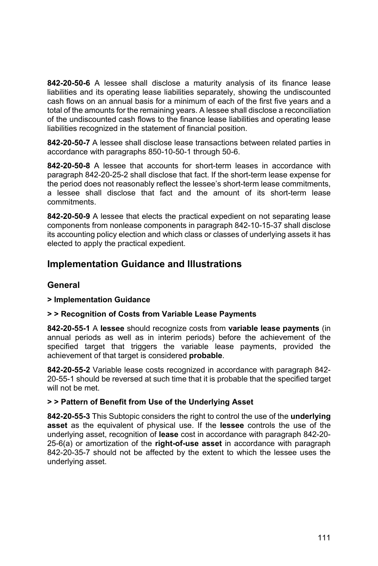**842-20-50-6** A lessee shall disclose a maturity analysis of its finance lease liabilities and its operating lease liabilities separately, showing the undiscounted cash flows on an annual basis for a minimum of each of the first five years and a total of the amounts for the remaining years. A lessee shall disclose a reconciliation of the undiscounted cash flows to the finance lease liabilities and operating lease liabilities recognized in the statement of financial position.

**842-20-50-7** A lessee shall disclose lease transactions between related parties in accordance with paragraphs 850-10-50-1 through 50-6.

**842-20-50-8** A lessee that accounts for short-term leases in accordance with paragraph 842-20-25-2 shall disclose that fact. If the short-term lease expense for the period does not reasonably reflect the lessee's short-term lease commitments, a lessee shall disclose that fact and the amount of its short-term lease commitments.

**842-20-50-9** A lessee that elects the practical expedient on not separating lease components from nonlease components in paragraph 842-10-15-37 shall disclose its accounting policy election and which class or classes of underlying assets it has elected to apply the practical expedient.

# **Implementation Guidance and Illustrations**

## **General**

#### **> Implementation Guidance**

#### **> > Recognition of Costs from Variable Lease Payments**

**842-20-55-1** A **lessee** should recognize costs from **variable lease payments** (in annual periods as well as in interim periods) before the achievement of the specified target that triggers the variable lease payments, provided the achievement of that target is considered **probable**.

**842-20-55-2** Variable lease costs recognized in accordance with paragraph 842- 20-55-1 should be reversed at such time that it is probable that the specified target will not be met.

#### **> > Pattern of Benefit from Use of the Underlying Asset**

**842-20-55-3** This Subtopic considers the right to control the use of the **underlying asset** as the equivalent of physical use. If the **lessee** controls the use of the underlying asset, recognition of **lease** cost in accordance with paragraph 842-20- 25-6(a) or amortization of the **right-of-use asset** in accordance with paragraph 842-20-35-7 should not be affected by the extent to which the lessee uses the underlying asset.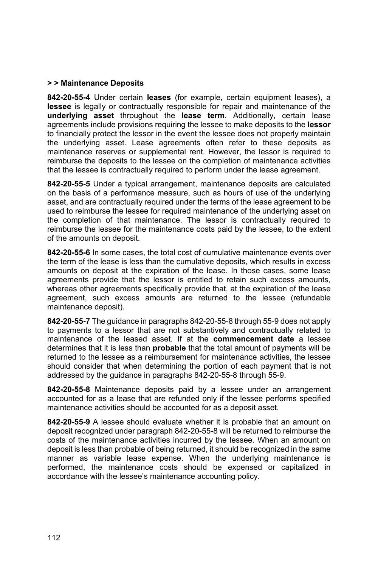## **> > Maintenance Deposits**

**842-20-55-4** Under certain **leases** (for example, certain equipment leases), a **lessee** is legally or contractually responsible for repair and maintenance of the **underlying asset** throughout the **lease term**. Additionally, certain lease agreements include provisions requiring the lessee to make deposits to the **lessor** to financially protect the lessor in the event the lessee does not properly maintain the underlying asset. Lease agreements often refer to these deposits as maintenance reserves or supplemental rent. However, the lessor is required to reimburse the deposits to the lessee on the completion of maintenance activities that the lessee is contractually required to perform under the lease agreement.

**842-20-55-5** Under a typical arrangement, maintenance deposits are calculated on the basis of a performance measure, such as hours of use of the underlying asset, and are contractually required under the terms of the lease agreement to be used to reimburse the lessee for required maintenance of the underlying asset on the completion of that maintenance. The lessor is contractually required to reimburse the lessee for the maintenance costs paid by the lessee, to the extent of the amounts on deposit.

**842-20-55-6** In some cases, the total cost of cumulative maintenance events over the term of the lease is less than the cumulative deposits, which results in excess amounts on deposit at the expiration of the lease. In those cases, some lease agreements provide that the lessor is entitled to retain such excess amounts, whereas other agreements specifically provide that, at the expiration of the lease agreement, such excess amounts are returned to the lessee (refundable maintenance deposit).

**842-20-55-7** The guidance in paragraphs 842-20-55-8 through 55-9 does not apply to payments to a lessor that are not substantively and contractually related to maintenance of the leased asset. If at the **commencement date** a lessee determines that it is less than **probable** that the total amount of payments will be returned to the lessee as a reimbursement for maintenance activities, the lessee should consider that when determining the portion of each payment that is not addressed by the guidance in paragraphs 842-20-55-8 through 55-9.

**842-20-55-8** Maintenance deposits paid by a lessee under an arrangement accounted for as a lease that are refunded only if the lessee performs specified maintenance activities should be accounted for as a deposit asset.

**842-20-55-9** A lessee should evaluate whether it is probable that an amount on deposit recognized under paragraph 842-20-55-8 will be returned to reimburse the costs of the maintenance activities incurred by the lessee. When an amount on deposit is less than probable of being returned, it should be recognized in the same manner as variable lease expense. When the underlying maintenance is performed, the maintenance costs should be expensed or capitalized in accordance with the lessee's maintenance accounting policy.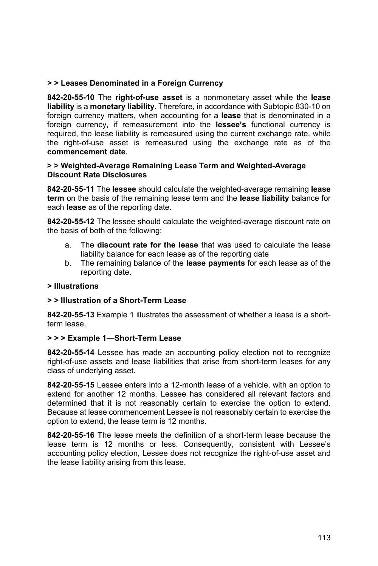## **> > Leases Denominated in a Foreign Currency**

**842-20-55-10** The **right-of-use asset** is a nonmonetary asset while the **lease liability** is a **monetary liability**. Therefore, in accordance with Subtopic 830-10 on foreign currency matters, when accounting for a **lease** that is denominated in a foreign currency, if remeasurement into the **lessee's** functional currency is required, the lease liability is remeasured using the current exchange rate, while the right-of-use asset is remeasured using the exchange rate as of the **commencement date**.

#### **> > Weighted-Average Remaining Lease Term and Weighted-Average Discount Rate Disclosures**

**842-20-55-11** The **lessee** should calculate the weighted-average remaining **lease term** on the basis of the remaining lease term and the **lease liability** balance for each **lease** as of the reporting date.

**842-20-55-12** The lessee should calculate the weighted-average discount rate on the basis of both of the following:

- a. The **discount rate for the lease** that was used to calculate the lease liability balance for each lease as of the reporting date
- b. The remaining balance of the **lease payments** for each lease as of the reporting date.

#### **> Illustrations**

#### **> > Illustration of a Short-Term Lease**

**842-20-55-13** Example 1 illustrates the assessment of whether a lease is a shortterm lease.

#### **> > > Example 1—Short-Term Lease**

**842-20-55-14** Lessee has made an accounting policy election not to recognize right-of-use assets and lease liabilities that arise from short-term leases for any class of underlying asset.

**842-20-55-15** Lessee enters into a 12-month lease of a vehicle, with an option to extend for another 12 months. Lessee has considered all relevant factors and determined that it is not reasonably certain to exercise the option to extend. Because at lease commencement Lessee is not reasonably certain to exercise the option to extend, the lease term is 12 months.

**842-20-55-16** The lease meets the definition of a short-term lease because the lease term is 12 months or less. Consequently, consistent with Lessee's accounting policy election, Lessee does not recognize the right-of-use asset and the lease liability arising from this lease.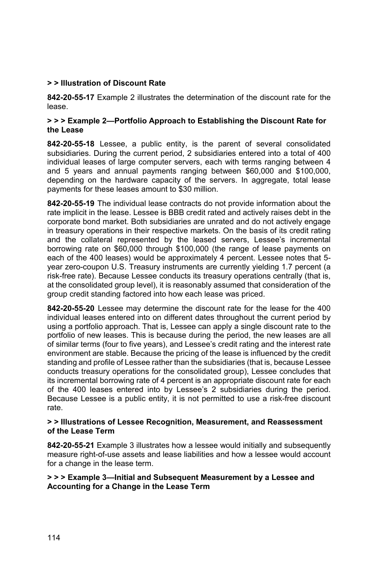## **> > Illustration of Discount Rate**

**842-20-55-17** Example 2 illustrates the determination of the discount rate for the lease.

### **> > > Example 2—Portfolio Approach to Establishing the Discount Rate for the Lease**

**842-20-55-18** Lessee, a public entity, is the parent of several consolidated subsidiaries. During the current period, 2 subsidiaries entered into a total of 400 individual leases of large computer servers, each with terms ranging between 4 and 5 years and annual payments ranging between \$60,000 and \$100,000, depending on the hardware capacity of the servers. In aggregate, total lease payments for these leases amount to \$30 million.

**842-20-55-19** The individual lease contracts do not provide information about the rate implicit in the lease. Lessee is BBB credit rated and actively raises debt in the corporate bond market. Both subsidiaries are unrated and do not actively engage in treasury operations in their respective markets. On the basis of its credit rating and the collateral represented by the leased servers, Lessee's incremental borrowing rate on \$60,000 through \$100,000 (the range of lease payments on each of the 400 leases) would be approximately 4 percent. Lessee notes that 5 year zero-coupon U.S. Treasury instruments are currently yielding 1.7 percent (a risk-free rate). Because Lessee conducts its treasury operations centrally (that is, at the consolidated group level), it is reasonably assumed that consideration of the group credit standing factored into how each lease was priced.

**842-20-55-20** Lessee may determine the discount rate for the lease for the 400 individual leases entered into on different dates throughout the current period by using a portfolio approach. That is, Lessee can apply a single discount rate to the portfolio of new leases. This is because during the period, the new leases are all of similar terms (four to five years), and Lessee's credit rating and the interest rate environment are stable. Because the pricing of the lease is influenced by the credit standing and profile of Lessee rather than the subsidiaries (that is, because Lessee conducts treasury operations for the consolidated group), Lessee concludes that its incremental borrowing rate of 4 percent is an appropriate discount rate for each of the 400 leases entered into by Lessee's 2 subsidiaries during the period. Because Lessee is a public entity, it is not permitted to use a risk-free discount rate.

#### **> > Illustrations of Lessee Recognition, Measurement, and Reassessment of the Lease Term**

**842-20-55-21** Example 3 illustrates how a lessee would initially and subsequently measure right-of-use assets and lease liabilities and how a lessee would account for a change in the lease term.

## **> > > Example 3—Initial and Subsequent Measurement by a Lessee and Accounting for a Change in the Lease Term**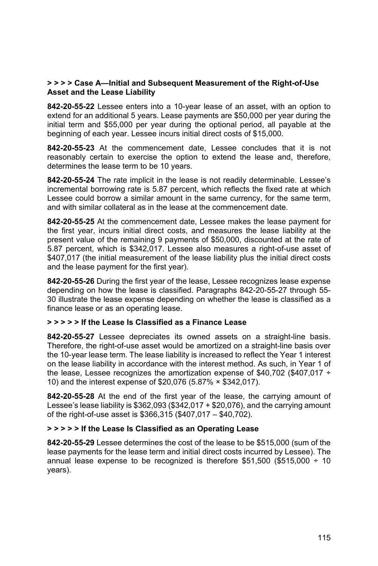## **> > > > Case A—Initial and Subsequent Measurement of the Right-of-Use Asset and the Lease Liability**

**842-20-55-22** Lessee enters into a 10-year lease of an asset, with an option to extend for an additional 5 years. Lease payments are \$50,000 per year during the initial term and \$55,000 per year during the optional period, all payable at the beginning of each year. Lessee incurs initial direct costs of \$15,000.

**842-20-55-23** At the commencement date, Lessee concludes that it is not reasonably certain to exercise the option to extend the lease and, therefore, determines the lease term to be 10 years.

**842-20-55-24** The rate implicit in the lease is not readily determinable. Lessee's incremental borrowing rate is 5.87 percent, which reflects the fixed rate at which Lessee could borrow a similar amount in the same currency, for the same term, and with similar collateral as in the lease at the commencement date.

**842-20-55-25** At the commencement date, Lessee makes the lease payment for the first year, incurs initial direct costs, and measures the lease liability at the present value of the remaining 9 payments of \$50,000, discounted at the rate of 5.87 percent, which is \$342,017. Lessee also measures a right-of-use asset of \$407,017 (the initial measurement of the lease liability plus the initial direct costs and the lease payment for the first year).

**842-20-55-26** During the first year of the lease, Lessee recognizes lease expense depending on how the lease is classified. Paragraphs 842-20-55-27 through 55- 30 illustrate the lease expense depending on whether the lease is classified as a finance lease or as an operating lease.

## **> > > > > If the Lease Is Classified as a Finance Lease**

**842-20-55-27** Lessee depreciates its owned assets on a straight-line basis. Therefore, the right-of-use asset would be amortized on a straight-line basis over the 10-year lease term. The lease liability is increased to reflect the Year 1 interest on the lease liability in accordance with the interest method. As such, in Year 1 of the lease, Lessee recognizes the amortization expense of \$40,702 (\$407,017  $\div$ 10) and the interest expense of \$20,076 (5.87% × \$342,017).

**842-20-55-28** At the end of the first year of the lease, the carrying amount of Lessee's lease liability is  $$362,093$  ( $$342,017 + $20,076$ ), and the carrying amount of the right-of-use asset is \$366,315 (\$407,017 – \$40,702).

#### **> > > > > If the Lease Is Classified as an Operating Lease**

**842-20-55-29** Lessee determines the cost of the lease to be \$515,000 (sum of the lease payments for the lease term and initial direct costs incurred by Lessee). The annual lease expense to be recognized is therefore \$51,500 (\$515,000  $\div$  10 years).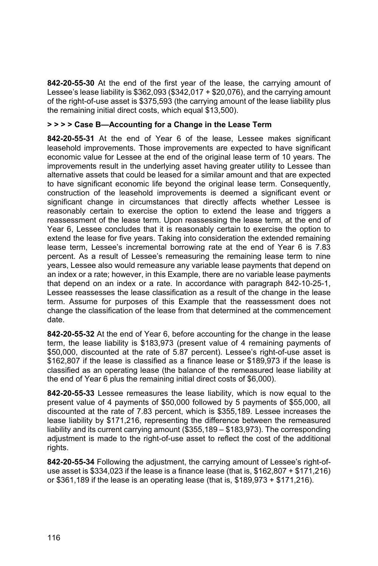**842-20-55-30** At the end of the first year of the lease, the carrying amount of Lessee's lease liability is \$362,093 (\$342,017 + \$20,076), and the carrying amount of the right-of-use asset is \$375,593 (the carrying amount of the lease liability plus the remaining initial direct costs, which equal \$13,500).

## **> > > > Case B—Accounting for a Change in the Lease Term**

**842-20-55-31** At the end of Year 6 of the lease, Lessee makes significant leasehold improvements. Those improvements are expected to have significant economic value for Lessee at the end of the original lease term of 10 years. The improvements result in the underlying asset having greater utility to Lessee than alternative assets that could be leased for a similar amount and that are expected to have significant economic life beyond the original lease term. Consequently, construction of the leasehold improvements is deemed a significant event or significant change in circumstances that directly affects whether Lessee is reasonably certain to exercise the option to extend the lease and triggers a reassessment of the lease term. Upon reassessing the lease term, at the end of Year 6, Lessee concludes that it is reasonably certain to exercise the option to extend the lease for five years. Taking into consideration the extended remaining lease term, Lessee's incremental borrowing rate at the end of Year 6 is 7.83 percent. As a result of Lessee's remeasuring the remaining lease term to nine years, Lessee also would remeasure any variable lease payments that depend on an index or a rate; however, in this Example, there are no variable lease payments that depend on an index or a rate. In accordance with paragraph 842-10-25-1, Lessee reassesses the lease classification as a result of the change in the lease term. Assume for purposes of this Example that the reassessment does not change the classification of the lease from that determined at the commencement date.

**842-20-55-32** At the end of Year 6, before accounting for the change in the lease term, the lease liability is \$183,973 (present value of 4 remaining payments of \$50,000, discounted at the rate of 5.87 percent). Lessee's right-of-use asset is \$162,807 if the lease is classified as a finance lease or \$189,973 if the lease is classified as an operating lease (the balance of the remeasured lease liability at the end of Year 6 plus the remaining initial direct costs of \$6,000).

**842-20-55-33** Lessee remeasures the lease liability, which is now equal to the present value of 4 payments of \$50,000 followed by 5 payments of \$55,000, all discounted at the rate of 7.83 percent, which is \$355,189. Lessee increases the lease liability by \$171,216, representing the difference between the remeasured liability and its current carrying amount (\$355,189 – \$183,973). The corresponding adjustment is made to the right-of-use asset to reflect the cost of the additional rights.

**842-20-55-34** Following the adjustment, the carrying amount of Lessee's right-ofuse asset is \$334,023 if the lease is a finance lease (that is, \$162,807 + \$171,216) or \$361,189 if the lease is an operating lease (that is, \$189,973 + \$171,216).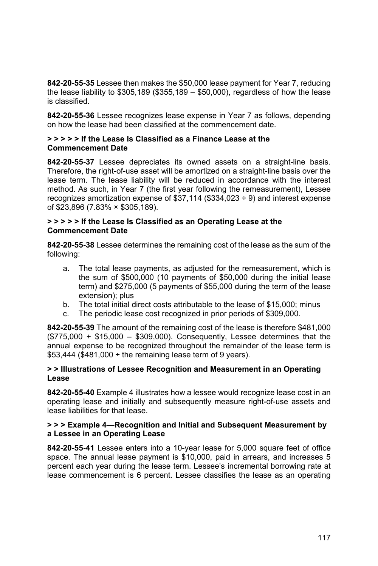**842-20-55-35** Lessee then makes the \$50,000 lease payment for Year 7, reducing the lease liability to \$305,189 (\$355,189 – \$50,000), regardless of how the lease is classified.

**842-20-55-36** Lessee recognizes lease expense in Year 7 as follows, depending on how the lease had been classified at the commencement date.

### **> > > > > If the Lease Is Classified as a Finance Lease at the Commencement Date**

**842-20-55-37** Lessee depreciates its owned assets on a straight-line basis. Therefore, the right-of-use asset will be amortized on a straight-line basis over the lease term. The lease liability will be reduced in accordance with the interest method. As such, in Year 7 (the first year following the remeasurement), Lessee recognizes amortization expense of  $$37,114$  (\$334,023 ÷ 9) and interest expense of \$23,896 (7.83% × \$305,189).

## **> > > > > If the Lease Is Classified as an Operating Lease at the Commencement Date**

**842-20-55-38** Lessee determines the remaining cost of the lease as the sum of the following:

- a. The total lease payments, as adjusted for the remeasurement, which is the sum of \$500,000 (10 payments of \$50,000 during the initial lease term) and \$275,000 (5 payments of \$55,000 during the term of the lease extension); plus
- b. The total initial direct costs attributable to the lease of \$15,000; minus
- c. The periodic lease cost recognized in prior periods of \$309,000.

**842-20-55-39** The amount of the remaining cost of the lease is therefore \$481,000 (\$775,000 + \$15,000 – \$309,000). Consequently, Lessee determines that the annual expense to be recognized throughout the remainder of the lease term is  $$53,444$  (\$481,000 ÷ the remaining lease term of 9 years).

## **> > Illustrations of Lessee Recognition and Measurement in an Operating Lease**

**842-20-55-40** Example 4 illustrates how a lessee would recognize lease cost in an operating lease and initially and subsequently measure right-of-use assets and lease liabilities for that lease.

#### **> > > Example 4—Recognition and Initial and Subsequent Measurement by a Lessee in an Operating Lease**

**842-20-55-41** Lessee enters into a 10-year lease for 5,000 square feet of office space. The annual lease payment is \$10,000, paid in arrears, and increases 5 percent each year during the lease term. Lessee's incremental borrowing rate at lease commencement is 6 percent. Lessee classifies the lease as an operating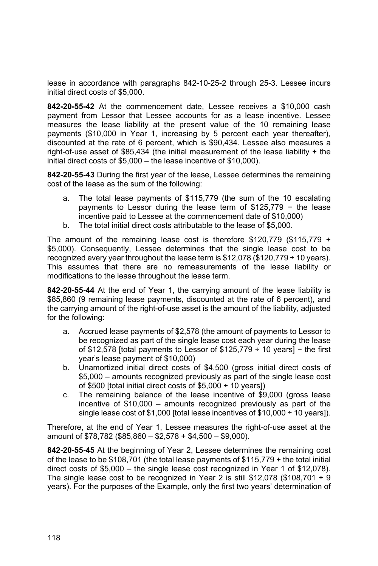lease in accordance with paragraphs 842-10-25-2 through 25-3. Lessee incurs initial direct costs of \$5,000.

**842-20-55-42** At the commencement date, Lessee receives a \$10,000 cash payment from Lessor that Lessee accounts for as a lease incentive. Lessee measures the lease liability at the present value of the 10 remaining lease payments (\$10,000 in Year 1, increasing by 5 percent each year thereafter), discounted at the rate of 6 percent, which is \$90,434. Lessee also measures a right-of-use asset of \$85,434 (the initial measurement of the lease liability + the initial direct costs of \$5,000 – the lease incentive of \$10,000).

**842-20-55-43** During the first year of the lease, Lessee determines the remaining cost of the lease as the sum of the following:

- a. The total lease payments of \$115,779 (the sum of the 10 escalating payments to Lessor during the lease term of \$125,779 − the lease incentive paid to Lessee at the commencement date of \$10,000)
- b. The total initial direct costs attributable to the lease of \$5,000.

The amount of the remaining lease cost is therefore  $$120,779$  (\$115,779 + \$5,000). Consequently, Lessee determines that the single lease cost to be recognized every year throughout the lease term is  $$12,078$  (\$120,779  $\div$  10 years). This assumes that there are no remeasurements of the lease liability or modifications to the lease throughout the lease term.

**842-20-55-44** At the end of Year 1, the carrying amount of the lease liability is \$85,860 (9 remaining lease payments, discounted at the rate of 6 percent), and the carrying amount of the right-of-use asset is the amount of the liability, adjusted for the following:

- a. Accrued lease payments of \$2,578 (the amount of payments to Lessor to be recognized as part of the single lease cost each year during the lease of \$12,578 [total payments to Lessor of \$125,779 ÷ 10 years] − the first year's lease payment of \$10,000)
- b. Unamortized initial direct costs of \$4,500 (gross initial direct costs of \$5,000 – amounts recognized previously as part of the single lease cost of \$500 [total initial direct costs of  $$5,000 \div 10$  years])
- c. The remaining balance of the lease incentive of \$9,000 (gross lease incentive of \$10,000 – amounts recognized previously as part of the single lease cost of \$1,000 [total lease incentives of  $$10,000 \div 10$  years]).

Therefore, at the end of Year 1, Lessee measures the right-of-use asset at the amount of \$78,782 (\$85,860 – \$2,578 + \$4,500 – \$9,000).

**842-20-55-45** At the beginning of Year 2, Lessee determines the remaining cost of the lease to be \$108,701 (the total lease payments of \$115,779 + the total initial direct costs of \$5,000 – the single lease cost recognized in Year 1 of \$12,078). The single lease cost to be recognized in Year 2 is still \$12,078 (\$108,701  $\div$  9 years). For the purposes of the Example, only the first two years' determination of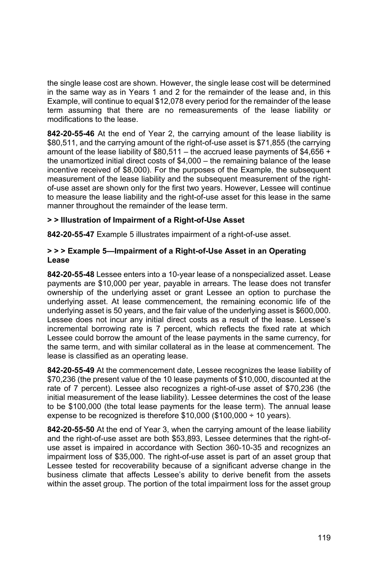the single lease cost are shown. However, the single lease cost will be determined in the same way as in Years 1 and 2 for the remainder of the lease and, in this Example, will continue to equal \$12,078 every period for the remainder of the lease term assuming that there are no remeasurements of the lease liability or modifications to the lease.

**842-20-55-46** At the end of Year 2, the carrying amount of the lease liability is \$80,511, and the carrying amount of the right-of-use asset is \$71,855 (the carrying amount of the lease liability of  $$80,511 -$  the accrued lease payments of  $$4,656 +$ the unamortized initial direct costs of \$4,000 – the remaining balance of the lease incentive received of \$8,000). For the purposes of the Example, the subsequent measurement of the lease liability and the subsequent measurement of the rightof-use asset are shown only for the first two years. However, Lessee will continue to measure the lease liability and the right-of-use asset for this lease in the same manner throughout the remainder of the lease term.

## **> > Illustration of Impairment of a Right-of-Use Asset**

**842-20-55-47** Example 5 illustrates impairment of a right-of-use asset.

#### **> > > Example 5—Impairment of a Right-of-Use Asset in an Operating Lease**

**842-20-55-48** Lessee enters into a 10-year lease of a nonspecialized asset. Lease payments are \$10,000 per year, payable in arrears. The lease does not transfer ownership of the underlying asset or grant Lessee an option to purchase the underlying asset. At lease commencement, the remaining economic life of the underlying asset is 50 years, and the fair value of the underlying asset is \$600,000. Lessee does not incur any initial direct costs as a result of the lease. Lessee's incremental borrowing rate is 7 percent, which reflects the fixed rate at which Lessee could borrow the amount of the lease payments in the same currency, for the same term, and with similar collateral as in the lease at commencement. The lease is classified as an operating lease.

**842-20-55-49** At the commencement date, Lessee recognizes the lease liability of \$70,236 (the present value of the 10 lease payments of \$10,000, discounted at the rate of 7 percent). Lessee also recognizes a right-of-use asset of \$70,236 (the initial measurement of the lease liability). Lessee determines the cost of the lease to be \$100,000 (the total lease payments for the lease term). The annual lease expense to be recognized is therefore  $$10,000$  (\$100,000 ÷ 10 years).

**842-20-55-50** At the end of Year 3, when the carrying amount of the lease liability and the right-of-use asset are both \$53,893, Lessee determines that the right-ofuse asset is impaired in accordance with Section 360-10-35 and recognizes an impairment loss of \$35,000. The right-of-use asset is part of an asset group that Lessee tested for recoverability because of a significant adverse change in the business climate that affects Lessee's ability to derive benefit from the assets within the asset group. The portion of the total impairment loss for the asset group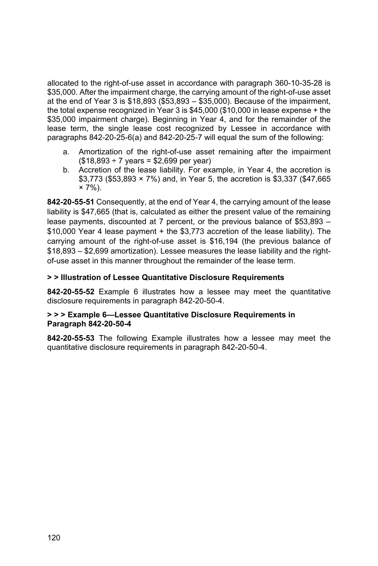allocated to the right-of-use asset in accordance with paragraph 360-10-35-28 is \$35,000. After the impairment charge, the carrying amount of the right-of-use asset at the end of Year 3 is \$18,893 (\$53,893 – \$35,000). Because of the impairment, the total expense recognized in Year 3 is \$45,000 (\$10,000 in lease expense + the \$35,000 impairment charge). Beginning in Year 4, and for the remainder of the lease term, the single lease cost recognized by Lessee in accordance with paragraphs 842-20-25-6(a) and 842-20-25-7 will equal the sum of the following:

- a. Amortization of the right-of-use asset remaining after the impairment  $($18,893 \div 7 \text{ years} = $2,699 \text{ per year})$
- b. Accretion of the lease liability. For example, in Year 4, the accretion is \$3,773 (\$53,893 × 7%) and, in Year 5, the accretion is \$3,337 (\$47,665  $× 7\%$ ).

**842-20-55-51** Consequently, at the end of Year 4, the carrying amount of the lease liability is \$47,665 (that is, calculated as either the present value of the remaining lease payments, discounted at 7 percent, or the previous balance of \$53,893 – \$10,000 Year 4 lease payment + the \$3,773 accretion of the lease liability). The carrying amount of the right-of-use asset is \$16,194 (the previous balance of \$18,893 – \$2,699 amortization). Lessee measures the lease liability and the rightof-use asset in this manner throughout the remainder of the lease term.

## **> > Illustration of Lessee Quantitative Disclosure Requirements**

**842-20-55-52** Example 6 illustrates how a lessee may meet the quantitative disclosure requirements in paragraph 842-20-50-4.

#### **> > > Example 6—Lessee Quantitative Disclosure Requirements in Paragraph 842-20-50-4**

**842-20-55-53** The following Example illustrates how a lessee may meet the quantitative disclosure requirements in paragraph 842-20-50-4.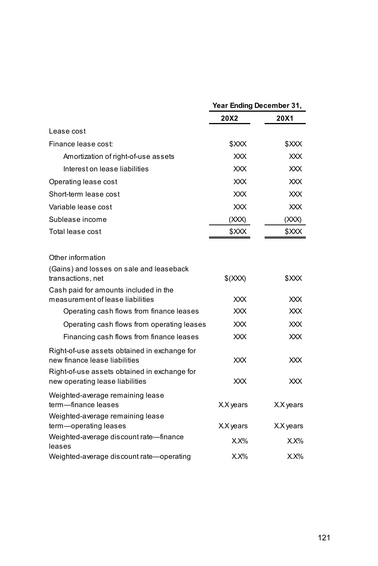|                                                                                 | Year Ending December 31, |             |
|---------------------------------------------------------------------------------|--------------------------|-------------|
|                                                                                 | 20X2                     | <b>20X1</b> |
| Lease cost                                                                      |                          |             |
| Finance lease cost:                                                             | \$XXX                    | \$XXX       |
| Amortization of right-of-use assets                                             | XXX                      | XXX         |
| Interest on lease liabilities                                                   | <b>XXX</b>               | <b>XXX</b>  |
| Operating lease cost                                                            | <b>XXX</b>               | <b>XXX</b>  |
| Short-term lease cost                                                           | XXX                      | <b>XXX</b>  |
| Variable lease cost                                                             | <b>XXX</b>               | <b>XXX</b>  |
| Sublease income                                                                 | (XXX)                    | (XXX)       |
| Total lease cost                                                                | \$XXX                    | \$XXX       |
|                                                                                 |                          |             |
| Other information                                                               |                          |             |
| (Gains) and losses on sale and leaseback<br>transactions, net                   | \$(XXX)                  | \$XXX       |
| Cash paid for amounts included in the<br>measurement of lease liabilities       | XXX                      | XXX         |
| Operating cash flows from finance leases                                        | <b>XXX</b>               | <b>XXX</b>  |
| Operating cash flows from operating leases                                      | <b>XXX</b>               | <b>XXX</b>  |
| Financing cash flows from finance leases                                        | <b>XXX</b>               | <b>XXX</b>  |
| Right-of-use assets obtained in exchange for<br>new finance lease liabilities   | <b>XXX</b>               | XXX         |
| Right-of-use assets obtained in exchange for<br>new operating lease liabilities | <b>XXX</b>               | <b>XXX</b>  |
| Weighted-average remaining lease<br>term-finance leases                         | X.X years                | X.X years   |
| Weighted-average remaining lease<br>term-operating leases                       | X.X years                | X.X years   |
| Weighted-average discount rate-finance<br>leases                                | $X.X\%$                  | $X.X\%$     |
| Weighted-average discount rate-operating                                        | $X.X\%$                  | $X.X\%$     |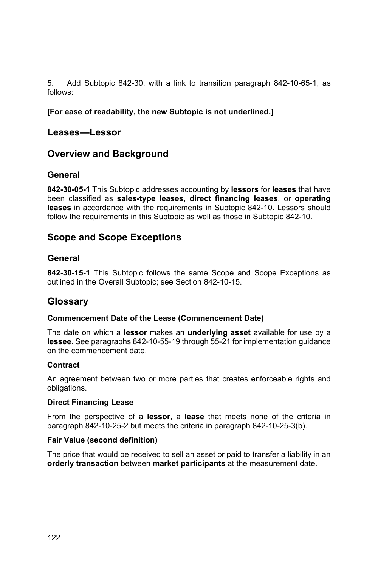5. Add Subtopic 842-30, with a link to transition paragraph 842-10-65-1, as follows:

**[For ease of readability, the new Subtopic is not underlined.]** 

**Leases—Lessor** 

# **Overview and Background**

## **General**

**842-30-05-1** This Subtopic addresses accounting by **lessors** for **leases** that have been classified as **sales-type leases**, **direct financing leases**, or **operating leases** in accordance with the requirements in Subtopic 842-10. Lessors should follow the requirements in this Subtopic as well as those in Subtopic 842-10.

## **Scope and Scope Exceptions**

## **General**

**842-30-15-1** This Subtopic follows the same Scope and Scope Exceptions as outlined in the Overall Subtopic; see Section 842-10-15.

# **Glossary**

## **Commencement Date of the Lease (Commencement Date)**

The date on which a **lessor** makes an **underlying asset** available for use by a **lessee**. See paragraphs 842-10-55-19 through 55-21 for implementation guidance on the commencement date.

## **Contract**

An agreement between two or more parties that creates enforceable rights and obligations.

#### **Direct Financing Lease**

From the perspective of a **lessor**, a **lease** that meets none of the criteria in paragraph 842-10-25-2 but meets the criteria in paragraph 842-10-25-3(b).

#### **Fair Value (second definition)**

The price that would be received to sell an asset or paid to transfer a liability in an **orderly transaction** between **market participants** at the measurement date.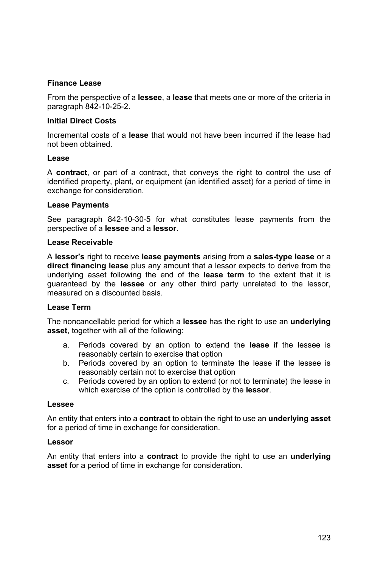## **Finance Lease**

From the perspective of a **lessee**, a **lease** that meets one or more of the criteria in paragraph 842-10-25-2.

### **Initial Direct Costs**

Incremental costs of a **lease** that would not have been incurred if the lease had not been obtained.

#### **Lease**

A **contract**, or part of a contract, that conveys the right to control the use of identified property, plant, or equipment (an identified asset) for a period of time in exchange for consideration.

#### **Lease Payments**

See paragraph 842-10-30-5 for what constitutes lease payments from the perspective of a **lessee** and a **lessor**.

#### **Lease Receivable**

A **lessor's** right to receive **lease payments** arising from a **sales-type lease** or a **direct financing lease** plus any amount that a lessor expects to derive from the underlying asset following the end of the **lease term** to the extent that it is guaranteed by the **lessee** or any other third party unrelated to the lessor, measured on a discounted basis.

## **Lease Term**

The noncancellable period for which a **lessee** has the right to use an **underlying asset**, together with all of the following:

- a. Periods covered by an option to extend the **lease** if the lessee is reasonably certain to exercise that option
- b. Periods covered by an option to terminate the lease if the lessee is reasonably certain not to exercise that option
- c. Periods covered by an option to extend (or not to terminate) the lease in which exercise of the option is controlled by the **lessor**.

#### **Lessee**

An entity that enters into a **contract** to obtain the right to use an **underlying asset** for a period of time in exchange for consideration.

#### **Lessor**

An entity that enters into a **contract** to provide the right to use an **underlying asset** for a period of time in exchange for consideration.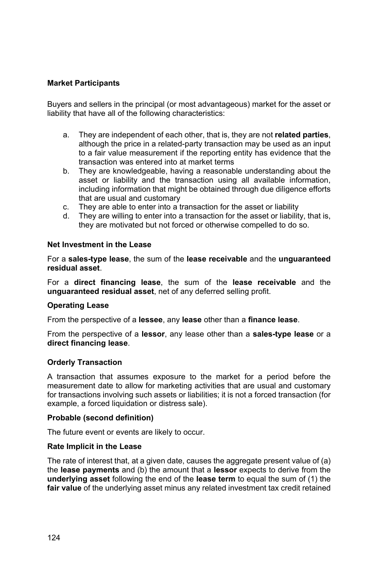## **Market Participants**

Buyers and sellers in the principal (or most advantageous) market for the asset or liability that have all of the following characteristics:

- a. They are independent of each other, that is, they are not **related parties**, although the price in a related-party transaction may be used as an input to a fair value measurement if the reporting entity has evidence that the transaction was entered into at market terms
- b. They are knowledgeable, having a reasonable understanding about the asset or liability and the transaction using all available information, including information that might be obtained through due diligence efforts that are usual and customary
- c. They are able to enter into a transaction for the asset or liability
- d. They are willing to enter into a transaction for the asset or liability, that is, they are motivated but not forced or otherwise compelled to do so.

#### **Net Investment in the Lease**

For a **sales-type lease**, the sum of the **lease receivable** and the **unguaranteed residual asset**.

For a **direct financing lease**, the sum of the **lease receivable** and the **unguaranteed residual asset**, net of any deferred selling profit.

#### **Operating Lease**

From the perspective of a **lessee**, any **lease** other than a **finance lease**.

From the perspective of a **lessor**, any lease other than a **sales-type lease** or a **direct financing lease**.

#### **Orderly Transaction**

A transaction that assumes exposure to the market for a period before the measurement date to allow for marketing activities that are usual and customary for transactions involving such assets or liabilities; it is not a forced transaction (for example, a forced liquidation or distress sale).

#### **Probable (second definition)**

The future event or events are likely to occur.

#### **Rate Implicit in the Lease**

The rate of interest that, at a given date, causes the aggregate present value of (a) the **lease payments** and (b) the amount that a **lessor** expects to derive from the **underlying asset** following the end of the **lease term** to equal the sum of (1) the **fair value** of the underlying asset minus any related investment tax credit retained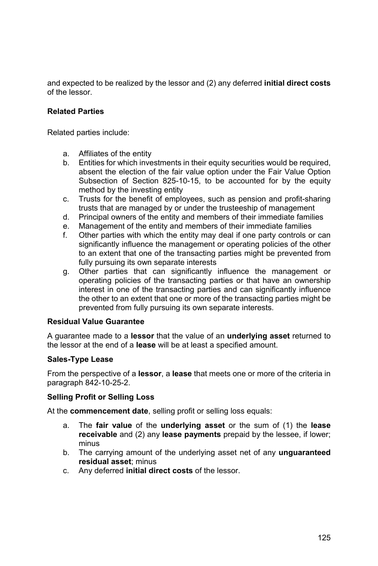and expected to be realized by the lessor and (2) any deferred **initial direct costs** of the lessor.

## **Related Parties**

Related parties include:

- a. Affiliates of the entity
- b. Entities for which investments in their equity securities would be required, absent the election of the fair value option under the Fair Value Option Subsection of Section 825-10-15, to be accounted for by the equity method by the investing entity
- c. Trusts for the benefit of employees, such as pension and profit-sharing trusts that are managed by or under the trusteeship of management
- d. Principal owners of the entity and members of their immediate families
- e. Management of the entity and members of their immediate families
- f. Other parties with which the entity may deal if one party controls or can significantly influence the management or operating policies of the other to an extent that one of the transacting parties might be prevented from fully pursuing its own separate interests
- g. Other parties that can significantly influence the management or operating policies of the transacting parties or that have an ownership interest in one of the transacting parties and can significantly influence the other to an extent that one or more of the transacting parties might be prevented from fully pursuing its own separate interests.

#### **Residual Value Guarantee**

A guarantee made to a **lessor** that the value of an **underlying asset** returned to the lessor at the end of a **lease** will be at least a specified amount.

## **Sales-Type Lease**

From the perspective of a **lessor**, a **lease** that meets one or more of the criteria in paragraph 842-10-25-2.

## **Selling Profit or Selling Loss**

At the **commencement date**, selling profit or selling loss equals:

- a. The **fair value** of the **underlying asset** or the sum of (1) the **lease receivable** and (2) any **lease payments** prepaid by the lessee, if lower; minus
- b. The carrying amount of the underlying asset net of any **unguaranteed residual asset**; minus
- c. Any deferred **initial direct costs** of the lessor.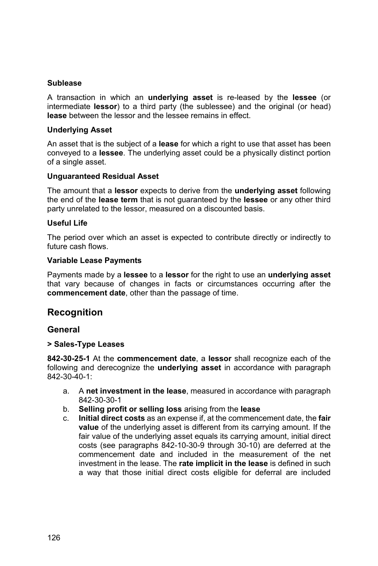## **Sublease**

A transaction in which an **underlying asset** is re-leased by the **lessee** (or intermediate **lessor**) to a third party (the sublessee) and the original (or head) **lease** between the lessor and the lessee remains in effect.

### **Underlying Asset**

An asset that is the subject of a **lease** for which a right to use that asset has been conveyed to a **lessee**. The underlying asset could be a physically distinct portion of a single asset.

#### **Unguaranteed Residual Asset**

The amount that a **lessor** expects to derive from the **underlying asset** following the end of the **lease term** that is not guaranteed by the **lessee** or any other third party unrelated to the lessor, measured on a discounted basis.

#### **Useful Life**

The period over which an asset is expected to contribute directly or indirectly to future cash flows.

#### **Variable Lease Payments**

Payments made by a **lessee** to a **lessor** for the right to use an **underlying asset** that vary because of changes in facts or circumstances occurring after the **commencement date**, other than the passage of time.

# **Recognition**

## **General**

#### **> Sales-Type Leases**

**842-30-25-1** At the **commencement date**, a **lessor** shall recognize each of the following and derecognize the **underlying asset** in accordance with paragraph  $842 - 30 - 40 - 1$ 

- a. A **net investment in the lease**, measured in accordance with paragraph 842-30-30-1
- b. **Selling profit or selling loss** arising from the **lease**
- c. **Initial direct costs** as an expense if, at the commencement date, the **fair value** of the underlying asset is different from its carrying amount. If the fair value of the underlying asset equals its carrying amount, initial direct costs (see paragraphs 842-10-30-9 through 30-10) are deferred at the commencement date and included in the measurement of the net investment in the lease. The **rate implicit in the lease** is defined in such a way that those initial direct costs eligible for deferral are included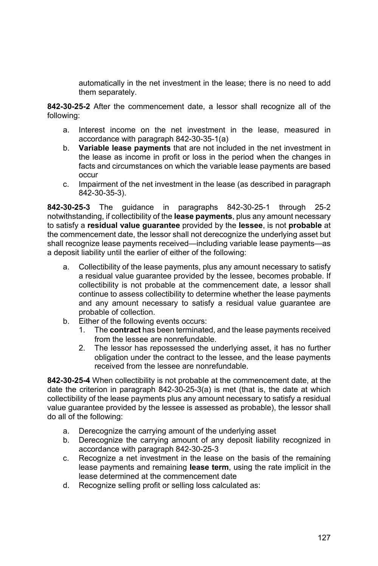automatically in the net investment in the lease; there is no need to add them separately.

**842-30-25-2** After the commencement date, a lessor shall recognize all of the following:

- a. Interest income on the net investment in the lease, measured in accordance with paragraph 842-30-35-1(a)
- b. **Variable lease payments** that are not included in the net investment in the lease as income in profit or loss in the period when the changes in facts and circumstances on which the variable lease payments are based occur
- c. Impairment of the net investment in the lease (as described in paragraph 842-30-35-3).

**842-30-25-3** The guidance in paragraphs 842-30-25-1 through 25-2 notwithstanding, if collectibility of the **lease payments**, plus any amount necessary to satisfy a **residual value guarantee** provided by the **lessee**, is not **probable** at the commencement date, the lessor shall not derecognize the underlying asset but shall recognize lease payments received—including variable lease payments—as a deposit liability until the earlier of either of the following:

- a. Collectibility of the lease payments, plus any amount necessary to satisfy a residual value guarantee provided by the lessee, becomes probable. If collectibility is not probable at the commencement date, a lessor shall continue to assess collectibility to determine whether the lease payments and any amount necessary to satisfy a residual value guarantee are probable of collection.
- b. Either of the following events occurs:
	- 1. The **contract** has been terminated, and the lease payments received from the lessee are nonrefundable.
	- 2. The lessor has repossessed the underlying asset, it has no further obligation under the contract to the lessee, and the lease payments received from the lessee are nonrefundable.

**842-30-25-4** When collectibility is not probable at the commencement date, at the date the criterion in paragraph 842-30-25-3(a) is met (that is, the date at which collectibility of the lease payments plus any amount necessary to satisfy a residual value guarantee provided by the lessee is assessed as probable), the lessor shall do all of the following:

- a. Derecognize the carrying amount of the underlying asset
- b. Derecognize the carrying amount of any deposit liability recognized in accordance with paragraph 842-30-25-3
- c. Recognize a net investment in the lease on the basis of the remaining lease payments and remaining **lease term**, using the rate implicit in the lease determined at the commencement date
- d. Recognize selling profit or selling loss calculated as: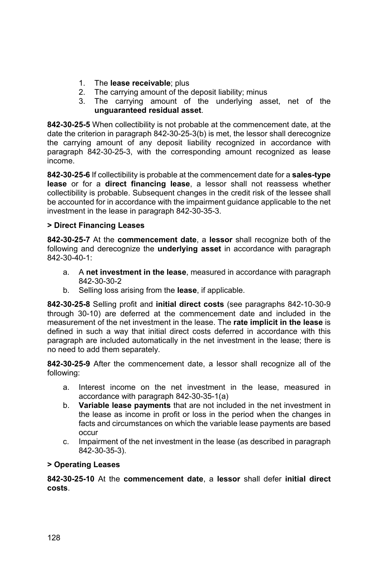- 1. The **lease receivable**; plus
- 2. The carrying amount of the deposit liability; minus
- 3. The carrying amount of the underlying asset, net of the **unguaranteed residual asset**.

**842-30-25-5** When collectibility is not probable at the commencement date, at the date the criterion in paragraph 842-30-25-3(b) is met, the lessor shall derecognize the carrying amount of any deposit liability recognized in accordance with paragraph 842-30-25-3, with the corresponding amount recognized as lease income.

**842-30-25-6** If collectibility is probable at the commencement date for a **sales-type lease** or for a **direct financing lease**, a lessor shall not reassess whether collectibility is probable. Subsequent changes in the credit risk of the lessee shall be accounted for in accordance with the impairment guidance applicable to the net investment in the lease in paragraph 842-30-35-3.

## **> Direct Financing Leases**

**842-30-25-7** At the **commencement date**, a **lessor** shall recognize both of the following and derecognize the **underlying asset** in accordance with paragraph 842-30-40-1:

- a. A **net investment in the lease**, measured in accordance with paragraph 842-30-30-2
- b. Selling loss arising from the **lease**, if applicable.

**842-30-25-8** Selling profit and **initial direct costs** (see paragraphs 842-10-30-9 through 30-10) are deferred at the commencement date and included in the measurement of the net investment in the lease. The **rate implicit in the lease** is defined in such a way that initial direct costs deferred in accordance with this paragraph are included automatically in the net investment in the lease; there is no need to add them separately.

**842-30-25-9** After the commencement date, a lessor shall recognize all of the following:

- a. Interest income on the net investment in the lease, measured in accordance with paragraph 842-30-35-1(a)
- b. **Variable lease payments** that are not included in the net investment in the lease as income in profit or loss in the period when the changes in facts and circumstances on which the variable lease payments are based occur
- c. Impairment of the net investment in the lease (as described in paragraph 842-30-35-3).

## **> Operating Leases**

**842-30-25-10** At the **commencement date**, a **lessor** shall defer **initial direct costs**.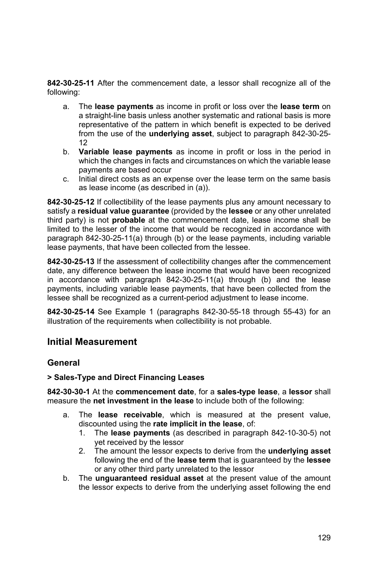**842-30-25-11** After the commencement date, a lessor shall recognize all of the following:

- a. The **lease payments** as income in profit or loss over the **lease term** on a straight-line basis unless another systematic and rational basis is more representative of the pattern in which benefit is expected to be derived from the use of the **underlying asset**, subject to paragraph 842-30-25- 12
- b. **Variable lease payments** as income in profit or loss in the period in which the changes in facts and circumstances on which the variable lease payments are based occur
- c. Initial direct costs as an expense over the lease term on the same basis as lease income (as described in (a)).

**842-30-25-12** If collectibility of the lease payments plus any amount necessary to satisfy a **residual value guarantee** (provided by the **lessee** or any other unrelated third party) is not **probable** at the commencement date, lease income shall be limited to the lesser of the income that would be recognized in accordance with paragraph 842-30-25-11(a) through (b) or the lease payments, including variable lease payments, that have been collected from the lessee.

**842-30-25-13** If the assessment of collectibility changes after the commencement date, any difference between the lease income that would have been recognized in accordance with paragraph 842-30-25-11(a) through (b) and the lease payments, including variable lease payments, that have been collected from the lessee shall be recognized as a current-period adjustment to lease income.

**842-30-25-14** See Example 1 (paragraphs 842-30-55-18 through 55-43) for an illustration of the requirements when collectibility is not probable.

# **Initial Measurement**

## **General**

## **> Sales-Type and Direct Financing Leases**

**842-30-30-1** At the **commencement date**, for a **sales-type lease**, a **lessor** shall measure the **net investment in the lease** to include both of the following:

- a. The **lease receivable**, which is measured at the present value, discounted using the **rate implicit in the lease**, of:
	- 1. The **lease payments** (as described in paragraph 842-10-30-5) not yet received by the lessor
	- 2. The amount the lessor expects to derive from the **underlying asset** following the end of the **lease term** that is guaranteed by the **lessee** or any other third party unrelated to the lessor
- b. The **unguaranteed residual asset** at the present value of the amount the lessor expects to derive from the underlying asset following the end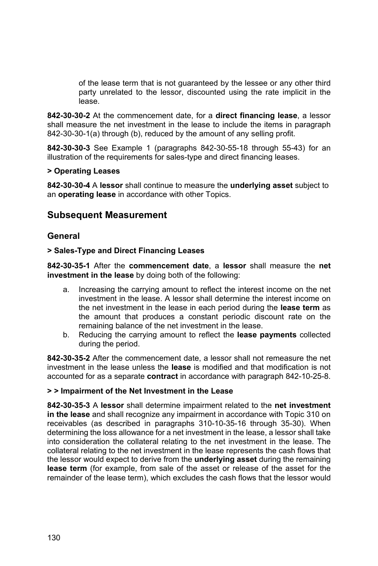of the lease term that is not guaranteed by the lessee or any other third party unrelated to the lessor, discounted using the rate implicit in the lease.

**842-30-30-2** At the commencement date, for a **direct financing lease**, a lessor shall measure the net investment in the lease to include the items in paragraph 842-30-30-1(a) through (b), reduced by the amount of any selling profit.

**842-30-30-3** See Example 1 (paragraphs 842-30-55-18 through 55-43) for an illustration of the requirements for sales-type and direct financing leases.

## **> Operating Leases**

**842-30-30-4** A **lessor** shall continue to measure the **underlying asset** subject to an **operating lease** in accordance with other Topics.

## **Subsequent Measurement**

## **General**

**> Sales-Type and Direct Financing Leases**

**842-30-35-1** After the **commencement date**, a **lessor** shall measure the **net investment in the lease** by doing both of the following:

- a. Increasing the carrying amount to reflect the interest income on the net investment in the lease. A lessor shall determine the interest income on the net investment in the lease in each period during the **lease term** as the amount that produces a constant periodic discount rate on the remaining balance of the net investment in the lease.
- b. Reducing the carrying amount to reflect the **lease payments** collected during the period.

**842-30-35-2** After the commencement date, a lessor shall not remeasure the net investment in the lease unless the **lease** is modified and that modification is not accounted for as a separate **contract** in accordance with paragraph 842-10-25-8.

#### **> > Impairment of the Net Investment in the Lease**

**842-30-35-3** A **lessor** shall determine impairment related to the **net investment in the lease** and shall recognize any impairment in accordance with Topic 310 on receivables (as described in paragraphs 310-10-35-16 through 35-30). When determining the loss allowance for a net investment in the lease, a lessor shall take into consideration the collateral relating to the net investment in the lease. The collateral relating to the net investment in the lease represents the cash flows that the lessor would expect to derive from the **underlying asset** during the remaining **lease term** (for example, from sale of the asset or release of the asset for the remainder of the lease term), which excludes the cash flows that the lessor would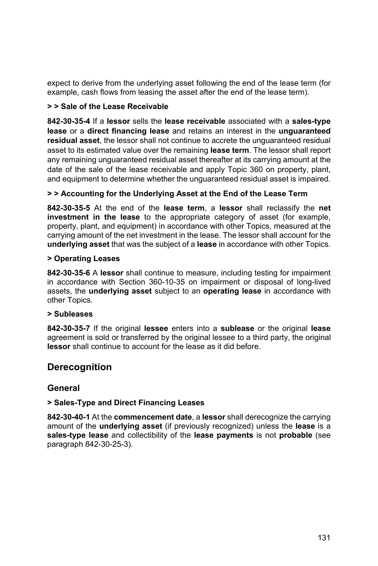expect to derive from the underlying asset following the end of the lease term (for example, cash flows from leasing the asset after the end of the lease term).

## **> > Sale of the Lease Receivable**

**842-30-35-4** If a **lessor** sells the **lease receivable** associated with a **sales-type lease** or a **direct financing lease** and retains an interest in the **unguaranteed residual asset**, the lessor shall not continue to accrete the unguaranteed residual asset to its estimated value over the remaining **lease term**. The lessor shall report any remaining unguaranteed residual asset thereafter at its carrying amount at the date of the sale of the lease receivable and apply Topic 360 on property, plant, and equipment to determine whether the unguaranteed residual asset is impaired.

## **> > Accounting for the Underlying Asset at the End of the Lease Term**

**842-30-35-5** At the end of the **lease term**, a **lessor** shall reclassify the **net investment in the lease** to the appropriate category of asset (for example, property, plant, and equipment) in accordance with other Topics, measured at the carrying amount of the net investment in the lease. The lessor shall account for the **underlying asset** that was the subject of a **lease** in accordance with other Topics.

#### **> Operating Leases**

**842-30-35-6** A **lessor** shall continue to measure, including testing for impairment in accordance with Section 360-10-35 on impairment or disposal of long-lived assets, the **underlying asset** subject to an **operating lease** in accordance with other Topics.

## **> Subleases**

**842-30-35-7** If the original **lessee** enters into a **sublease** or the original **lease**  agreement is sold or transferred by the original lessee to a third party, the original **lessor** shall continue to account for the lease as it did before.

# **Derecognition**

## **General**

## **> Sales-Type and Direct Financing Leases**

**842-30-40-1** At the **commencement date**, a **lessor** shall derecognize the carrying amount of the **underlying asset** (if previously recognized) unless the **lease** is a **sales-type lease** and collectibility of the **lease payments** is not **probable** (see paragraph 842-30-25-3).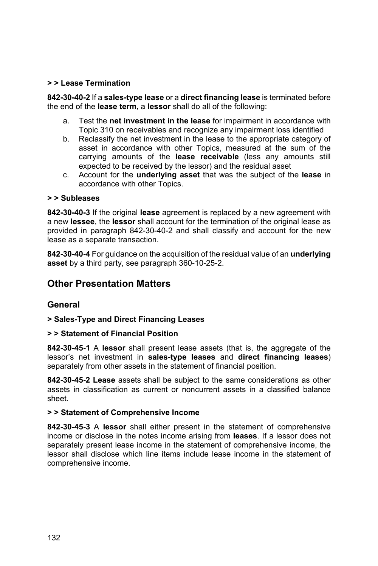## **> > Lease Termination**

**842-30-40-2** If a **sales-type lease** or a **direct financing lease** is terminated before the end of the **lease term**, a **lessor** shall do all of the following:

- a. Test the **net investment in the lease** for impairment in accordance with Topic 310 on receivables and recognize any impairment loss identified
- b. Reclassify the net investment in the lease to the appropriate category of asset in accordance with other Topics, measured at the sum of the carrying amounts of the **lease receivable** (less any amounts still expected to be received by the lessor) and the residual asset
- c. Account for the **underlying asset** that was the subject of the **lease** in accordance with other Topics.

#### **> > Subleases**

**842-30-40-3** If the original **lease** agreement is replaced by a new agreement with a new **lessee**, the **lessor** shall account for the termination of the original lease as provided in paragraph 842-30-40-2 and shall classify and account for the new lease as a separate transaction.

**842-30-40-4** For guidance on the acquisition of the residual value of an **underlying asset** by a third party, see paragraph 360-10-25-2.

## **Other Presentation Matters**

## **General**

#### **> Sales-Type and Direct Financing Leases**

#### **> > Statement of Financial Position**

**842-30-45-1** A **lessor** shall present lease assets (that is, the aggregate of the lessor's net investment in **sales-type leases** and **direct financing leases**) separately from other assets in the statement of financial position.

**842-30-45-2 Lease** assets shall be subject to the same considerations as other assets in classification as current or noncurrent assets in a classified balance sheet.

#### **> > Statement of Comprehensive Income**

**842-30-45-3** A **lessor** shall either present in the statement of comprehensive income or disclose in the notes income arising from **leases**. If a lessor does not separately present lease income in the statement of comprehensive income, the lessor shall disclose which line items include lease income in the statement of comprehensive income.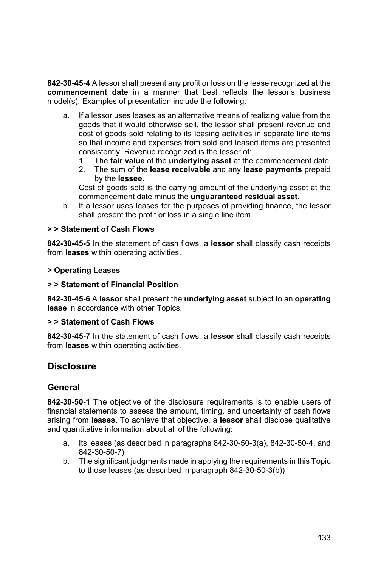**842-30-45-4** A lessor shall present any profit or loss on the lease recognized at the **commencement date** in a manner that best reflects the lessor's business model(s). Examples of presentation include the following:

- a. If a lessor uses leases as an alternative means of realizing value from the goods that it would otherwise sell, the lessor shall present revenue and cost of goods sold relating to its leasing activities in separate line items so that income and expenses from sold and leased items are presented consistently. Revenue recognized is the lesser of:
	- 1. The **fair value** of the **underlying asset** at the commencement date
	- 2. The sum of the **lease receivable** and any **lease payments** prepaid by the **lessee**.

Cost of goods sold is the carrying amount of the underlying asset at the commencement date minus the **unguaranteed residual asset**.

b. If a lessor uses leases for the purposes of providing finance, the lessor shall present the profit or loss in a single line item.

#### **> > Statement of Cash Flows**

**842-30-45-5** In the statement of cash flows, a **lessor** shall classify cash receipts from **leases** within operating activities.

#### **> Operating Leases**

#### **> > Statement of Financial Position**

**842-30-45-6** A **lessor** shall present the **underlying asset** subject to an **operating lease** in accordance with other Topics.

#### **> > Statement of Cash Flows**

**842-30-45-7** In the statement of cash flows, a **lessor** shall classify cash receipts from **leases** within operating activities.

## **Disclosure**

## **General**

**842-30-50-1** The objective of the disclosure requirements is to enable users of financial statements to assess the amount, timing, and uncertainty of cash flows arising from **leases**. To achieve that objective, a **lessor** shall disclose qualitative and quantitative information about all of the following:

- a. Its leases (as described in paragraphs 842-30-50-3(a), 842-30-50-4, and 842-30-50-7)
- b. The significant judgments made in applying the requirements in this Topic to those leases (as described in paragraph 842-30-50-3(b))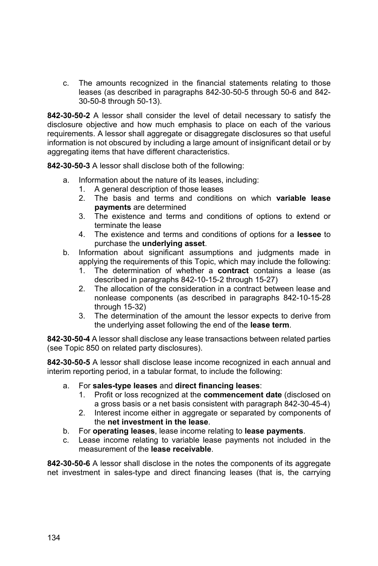c. The amounts recognized in the financial statements relating to those leases (as described in paragraphs 842-30-50-5 through 50-6 and 842- 30-50-8 through 50-13).

**842-30-50-2** A lessor shall consider the level of detail necessary to satisfy the disclosure objective and how much emphasis to place on each of the various requirements. A lessor shall aggregate or disaggregate disclosures so that useful information is not obscured by including a large amount of insignificant detail or by aggregating items that have different characteristics.

**842-30-50-3** A lessor shall disclose both of the following:

- a. Information about the nature of its leases, including:
	- 1. A general description of those leases
	- 2. The basis and terms and conditions on which **variable lease payments** are determined
	- 3. The existence and terms and conditions of options to extend or terminate the lease
	- 4. The existence and terms and conditions of options for a **lessee** to purchase the **underlying asset**.
- b. Information about significant assumptions and judgments made in applying the requirements of this Topic, which may include the following:
	- 1. The determination of whether a **contract** contains a lease (as described in paragraphs 842-10-15-2 through 15-27)
	- 2. The allocation of the consideration in a contract between lease and nonlease components (as described in paragraphs 842-10-15-28 through 15-32)
	- 3. The determination of the amount the lessor expects to derive from the underlying asset following the end of the **lease term**.

**842-30-50-4** A lessor shall disclose any lease transactions between related parties (see Topic 850 on related party disclosures).

**842-30-50-5** A lessor shall disclose lease income recognized in each annual and interim reporting period, in a tabular format, to include the following:

#### a. For **sales-type leases** and **direct financing leases**:

- 1. Profit or loss recognized at the **commencement date** (disclosed on a gross basis or a net basis consistent with paragraph 842-30-45-4)
- 2. Interest income either in aggregate or separated by components of the **net investment in the lease**.
- b. For **operating leases**, lease income relating to **lease payments**.
- c. Lease income relating to variable lease payments not included in the measurement of the **lease receivable**.

**842-30-50-6** A lessor shall disclose in the notes the components of its aggregate net investment in sales-type and direct financing leases (that is, the carrying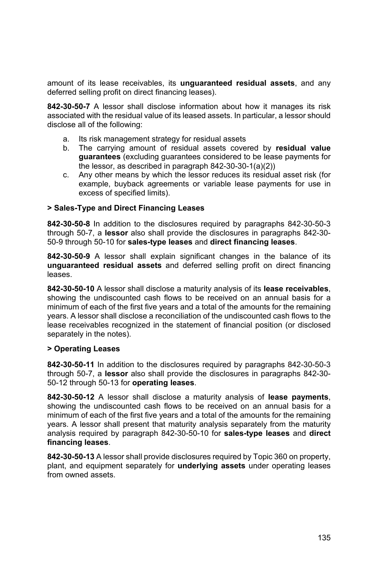amount of its lease receivables, its **unguaranteed residual assets**, and any deferred selling profit on direct financing leases).

**842-30-50-7** A lessor shall disclose information about how it manages its risk associated with the residual value of its leased assets. In particular, a lessor should disclose all of the following:

- a. Its risk management strategy for residual assets
- b. The carrying amount of residual assets covered by **residual value guarantees** (excluding guarantees considered to be lease payments for the lessor, as described in paragraph 842-30-30-1(a)(2))
- c. Any other means by which the lessor reduces its residual asset risk (for example, buyback agreements or variable lease payments for use in excess of specified limits).

#### **> Sales-Type and Direct Financing Leases**

**842-30-50-8** In addition to the disclosures required by paragraphs 842-30-50-3 through 50-7, a **lessor** also shall provide the disclosures in paragraphs 842-30- 50-9 through 50-10 for **sales-type leases** and **direct financing leases**.

**842-30-50-9** A lessor shall explain significant changes in the balance of its **unguaranteed residual assets** and deferred selling profit on direct financing leases.

**842-30-50-10** A lessor shall disclose a maturity analysis of its **lease receivables**, showing the undiscounted cash flows to be received on an annual basis for a minimum of each of the first five years and a total of the amounts for the remaining years. A lessor shall disclose a reconciliation of the undiscounted cash flows to the lease receivables recognized in the statement of financial position (or disclosed separately in the notes).

#### **> Operating Leases**

**842-30-50-11** In addition to the disclosures required by paragraphs 842-30-50-3 through 50-7, a **lessor** also shall provide the disclosures in paragraphs 842-30- 50-12 through 50-13 for **operating leases**.

**842-30-50-12** A lessor shall disclose a maturity analysis of **lease payments**, showing the undiscounted cash flows to be received on an annual basis for a minimum of each of the first five years and a total of the amounts for the remaining years. A lessor shall present that maturity analysis separately from the maturity analysis required by paragraph 842-30-50-10 for **sales-type leases** and **direct financing leases**.

**842-30-50-13** A lessor shall provide disclosures required by Topic 360 on property, plant, and equipment separately for **underlying assets** under operating leases from owned assets.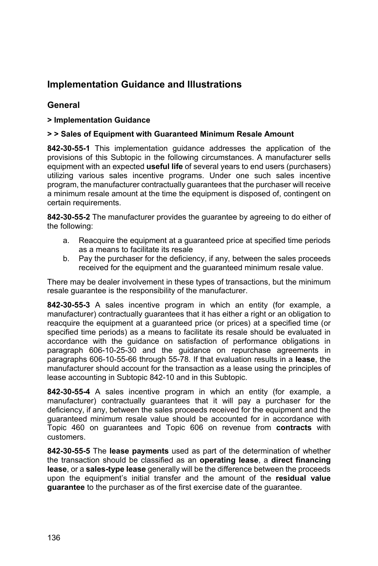# **Implementation Guidance and Illustrations**

# **General**

## **> Implementation Guidance**

## **> > Sales of Equipment with Guaranteed Minimum Resale Amount**

**842-30-55-1** This implementation guidance addresses the application of the provisions of this Subtopic in the following circumstances. A manufacturer sells equipment with an expected **useful life** of several years to end users (purchasers) utilizing various sales incentive programs. Under one such sales incentive program, the manufacturer contractually guarantees that the purchaser will receive a minimum resale amount at the time the equipment is disposed of, contingent on certain requirements.

**842-30-55-2** The manufacturer provides the guarantee by agreeing to do either of the following:

- a. Reacquire the equipment at a guaranteed price at specified time periods as a means to facilitate its resale
- b. Pay the purchaser for the deficiency, if any, between the sales proceeds received for the equipment and the guaranteed minimum resale value.

There may be dealer involvement in these types of transactions, but the minimum resale guarantee is the responsibility of the manufacturer.

**842-30-55-3** A sales incentive program in which an entity (for example, a manufacturer) contractually guarantees that it has either a right or an obligation to reacquire the equipment at a guaranteed price (or prices) at a specified time (or specified time periods) as a means to facilitate its resale should be evaluated in accordance with the guidance on satisfaction of performance obligations in paragraph 606-10-25-30 and the guidance on repurchase agreements in paragraphs 606-10-55-66 through 55-78. If that evaluation results in a **lease**, the manufacturer should account for the transaction as a lease using the principles of lease accounting in Subtopic 842-10 and in this Subtopic.

**842-30-55-4** A sales incentive program in which an entity (for example, a manufacturer) contractually guarantees that it will pay a purchaser for the deficiency, if any, between the sales proceeds received for the equipment and the guaranteed minimum resale value should be accounted for in accordance with Topic 460 on guarantees and Topic 606 on revenue from **contracts** with customers.

**842-30-55-5** The **lease payments** used as part of the determination of whether the transaction should be classified as an **operating lease**, a **direct financing lease**, or a **sales-type lease** generally will be the difference between the proceeds upon the equipment's initial transfer and the amount of the **residual value guarantee** to the purchaser as of the first exercise date of the guarantee.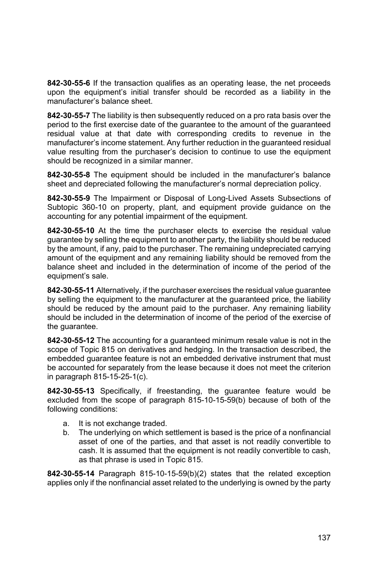**842-30-55-6** If the transaction qualifies as an operating lease, the net proceeds upon the equipment's initial transfer should be recorded as a liability in the manufacturer's balance sheet.

**842-30-55-7** The liability is then subsequently reduced on a pro rata basis over the period to the first exercise date of the guarantee to the amount of the guaranteed residual value at that date with corresponding credits to revenue in the manufacturer's income statement. Any further reduction in the guaranteed residual value resulting from the purchaser's decision to continue to use the equipment should be recognized in a similar manner.

**842-30-55-8** The equipment should be included in the manufacturer's balance sheet and depreciated following the manufacturer's normal depreciation policy.

**842-30-55-9** The Impairment or Disposal of Long-Lived Assets Subsections of Subtopic 360-10 on property, plant, and equipment provide guidance on the accounting for any potential impairment of the equipment.

**842-30-55-10** At the time the purchaser elects to exercise the residual value guarantee by selling the equipment to another party, the liability should be reduced by the amount, if any, paid to the purchaser. The remaining undepreciated carrying amount of the equipment and any remaining liability should be removed from the balance sheet and included in the determination of income of the period of the equipment's sale.

**842-30-55-11** Alternatively, if the purchaser exercises the residual value guarantee by selling the equipment to the manufacturer at the guaranteed price, the liability should be reduced by the amount paid to the purchaser. Any remaining liability should be included in the determination of income of the period of the exercise of the quarantee.

**842-30-55-12** The accounting for a guaranteed minimum resale value is not in the scope of Topic 815 on derivatives and hedging. In the transaction described, the embedded guarantee feature is not an embedded derivative instrument that must be accounted for separately from the lease because it does not meet the criterion in paragraph 815-15-25-1(c).

**842-30-55-13** Specifically, if freestanding, the guarantee feature would be excluded from the scope of paragraph 815-10-15-59(b) because of both of the following conditions:

- a. It is not exchange traded.
- b. The underlying on which settlement is based is the price of a nonfinancial asset of one of the parties, and that asset is not readily convertible to cash. It is assumed that the equipment is not readily convertible to cash, as that phrase is used in Topic 815.

**842-30-55-14** Paragraph 815-10-15-59(b)(2) states that the related exception applies only if the nonfinancial asset related to the underlying is owned by the party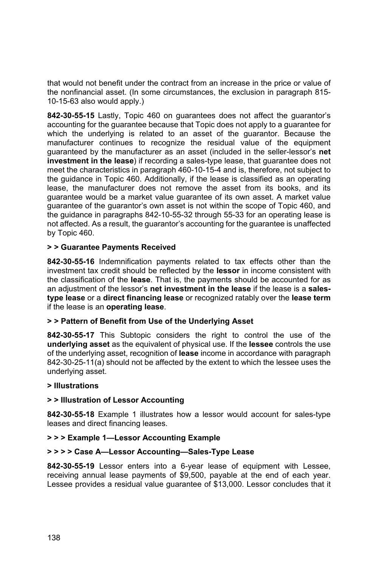that would not benefit under the contract from an increase in the price or value of the nonfinancial asset. (In some circumstances, the exclusion in paragraph 815- 10-15-63 also would apply.)

**842-30-55-15** Lastly, Topic 460 on guarantees does not affect the guarantor's accounting for the guarantee because that Topic does not apply to a guarantee for which the underlying is related to an asset of the guarantor. Because the manufacturer continues to recognize the residual value of the equipment guaranteed by the manufacturer as an asset (included in the seller-lessor's **net investment in the lease**) if recording a sales-type lease, that guarantee does not meet the characteristics in paragraph 460-10-15-4 and is, therefore, not subject to the guidance in Topic 460. Additionally, if the lease is classified as an operating lease, the manufacturer does not remove the asset from its books, and its guarantee would be a market value guarantee of its own asset. A market value guarantee of the guarantor's own asset is not within the scope of Topic 460, and the guidance in paragraphs 842-10-55-32 through 55-33 for an operating lease is not affected. As a result, the guarantor's accounting for the guarantee is unaffected by Topic 460.

## **> > Guarantee Payments Received**

**842-30-55-16** Indemnification payments related to tax effects other than the investment tax credit should be reflected by the **lessor** in income consistent with the classification of the **lease**. That is, the payments should be accounted for as an adjustment of the lessor's **net investment in the lease** if the lease is a **salestype lease** or a **direct financing lease** or recognized ratably over the **lease term** if the lease is an **operating lease**.

## **> > Pattern of Benefit from Use of the Underlying Asset**

**842-30-55-17** This Subtopic considers the right to control the use of the **underlying asset** as the equivalent of physical use. If the **lessee** controls the use of the underlying asset, recognition of **lease** income in accordance with paragraph 842-30-25-11(a) should not be affected by the extent to which the lessee uses the underlying asset.

#### **> Illustrations**

#### **> > Illustration of Lessor Accounting**

**842-30-55-18** Example 1 illustrates how a lessor would account for sales-type leases and direct financing leases.

#### **> > > Example 1—Lessor Accounting Example**

#### **> > > > Case A—Lessor Accounting—Sales-Type Lease**

**842-30-55-19** Lessor enters into a 6-year lease of equipment with Lessee, receiving annual lease payments of \$9,500, payable at the end of each year. Lessee provides a residual value guarantee of \$13,000. Lessor concludes that it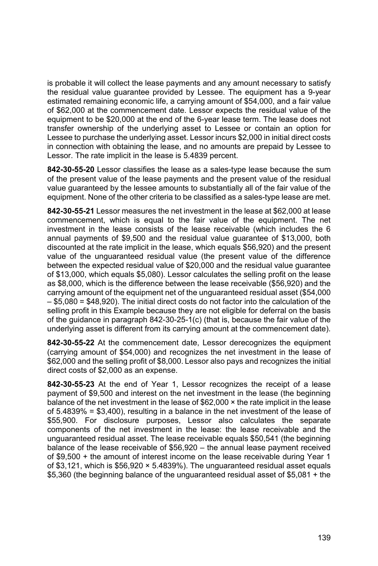is probable it will collect the lease payments and any amount necessary to satisfy the residual value guarantee provided by Lessee. The equipment has a 9-year estimated remaining economic life, a carrying amount of \$54,000, and a fair value of \$62,000 at the commencement date. Lessor expects the residual value of the equipment to be \$20,000 at the end of the 6-year lease term. The lease does not transfer ownership of the underlying asset to Lessee or contain an option for Lessee to purchase the underlying asset. Lessor incurs \$2,000 in initial direct costs in connection with obtaining the lease, and no amounts are prepaid by Lessee to Lessor. The rate implicit in the lease is 5.4839 percent.

**842-30-55-20** Lessor classifies the lease as a sales-type lease because the sum of the present value of the lease payments and the present value of the residual value guaranteed by the lessee amounts to substantially all of the fair value of the equipment. None of the other criteria to be classified as a sales-type lease are met.

**842-30-55-21** Lessor measures the net investment in the lease at \$62,000 at lease commencement, which is equal to the fair value of the equipment. The net investment in the lease consists of the lease receivable (which includes the 6 annual payments of \$9,500 and the residual value guarantee of \$13,000, both discounted at the rate implicit in the lease, which equals \$56,920) and the present value of the unguaranteed residual value (the present value of the difference between the expected residual value of \$20,000 and the residual value guarantee of \$13,000, which equals \$5,080). Lessor calculates the selling profit on the lease as \$8,000, which is the difference between the lease receivable (\$56,920) and the carrying amount of the equipment net of the unguaranteed residual asset (\$54,000 – \$5,080 = \$48,920). The initial direct costs do not factor into the calculation of the selling profit in this Example because they are not eligible for deferral on the basis of the guidance in paragraph 842-30-25-1(c) (that is, because the fair value of the underlying asset is different from its carrying amount at the commencement date).

**842-30-55-22** At the commencement date, Lessor derecognizes the equipment (carrying amount of \$54,000) and recognizes the net investment in the lease of \$62,000 and the selling profit of \$8,000. Lessor also pays and recognizes the initial direct costs of \$2,000 as an expense.

**842-30-55-23** At the end of Year 1, Lessor recognizes the receipt of a lease payment of \$9,500 and interest on the net investment in the lease (the beginning balance of the net investment in the lease of  $$62,000 \times$  the rate implicit in the lease of 5.4839% = \$3,400), resulting in a balance in the net investment of the lease of \$55,900. For disclosure purposes, Lessor also calculates the separate components of the net investment in the lease: the lease receivable and the unguaranteed residual asset. The lease receivable equals \$50,541 (the beginning balance of the lease receivable of \$56,920 – the annual lease payment received of \$9,500 + the amount of interest income on the lease receivable during Year 1 of \$3,121, which is \$56,920 × 5.4839%). The unguaranteed residual asset equals \$5,360 (the beginning balance of the unguaranteed residual asset of \$5,081 + the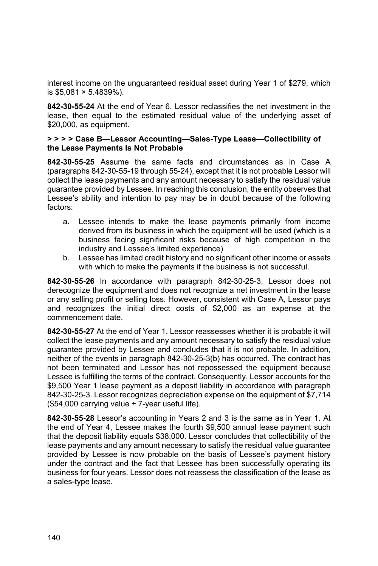interest income on the unguaranteed residual asset during Year 1 of \$279, which is \$5,081 × 5.4839%).

**842-30-55-24** At the end of Year 6, Lessor reclassifies the net investment in the lease, then equal to the estimated residual value of the underlying asset of \$20,000, as equipment.

#### **> > > > Case B—Lessor Accounting—Sales-Type Lease—Collectibility of the Lease Payments Is Not Probable**

**842-30-55-25** Assume the same facts and circumstances as in Case A (paragraphs 842-30-55-19 through 55-24), except that it is not probable Lessor will collect the lease payments and any amount necessary to satisfy the residual value guarantee provided by Lessee. In reaching this conclusion, the entity observes that Lessee's ability and intention to pay may be in doubt because of the following factors:

- a. Lessee intends to make the lease payments primarily from income derived from its business in which the equipment will be used (which is a business facing significant risks because of high competition in the industry and Lessee's limited experience)
- b. Lessee has limited credit history and no significant other income or assets with which to make the payments if the business is not successful.

**842-30-55-26** In accordance with paragraph 842-30-25-3, Lessor does not derecognize the equipment and does not recognize a net investment in the lease or any selling profit or selling loss. However, consistent with Case A, Lessor pays and recognizes the initial direct costs of \$2,000 as an expense at the commencement date.

**842-30-55-27** At the end of Year 1, Lessor reassesses whether it is probable it will collect the lease payments and any amount necessary to satisfy the residual value guarantee provided by Lessee and concludes that it is not probable. In addition, neither of the events in paragraph 842-30-25-3(b) has occurred. The contract has not been terminated and Lessor has not repossessed the equipment because Lessee is fulfilling the terms of the contract. Consequently, Lessor accounts for the \$9,500 Year 1 lease payment as a deposit liability in accordance with paragraph 842-30-25-3. Lessor recognizes depreciation expense on the equipment of \$7,714  $($54,000$  carrying value  $\div$  7-year useful life).

**842-30-55-28** Lessor's accounting in Years 2 and 3 is the same as in Year 1. At the end of Year 4, Lessee makes the fourth \$9,500 annual lease payment such that the deposit liability equals \$38,000. Lessor concludes that collectibility of the lease payments and any amount necessary to satisfy the residual value guarantee provided by Lessee is now probable on the basis of Lessee's payment history under the contract and the fact that Lessee has been successfully operating its business for four years. Lessor does not reassess the classification of the lease as a sales-type lease.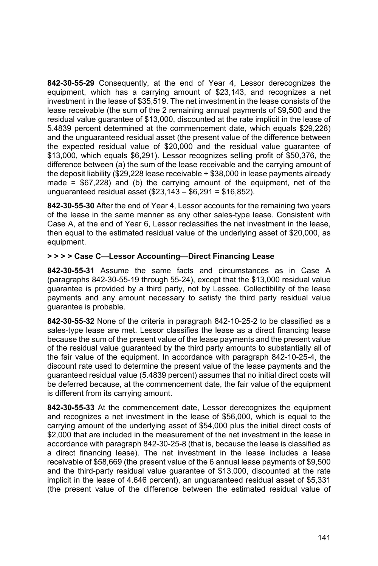**842-30-55-29** Consequently, at the end of Year 4, Lessor derecognizes the equipment, which has a carrying amount of \$23,143, and recognizes a net investment in the lease of \$35,519. The net investment in the lease consists of the lease receivable (the sum of the 2 remaining annual payments of \$9,500 and the residual value guarantee of \$13,000, discounted at the rate implicit in the lease of 5.4839 percent determined at the commencement date, which equals \$29,228) and the unguaranteed residual asset (the present value of the difference between the expected residual value of \$20,000 and the residual value guarantee of \$13,000, which equals \$6,291). Lessor recognizes selling profit of \$50,376, the difference between (a) the sum of the lease receivable and the carrying amount of the deposit liability (\$29,228 lease receivable + \$38,000 in lease payments already made =  $$67,228$ ) and (b) the carrying amount of the equipment, net of the unguaranteed residual asset (\$23,143 – \$6,291 = \$16,852).

**842-30-55-30** After the end of Year 4, Lessor accounts for the remaining two years of the lease in the same manner as any other sales-type lease. Consistent with Case A, at the end of Year 6, Lessor reclassifies the net investment in the lease, then equal to the estimated residual value of the underlying asset of \$20,000, as equipment.

### **> > > > Case C—Lessor Accounting—Direct Financing Lease**

**842-30-55-31** Assume the same facts and circumstances as in Case A (paragraphs 842-30-55-19 through 55-24), except that the \$13,000 residual value guarantee is provided by a third party, not by Lessee. Collectibility of the lease payments and any amount necessary to satisfy the third party residual value guarantee is probable.

**842-30-55-32** None of the criteria in paragraph 842-10-25-2 to be classified as a sales-type lease are met. Lessor classifies the lease as a direct financing lease because the sum of the present value of the lease payments and the present value of the residual value guaranteed by the third party amounts to substantially all of the fair value of the equipment. In accordance with paragraph 842-10-25-4, the discount rate used to determine the present value of the lease payments and the guaranteed residual value (5.4839 percent) assumes that no initial direct costs will be deferred because, at the commencement date, the fair value of the equipment is different from its carrying amount.

**842-30-55-33** At the commencement date, Lessor derecognizes the equipment and recognizes a net investment in the lease of \$56,000, which is equal to the carrying amount of the underlying asset of \$54,000 plus the initial direct costs of \$2,000 that are included in the measurement of the net investment in the lease in accordance with paragraph 842-30-25-8 (that is, because the lease is classified as a direct financing lease). The net investment in the lease includes a lease receivable of \$58,669 (the present value of the 6 annual lease payments of \$9,500 and the third-party residual value guarantee of \$13,000, discounted at the rate implicit in the lease of 4.646 percent), an unguaranteed residual asset of \$5,331 (the present value of the difference between the estimated residual value of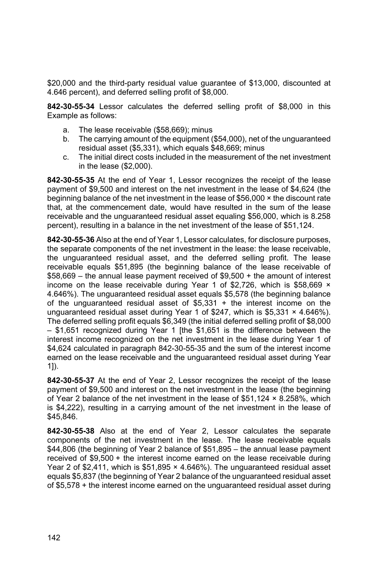\$20,000 and the third-party residual value guarantee of \$13,000, discounted at 4.646 percent), and deferred selling profit of \$8,000.

**842-30-55-34** Lessor calculates the deferred selling profit of \$8,000 in this Example as follows:

- a. The lease receivable (\$58,669); minus
- b. The carrying amount of the equipment (\$54,000), net of the unguaranteed residual asset (\$5,331), which equals \$48,669; minus
- c. The initial direct costs included in the measurement of the net investment in the lease (\$2,000).

**842-30-55-35** At the end of Year 1, Lessor recognizes the receipt of the lease payment of \$9,500 and interest on the net investment in the lease of \$4,624 (the beginning balance of the net investment in the lease of \$56,000 × the discount rate that, at the commencement date, would have resulted in the sum of the lease receivable and the unguaranteed residual asset equaling \$56,000, which is 8.258 percent), resulting in a balance in the net investment of the lease of \$51,124.

**842-30-55-36** Also at the end of Year 1, Lessor calculates, for disclosure purposes, the separate components of the net investment in the lease: the lease receivable, the unguaranteed residual asset, and the deferred selling profit. The lease receivable equals \$51,895 (the beginning balance of the lease receivable of \$58,669 – the annual lease payment received of \$9,500 + the amount of interest income on the lease receivable during Year 1 of \$2,726, which is \$58,669  $\times$ 4.646%). The unguaranteed residual asset equals \$5,578 (the beginning balance of the unguaranteed residual asset of \$5,331 + the interest income on the unguaranteed residual asset during Year 1 of \$247, which is  $$5,331 \times 4.646\%$ ). The deferred selling profit equals \$6,349 (the initial deferred selling profit of \$8,000 – \$1,651 recognized during Year 1 [the \$1,651 is the difference between the interest income recognized on the net investment in the lease during Year 1 of \$4,624 calculated in paragraph 842-30-55-35 and the sum of the interest income earned on the lease receivable and the unguaranteed residual asset during Year 1]).

**842-30-55-37** At the end of Year 2, Lessor recognizes the receipt of the lease payment of \$9,500 and interest on the net investment in the lease (the beginning of Year 2 balance of the net investment in the lease of  $$51,124 \times 8.258\%$ , which is \$4,222), resulting in a carrying amount of the net investment in the lease of \$45,846.

**842-30-55-38** Also at the end of Year 2, Lessor calculates the separate components of the net investment in the lease. The lease receivable equals \$44,806 (the beginning of Year 2 balance of \$51,895 – the annual lease payment received of \$9,500 + the interest income earned on the lease receivable during Year 2 of \$2,411, which is \$51,895 × 4.646%). The unguaranteed residual asset equals \$5,837 (the beginning of Year 2 balance of the unguaranteed residual asset of \$5,578 + the interest income earned on the unguaranteed residual asset during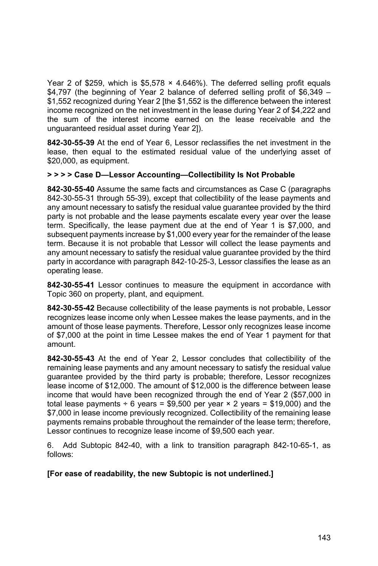Year 2 of \$259, which is  $$5,578 \times 4.646\%$ ). The deferred selling profit equals \$4,797 (the beginning of Year 2 balance of deferred selling profit of \$6,349 – \$1,552 recognized during Year 2 [the \$1,552 is the difference between the interest income recognized on the net investment in the lease during Year 2 of \$4,222 and the sum of the interest income earned on the lease receivable and the unguaranteed residual asset during Year 2]).

**842-30-55-39** At the end of Year 6, Lessor reclassifies the net investment in the lease, then equal to the estimated residual value of the underlying asset of \$20,000, as equipment.

### **> > > > Case D—Lessor Accounting—Collectibility Is Not Probable**

**842-30-55-40** Assume the same facts and circumstances as Case C (paragraphs 842-30-55-31 through 55-39), except that collectibility of the lease payments and any amount necessary to satisfy the residual value guarantee provided by the third party is not probable and the lease payments escalate every year over the lease term. Specifically, the lease payment due at the end of Year 1 is \$7,000, and subsequent payments increase by \$1,000 every year for the remainder of the lease term. Because it is not probable that Lessor will collect the lease payments and any amount necessary to satisfy the residual value guarantee provided by the third party in accordance with paragraph 842-10-25-3, Lessor classifies the lease as an operating lease.

**842-30-55-41** Lessor continues to measure the equipment in accordance with Topic 360 on property, plant, and equipment.

**842-30-55-42** Because collectibility of the lease payments is not probable, Lessor recognizes lease income only when Lessee makes the lease payments, and in the amount of those lease payments. Therefore, Lessor only recognizes lease income of \$7,000 at the point in time Lessee makes the end of Year 1 payment for that amount.

**842-30-55-43** At the end of Year 2, Lessor concludes that collectibility of the remaining lease payments and any amount necessary to satisfy the residual value guarantee provided by the third party is probable; therefore, Lessor recognizes lease income of \$12,000. The amount of \$12,000 is the difference between lease income that would have been recognized through the end of Year 2 (\$57,000 in total lease payments  $\div$  6 years = \$9,500 per year  $\times$  2 years = \$19,000) and the \$7,000 in lease income previously recognized. Collectibility of the remaining lease payments remains probable throughout the remainder of the lease term; therefore, Lessor continues to recognize lease income of \$9,500 each year.

6. Add Subtopic 842-40, with a link to transition paragraph 842-10-65-1, as follows:

### **[For ease of readability, the new Subtopic is not underlined.]**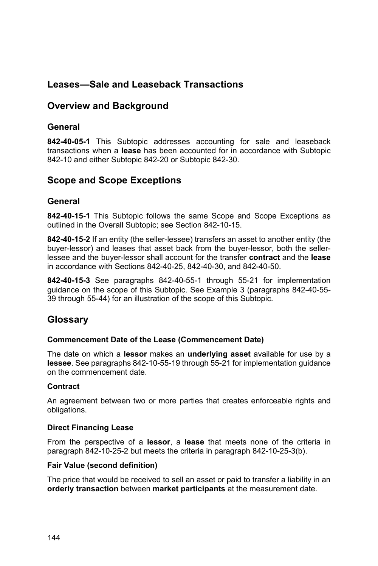# **Leases—Sale and Leaseback Transactions**

# **Overview and Background**

# **General**

**842-40-05-1** This Subtopic addresses accounting for sale and leaseback transactions when a **lease** has been accounted for in accordance with Subtopic 842-10 and either Subtopic 842-20 or Subtopic 842-30.

# **Scope and Scope Exceptions**

# **General**

**842-40-15-1** This Subtopic follows the same Scope and Scope Exceptions as outlined in the Overall Subtopic; see Section 842-10-15.

**842-40-15-2** If an entity (the seller-lessee) transfers an asset to another entity (the buyer-lessor) and leases that asset back from the buyer-lessor, both the sellerlessee and the buyer-lessor shall account for the transfer **contract** and the **lease** in accordance with Sections 842-40-25, 842-40-30, and 842-40-50.

**842-40-15-3** See paragraphs 842-40-55-1 through 55-21 for implementation guidance on the scope of this Subtopic. See Example 3 (paragraphs 842-40-55- 39 through 55-44) for an illustration of the scope of this Subtopic.

# **Glossary**

### **Commencement Date of the Lease (Commencement Date)**

The date on which a **lessor** makes an **underlying asset** available for use by a **lessee**. See paragraphs 842-10-55-19 through 55-21 for implementation guidance on the commencement date.

#### **Contract**

An agreement between two or more parties that creates enforceable rights and obligations.

#### **Direct Financing Lease**

From the perspective of a **lessor**, a **lease** that meets none of the criteria in paragraph 842-10-25-2 but meets the criteria in paragraph 842-10-25-3(b).

#### **Fair Value (second definition)**

The price that would be received to sell an asset or paid to transfer a liability in an **orderly transaction** between **market participants** at the measurement date.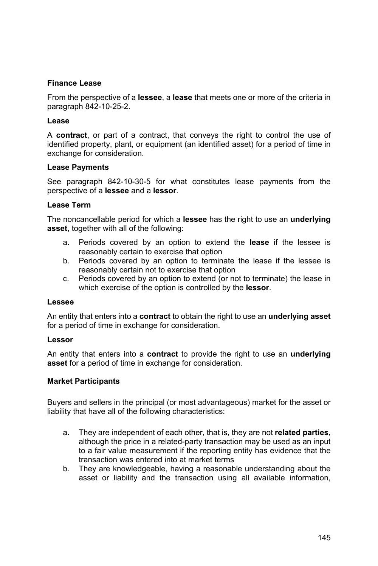## **Finance Lease**

From the perspective of a **lessee**, a **lease** that meets one or more of the criteria in paragraph 842-10-25-2.

#### **Lease**

A **contract**, or part of a contract, that conveys the right to control the use of identified property, plant, or equipment (an identified asset) for a period of time in exchange for consideration.

#### **Lease Payments**

See paragraph 842-10-30-5 for what constitutes lease payments from the perspective of a **lessee** and a **lessor**.

#### **Lease Term**

The noncancellable period for which a **lessee** has the right to use an **underlying asset**, together with all of the following:

- a. Periods covered by an option to extend the **lease** if the lessee is reasonably certain to exercise that option
- b. Periods covered by an option to terminate the lease if the lessee is reasonably certain not to exercise that option
- c. Periods covered by an option to extend (or not to terminate) the lease in which exercise of the option is controlled by the **lessor**.

#### **Lessee**

An entity that enters into a **contract** to obtain the right to use an **underlying asset** for a period of time in exchange for consideration.

#### **Lessor**

An entity that enters into a **contract** to provide the right to use an **underlying asset** for a period of time in exchange for consideration.

#### **Market Participants**

Buyers and sellers in the principal (or most advantageous) market for the asset or liability that have all of the following characteristics:

- a. They are independent of each other, that is, they are not **related parties**, although the price in a related-party transaction may be used as an input to a fair value measurement if the reporting entity has evidence that the transaction was entered into at market terms
- b. They are knowledgeable, having a reasonable understanding about the asset or liability and the transaction using all available information,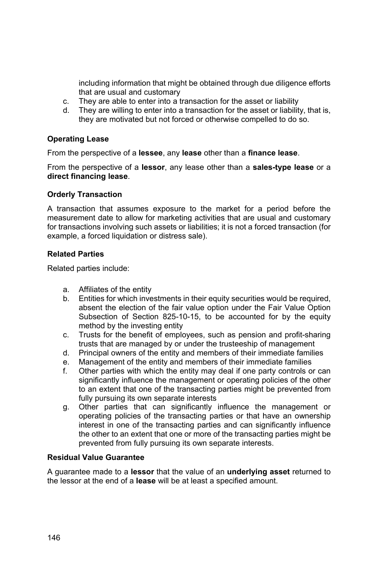including information that might be obtained through due diligence efforts that are usual and customary

- c. They are able to enter into a transaction for the asset or liability
- d. They are willing to enter into a transaction for the asset or liability, that is, they are motivated but not forced or otherwise compelled to do so.

#### **Operating Lease**

From the perspective of a **lessee**, any **lease** other than a **finance lease**.

From the perspective of a **lessor**, any lease other than a **sales-type lease** or a **direct financing lease**.

#### **Orderly Transaction**

A transaction that assumes exposure to the market for a period before the measurement date to allow for marketing activities that are usual and customary for transactions involving such assets or liabilities; it is not a forced transaction (for example, a forced liquidation or distress sale).

### **Related Parties**

Related parties include:

- a. Affiliates of the entity
- b. Entities for which investments in their equity securities would be required, absent the election of the fair value option under the Fair Value Option Subsection of Section 825-10-15, to be accounted for by the equity method by the investing entity
- c. Trusts for the benefit of employees, such as pension and profit-sharing trusts that are managed by or under the trusteeship of management
- d. Principal owners of the entity and members of their immediate families
- e. Management of the entity and members of their immediate families
- f. Other parties with which the entity may deal if one party controls or can significantly influence the management or operating policies of the other to an extent that one of the transacting parties might be prevented from fully pursuing its own separate interests
- g. Other parties that can significantly influence the management or operating policies of the transacting parties or that have an ownership interest in one of the transacting parties and can significantly influence the other to an extent that one or more of the transacting parties might be prevented from fully pursuing its own separate interests.

### **Residual Value Guarantee**

A guarantee made to a **lessor** that the value of an **underlying asset** returned to the lessor at the end of a **lease** will be at least a specified amount.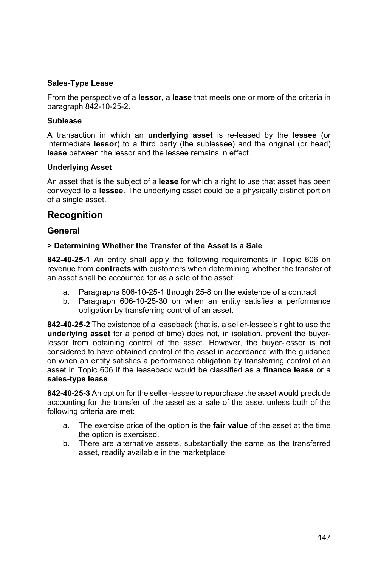## **Sales-Type Lease**

From the perspective of a **lessor**, a **lease** that meets one or more of the criteria in paragraph 842-10-25-2.

#### **Sublease**

A transaction in which an **underlying asset** is re-leased by the **lessee** (or intermediate **lessor**) to a third party (the sublessee) and the original (or head) **lease** between the lessor and the lessee remains in effect.

### **Underlying Asset**

An asset that is the subject of a **lease** for which a right to use that asset has been conveyed to a **lessee**. The underlying asset could be a physically distinct portion of a single asset.

# **Recognition**

## **General**

#### **> Determining Whether the Transfer of the Asset Is a Sale**

**842-40-25-1** An entity shall apply the following requirements in Topic 606 on revenue from **contracts** with customers when determining whether the transfer of an asset shall be accounted for as a sale of the asset:

- a. Paragraphs 606-10-25-1 through 25-8 on the existence of a contract
- b. Paragraph 606-10-25-30 on when an entity satisfies a performance obligation by transferring control of an asset.

**842-40-25-2** The existence of a leaseback (that is, a seller-lessee's right to use the **underlying asset** for a period of time) does not, in isolation, prevent the buyerlessor from obtaining control of the asset. However, the buyer-lessor is not considered to have obtained control of the asset in accordance with the guidance on when an entity satisfies a performance obligation by transferring control of an asset in Topic 606 if the leaseback would be classified as a **finance lease** or a **sales-type lease**.

**842-40-25-3** An option for the seller-lessee to repurchase the asset would preclude accounting for the transfer of the asset as a sale of the asset unless both of the following criteria are met:

- a. The exercise price of the option is the **fair value** of the asset at the time the option is exercised.
- b. There are alternative assets, substantially the same as the transferred asset, readily available in the marketplace.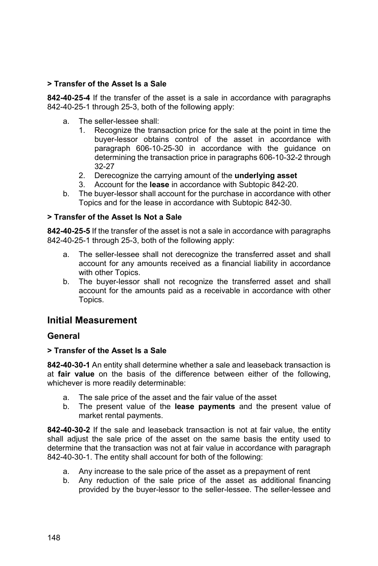## **> Transfer of the Asset Is a Sale**

**842-40-25-4** If the transfer of the asset is a sale in accordance with paragraphs 842-40-25-1 through 25-3, both of the following apply:

- a. The seller-lessee shall:
	- 1. Recognize the transaction price for the sale at the point in time the buyer-lessor obtains control of the asset in accordance with paragraph 606-10-25-30 in accordance with the guidance on determining the transaction price in paragraphs 606-10-32-2 through 32-27
	- 2. Derecognize the carrying amount of the **underlying asset**
	- 3. Account for the **lease** in accordance with Subtopic 842-20.
- b. The buyer-lessor shall account for the purchase in accordance with other Topics and for the lease in accordance with Subtopic 842-30.

## **> Transfer of the Asset Is Not a Sale**

**842-40-25-5** If the transfer of the asset is not a sale in accordance with paragraphs 842-40-25-1 through 25-3, both of the following apply:

- a. The seller-lessee shall not derecognize the transferred asset and shall account for any amounts received as a financial liability in accordance with other Topics.
- b. The buyer-lessor shall not recognize the transferred asset and shall account for the amounts paid as a receivable in accordance with other Topics.

# **Initial Measurement**

# **General**

## **> Transfer of the Asset Is a Sale**

**842-40-30-1** An entity shall determine whether a sale and leaseback transaction is at **fair value** on the basis of the difference between either of the following, whichever is more readily determinable:

- a. The sale price of the asset and the fair value of the asset
- b. The present value of the **lease payments** and the present value of market rental payments.

**842-40-30-2** If the sale and leaseback transaction is not at fair value, the entity shall adjust the sale price of the asset on the same basis the entity used to determine that the transaction was not at fair value in accordance with paragraph 842-40-30-1. The entity shall account for both of the following:

- a. Any increase to the sale price of the asset as a prepayment of rent
- b. Any reduction of the sale price of the asset as additional financing provided by the buyer-lessor to the seller-lessee. The seller-lessee and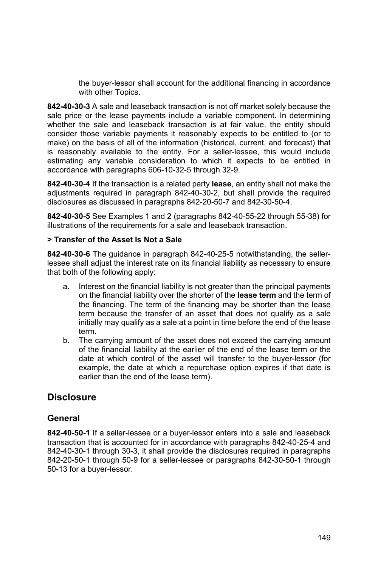the buyer-lessor shall account for the additional financing in accordance with other Topics.

**842-40-30-3** A sale and leaseback transaction is not off market solely because the sale price or the lease payments include a variable component. In determining whether the sale and leaseback transaction is at fair value, the entity should consider those variable payments it reasonably expects to be entitled to (or to make) on the basis of all of the information (historical, current, and forecast) that is reasonably available to the entity. For a seller-lessee, this would include estimating any variable consideration to which it expects to be entitled in accordance with paragraphs 606-10-32-5 through 32-9.

**842-40-30-4** If the transaction is a related party **lease**, an entity shall not make the adjustments required in paragraph 842-40-30-2, but shall provide the required disclosures as discussed in paragraphs 842-20-50-7 and 842-30-50-4.

**842-40-30-5** See Examples 1 and 2 (paragraphs 842-40-55-22 through 55-38) for illustrations of the requirements for a sale and leaseback transaction.

#### **> Transfer of the Asset Is Not a Sale**

**842-40-30-6** The guidance in paragraph 842-40-25-5 notwithstanding, the sellerlessee shall adjust the interest rate on its financial liability as necessary to ensure that both of the following apply:

- a. Interest on the financial liability is not greater than the principal payments on the financial liability over the shorter of the **lease term** and the term of the financing. The term of the financing may be shorter than the lease term because the transfer of an asset that does not qualify as a sale initially may qualify as a sale at a point in time before the end of the lease term.
- b. The carrying amount of the asset does not exceed the carrying amount of the financial liability at the earlier of the end of the lease term or the date at which control of the asset will transfer to the buyer-lessor (for example, the date at which a repurchase option expires if that date is earlier than the end of the lease term).

# **Disclosure**

# **General**

**842-40-50-1** If a seller-lessee or a buyer-lessor enters into a sale and leaseback transaction that is accounted for in accordance with paragraphs 842-40-25-4 and 842-40-30-1 through 30-3, it shall provide the disclosures required in paragraphs 842-20-50-1 through 50-9 for a seller-lessee or paragraphs 842-30-50-1 through 50-13 for a buyer-lessor.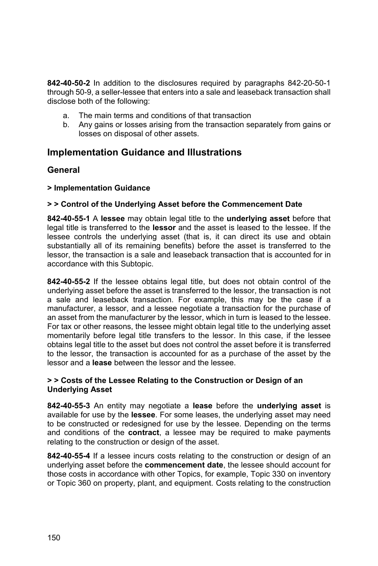**842-40-50-2** In addition to the disclosures required by paragraphs 842-20-50-1 through 50-9, a seller-lessee that enters into a sale and leaseback transaction shall disclose both of the following:

- a. The main terms and conditions of that transaction
- b. Any gains or losses arising from the transaction separately from gains or losses on disposal of other assets.

# **Implementation Guidance and Illustrations**

# **General**

## **> Implementation Guidance**

## **> > Control of the Underlying Asset before the Commencement Date**

**842-40-55-1** A **lessee** may obtain legal title to the **underlying asset** before that legal title is transferred to the **lessor** and the asset is leased to the lessee. If the lessee controls the underlying asset (that is, it can direct its use and obtain substantially all of its remaining benefits) before the asset is transferred to the lessor, the transaction is a sale and leaseback transaction that is accounted for in accordance with this Subtopic.

**842-40-55-2** If the lessee obtains legal title, but does not obtain control of the underlying asset before the asset is transferred to the lessor, the transaction is not a sale and leaseback transaction. For example, this may be the case if a manufacturer, a lessor, and a lessee negotiate a transaction for the purchase of an asset from the manufacturer by the lessor, which in turn is leased to the lessee. For tax or other reasons, the lessee might obtain legal title to the underlying asset momentarily before legal title transfers to the lessor. In this case, if the lessee obtains legal title to the asset but does not control the asset before it is transferred to the lessor, the transaction is accounted for as a purchase of the asset by the lessor and a **lease** between the lessor and the lessee.

### **> > Costs of the Lessee Relating to the Construction or Design of an Underlying Asset**

**842-40-55-3** An entity may negotiate a **lease** before the **underlying asset** is available for use by the **lessee**. For some leases, the underlying asset may need to be constructed or redesigned for use by the lessee. Depending on the terms and conditions of the **contract**, a lessee may be required to make payments relating to the construction or design of the asset.

**842-40-55-4** If a lessee incurs costs relating to the construction or design of an underlying asset before the **commencement date**, the lessee should account for those costs in accordance with other Topics, for example, Topic 330 on inventory or Topic 360 on property, plant, and equipment. Costs relating to the construction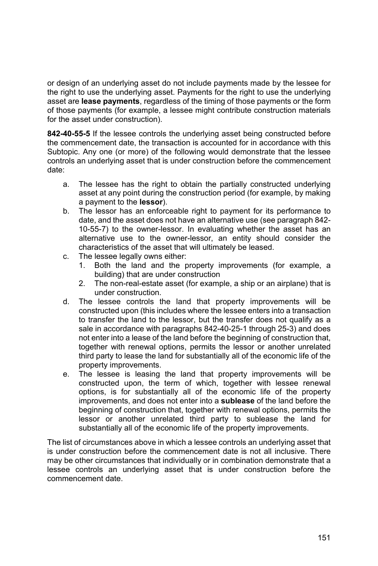or design of an underlying asset do not include payments made by the lessee for the right to use the underlying asset. Payments for the right to use the underlying asset are **lease payments**, regardless of the timing of those payments or the form of those payments (for example, a lessee might contribute construction materials for the asset under construction).

**842-40-55-5** If the lessee controls the underlying asset being constructed before the commencement date, the transaction is accounted for in accordance with this Subtopic. Any one (or more) of the following would demonstrate that the lessee controls an underlying asset that is under construction before the commencement date:

- a. The lessee has the right to obtain the partially constructed underlying asset at any point during the construction period (for example, by making a payment to the **lessor**).
- b. The lessor has an enforceable right to payment for its performance to date, and the asset does not have an alternative use (see paragraph 842- 10-55-7) to the owner-lessor. In evaluating whether the asset has an alternative use to the owner-lessor, an entity should consider the characteristics of the asset that will ultimately be leased.
- c. The lessee legally owns either:
	- 1. Both the land and the property improvements (for example, a building) that are under construction
	- 2. The non-real-estate asset (for example, a ship or an airplane) that is under construction.
- d. The lessee controls the land that property improvements will be constructed upon (this includes where the lessee enters into a transaction to transfer the land to the lessor, but the transfer does not qualify as a sale in accordance with paragraphs 842-40-25-1 through 25-3) and does not enter into a lease of the land before the beginning of construction that, together with renewal options, permits the lessor or another unrelated third party to lease the land for substantially all of the economic life of the property improvements.
- e. The lessee is leasing the land that property improvements will be constructed upon, the term of which, together with lessee renewal options, is for substantially all of the economic life of the property improvements, and does not enter into a **sublease** of the land before the beginning of construction that, together with renewal options, permits the lessor or another unrelated third party to sublease the land for substantially all of the economic life of the property improvements.

The list of circumstances above in which a lessee controls an underlying asset that is under construction before the commencement date is not all inclusive. There may be other circumstances that individually or in combination demonstrate that a lessee controls an underlying asset that is under construction before the commencement date.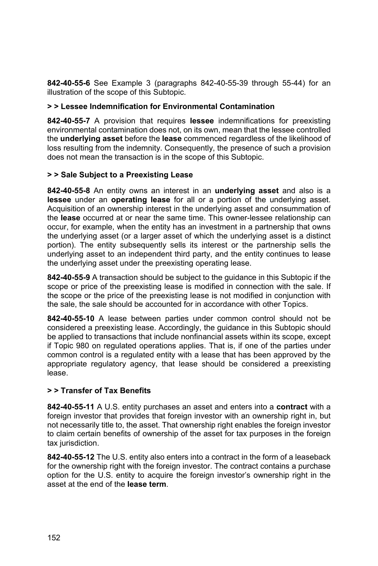**842-40-55-6** See Example 3 (paragraphs 842-40-55-39 through 55-44) for an illustration of the scope of this Subtopic.

### **> > Lessee Indemnification for Environmental Contamination**

**842-40-55-7** A provision that requires **lessee** indemnifications for preexisting environmental contamination does not, on its own, mean that the lessee controlled the **underlying asset** before the **lease** commenced regardless of the likelihood of loss resulting from the indemnity. Consequently, the presence of such a provision does not mean the transaction is in the scope of this Subtopic.

### **> > Sale Subject to a Preexisting Lease**

**842-40-55-8** An entity owns an interest in an **underlying asset** and also is a **lessee** under an **operating lease** for all or a portion of the underlying asset. Acquisition of an ownership interest in the underlying asset and consummation of the **lease** occurred at or near the same time. This owner-lessee relationship can occur, for example, when the entity has an investment in a partnership that owns the underlying asset (or a larger asset of which the underlying asset is a distinct portion). The entity subsequently sells its interest or the partnership sells the underlying asset to an independent third party, and the entity continues to lease the underlying asset under the preexisting operating lease.

**842-40-55-9** A transaction should be subject to the guidance in this Subtopic if the scope or price of the preexisting lease is modified in connection with the sale. If the scope or the price of the preexisting lease is not modified in conjunction with the sale, the sale should be accounted for in accordance with other Topics.

**842-40-55-10** A lease between parties under common control should not be considered a preexisting lease. Accordingly, the guidance in this Subtopic should be applied to transactions that include nonfinancial assets within its scope, except if Topic 980 on regulated operations applies. That is, if one of the parties under common control is a regulated entity with a lease that has been approved by the appropriate regulatory agency, that lease should be considered a preexisting lease.

# **> > Transfer of Tax Benefits**

**842-40-55-11** A U.S. entity purchases an asset and enters into a **contract** with a foreign investor that provides that foreign investor with an ownership right in, but not necessarily title to, the asset. That ownership right enables the foreign investor to claim certain benefits of ownership of the asset for tax purposes in the foreign tax jurisdiction.

**842-40-55-12** The U.S. entity also enters into a contract in the form of a leaseback for the ownership right with the foreign investor. The contract contains a purchase option for the U.S. entity to acquire the foreign investor's ownership right in the asset at the end of the **lease term**.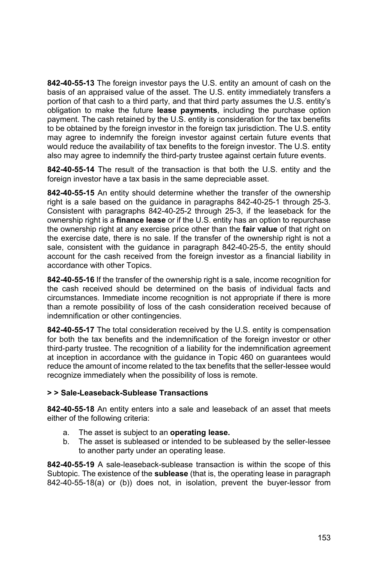**842-40-55-13** The foreign investor pays the U.S. entity an amount of cash on the basis of an appraised value of the asset. The U.S. entity immediately transfers a portion of that cash to a third party, and that third party assumes the U.S. entity's obligation to make the future **lease payments**, including the purchase option payment. The cash retained by the U.S. entity is consideration for the tax benefits to be obtained by the foreign investor in the foreign tax jurisdiction. The U.S. entity may agree to indemnify the foreign investor against certain future events that would reduce the availability of tax benefits to the foreign investor. The U.S. entity also may agree to indemnify the third-party trustee against certain future events.

**842-40-55-14** The result of the transaction is that both the U.S. entity and the foreign investor have a tax basis in the same depreciable asset.

**842-40-55-15** An entity should determine whether the transfer of the ownership right is a sale based on the guidance in paragraphs 842-40-25-1 through 25-3. Consistent with paragraphs 842-40-25-2 through 25-3, if the leaseback for the ownership right is a **finance lease** or if the U.S. entity has an option to repurchase the ownership right at any exercise price other than the **fair value** of that right on the exercise date, there is no sale. If the transfer of the ownership right is not a sale, consistent with the guidance in paragraph 842-40-25-5, the entity should account for the cash received from the foreign investor as a financial liability in accordance with other Topics.

**842-40-55-16** If the transfer of the ownership right is a sale, income recognition for the cash received should be determined on the basis of individual facts and circumstances. Immediate income recognition is not appropriate if there is more than a remote possibility of loss of the cash consideration received because of indemnification or other contingencies.

**842-40-55-17** The total consideration received by the U.S. entity is compensation for both the tax benefits and the indemnification of the foreign investor or other third-party trustee. The recognition of a liability for the indemnification agreement at inception in accordance with the guidance in Topic 460 on guarantees would reduce the amount of income related to the tax benefits that the seller-lessee would recognize immediately when the possibility of loss is remote.

#### **> > Sale-Leaseback-Sublease Transactions**

**842-40-55-18** An entity enters into a sale and leaseback of an asset that meets either of the following criteria:

- a. The asset is subject to an **operating lease.**
- b. The asset is subleased or intended to be subleased by the seller-lessee to another party under an operating lease.

**842-40-55-19** A sale-leaseback-sublease transaction is within the scope of this Subtopic. The existence of the **sublease** (that is, the operating lease in paragraph 842-40-55-18(a) or (b)) does not, in isolation, prevent the buyer-lessor from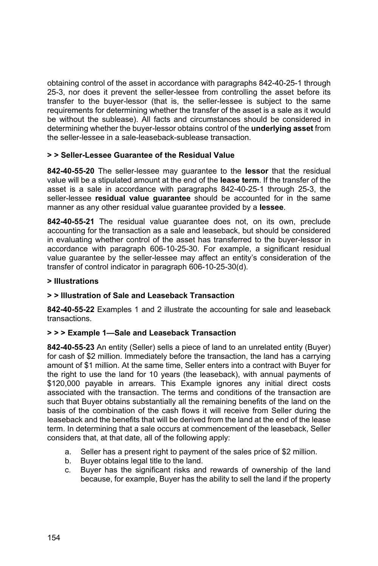obtaining control of the asset in accordance with paragraphs 842-40-25-1 through 25-3, nor does it prevent the seller-lessee from controlling the asset before its transfer to the buyer-lessor (that is, the seller-lessee is subject to the same requirements for determining whether the transfer of the asset is a sale as it would be without the sublease). All facts and circumstances should be considered in determining whether the buyer-lessor obtains control of the **underlying asset** from the seller-lessee in a sale-leaseback-sublease transaction.

## **> > Seller-Lessee Guarantee of the Residual Value**

**842-40-55-20** The seller-lessee may guarantee to the **lessor** that the residual value will be a stipulated amount at the end of the **lease term**. If the transfer of the asset is a sale in accordance with paragraphs 842-40-25-1 through 25-3, the seller-lessee **residual value guarantee** should be accounted for in the same manner as any other residual value guarantee provided by a **lessee**.

**842-40-55-21** The residual value guarantee does not, on its own, preclude accounting for the transaction as a sale and leaseback, but should be considered in evaluating whether control of the asset has transferred to the buyer-lessor in accordance with paragraph 606-10-25-30. For example, a significant residual value guarantee by the seller-lessee may affect an entity's consideration of the transfer of control indicator in paragraph 606-10-25-30(d).

#### **> Illustrations**

#### **> > Illustration of Sale and Leaseback Transaction**

**842-40-55-22** Examples 1 and 2 illustrate the accounting for sale and leaseback transactions.

#### **> > > Example 1—Sale and Leaseback Transaction**

**842-40-55-23** An entity (Seller) sells a piece of land to an unrelated entity (Buyer) for cash of \$2 million. Immediately before the transaction, the land has a carrying amount of \$1 million. At the same time, Seller enters into a contract with Buyer for the right to use the land for 10 years (the leaseback), with annual payments of \$120,000 payable in arrears. This Example ignores any initial direct costs associated with the transaction. The terms and conditions of the transaction are such that Buyer obtains substantially all the remaining benefits of the land on the basis of the combination of the cash flows it will receive from Seller during the leaseback and the benefits that will be derived from the land at the end of the lease term. In determining that a sale occurs at commencement of the leaseback, Seller considers that, at that date, all of the following apply:

- a. Seller has a present right to payment of the sales price of \$2 million.
- b. Buyer obtains legal title to the land.
- c. Buyer has the significant risks and rewards of ownership of the land because, for example, Buyer has the ability to sell the land if the property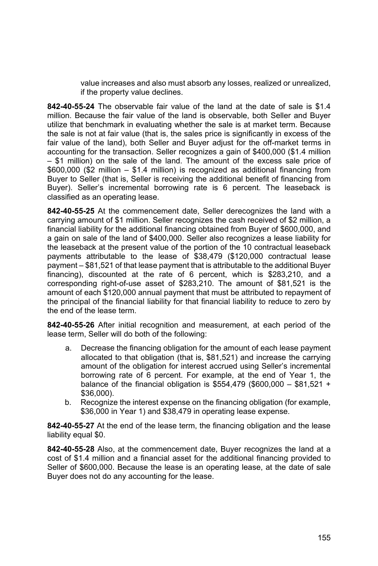value increases and also must absorb any losses, realized or unrealized, if the property value declines.

**842-40-55-24** The observable fair value of the land at the date of sale is \$1.4 million. Because the fair value of the land is observable, both Seller and Buyer utilize that benchmark in evaluating whether the sale is at market term. Because the sale is not at fair value (that is, the sales price is significantly in excess of the fair value of the land), both Seller and Buyer adjust for the off-market terms in accounting for the transaction. Seller recognizes a gain of \$400,000 (\$1.4 million – \$1 million) on the sale of the land. The amount of the excess sale price of \$600,000 (\$2 million – \$1.4 million) is recognized as additional financing from Buyer to Seller (that is, Seller is receiving the additional benefit of financing from Buyer). Seller's incremental borrowing rate is 6 percent. The leaseback is classified as an operating lease.

**842-40-55-25** At the commencement date, Seller derecognizes the land with a carrying amount of \$1 million. Seller recognizes the cash received of \$2 million, a financial liability for the additional financing obtained from Buyer of \$600,000, and a gain on sale of the land of \$400,000. Seller also recognizes a lease liability for the leaseback at the present value of the portion of the 10 contractual leaseback payments attributable to the lease of \$38,479 (\$120,000 contractual lease payment – \$81,521 of that lease payment that is attributable to the additional Buyer financing), discounted at the rate of 6 percent, which is \$283,210, and a corresponding right-of-use asset of \$283,210. The amount of \$81,521 is the amount of each \$120,000 annual payment that must be attributed to repayment of the principal of the financial liability for that financial liability to reduce to zero by the end of the lease term.

**842-40-55-26** After initial recognition and measurement, at each period of the lease term, Seller will do both of the following:

- a. Decrease the financing obligation for the amount of each lease payment allocated to that obligation (that is, \$81,521) and increase the carrying amount of the obligation for interest accrued using Seller's incremental borrowing rate of 6 percent. For example, at the end of Year 1, the balance of the financial obligation is \$554,479 (\$600,000 – \$81,521 + \$36,000).
- b. Recognize the interest expense on the financing obligation (for example, \$36,000 in Year 1) and \$38,479 in operating lease expense.

**842-40-55-27** At the end of the lease term, the financing obligation and the lease liability equal \$0.

**842-40-55-28** Also, at the commencement date, Buyer recognizes the land at a cost of \$1.4 million and a financial asset for the additional financing provided to Seller of \$600,000. Because the lease is an operating lease, at the date of sale Buyer does not do any accounting for the lease.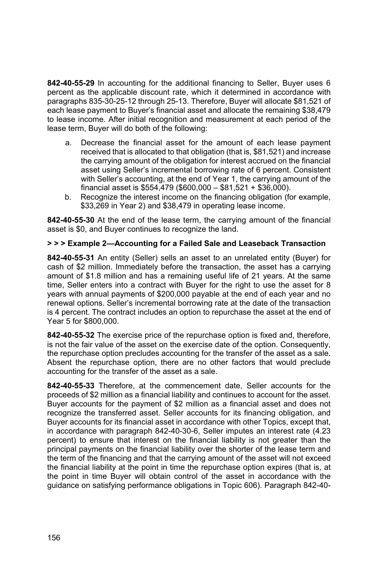**842-40-55-29** In accounting for the additional financing to Seller, Buyer uses 6 percent as the applicable discount rate, which it determined in accordance with paragraphs 835-30-25-12 through 25-13. Therefore, Buyer will allocate \$81,521 of each lease payment to Buyer's financial asset and allocate the remaining \$38,479 to lease income. After initial recognition and measurement at each period of the lease term, Buyer will do both of the following:

- a. Decrease the financial asset for the amount of each lease payment received that is allocated to that obligation (that is, \$81,521) and increase the carrying amount of the obligation for interest accrued on the financial asset using Seller's incremental borrowing rate of 6 percent. Consistent with Seller's accounting, at the end of Year 1, the carrying amount of the financial asset is \$554,479 (\$600,000 – \$81,521 + \$36,000).
- b. Recognize the interest income on the financing obligation (for example, \$33,269 in Year 2) and \$38,479 in operating lease income.

**842-40-55-30** At the end of the lease term, the carrying amount of the financial asset is \$0, and Buyer continues to recognize the land.

### **> > > Example 2—Accounting for a Failed Sale and Leaseback Transaction**

**842-40-55-31** An entity (Seller) sells an asset to an unrelated entity (Buyer) for cash of \$2 million. Immediately before the transaction, the asset has a carrying amount of \$1.8 million and has a remaining useful life of 21 years. At the same time, Seller enters into a contract with Buyer for the right to use the asset for 8 years with annual payments of \$200,000 payable at the end of each year and no renewal options. Seller's incremental borrowing rate at the date of the transaction is 4 percent. The contract includes an option to repurchase the asset at the end of Year 5 for \$800,000.

**842-40-55-32** The exercise price of the repurchase option is fixed and, therefore, is not the fair value of the asset on the exercise date of the option. Consequently, the repurchase option precludes accounting for the transfer of the asset as a sale. Absent the repurchase option, there are no other factors that would preclude accounting for the transfer of the asset as a sale.

**842-40-55-33** Therefore, at the commencement date, Seller accounts for the proceeds of \$2 million as a financial liability and continues to account for the asset. Buyer accounts for the payment of \$2 million as a financial asset and does not recognize the transferred asset. Seller accounts for its financing obligation, and Buyer accounts for its financial asset in accordance with other Topics, except that, in accordance with paragraph 842-40-30-6, Seller imputes an interest rate (4.23 percent) to ensure that interest on the financial liability is not greater than the principal payments on the financial liability over the shorter of the lease term and the term of the financing and that the carrying amount of the asset will not exceed the financial liability at the point in time the repurchase option expires (that is, at the point in time Buyer will obtain control of the asset in accordance with the guidance on satisfying performance obligations in Topic 606). Paragraph 842-40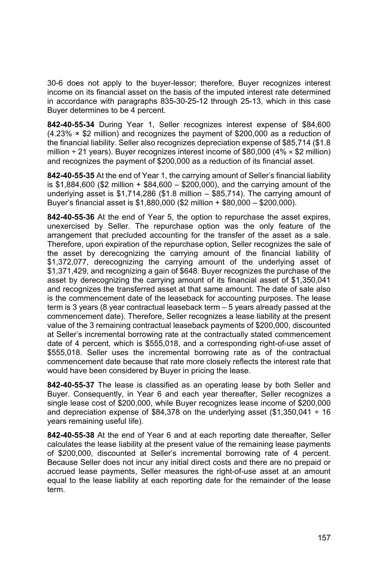30-6 does not apply to the buyer-lessor; therefore, Buyer recognizes interest income on its financial asset on the basis of the imputed interest rate determined in accordance with paragraphs 835-30-25-12 through 25-13, which in this case Buyer determines to be 4 percent.

**842-40-55-34** During Year 1, Seller recognizes interest expense of \$84,600 (4.23% × \$2 million) and recognizes the payment of \$200,000 as a reduction of the financial liability. Seller also recognizes depreciation expense of \$85,714 (\$1.8 million  $\div$  21 years). Buyer recognizes interest income of \$80,000 (4%  $\times$  \$2 million) and recognizes the payment of \$200,000 as a reduction of its financial asset.

**842-40-55-35** At the end of Year 1, the carrying amount of Seller's financial liability is \$1,884,600 (\$2 million + \$84,600 – \$200,000), and the carrying amount of the underlying asset is \$1,714,286 (\$1.8 million – \$85,714). The carrying amount of Buyer's financial asset is \$1,880,000 (\$2 million + \$80,000 – \$200,000).

**842-40-55-36** At the end of Year 5, the option to repurchase the asset expires, unexercised by Seller. The repurchase option was the only feature of the arrangement that precluded accounting for the transfer of the asset as a sale. Therefore, upon expiration of the repurchase option, Seller recognizes the sale of the asset by derecognizing the carrying amount of the financial liability of \$1,372,077, derecognizing the carrying amount of the underlying asset of \$1,371,429, and recognizing a gain of \$648. Buyer recognizes the purchase of the asset by derecognizing the carrying amount of its financial asset of \$1,350,041 and recognizes the transferred asset at that same amount. The date of sale also is the commencement date of the leaseback for accounting purposes. The lease term is 3 years (8 year contractual leaseback term – 5 years already passed at the commencement date). Therefore, Seller recognizes a lease liability at the present value of the 3 remaining contractual leaseback payments of \$200,000, discounted at Seller's incremental borrowing rate at the contractually stated commencement date of 4 percent, which is \$555,018, and a corresponding right-of-use asset of \$555,018. Seller uses the incremental borrowing rate as of the contractual commencement date because that rate more closely reflects the interest rate that would have been considered by Buyer in pricing the lease.

**842-40-55-37** The lease is classified as an operating lease by both Seller and Buyer. Consequently, in Year 6 and each year thereafter, Seller recognizes a single lease cost of \$200,000, while Buyer recognizes lease income of \$200,000 and depreciation expense of \$84,378 on the underlying asset (\$1,350,041  $\div$  16 years remaining useful life).

**842-40-55-38** At the end of Year 6 and at each reporting date thereafter, Seller calculates the lease liability at the present value of the remaining lease payments of \$200,000, discounted at Seller's incremental borrowing rate of 4 percent. Because Seller does not incur any initial direct costs and there are no prepaid or accrued lease payments, Seller measures the right-of-use asset at an amount equal to the lease liability at each reporting date for the remainder of the lease term.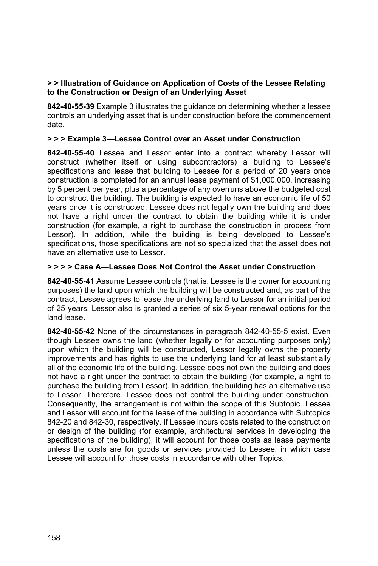### **> > Illustration of Guidance on Application of Costs of the Lessee Relating to the Construction or Design of an Underlying Asset**

**842-40-55-39** Example 3 illustrates the guidance on determining whether a lessee controls an underlying asset that is under construction before the commencement date.

#### **> > > Example 3—Lessee Control over an Asset under Construction**

**842-40-55-40** Lessee and Lessor enter into a contract whereby Lessor will construct (whether itself or using subcontractors) a building to Lessee's specifications and lease that building to Lessee for a period of 20 years once construction is completed for an annual lease payment of \$1,000,000, increasing by 5 percent per year, plus a percentage of any overruns above the budgeted cost to construct the building. The building is expected to have an economic life of 50 years once it is constructed. Lessee does not legally own the building and does not have a right under the contract to obtain the building while it is under construction (for example, a right to purchase the construction in process from Lessor). In addition, while the building is being developed to Lessee's specifications, those specifications are not so specialized that the asset does not have an alternative use to Lessor.

### **> > > > Case A—Lessee Does Not Control the Asset under Construction**

**842-40-55-41** Assume Lessee controls (that is, Lessee is the owner for accounting purposes) the land upon which the building will be constructed and, as part of the contract, Lessee agrees to lease the underlying land to Lessor for an initial period of 25 years. Lessor also is granted a series of six 5-year renewal options for the land lease.

**842-40-55-42** None of the circumstances in paragraph 842-40-55-5 exist. Even though Lessee owns the land (whether legally or for accounting purposes only) upon which the building will be constructed, Lessor legally owns the property improvements and has rights to use the underlying land for at least substantially all of the economic life of the building. Lessee does not own the building and does not have a right under the contract to obtain the building (for example, a right to purchase the building from Lessor). In addition, the building has an alternative use to Lessor. Therefore, Lessee does not control the building under construction. Consequently, the arrangement is not within the scope of this Subtopic. Lessee and Lessor will account for the lease of the building in accordance with Subtopics 842-20 and 842-30, respectively. If Lessee incurs costs related to the construction or design of the building (for example, architectural services in developing the specifications of the building), it will account for those costs as lease payments unless the costs are for goods or services provided to Lessee, in which case Lessee will account for those costs in accordance with other Topics.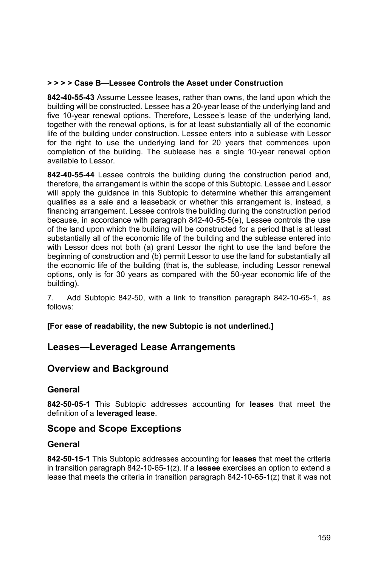## **> > > > Case B—Lessee Controls the Asset under Construction**

**842-40-55-43** Assume Lessee leases, rather than owns, the land upon which the building will be constructed. Lessee has a 20-year lease of the underlying land and five 10-year renewal options. Therefore, Lessee's lease of the underlying land, together with the renewal options, is for at least substantially all of the economic life of the building under construction. Lessee enters into a sublease with Lessor for the right to use the underlying land for 20 years that commences upon completion of the building. The sublease has a single 10-year renewal option available to Lessor.

**842-40-55-44** Lessee controls the building during the construction period and, therefore, the arrangement is within the scope of this Subtopic. Lessee and Lessor will apply the guidance in this Subtopic to determine whether this arrangement qualifies as a sale and a leaseback or whether this arrangement is, instead, a financing arrangement. Lessee controls the building during the construction period because, in accordance with paragraph 842-40-55-5(e), Lessee controls the use of the land upon which the building will be constructed for a period that is at least substantially all of the economic life of the building and the sublease entered into with Lessor does not both (a) grant Lessor the right to use the land before the beginning of construction and (b) permit Lessor to use the land for substantially all the economic life of the building (that is, the sublease, including Lessor renewal options, only is for 30 years as compared with the 50-year economic life of the building).

7. Add Subtopic 842-50, with a link to transition paragraph 842-10-65-1, as follows:

# **[For ease of readability, the new Subtopic is not underlined.]**

# **Leases—Leveraged Lease Arrangements**

# **Overview and Background**

# **General**

**842-50-05-1** This Subtopic addresses accounting for **leases** that meet the definition of a **leveraged lease**.

# **Scope and Scope Exceptions**

# **General**

**842-50-15-1** This Subtopic addresses accounting for **leases** that meet the criteria in transition paragraph 842-10-65-1(z). If a **lessee** exercises an option to extend a lease that meets the criteria in transition paragraph 842-10-65-1(z) that it was not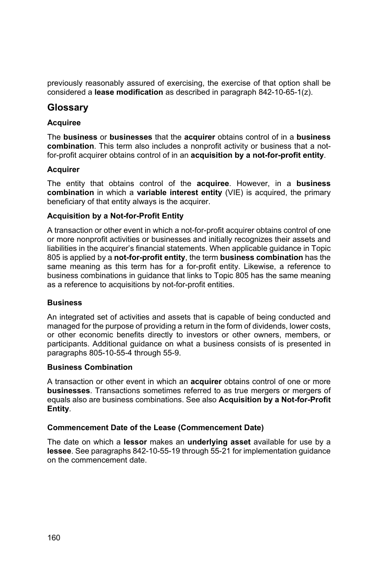previously reasonably assured of exercising, the exercise of that option shall be considered a **lease modification** as described in paragraph 842-10-65-1(z).

# **Glossary**

### **Acquiree**

The **business** or **businesses** that the **acquirer** obtains control of in a **business combination**. This term also includes a nonprofit activity or business that a notfor-profit acquirer obtains control of in an **acquisition by a not-for-profit entity**.

#### **Acquirer**

The entity that obtains control of the **acquiree**. However, in a **business combination** in which a **variable interest entity** (VIE) is acquired, the primary beneficiary of that entity always is the acquirer.

#### **Acquisition by a Not-for-Profit Entity**

A transaction or other event in which a not-for-profit acquirer obtains control of one or more nonprofit activities or businesses and initially recognizes their assets and liabilities in the acquirer's financial statements. When applicable guidance in Topic 805 is applied by a **not-for-profit entity**, the term **business combination** has the same meaning as this term has for a for-profit entity. Likewise, a reference to business combinations in guidance that links to Topic 805 has the same meaning as a reference to acquisitions by not-for-profit entities.

#### **Business**

An integrated set of activities and assets that is capable of being conducted and managed for the purpose of providing a return in the form of dividends, lower costs, or other economic benefits directly to investors or other owners, members, or participants. Additional guidance on what a business consists of is presented in paragraphs 805-10-55-4 through 55-9.

#### **Business Combination**

A transaction or other event in which an **acquirer** obtains control of one or more **businesses**. Transactions sometimes referred to as true mergers or mergers of equals also are business combinations. See also **Acquisition by a Not-for-Profit Entity**.

#### **Commencement Date of the Lease (Commencement Date)**

The date on which a **lessor** makes an **underlying asset** available for use by a **lessee**. See paragraphs 842-10-55-19 through 55-21 for implementation guidance on the commencement date.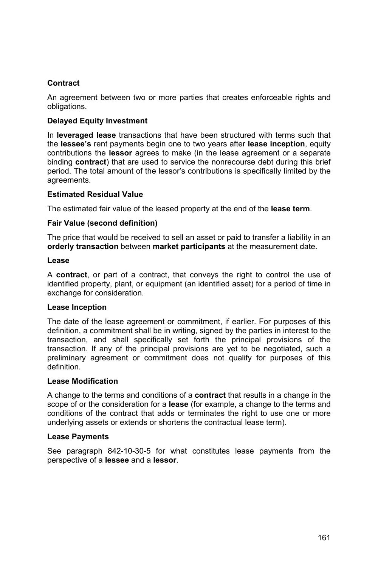## **Contract**

An agreement between two or more parties that creates enforceable rights and obligations.

### **Delayed Equity Investment**

In **leveraged lease** transactions that have been structured with terms such that the **lessee's** rent payments begin one to two years after **lease inception**, equity contributions the **lessor** agrees to make (in the lease agreement or a separate binding **contract**) that are used to service the nonrecourse debt during this brief period. The total amount of the lessor's contributions is specifically limited by the agreements.

#### **Estimated Residual Value**

The estimated fair value of the leased property at the end of the **lease term**.

#### **Fair Value (second definition)**

The price that would be received to sell an asset or paid to transfer a liability in an **orderly transaction** between **market participants** at the measurement date.

#### **Lease**

A **contract**, or part of a contract, that conveys the right to control the use of identified property, plant, or equipment (an identified asset) for a period of time in exchange for consideration.

#### **Lease Inception**

The date of the lease agreement or commitment, if earlier. For purposes of this definition, a commitment shall be in writing, signed by the parties in interest to the transaction, and shall specifically set forth the principal provisions of the transaction. If any of the principal provisions are yet to be negotiated, such a preliminary agreement or commitment does not qualify for purposes of this definition.

#### **Lease Modification**

A change to the terms and conditions of a **contract** that results in a change in the scope of or the consideration for a **lease** (for example, a change to the terms and conditions of the contract that adds or terminates the right to use one or more underlying assets or extends or shortens the contractual lease term).

#### **Lease Payments**

See paragraph 842-10-30-5 for what constitutes lease payments from the perspective of a **lessee** and a **lessor**.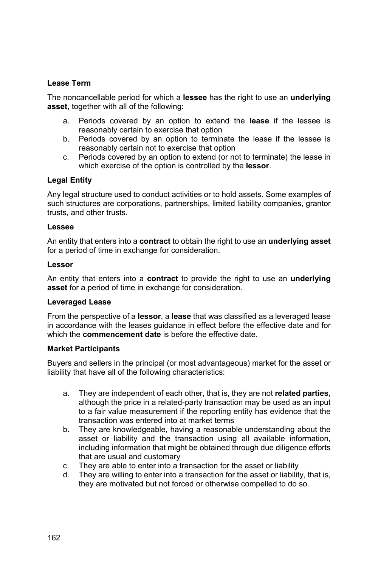## **Lease Term**

The noncancellable period for which a **lessee** has the right to use an **underlying asset**, together with all of the following:

- a. Periods covered by an option to extend the **lease** if the lessee is reasonably certain to exercise that option
- b. Periods covered by an option to terminate the lease if the lessee is reasonably certain not to exercise that option
- c. Periods covered by an option to extend (or not to terminate) the lease in which exercise of the option is controlled by the **lessor**.

## **Legal Entity**

Any legal structure used to conduct activities or to hold assets. Some examples of such structures are corporations, partnerships, limited liability companies, grantor trusts, and other trusts.

#### **Lessee**

An entity that enters into a **contract** to obtain the right to use an **underlying asset** for a period of time in exchange for consideration.

#### **Lessor**

An entity that enters into a **contract** to provide the right to use an **underlying asset** for a period of time in exchange for consideration.

#### **Leveraged Lease**

From the perspective of a **lessor**, a **lease** that was classified as a leveraged lease in accordance with the leases guidance in effect before the effective date and for which the **commencement date** is before the effective date.

#### **Market Participants**

Buyers and sellers in the principal (or most advantageous) market for the asset or liability that have all of the following characteristics:

- a. They are independent of each other, that is, they are not **related parties**, although the price in a related-party transaction may be used as an input to a fair value measurement if the reporting entity has evidence that the transaction was entered into at market terms
- b. They are knowledgeable, having a reasonable understanding about the asset or liability and the transaction using all available information, including information that might be obtained through due diligence efforts that are usual and customary
- c. They are able to enter into a transaction for the asset or liability d. They are willing to enter into a transaction for the asset or liability
- They are willing to enter into a transaction for the asset or liability, that is, they are motivated but not forced or otherwise compelled to do so.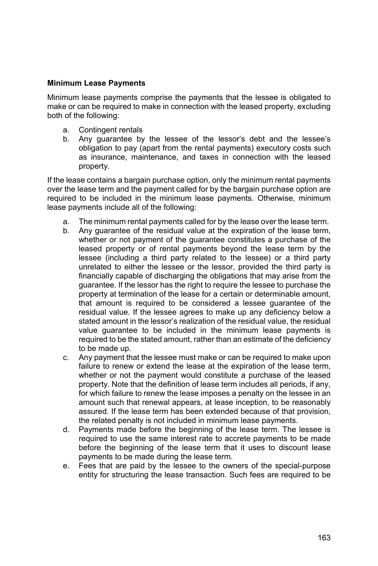### **Minimum Lease Payments**

Minimum lease payments comprise the payments that the lessee is obligated to make or can be required to make in connection with the leased property, excluding both of the following:

- a. Contingent rentals
- b. Any guarantee by the lessee of the lessor's debt and the lessee's obligation to pay (apart from the rental payments) executory costs such as insurance, maintenance, and taxes in connection with the leased property.

If the lease contains a bargain purchase option, only the minimum rental payments over the lease term and the payment called for by the bargain purchase option are required to be included in the minimum lease payments. Otherwise, minimum lease payments include all of the following:

- a. The minimum rental payments called for by the lease over the lease term.
- b. Any guarantee of the residual value at the expiration of the lease term, whether or not payment of the guarantee constitutes a purchase of the leased property or of rental payments beyond the lease term by the lessee (including a third party related to the lessee) or a third party unrelated to either the lessee or the lessor, provided the third party is financially capable of discharging the obligations that may arise from the guarantee. If the lessor has the right to require the lessee to purchase the property at termination of the lease for a certain or determinable amount, that amount is required to be considered a lessee guarantee of the residual value. If the lessee agrees to make up any deficiency below a stated amount in the lessor's realization of the residual value, the residual value guarantee to be included in the minimum lease payments is required to be the stated amount, rather than an estimate of the deficiency to be made up.
- c. Any payment that the lessee must make or can be required to make upon failure to renew or extend the lease at the expiration of the lease term, whether or not the payment would constitute a purchase of the leased property. Note that the definition of lease term includes all periods, if any, for which failure to renew the lease imposes a penalty on the lessee in an amount such that renewal appears, at lease inception, to be reasonably assured. If the lease term has been extended because of that provision, the related penalty is not included in minimum lease payments.
- d. Payments made before the beginning of the lease term. The lessee is required to use the same interest rate to accrete payments to be made before the beginning of the lease term that it uses to discount lease payments to be made during the lease term.
- e. Fees that are paid by the lessee to the owners of the special-purpose entity for structuring the lease transaction. Such fees are required to be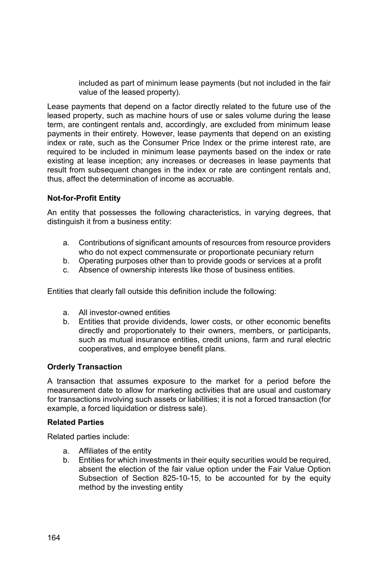included as part of minimum lease payments (but not included in the fair value of the leased property).

Lease payments that depend on a factor directly related to the future use of the leased property, such as machine hours of use or sales volume during the lease term, are contingent rentals and, accordingly, are excluded from minimum lease payments in their entirety. However, lease payments that depend on an existing index or rate, such as the Consumer Price Index or the prime interest rate, are required to be included in minimum lease payments based on the index or rate existing at lease inception; any increases or decreases in lease payments that result from subsequent changes in the index or rate are contingent rentals and, thus, affect the determination of income as accruable.

#### **Not-for-Profit Entity**

An entity that possesses the following characteristics, in varying degrees, that distinguish it from a business entity:

- a. Contributions of significant amounts of resources from resource providers who do not expect commensurate or proportionate pecuniary return
- b. Operating purposes other than to provide goods or services at a profit
- c. Absence of ownership interests like those of business entities.

Entities that clearly fall outside this definition include the following:

- a. All investor-owned entities
- b. Entities that provide dividends, lower costs, or other economic benefits directly and proportionately to their owners, members, or participants, such as mutual insurance entities, credit unions, farm and rural electric cooperatives, and employee benefit plans.

#### **Orderly Transaction**

A transaction that assumes exposure to the market for a period before the measurement date to allow for marketing activities that are usual and customary for transactions involving such assets or liabilities; it is not a forced transaction (for example, a forced liquidation or distress sale).

#### **Related Parties**

Related parties include:

- a. Affiliates of the entity
- b. Entities for which investments in their equity securities would be required, absent the election of the fair value option under the Fair Value Option Subsection of Section 825-10-15, to be accounted for by the equity method by the investing entity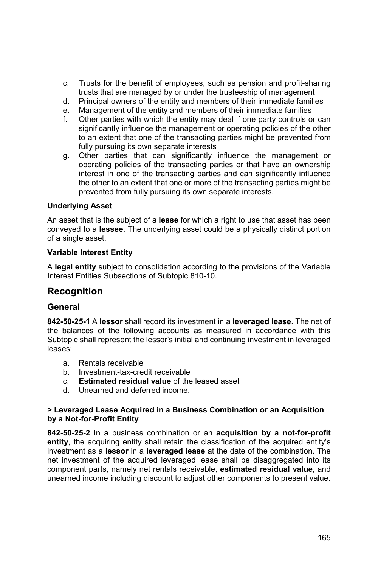- c. Trusts for the benefit of employees, such as pension and profit-sharing trusts that are managed by or under the trusteeship of management
- d. Principal owners of the entity and members of their immediate families
- e. Management of the entity and members of their immediate families
- f. Other parties with which the entity may deal if one party controls or can significantly influence the management or operating policies of the other to an extent that one of the transacting parties might be prevented from fully pursuing its own separate interests
- g. Other parties that can significantly influence the management or operating policies of the transacting parties or that have an ownership interest in one of the transacting parties and can significantly influence the other to an extent that one or more of the transacting parties might be prevented from fully pursuing its own separate interests.

### **Underlying Asset**

An asset that is the subject of a **lease** for which a right to use that asset has been conveyed to a **lessee**. The underlying asset could be a physically distinct portion of a single asset.

#### **Variable Interest Entity**

A **legal entity** subject to consolidation according to the provisions of the Variable Interest Entities Subsections of Subtopic 810-10.

# **Recognition**

### **General**

**842-50-25-1** A **lessor** shall record its investment in a **leveraged lease**. The net of the balances of the following accounts as measured in accordance with this Subtopic shall represent the lessor's initial and continuing investment in leveraged leases:

- a. Rentals receivable
- b. Investment-tax-credit receivable
- c. **Estimated residual value** of the leased asset
- d. Unearned and deferred income.

#### **> Leveraged Lease Acquired in a Business Combination or an Acquisition by a Not-for-Profit Entity**

**842-50-25-2** In a business combination or an **acquisition by a not-for-profit entity**, the acquiring entity shall retain the classification of the acquired entity's investment as a **lessor** in a **leveraged lease** at the date of the combination. The net investment of the acquired leveraged lease shall be disaggregated into its component parts, namely net rentals receivable, **estimated residual value**, and unearned income including discount to adjust other components to present value.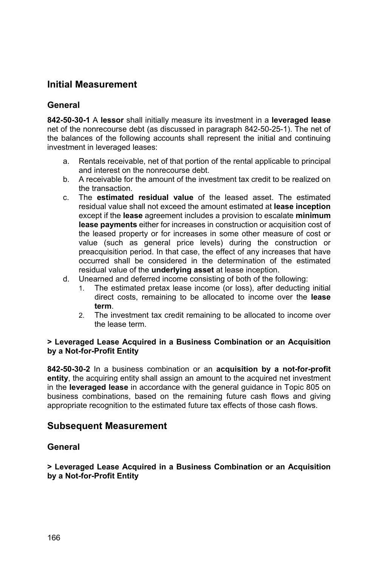# **Initial Measurement**

# **General**

**842-50-30-1** A **lessor** shall initially measure its investment in a **leveraged lease** net of the nonrecourse debt (as discussed in paragraph 842-50-25-1). The net of the balances of the following accounts shall represent the initial and continuing investment in leveraged leases:

- a. Rentals receivable, net of that portion of the rental applicable to principal and interest on the nonrecourse debt.
- b. A receivable for the amount of the investment tax credit to be realized on the transaction.
- c. The **estimated residual value** of the leased asset. The estimated residual value shall not exceed the amount estimated at **lease inception** except if the **lease** agreement includes a provision to escalate **minimum lease payments** either for increases in construction or acquisition cost of the leased property or for increases in some other measure of cost or value (such as general price levels) during the construction or preacquisition period. In that case, the effect of any increases that have occurred shall be considered in the determination of the estimated residual value of the **underlying asset** at lease inception.
- d. Unearned and deferred income consisting of both of the following:
	- 1. The estimated pretax lease income (or loss), after deducting initial direct costs, remaining to be allocated to income over the **lease term**.
	- 2. The investment tax credit remaining to be allocated to income over the lease term.

#### **> Leveraged Lease Acquired in a Business Combination or an Acquisition by a Not-for-Profit Entity**

**842-50-30-2** In a business combination or an **acquisition by a not-for-profit entity**, the acquiring entity shall assign an amount to the acquired net investment in the **leveraged lease** in accordance with the general guidance in Topic 805 on business combinations, based on the remaining future cash flows and giving appropriate recognition to the estimated future tax effects of those cash flows.

# **Subsequent Measurement**

# **General**

### **> Leveraged Lease Acquired in a Business Combination or an Acquisition by a Not-for-Profit Entity**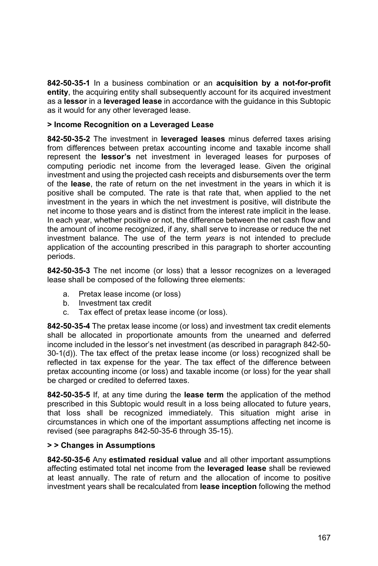**842-50-35-1** In a business combination or an **acquisition by a not-for-profit entity**, the acquiring entity shall subsequently account for its acquired investment as a **lessor** in a **leveraged lease** in accordance with the guidance in this Subtopic as it would for any other leveraged lease.

## **> Income Recognition on a Leveraged Lease**

**842-50-35-2** The investment in **leveraged leases** minus deferred taxes arising from differences between pretax accounting income and taxable income shall represent the **lessor's** net investment in leveraged leases for purposes of computing periodic net income from the leveraged lease. Given the original investment and using the projected cash receipts and disbursements over the term of the **lease**, the rate of return on the net investment in the years in which it is positive shall be computed. The rate is that rate that, when applied to the net investment in the years in which the net investment is positive, will distribute the net income to those years and is distinct from the interest rate implicit in the lease. In each year, whether positive or not, the difference between the net cash flow and the amount of income recognized, if any, shall serve to increase or reduce the net investment balance. The use of the term *years* is not intended to preclude application of the accounting prescribed in this paragraph to shorter accounting periods.

**842-50-35-3** The net income (or loss) that a lessor recognizes on a leveraged lease shall be composed of the following three elements:

- a. Pretax lease income (or loss)
- b. Investment tax credit
- c. Tax effect of pretax lease income (or loss).

**842-50-35-4** The pretax lease income (or loss) and investment tax credit elements shall be allocated in proportionate amounts from the unearned and deferred income included in the lessor's net investment (as described in paragraph 842-50- 30-1(d)). The tax effect of the pretax lease income (or loss) recognized shall be reflected in tax expense for the year. The tax effect of the difference between pretax accounting income (or loss) and taxable income (or loss) for the year shall be charged or credited to deferred taxes.

**842-50-35-5** If, at any time during the **lease term** the application of the method prescribed in this Subtopic would result in a loss being allocated to future years, that loss shall be recognized immediately. This situation might arise in circumstances in which one of the important assumptions affecting net income is revised (see paragraphs 842-50-35-6 through 35-15).

### **> > Changes in Assumptions**

**842-50-35-6** Any **estimated residual value** and all other important assumptions affecting estimated total net income from the **leveraged lease** shall be reviewed at least annually. The rate of return and the allocation of income to positive investment years shall be recalculated from **lease inception** following the method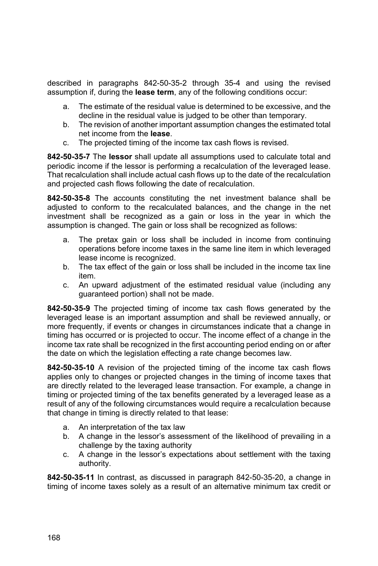described in paragraphs 842-50-35-2 through 35-4 and using the revised assumption if, during the **lease term**, any of the following conditions occur:

- a. The estimate of the residual value is determined to be excessive, and the decline in the residual value is judged to be other than temporary.
- b. The revision of another important assumption changes the estimated total net income from the **lease**.
- c. The projected timing of the income tax cash flows is revised.

**842-50-35-7** The **lessor** shall update all assumptions used to calculate total and periodic income if the lessor is performing a recalculation of the leveraged lease. That recalculation shall include actual cash flows up to the date of the recalculation and projected cash flows following the date of recalculation.

**842-50-35-8** The accounts constituting the net investment balance shall be adjusted to conform to the recalculated balances, and the change in the net investment shall be recognized as a gain or loss in the year in which the assumption is changed. The gain or loss shall be recognized as follows:

- a. The pretax gain or loss shall be included in income from continuing operations before income taxes in the same line item in which leveraged lease income is recognized.
- b. The tax effect of the gain or loss shall be included in the income tax line item.
- c. An upward adjustment of the estimated residual value (including any guaranteed portion) shall not be made.

**842-50-35-9** The projected timing of income tax cash flows generated by the leveraged lease is an important assumption and shall be reviewed annually, or more frequently, if events or changes in circumstances indicate that a change in timing has occurred or is projected to occur. The income effect of a change in the income tax rate shall be recognized in the first accounting period ending on or after the date on which the legislation effecting a rate change becomes law.

**842-50-35-10** A revision of the projected timing of the income tax cash flows applies only to changes or projected changes in the timing of income taxes that are directly related to the leveraged lease transaction. For example, a change in timing or projected timing of the tax benefits generated by a leveraged lease as a result of any of the following circumstances would require a recalculation because that change in timing is directly related to that lease:

- a. An interpretation of the tax law
- b. A change in the lessor's assessment of the likelihood of prevailing in a challenge by the taxing authority
- c. A change in the lessor's expectations about settlement with the taxing authority.

**842-50-35-11** In contrast, as discussed in paragraph 842-50-35-20, a change in timing of income taxes solely as a result of an alternative minimum tax credit or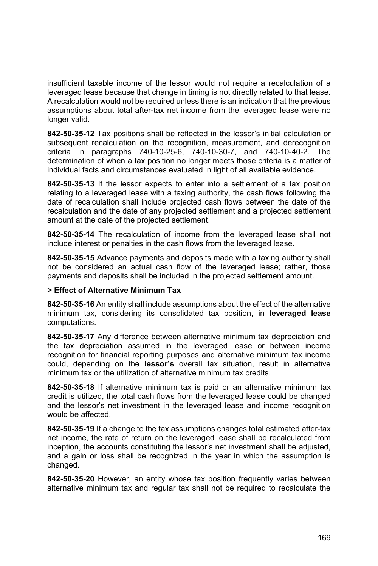insufficient taxable income of the lessor would not require a recalculation of a leveraged lease because that change in timing is not directly related to that lease. A recalculation would not be required unless there is an indication that the previous assumptions about total after-tax net income from the leveraged lease were no longer valid.

**842-50-35-12** Tax positions shall be reflected in the lessor's initial calculation or subsequent recalculation on the recognition, measurement, and derecognition criteria in paragraphs 740-10-25-6, 740-10-30-7, and 740-10-40-2. The determination of when a tax position no longer meets those criteria is a matter of individual facts and circumstances evaluated in light of all available evidence.

**842-50-35-13** If the lessor expects to enter into a settlement of a tax position relating to a leveraged lease with a taxing authority, the cash flows following the date of recalculation shall include projected cash flows between the date of the recalculation and the date of any projected settlement and a projected settlement amount at the date of the projected settlement.

**842-50-35-14** The recalculation of income from the leveraged lease shall not include interest or penalties in the cash flows from the leveraged lease.

**842-50-35-15** Advance payments and deposits made with a taxing authority shall not be considered an actual cash flow of the leveraged lease; rather, those payments and deposits shall be included in the projected settlement amount.

#### **> Effect of Alternative Minimum Tax**

**842-50-35-16** An entity shall include assumptions about the effect of the alternative minimum tax, considering its consolidated tax position, in **leveraged lease** computations.

**842-50-35-17** Any difference between alternative minimum tax depreciation and the tax depreciation assumed in the leveraged lease or between income recognition for financial reporting purposes and alternative minimum tax income could, depending on the **lessor's** overall tax situation, result in alternative minimum tax or the utilization of alternative minimum tax credits.

**842-50-35-18** If alternative minimum tax is paid or an alternative minimum tax credit is utilized, the total cash flows from the leveraged lease could be changed and the lessor's net investment in the leveraged lease and income recognition would be affected.

**842-50-35-19** If a change to the tax assumptions changes total estimated after-tax net income, the rate of return on the leveraged lease shall be recalculated from inception, the accounts constituting the lessor's net investment shall be adjusted, and a gain or loss shall be recognized in the year in which the assumption is changed.

**842-50-35-20** However, an entity whose tax position frequently varies between alternative minimum tax and regular tax shall not be required to recalculate the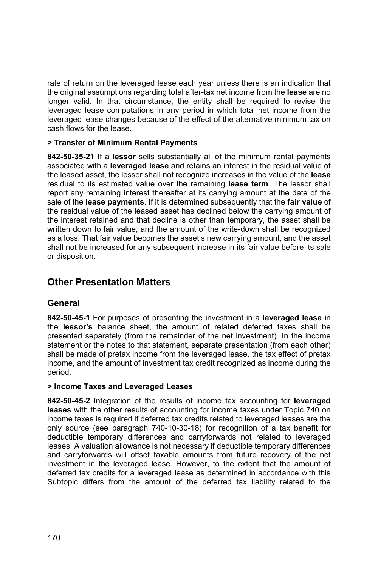rate of return on the leveraged lease each year unless there is an indication that the original assumptions regarding total after-tax net income from the **lease** are no longer valid. In that circumstance, the entity shall be required to revise the leveraged lease computations in any period in which total net income from the leveraged lease changes because of the effect of the alternative minimum tax on cash flows for the lease.

## **> Transfer of Minimum Rental Payments**

**842-50-35-21** If a **lessor** sells substantially all of the minimum rental payments associated with a **leveraged lease** and retains an interest in the residual value of the leased asset, the lessor shall not recognize increases in the value of the **lease** residual to its estimated value over the remaining **lease term**. The lessor shall report any remaining interest thereafter at its carrying amount at the date of the sale of the **lease payments**. If it is determined subsequently that the **fair value** of the residual value of the leased asset has declined below the carrying amount of the interest retained and that decline is other than temporary, the asset shall be written down to fair value, and the amount of the write-down shall be recognized as a loss. That fair value becomes the asset's new carrying amount, and the asset shall not be increased for any subsequent increase in its fair value before its sale or disposition.

# **Other Presentation Matters**

# **General**

**842-50-45-1** For purposes of presenting the investment in a **leveraged lease** in the **lessor's** balance sheet, the amount of related deferred taxes shall be presented separately (from the remainder of the net investment). In the income statement or the notes to that statement, separate presentation (from each other) shall be made of pretax income from the leveraged lease, the tax effect of pretax income, and the amount of investment tax credit recognized as income during the period.

### **> Income Taxes and Leveraged Leases**

**842-50-45-2** Integration of the results of income tax accounting for **leveraged leases** with the other results of accounting for income taxes under Topic 740 on income taxes is required if deferred tax credits related to leveraged leases are the only source (see paragraph 740-10-30-18) for recognition of a tax benefit for deductible temporary differences and carryforwards not related to leveraged leases. A valuation allowance is not necessary if deductible temporary differences and carryforwards will offset taxable amounts from future recovery of the net investment in the leveraged lease. However, to the extent that the amount of deferred tax credits for a leveraged lease as determined in accordance with this Subtopic differs from the amount of the deferred tax liability related to the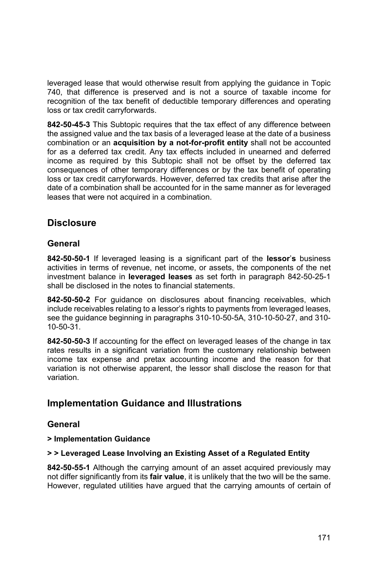leveraged lease that would otherwise result from applying the guidance in Topic 740, that difference is preserved and is not a source of taxable income for recognition of the tax benefit of deductible temporary differences and operating loss or tax credit carryforwards.

**842-50-45-3** This Subtopic requires that the tax effect of any difference between the assigned value and the tax basis of a leveraged lease at the date of a business combination or an **acquisition by a not-for-profit entity** shall not be accounted for as a deferred tax credit. Any tax effects included in unearned and deferred income as required by this Subtopic shall not be offset by the deferred tax consequences of other temporary differences or by the tax benefit of operating loss or tax credit carryforwards. However, deferred tax credits that arise after the date of a combination shall be accounted for in the same manner as for leveraged leases that were not acquired in a combination.

# **Disclosure**

# **General**

**842-50-50-1** If leveraged leasing is a significant part of the **lessor**'**s** business activities in terms of revenue, net income, or assets, the components of the net investment balance in **leveraged leases** as set forth in paragraph 842-50-25-1 shall be disclosed in the notes to financial statements.

**842-50-50-2** For guidance on disclosures about financing receivables, which include receivables relating to a lessor's rights to payments from leveraged leases, see the guidance beginning in paragraphs 310-10-50-5A, 310-10-50-27, and 310- 10-50-31.

**842-50-50-3** If accounting for the effect on leveraged leases of the change in tax rates results in a significant variation from the customary relationship between income tax expense and pretax accounting income and the reason for that variation is not otherwise apparent, the lessor shall disclose the reason for that variation.

# **Implementation Guidance and Illustrations**

# **General**

# **> Implementation Guidance**

### **> > Leveraged Lease Involving an Existing Asset of a Regulated Entity**

**842-50-55-1** Although the carrying amount of an asset acquired previously may not differ significantly from its **fair value**, it is unlikely that the two will be the same. However, regulated utilities have argued that the carrying amounts of certain of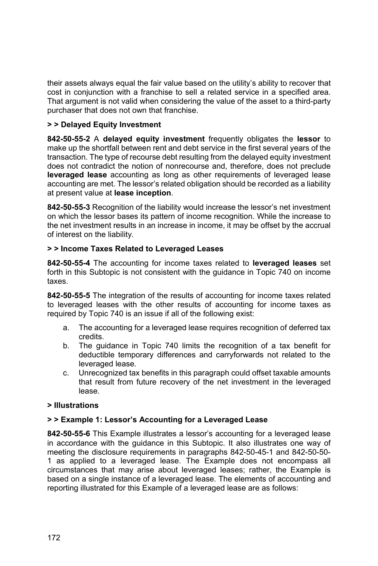their assets always equal the fair value based on the utility's ability to recover that cost in conjunction with a franchise to sell a related service in a specified area. That argument is not valid when considering the value of the asset to a third-party purchaser that does not own that franchise.

## **> > Delayed Equity Investment**

**842-50-55-2** A **delayed equity investment** frequently obligates the **lessor** to make up the shortfall between rent and debt service in the first several years of the transaction. The type of recourse debt resulting from the delayed equity investment does not contradict the notion of nonrecourse and, therefore, does not preclude **leveraged lease** accounting as long as other requirements of leveraged lease accounting are met. The lessor's related obligation should be recorded as a liability at present value at **lease inception**.

**842-50-55-3** Recognition of the liability would increase the lessor's net investment on which the lessor bases its pattern of income recognition. While the increase to the net investment results in an increase in income, it may be offset by the accrual of interest on the liability.

### **> > Income Taxes Related to Leveraged Leases**

**842-50-55-4** The accounting for income taxes related to **leveraged leases** set forth in this Subtopic is not consistent with the guidance in Topic 740 on income taxes.

**842-50-55-5** The integration of the results of accounting for income taxes related to leveraged leases with the other results of accounting for income taxes as required by Topic 740 is an issue if all of the following exist:

- a. The accounting for a leveraged lease requires recognition of deferred tax credits.
- b. The guidance in Topic 740 limits the recognition of a tax benefit for deductible temporary differences and carryforwards not related to the leveraged lease.
- c. Unrecognized tax benefits in this paragraph could offset taxable amounts that result from future recovery of the net investment in the leveraged lease.

### **> Illustrations**

### **> > Example 1: Lessor's Accounting for a Leveraged Lease**

**842-50-55-6** This Example illustrates a lessor's accounting for a leveraged lease in accordance with the guidance in this Subtopic. It also illustrates one way of meeting the disclosure requirements in paragraphs 842-50-45-1 and 842-50-50- 1 as applied to a leveraged lease. The Example does not encompass all circumstances that may arise about leveraged leases; rather, the Example is based on a single instance of a leveraged lease. The elements of accounting and reporting illustrated for this Example of a leveraged lease are as follows: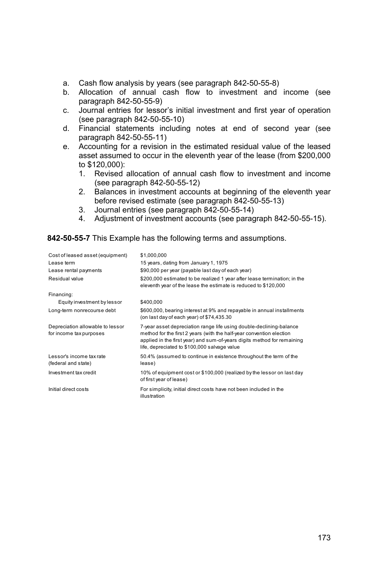- a. Cash flow analysis by years (see paragraph 842-50-55-8)
- b. Allocation of annual cash flow to investment and income (see paragraph 842-50-55-9)
- c. Journal entries for lessor's initial investment and first year of operation (see paragraph 842-50-55-10)
- d. Financial statements including notes at end of second year (see paragraph 842-50-55-11)
- e. Accounting for a revision in the estimated residual value of the leased asset assumed to occur in the eleventh year of the lease (from \$200,000 to \$120,000):
	- 1. Revised allocation of annual cash flow to investment and income (see paragraph 842-50-55-12)
	- 2. Balances in investment accounts at beginning of the eleventh year before revised estimate (see paragraph 842-50-55-13)
	- 3. Journal entries (see paragraph 842-50-55-14)
	- 4. Adjustment of investment accounts (see paragraph 842-50-55-15).

#### **842-50-55-7** This Example has the following terms and assumptions.

| Cost of leased asset (equipment)                            | \$1,000,000                                                                                                                                                                                                                                                            |  |  |  |  |  |  |  |  |
|-------------------------------------------------------------|------------------------------------------------------------------------------------------------------------------------------------------------------------------------------------------------------------------------------------------------------------------------|--|--|--|--|--|--|--|--|
| Lease term                                                  | 15 years, dating from January 1, 1975                                                                                                                                                                                                                                  |  |  |  |  |  |  |  |  |
| Lease rental payments                                       | \$90,000 per year (payable last day of each year)                                                                                                                                                                                                                      |  |  |  |  |  |  |  |  |
| Residual value                                              | \$200,000 estimated to be realized 1 year after lease termination; in the<br>eleventh year of the lease the estimate is reduced to \$120,000                                                                                                                           |  |  |  |  |  |  |  |  |
| Financing:                                                  |                                                                                                                                                                                                                                                                        |  |  |  |  |  |  |  |  |
| Equity investment by lessor                                 | \$400,000                                                                                                                                                                                                                                                              |  |  |  |  |  |  |  |  |
| Long-term nonrecourse debt                                  | \$600,000, bearing interest at 9% and repayable in annual installments<br>(on last day of each year) of \$74,435.30                                                                                                                                                    |  |  |  |  |  |  |  |  |
| Depreciation allowable to lessor<br>for income tax purposes | 7-year asset depreciation range life using double-declining-balance<br>method for the first 2 years (with the half-year convention election<br>applied in the first year) and sum-of-years digits method for remaining<br>life, depreciated to \$100,000 salvage value |  |  |  |  |  |  |  |  |
| Lessor's income tax rate<br>(federal and state)             | 50.4% (assumed to continue in existence throughout the term of the<br>lease)                                                                                                                                                                                           |  |  |  |  |  |  |  |  |
| Investment tax credit                                       | 10% of equipment cost or \$100,000 (realized by the lessor on last day<br>of first year of lease)                                                                                                                                                                      |  |  |  |  |  |  |  |  |
| Initial direct costs                                        | For simplicity, initial direct costs have not been included in the<br>illustration                                                                                                                                                                                     |  |  |  |  |  |  |  |  |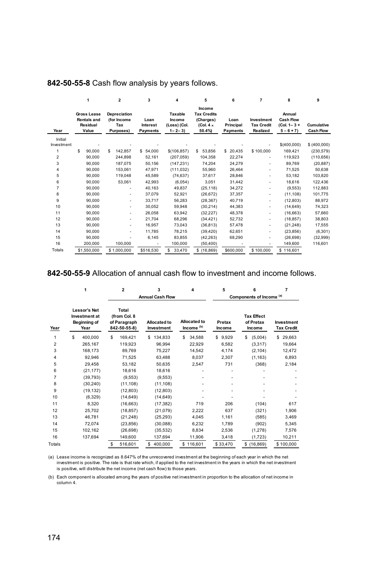|                       | 1<br><b>Gross Lease</b><br><b>Rentals and</b><br><b>Residual</b><br>Value |             | 2<br>Depreciation<br>(for Income<br>Tax<br>Purposes) |             | 3<br>Loan<br>Interest<br>Payments |           | 4<br><b>Taxable</b><br>Income<br>(Loss) (Col.<br>$1 - 2 - 3$ |              |                                                                         | 5          |  | 6<br>Loan<br>Principal<br>Payments |  | $\overline{7}$<br>Investment<br><b>Tax Credit</b><br><b>Realized</b> |  | 8                                                            | 9<br><b>Cumulative</b><br><b>Cash Flow</b> |            |
|-----------------------|---------------------------------------------------------------------------|-------------|------------------------------------------------------|-------------|-----------------------------------|-----------|--------------------------------------------------------------|--------------|-------------------------------------------------------------------------|------------|--|------------------------------------|--|----------------------------------------------------------------------|--|--------------------------------------------------------------|--------------------------------------------|------------|
| Year                  |                                                                           |             |                                                      |             |                                   |           |                                                              |              | Income<br><b>Tax Credits</b><br>(Charges)<br>(Col. $4 \times$<br>50.4%) |            |  |                                    |  |                                                                      |  | Annual<br><b>Cash Flow</b><br>$(Col. 1 - 3 +$<br>$5 - 6 + 7$ |                                            |            |
| Initial<br>Investment |                                                                           |             |                                                      |             |                                   |           |                                                              |              |                                                                         |            |  |                                    |  |                                                                      |  | \$(400,000)                                                  | \$ (400,000)                               |            |
| 1                     | s                                                                         | 90,000      | s                                                    | 142,857     |                                   | \$ 54,000 |                                                              | \$(106, 857) | s                                                                       | 53,856     |  | \$ 20,435                          |  | \$100,000                                                            |  | 169.421                                                      |                                            | (230, 579) |
| 2                     |                                                                           | 90.000      |                                                      | 244.898     |                                   | 52.161    |                                                              | (207.059)    |                                                                         | 104.358    |  | 22,274                             |  | ٠                                                                    |  | 119.923                                                      |                                            | (110, 656) |
| 3                     |                                                                           | 90,000      |                                                      | 187,075     |                                   | 50,156    |                                                              | (147, 231)   |                                                                         | 74,204     |  | 24,279                             |  | ٠                                                                    |  | 89.769                                                       |                                            | (20, 887)  |
| 4                     |                                                                           | 90,000      |                                                      | 153.061     |                                   | 47.971    |                                                              | (111, 032)   |                                                                         | 55,960     |  | 26,464                             |  | ٠                                                                    |  | 71,525                                                       |                                            | 50,638     |
| 5                     |                                                                           | 90.000      |                                                      | 119,048     |                                   | 45.589    |                                                              | (74, 637)    |                                                                         | 37.617     |  | 28,846                             |  |                                                                      |  | 53.182                                                       |                                            | 103,820    |
| 6                     |                                                                           | 90.000      |                                                      | 53.061      |                                   | 42.993    |                                                              | (6.054)      |                                                                         | 3.051      |  | 31.442                             |  | ٠                                                                    |  | 18.616                                                       |                                            | 122,436    |
| $\overline{7}$        |                                                                           | 90,000      |                                                      |             |                                   | 40,163    |                                                              | 49,837       |                                                                         | (25, 118)  |  | 34,272                             |  | ٠                                                                    |  | (9,553)                                                      |                                            | 112,883    |
| 8                     |                                                                           | 90,000      |                                                      | ٠           |                                   | 37,079    |                                                              | 52,921       |                                                                         | (26.672)   |  | 37,357                             |  | ٠                                                                    |  | (11, 108)                                                    |                                            | 101,775    |
| 9                     |                                                                           | 90.000      |                                                      | ۰           |                                   | 33.717    |                                                              | 56,283       |                                                                         | (28, 367)  |  | 40,719                             |  | ٠                                                                    |  | (12, 803)                                                    |                                            | 88,972     |
| 10                    |                                                                           | 90.000      |                                                      | ۰           |                                   | 30.052    |                                                              | 59.948       |                                                                         | (30, 214)  |  | 44.383                             |  | ٠                                                                    |  | (14.649)                                                     |                                            | 74,323     |
| 11                    |                                                                           | 90,000      |                                                      | ٠           |                                   | 26,058    |                                                              | 63,942       |                                                                         | (32, 227)  |  | 48,378                             |  | $\overline{\phantom{m}}$                                             |  | (16, 663)                                                    |                                            | 57,660     |
| 12                    |                                                                           | 90,000      |                                                      | ٠           |                                   | 21,704    |                                                              | 68,296       |                                                                         | (34, 421)  |  | 52,732                             |  | $\overline{\phantom{m}}$                                             |  | (18, 857)                                                    |                                            | 38,803     |
| 13                    |                                                                           | 90.000      |                                                      | ٠           |                                   | 16.957    |                                                              | 73.043       |                                                                         | (36.813)   |  | 57.478                             |  | $\overline{\phantom{m}}$                                             |  | (21, 248)                                                    |                                            | 17,555     |
| 14                    |                                                                           | 90.000      |                                                      | ٠           |                                   | 11.785    |                                                              | 78,215       |                                                                         | (39, 420)  |  | 62.651                             |  | $\overline{\phantom{a}}$                                             |  | (23.856)                                                     |                                            | (6, 301)   |
| 15                    |                                                                           | 90,000      |                                                      |             |                                   | 6,145     |                                                              | 83,855       |                                                                         | (42, 263)  |  | 68,290                             |  | $\overline{\phantom{m}}$                                             |  | (26, 698)                                                    |                                            | (32,999)   |
| 16                    |                                                                           | 200.000     |                                                      | 100.000     |                                   |           |                                                              | 100,000      |                                                                         | (50, 400)  |  |                                    |  |                                                                      |  | 149,600                                                      |                                            | 116,601    |
| Totals                |                                                                           | \$1,550,000 |                                                      | \$1,000,000 |                                   | \$516,530 | s                                                            | 33,470       |                                                                         | \$(16.869) |  | \$600,000                          |  | \$100,000                                                            |  | \$116,601                                                    |                                            |            |

**842-50-55-8** Cash flow analysis by years follows.

#### **842-50-55-9** Allocation of annual cash flow to investment and income follows.

|        |   | $\overline{\mathbf{2}}$                                             |                                                       | 3<br>4 |                                   |    |                                       | 5  |                  | 6 |                                          | 7   |                                 |  |
|--------|---|---------------------------------------------------------------------|-------------------------------------------------------|--------|-----------------------------------|----|---------------------------------------|----|------------------|---|------------------------------------------|-----|---------------------------------|--|
|        |   |                                                                     |                                                       |        | <b>Annual Cash Flow</b>           |    | Components of Income <sup>(a)</sup>   |    |                  |   |                                          |     |                                 |  |
| Year   |   | <b>Lessor's Net</b><br><b>Investment at</b><br>Beginning of<br>Year | Total<br>(from Col. 8<br>of Paragraph<br>842-50-55-8) |        | <b>Allocated to</b><br>Investment |    | Allocated to<br>Income <sup>(b)</sup> |    | Pretax<br>Income |   | <b>Tax Effect</b><br>of Pretax<br>Income |     | Investment<br><b>Tax Credit</b> |  |
| 1      | S | 400,000                                                             | \$<br>169,421                                         | S.     | 134,833                           | \$ | 34,588                                | \$ | 9,929            | s | (5,004)                                  | \$. | 29,663                          |  |
| 2      |   | 265,167                                                             | 119,923                                               |        | 96,994                            |    | 22,929                                |    | 6,582            |   | (3, 317)                                 |     | 19.664                          |  |
| 3      |   | 168.173                                                             | 89,769                                                |        | 75,227                            |    | 14,542                                |    | 4,174            |   | (2, 104)                                 |     | 12,472                          |  |
| 4      |   | 92,946                                                              | 71,525                                                |        | 63,488                            |    | 8,037                                 |    | 2,307            |   | (1, 163)                                 |     | 6,893                           |  |
| 5      |   | 29.458                                                              | 53.182                                                |        | 50,635                            |    | 2,547                                 |    | 731              |   | (368)                                    |     | 2,184                           |  |
| 6      |   | (21, 177)                                                           | 18,616                                                |        | 18,616                            |    |                                       |    |                  |   |                                          |     |                                 |  |
| 7      |   | (39, 793)                                                           | (9,553)                                               |        | (9,553)                           |    |                                       |    |                  |   |                                          |     |                                 |  |
| 8      |   | (30, 240)                                                           | (11, 108)                                             |        | (11, 108)                         |    |                                       |    |                  |   |                                          |     |                                 |  |
| 9      |   | (19, 132)                                                           | (12, 803)                                             |        | (12,803)                          |    |                                       |    |                  |   |                                          |     |                                 |  |
| 10     |   | (6,329)                                                             | (14, 649)                                             |        | (14, 649)                         |    |                                       |    |                  |   |                                          |     |                                 |  |
| 11     |   | 8.320                                                               | (16,663)                                              |        | (17, 382)                         |    | 719                                   |    | 206              |   | (104)                                    |     | 617                             |  |
| 12     |   | 25,702                                                              | (18, 857)                                             |        | (21,079)                          |    | 2,222                                 |    | 637              |   | (321)                                    |     | 1,906                           |  |
| 13     |   | 46,781                                                              | (21, 248)                                             |        | (25, 293)                         |    | 4,045                                 |    | 1,161            |   | (585)                                    |     | 3,469                           |  |
| 14     |   | 72,074                                                              | (23, 856)                                             |        | (30,088)                          |    | 6,232                                 |    | 1,789            |   | (902)                                    |     | 5,345                           |  |
| 15     |   | 102,162                                                             | (26, 698)                                             |        | (35,532)                          |    | 8,834                                 |    | 2,536            |   | (1, 278)                                 |     | 7,576                           |  |
| 16     |   | 137,694                                                             | 149,600                                               |        | 137,694                           |    | 11,906                                |    | 3,418            |   | (1,723)                                  |     | 10,211                          |  |
| Totals |   |                                                                     | \$<br>516,601                                         | \$     | 400.000                           |    | \$116,601                             |    | \$33,470         |   | \$(16, 869)                              |     | \$100,000                       |  |

(a) Lease income is recognized as 8.647% of the unrecovered investment at the beginning of each year in which the net investment is positive. The rate is that rate which, if applied to the net investment in the years in which the net investment is positive, will distribute the net income (net cash flow) to those years.

(b) Each component is allocated among the years of positive net investment in proportion to the allocation of net income in column 4.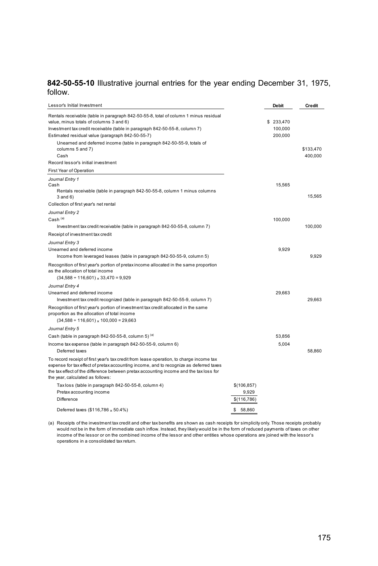### **842-50-55-10** Illustrative journal entries for the year ending December 31, 1975, follow.

| Lessor's Initial Investment                                                                                                                                                                                                                                                                                                                                               |                       | Debit                           | Credit               |
|---------------------------------------------------------------------------------------------------------------------------------------------------------------------------------------------------------------------------------------------------------------------------------------------------------------------------------------------------------------------------|-----------------------|---------------------------------|----------------------|
| Rentals receivable (table in paragraph 842-50-55-8, total of column 1 minus residual<br>value, minus totals of columns 3 and 6)<br>Investment tax credit receivable (table in paragraph 842-50-55-8, column 7)<br>Estimated residual value (paragraph 842-50-55-7)<br>Unearned and deferred income (table in paragraph 842-50-55-9, totals of<br>columns 5 and 7)<br>Cash |                       | \$233,470<br>100,000<br>200,000 | \$133,470<br>400,000 |
| Record lessor's initial investment                                                                                                                                                                                                                                                                                                                                        |                       |                                 |                      |
| First Year of Operation                                                                                                                                                                                                                                                                                                                                                   |                       |                                 |                      |
| Journal Entry 1<br>Cash<br>Rentals receivable (table in paragraph 842-50-55-8, column 1 minus columns<br>$3$ and $6)$                                                                                                                                                                                                                                                     |                       | 15,565                          | 15.565               |
| Collection of first year's net rental                                                                                                                                                                                                                                                                                                                                     |                       |                                 |                      |
| Journal Entry 2<br>Cash <sup>(a)</sup>                                                                                                                                                                                                                                                                                                                                    |                       | 100,000                         |                      |
| Investment tax credit receivable (table in paragraph 842-50-55-8, column 7)                                                                                                                                                                                                                                                                                               |                       |                                 | 100,000              |
| Receipt of investment tax credit                                                                                                                                                                                                                                                                                                                                          |                       |                                 |                      |
| Journal Entry 3<br>Unearned and deferred income<br>Income from leveraged leases (table in paragraph 842-50-55-9, column 5)                                                                                                                                                                                                                                                |                       | 9,929                           | 9.929                |
| Recognition of first year's portion of pretax income allocated in the same proportion<br>as the allocation of total income<br>$(34,588 + 116,601) \times 33,470 = 9,929$                                                                                                                                                                                                  |                       |                                 |                      |
| Journal Entry 4<br>Unearned and deferred income<br>Investment tax credit recognized (table in paragraph 842-50-55-9, column 7)                                                                                                                                                                                                                                            |                       | 29,663                          | 29.663               |
| Recognition of first year's portion of investment tax credit allocated in the same<br>proportion as the allocation of total income<br>$(34,588 + 116,601) \times 100,000 = 29,663$                                                                                                                                                                                        |                       |                                 |                      |
| Journal Entry 5                                                                                                                                                                                                                                                                                                                                                           |                       |                                 |                      |
| Cash (table in paragraph 842-50-55-8, column 5) (a)                                                                                                                                                                                                                                                                                                                       |                       | 53,856                          |                      |
| Income tax expense (table in paragraph 842-50-55-9, column 6)<br>Deferred taxes                                                                                                                                                                                                                                                                                           |                       | 5,004                           | 58.860               |
| To record receipt of first year's tax credit from lease operation, to charge income tax<br>expense for tax effect of pretax accounting income, and to recognize as deferred taxes<br>the tax effect of the difference between pretax accounting income and the tax loss for<br>the year, calculated as follows:                                                           |                       |                                 |                      |
| Tax loss (table in paragraph 842-50-55-8, column 4)<br>Pretax accounting income                                                                                                                                                                                                                                                                                           | \$(106, 857)<br>9,929 |                                 |                      |
| Difference                                                                                                                                                                                                                                                                                                                                                                | \$(116, 786)          |                                 |                      |
| Deferred taxes (\$116,786 $\times$ 50.4%)                                                                                                                                                                                                                                                                                                                                 | \$ 58,860             |                                 |                      |

(a) Receipts of the investment tax credit and other tax benefits are shown as cash receipts for simplicity only. Those receipts probably would not be in the form of immediate cash inflow. Instead, they likely would be in the form of reduced payments of taxes on other income of the lessor or on the combined income of the lessor and other entities whose operations are joined with the lessor's operations in a consolidated tax return.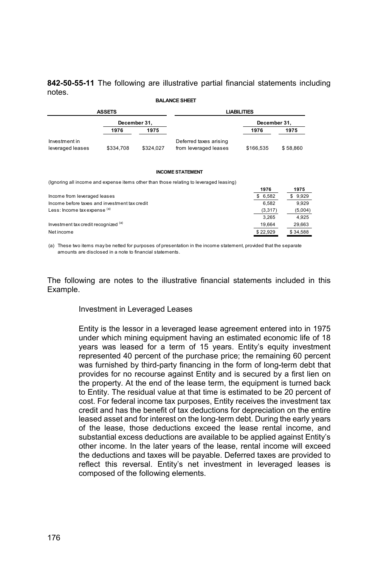#### **842-50-55-11** The following are illustrative partial financial statements including notes. **BALANCE SHEET**

| <b>DALANGE SHEET</b>              |               |              |                                                 |              |          |  |  |  |  |
|-----------------------------------|---------------|--------------|-------------------------------------------------|--------------|----------|--|--|--|--|
|                                   | <b>ASSETS</b> |              | <b>LIABILITIES</b>                              |              |          |  |  |  |  |
|                                   |               | December 31, |                                                 | December 31, |          |  |  |  |  |
|                                   | 1976          | 1975         |                                                 | 1976         | 1975     |  |  |  |  |
| Investment in<br>leveraged leases | \$334.708     | \$324.027    | Deferred taxes arising<br>from leveraged leases | \$166,535    | \$58,860 |  |  |  |  |
|                                   |               |              | <b>INCOME STATEMENT</b>                         |              |          |  |  |  |  |

(Ignoring all income and expense items other than those relating to leveraged leasing)

|                                               | 1976       | 1975         |
|-----------------------------------------------|------------|--------------|
| Income from leveraged leases                  | 6.582<br>S | 9.929<br>SS. |
| Income before taxes and investment tax credit | 6.582      | 9.929        |
| Less: Income tax expense (a)                  | (3,317)    | (5,004)      |
|                                               | 3.265      | 4.925        |
| Investment tax credit recognized (a)          | 19.664     | 29.663       |
| Net income                                    | \$22.929   | \$34.588     |
|                                               |            |              |

(a) These two items may be netted for purposes of presentation in the income statement, provided that the separate amounts are disclosed in a note to financial statements.

The following are notes to the illustrative financial statements included in this Example.

#### Investment in Leveraged Leases

Entity is the lessor in a leveraged lease agreement entered into in 1975 under which mining equipment having an estimated economic life of 18 years was leased for a term of 15 years. Entity's equity investment represented 40 percent of the purchase price; the remaining 60 percent was furnished by third-party financing in the form of long-term debt that provides for no recourse against Entity and is secured by a first lien on the property. At the end of the lease term, the equipment is turned back to Entity. The residual value at that time is estimated to be 20 percent of cost. For federal income tax purposes, Entity receives the investment tax credit and has the benefit of tax deductions for depreciation on the entire leased asset and for interest on the long-term debt. During the early years of the lease, those deductions exceed the lease rental income, and substantial excess deductions are available to be applied against Entity's other income. In the later years of the lease, rental income will exceed the deductions and taxes will be payable. Deferred taxes are provided to reflect this reversal. Entity's net investment in leveraged leases is composed of the following elements.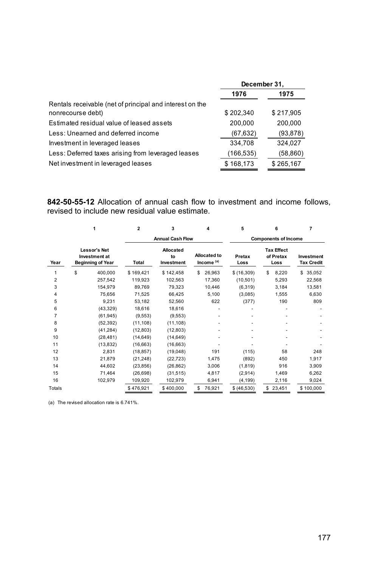|                                                          | December 31, |           |  |
|----------------------------------------------------------|--------------|-----------|--|
|                                                          | 1976         | 1975      |  |
| Rentals receivable (net of principal and interest on the |              |           |  |
| nonrecourse debt)                                        | \$202,340    | \$217,905 |  |
| Estimated residual value of leased assets                | 200,000      | 200,000   |  |
| Less: Unearned and deferred income                       | (67, 632)    | (93, 878) |  |
| Investment in leveraged leases                           | 334,708      | 324,027   |  |
| Less: Deferred taxes arising from leveraged leases       | (166, 535)   | (58, 860) |  |
| Net investment in leveraged leases                       | \$168,173    | \$265,167 |  |

**842-50-55-12** Allocation of annual cash flow to investment and income follows, revised to include new residual value estimate.

|                | 1                                                         |           | 2         | 3                             | 4                                            | 5<br>6<br>7    |                                        |                                 |  |  |  |
|----------------|-----------------------------------------------------------|-----------|-----------|-------------------------------|----------------------------------------------|----------------|----------------------------------------|---------------------------------|--|--|--|
|                |                                                           |           |           | <b>Annual Cash Flow</b>       |                                              |                | <b>Components of Income</b>            |                                 |  |  |  |
| Year           | Lessor's Net<br>Investment at<br><b>Beginning of Year</b> |           | Total     | Allocated<br>to<br>Investment | <b>Allocated to</b><br>Income <sup>(a)</sup> | Pretax<br>Loss | <b>Tax Effect</b><br>of Pretax<br>Loss | Investment<br><b>Tax Credit</b> |  |  |  |
| 1              | \$                                                        | 400,000   | \$169,421 | \$142,458                     | \$<br>26,963                                 | \$(16,309)     | 8,220<br>S                             | 35,052<br>\$                    |  |  |  |
| $\overline{c}$ |                                                           | 257,542   | 119.923   | 102,563                       | 17,360                                       | (10, 501)      | 5,293                                  | 22,568                          |  |  |  |
| 3              |                                                           | 154,979   | 89,769    | 79,323                        | 10,446                                       | (6, 319)       | 3,184                                  | 13,581                          |  |  |  |
| 4              |                                                           | 75,656    | 71,525    | 66,425                        | 5,100                                        | (3,085)        | 1,555                                  | 6,630                           |  |  |  |
| 5              |                                                           | 9,231     | 53,182    | 52.560                        | 622                                          | (377)          | 190                                    | 809                             |  |  |  |
| 6              |                                                           | (43, 329) | 18,616    | 18,616                        |                                              |                |                                        |                                 |  |  |  |
| $\overline{7}$ |                                                           | (61, 945) | (9,553)   | (9,553)                       |                                              |                |                                        |                                 |  |  |  |
| 8              |                                                           | (52, 392) | (11, 108) | (11, 108)                     |                                              |                |                                        |                                 |  |  |  |
| 9              |                                                           | (41, 284) | (12, 803) | (12, 803)                     |                                              |                |                                        |                                 |  |  |  |
| 10             |                                                           | (28, 481) | (14, 649) | (14, 649)                     |                                              |                |                                        |                                 |  |  |  |
| 11             |                                                           | (13, 832) | (16,663)  | (16,663)                      |                                              |                |                                        |                                 |  |  |  |
| 12             |                                                           | 2,831     | (18, 857) | (19,048)                      | 191                                          | (115)          | 58                                     | 248                             |  |  |  |
| 13             |                                                           | 21,879    | (21, 248) | (22, 723)                     | 1.475                                        | (892)          | 450                                    | 1,917                           |  |  |  |
| 14             |                                                           | 44,602    | (23.856)  | (26, 862)                     | 3,006                                        | (1, 819)       | 916                                    | 3,909                           |  |  |  |
| 15             |                                                           | 71,464    | (26, 698) | (31,515)                      | 4,817                                        | (2,914)        | 1,469                                  | 6,262                           |  |  |  |
| 16             |                                                           | 102,979   | 109,920   | 102,979                       | 6,941                                        | (4, 199)       | 2,116                                  | 9,024                           |  |  |  |
| Totals         |                                                           |           | \$476,921 | \$400,000                     | \$<br>76,921                                 | \$ (46,530)    | S.<br>23,451                           | \$100,000                       |  |  |  |

(a) The revised allocation rate is 6.741%.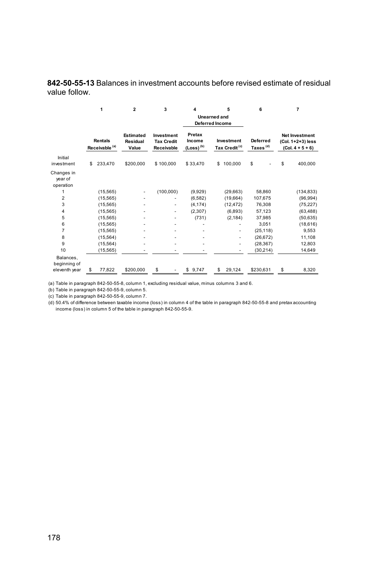**842-50-55-13** Balances in investment accounts before revised estimate of residual value follow.

|                                    | 1                                    | $\overline{a}$                        | 3                                                    | 4                                  | 5                                       |                                         | 7                                                                |
|------------------------------------|--------------------------------------|---------------------------------------|------------------------------------------------------|------------------------------------|-----------------------------------------|-----------------------------------------|------------------------------------------------------------------|
|                                    |                                      |                                       |                                                      |                                    | <b>Unearned and</b><br>Deferred Income  |                                         |                                                                  |
|                                    | Rentals<br>Receivable <sup>(a)</sup> | <b>Estimated</b><br>Residual<br>Value | Investment<br><b>Tax Credit</b><br><b>Receivable</b> | Pretax<br>Income<br>$(Loss)^{(b)}$ | Investment<br>Tax Credit <sup>(c)</sup> | <b>Deferred</b><br>Taxes <sup>(d)</sup> | <b>Net Investment</b><br>(Col. 1+2+3) less<br>$(Col. 4 + 5 + 6)$ |
| Initial<br>investment              | \$<br>233,470                        | \$200,000                             | \$100,000                                            | \$33,470                           | \$<br>100,000                           | \$                                      | \$<br>400,000                                                    |
| Changes in<br>year of<br>operation |                                      |                                       |                                                      |                                    |                                         |                                         |                                                                  |
| 1                                  | (15, 565)                            |                                       | (100,000)                                            | (9.929)                            | (29, 663)                               | 58,860                                  | (134, 833)                                                       |
| $\overline{2}$                     | (15, 565)                            |                                       |                                                      | (6, 582)                           | (19,664)                                | 107,675                                 | (96, 994)                                                        |
| 3                                  | (15, 565)                            |                                       |                                                      | (4, 174)                           | (12, 472)                               | 76,308                                  | (75, 227)                                                        |
| 4                                  | (15, 565)                            |                                       |                                                      | (2,307)                            | (6,893)                                 | 57,123                                  | (63, 488)                                                        |
| 5                                  | (15, 565)                            |                                       |                                                      | (731)                              | (2, 184)                                | 37,985                                  | (50, 635)                                                        |
| 6                                  | (15, 565)                            |                                       |                                                      |                                    |                                         | 3,051                                   | (18, 616)                                                        |
| $\overline{7}$                     | (15, 565)                            |                                       |                                                      |                                    |                                         | (25, 118)                               | 9,553                                                            |
| 8                                  | (15, 564)                            |                                       |                                                      |                                    |                                         | (26, 672)                               | 11,108                                                           |
| 9                                  | (15, 564)                            |                                       |                                                      |                                    |                                         | (28, 367)                               | 12,803                                                           |
| 10                                 | (15, 565)                            |                                       |                                                      |                                    |                                         | (30, 214)                               | 14,649                                                           |
| Balances,<br>beginning of          |                                      |                                       |                                                      |                                    |                                         |                                         |                                                                  |
| eleventh year                      | 77,822<br>S                          | \$200,000                             | \$                                                   | 9,747<br>s                         | 29,124<br>s                             | \$230,631                               | 8,320<br>\$                                                      |

(a) Table in paragraph 842-50-55-8, column 1, excluding residual value, minus columns 3 and 6.

(b) Table in paragraph 842-50-55-9, column 5.

(c) Table in paragraph 842-50-55-9, column 7.

(d) 50.4% of difference between taxable income (loss) in column 4 of the table in paragraph 842-50-55-8 and pretax accounting income (loss) in column 5 of the table in paragraph 842-50-55-9.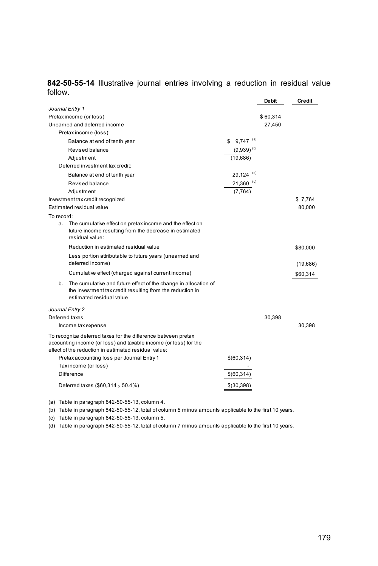#### **842-50-55-14** Illustrative journal entries involving a reduction in residual value follow.

|            |                                                                                                                                                                                           |                          | <b>Debit</b> | Credit   |
|------------|-------------------------------------------------------------------------------------------------------------------------------------------------------------------------------------------|--------------------------|--------------|----------|
|            | Journal Entry 1                                                                                                                                                                           |                          |              |          |
|            | Pretax income (or loss)                                                                                                                                                                   |                          | \$60,314     |          |
|            | Unearned and deferred income                                                                                                                                                              |                          | 27,450       |          |
|            | Pretax income (loss):                                                                                                                                                                     |                          |              |          |
|            | Balance at end of tenth year                                                                                                                                                              | $$9,747$ <sup>(a)</sup>  |              |          |
|            | Revised balance                                                                                                                                                                           | $(9,939)$ <sup>(b)</sup> |              |          |
|            | Adjustment                                                                                                                                                                                | (19,686)                 |              |          |
|            | Deferred investment tax credit:                                                                                                                                                           |                          |              |          |
|            | Balance at end of tenth year                                                                                                                                                              | 29,124 (c)               |              |          |
|            | Revised balance                                                                                                                                                                           | $21,360$ <sup>(d)</sup>  |              |          |
|            | Adjustment                                                                                                                                                                                | (7,764)                  |              |          |
|            | Investment tax credit recognized                                                                                                                                                          |                          |              | \$7,764  |
|            | Estimated residual value                                                                                                                                                                  |                          |              | 80,000   |
| To record: |                                                                                                                                                                                           |                          |              |          |
| а.         | The cumulative effect on pretax income and the effect on<br>future income resulting from the decrease in estimated<br>residual value:                                                     |                          |              |          |
|            | Reduction in estimated residual value                                                                                                                                                     |                          |              | \$80,000 |
|            | Less portion attributable to future years (unearned and<br>deferred income)                                                                                                               |                          |              | (19,686) |
|            | Cumulative effect (charged against current income)                                                                                                                                        |                          |              | \$60,314 |
|            | b. The cumulative and future effect of the change in allocation of<br>the investment tax credit resulting from the reduction in<br>estimated residual value                               |                          |              |          |
|            | Journal Entry 2                                                                                                                                                                           |                          |              |          |
|            | Deferred taxes                                                                                                                                                                            |                          | 30,398       |          |
|            | Income tax expense                                                                                                                                                                        |                          |              | 30.398   |
|            | To recognize deferred taxes for the difference between pretax<br>accounting income (or loss) and taxable income (or loss) for the<br>effect of the reduction in estimated residual value: |                          |              |          |
|            | Pretax accounting loss per Journal Entry 1                                                                                                                                                | \$(60,314)               |              |          |
|            | Taxincome (or loss)                                                                                                                                                                       |                          |              |          |
|            | Difference                                                                                                                                                                                | \$ (60, 314)             |              |          |
|            | Deferred taxes $(\$60,314 \times 50.4\%)$                                                                                                                                                 | \$(30,398)               |              |          |

(a) Table in paragraph 842-50-55-13, column 4.

(b) Table in paragraph 842-50-55-12, total of column 5 minus amounts applicable to the first 10 years.

(c) Table in paragraph 842-50-55-13, column 5.

(d) Table in paragraph 842-50-55-12, total of column 7 minus amounts applicable to the first 10 years.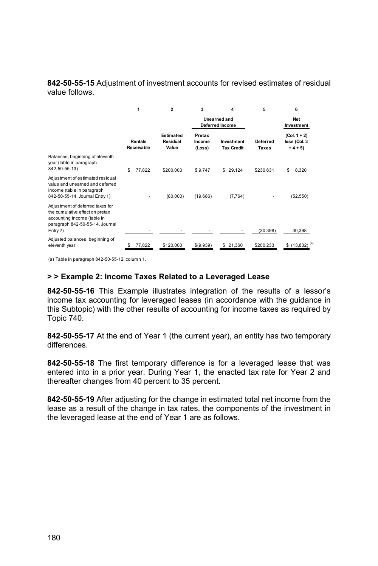**842-50-55-15** Adjustment of investment accounts for revised estimates of residual value follows.

|                                                                                                                                                  |     | 1                            | $\overline{2}$                 | 3                          | 4                                      | 5                               | 6                                        |
|--------------------------------------------------------------------------------------------------------------------------------------------------|-----|------------------------------|--------------------------------|----------------------------|----------------------------------------|---------------------------------|------------------------------------------|
|                                                                                                                                                  |     |                              |                                |                            | Unearned and<br><b>Deferred Income</b> |                                 | <b>Net</b><br>Investment                 |
|                                                                                                                                                  |     | <b>Rentals</b><br>Receivable | Estimated<br>Residual<br>Value | Pretax<br>Income<br>(Loss) | Investment<br><b>Tax Credit</b>        | <b>Deferred</b><br><b>Taxes</b> | $(Col. 1 + 2)$<br>less (Col. 3<br>$+4+5$ |
| Balances, beginning of eleventh<br>year (table in paragraph<br>842-50-55-13)                                                                     | \$. | 77,822                       | \$200,000                      | \$9,747                    | \$ 29,124                              | \$230.631                       | 8,320<br>S                               |
| Adjustment of estimated residual<br>value and unearned and deferred<br>income (table in paragraph<br>842-50-55-14, Journal Entry 1)              |     |                              | (80,000)                       | (19,686)                   | (7, 764)                               |                                 | (52, 550)                                |
| Adjustment of deferred taxes for<br>the cumulative effect on pretax<br>accounting income (table in<br>paragraph 842-50-55-14, Journal<br>Entry2) |     |                              |                                |                            |                                        | (30, 398)                       | 30,398                                   |
| Adjusted balances, beginning of<br>eleventh year                                                                                                 |     | 77,822                       | \$120,000                      | \$(9,939)                  | \$ 21,360                              | \$200,233                       | $$ (13,832)$ <sup>(a)</sup>              |

(a) Table in paragraph 842-50-55-12, column 1.

## **> > Example 2: Income Taxes Related to a Leveraged Lease**

**842-50-55-16** This Example illustrates integration of the results of a lessor's income tax accounting for leveraged leases (in accordance with the guidance in this Subtopic) with the other results of accounting for income taxes as required by Topic 740.

**842-50-55-17** At the end of Year 1 (the current year), an entity has two temporary differences.

**842-50-55-18** The first temporary difference is for a leveraged lease that was entered into in a prior year. During Year 1, the enacted tax rate for Year 2 and thereafter changes from 40 percent to 35 percent.

**842-50-55-19** After adjusting for the change in estimated total net income from the lease as a result of the change in tax rates, the components of the investment in the leveraged lease at the end of Year 1 are as follows.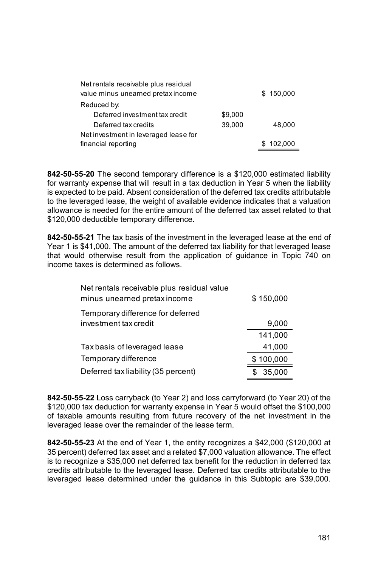| Net rentals receivable plus residual  |           |           |
|---------------------------------------|-----------|-----------|
| value minus unearned pretax income    | \$150,000 |           |
| Reduced by:                           |           |           |
| Deferred investment tax credit        | \$9,000   |           |
| Deferred tax credits                  | 39,000    | 48,000    |
| Net investment in leveraged lease for |           |           |
| financial reporting                   |           | \$102,000 |

**842-50-55-20** The second temporary difference is a \$120,000 estimated liability for warranty expense that will result in a tax deduction in Year 5 when the liability is expected to be paid. Absent consideration of the deferred tax credits attributable to the leveraged lease, the weight of available evidence indicates that a valuation allowance is needed for the entire amount of the deferred tax asset related to that \$120,000 deductible temporary difference.

**842-50-55-21** The tax basis of the investment in the leveraged lease at the end of Year 1 is \$41,000. The amount of the deferred tax liability for that leveraged lease that would otherwise result from the application of guidance in Topic 740 on income taxes is determined as follows.

| Net rentals receivable plus residual value<br>minus unearned pretax income | \$150.000 |
|----------------------------------------------------------------------------|-----------|
| Temporary difference for deferred                                          |           |
| investment tax credit                                                      | 9,000     |
|                                                                            | 141,000   |
| Tax basis of leveraged lease                                               | 41,000    |
| Temporary difference                                                       | \$100,000 |
| Deferred tax liability (35 percent)                                        | 35,000    |

**842-50-55-22** Loss carryback (to Year 2) and loss carryforward (to Year 20) of the \$120,000 tax deduction for warranty expense in Year 5 would offset the \$100,000 of taxable amounts resulting from future recovery of the net investment in the leveraged lease over the remainder of the lease term.

**842-50-55-23** At the end of Year 1, the entity recognizes a \$42,000 (\$120,000 at 35 percent) deferred tax asset and a related \$7,000 valuation allowance. The effect is to recognize a \$35,000 net deferred tax benefit for the reduction in deferred tax credits attributable to the leveraged lease. Deferred tax credits attributable to the leveraged lease determined under the guidance in this Subtopic are \$39,000.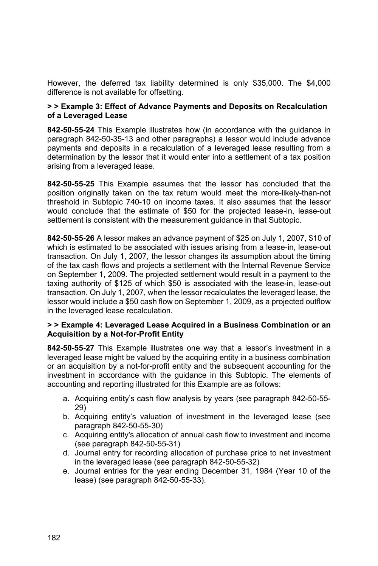However, the deferred tax liability determined is only \$35,000. The \$4,000 difference is not available for offsetting.

#### **> > Example 3: Effect of Advance Payments and Deposits on Recalculation of a Leveraged Lease**

**842-50-55-24** This Example illustrates how (in accordance with the guidance in paragraph 842-50-35-13 and other paragraphs) a lessor would include advance payments and deposits in a recalculation of a leveraged lease resulting from a determination by the lessor that it would enter into a settlement of a tax position arising from a leveraged lease.

**842-50-55-25** This Example assumes that the lessor has concluded that the position originally taken on the tax return would meet the more-likely-than-not threshold in Subtopic 740-10 on income taxes. It also assumes that the lessor would conclude that the estimate of \$50 for the projected lease-in, lease-out settlement is consistent with the measurement guidance in that Subtopic.

**842-50-55-26** A lessor makes an advance payment of \$25 on July 1, 2007, \$10 of which is estimated to be associated with issues arising from a lease-in, lease-out transaction. On July 1, 2007, the lessor changes its assumption about the timing of the tax cash flows and projects a settlement with the Internal Revenue Service on September 1, 2009. The projected settlement would result in a payment to the taxing authority of \$125 of which \$50 is associated with the lease-in, lease-out transaction. On July 1, 2007, when the lessor recalculates the leveraged lease, the lessor would include a \$50 cash flow on September 1, 2009, as a projected outflow in the leveraged lease recalculation.

### **> > Example 4: Leveraged Lease Acquired in a Business Combination or an Acquisition by a Not-for-Profit Entity**

**842-50-55-27** This Example illustrates one way that a lessor's investment in a leveraged lease might be valued by the acquiring entity in a business combination or an acquisition by a not-for-profit entity and the subsequent accounting for the investment in accordance with the guidance in this Subtopic. The elements of accounting and reporting illustrated for this Example are as follows:

- a. Acquiring entity's cash flow analysis by years (see paragraph 842-50-55- 29)
- b. Acquiring entity's valuation of investment in the leveraged lease (see paragraph 842-50-55-30)
- c. Acquiring entity's allocation of annual cash flow to investment and income (see paragraph 842-50-55-31)
- d. Journal entry for recording allocation of purchase price to net investment in the leveraged lease (see paragraph 842-50-55-32)
- e. Journal entries for the year ending December 31, 1984 (Year 10 of the lease) (see paragraph 842-50-55-33).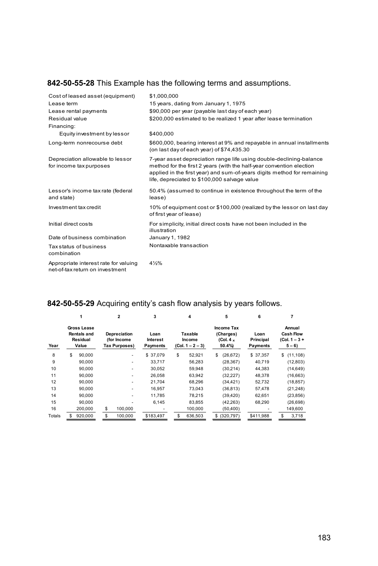## **842-50-55-28** This Example has the following terms and assumptions.

| Cost of leased asset (equipment)                                         | \$1,000,000                                                                                                                                                                                                                                                            |
|--------------------------------------------------------------------------|------------------------------------------------------------------------------------------------------------------------------------------------------------------------------------------------------------------------------------------------------------------------|
| Lease term                                                               | 15 years, dating from January 1, 1975                                                                                                                                                                                                                                  |
| Lease rental payments                                                    | \$90,000 per year (payable last day of each year)                                                                                                                                                                                                                      |
| Residual value                                                           | \$200,000 estimated to be realized 1 year after lease termination                                                                                                                                                                                                      |
| Financing:                                                               |                                                                                                                                                                                                                                                                        |
| Equity investment by lessor                                              | \$400,000                                                                                                                                                                                                                                                              |
| Long-term nonrecourse debt                                               | \$600,000, bearing interest at 9% and repayable in annual installments<br>(on last day of each year) of \$74,435.30                                                                                                                                                    |
| Depreciation allowable to lessor<br>for income tax purposes              | 7-year asset depreciation range life using double-declining-balance<br>method for the first 2 years (with the half-year convention election<br>applied in the first year) and sum-of-years digits method for remaining<br>life, depreciated to \$100,000 salvage value |
| Lessor's income tax rate (federal<br>and state)                          | 50.4% (assumed to continue in existence throughout the term of the<br>lease)                                                                                                                                                                                           |
| Investment tax credit                                                    | 10% of equipment cost or \$100,000 (realized by the lessor on last day<br>of first year of lease)                                                                                                                                                                      |
| Initial direct costs                                                     | For simplicity, initial direct costs have not been included in the<br>illustration                                                                                                                                                                                     |
| Date of business combination                                             | January 1, 1982                                                                                                                                                                                                                                                        |
| Tax status of business<br>combination                                    | Nontaxable transaction                                                                                                                                                                                                                                                 |
| Appropriate interest rate for valuing<br>net-of-tax return on investment | $4\frac{1}{9}$                                                                                                                                                                                                                                                         |

# **842-50-55-29** Acquiring entity's cash flow analysis by years follows.

|        | Gross Lease<br><b>Rentals and</b><br>Residual<br>Value |         |                                                            |         |                                                                         | 2 | 3                                                            |    | 4                             |                                                          | 5  | 6         |  |  |
|--------|--------------------------------------------------------|---------|------------------------------------------------------------|---------|-------------------------------------------------------------------------|---|--------------------------------------------------------------|----|-------------------------------|----------------------------------------------------------|----|-----------|--|--|
| Year   |                                                        |         | <b>Depreciation</b><br>(for Income<br><b>Tax Purposes)</b> |         | Taxable<br>Loan<br>Interest<br>Income<br>$(Col. 1 - 2 - 3)$<br>Payments |   | <b>Income Tax</b><br>(Charges)<br>(Col. 4 $\times$<br>50.4%) |    | Loan<br>Principal<br>Payments | Annual<br><b>Cash Flow</b><br>$(Col. 1 - 3 +$<br>$5 - 6$ |    |           |  |  |
| 8      | S                                                      | 90.000  |                                                            |         | \$ 37,079                                                               | S | 52,921                                                       | \$ | (26, 672)                     | \$37,357                                                 | \$ | (11, 108) |  |  |
| 9      |                                                        | 90.000  |                                                            |         | 33,717                                                                  |   | 56.283                                                       |    | (28, 367)                     | 40,719                                                   |    | (12, 803) |  |  |
| 10     |                                                        | 90.000  |                                                            |         | 30.052                                                                  |   | 59.948                                                       |    | (30.214)                      | 44.383                                                   |    | (14, 649) |  |  |
| 11     |                                                        | 90.000  |                                                            |         | 26,058                                                                  |   | 63,942                                                       |    | (32, 227)                     | 48,378                                                   |    | (16,663)  |  |  |
| 12     |                                                        | 90.000  |                                                            |         | 21.704                                                                  |   | 68,296                                                       |    | (34, 421)                     | 52,732                                                   |    | (18, 857) |  |  |
| 13     |                                                        | 90.000  |                                                            |         | 16.957                                                                  |   | 73.043                                                       |    | (36, 813)                     | 57.478                                                   |    | (21, 248) |  |  |
| 14     |                                                        | 90.000  |                                                            |         | 11.785                                                                  |   | 78.215                                                       |    | (39, 420)                     | 62,651                                                   |    | (23, 856) |  |  |
| 15     |                                                        | 90.000  |                                                            |         | 6.145                                                                   |   | 83.855                                                       |    | (42, 263)                     | 68,290                                                   |    | (26, 698) |  |  |
| 16     |                                                        | 200.000 | S                                                          | 100,000 |                                                                         |   | 100,000                                                      |    | (50, 400)                     |                                                          |    | 149,600   |  |  |
| Totals | S.                                                     | 920.000 | s                                                          | 100.000 | \$183.497                                                               | s | 636.503                                                      |    | \$ (320.797)                  | \$411.988                                                | \$ | 3,718     |  |  |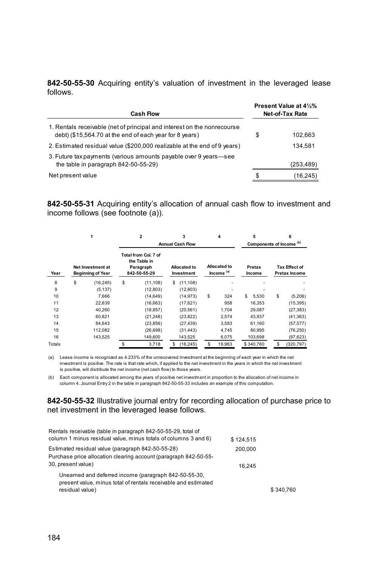**842-50-55-30** Acquiring entity's valuation of investment in the leveraged lease follows.

| <b>Cash Flow</b>                                                                                                                   | Present Value at 41/2%<br><b>Net-of-Tax Rate</b> |           |  |  |
|------------------------------------------------------------------------------------------------------------------------------------|--------------------------------------------------|-----------|--|--|
| 1. Rentals receivable (net of principal and interest on the nonrecourse<br>debt) (\$15,564.70 at the end of each year for 8 years) | S                                                | 102,663   |  |  |
| 2. Estimated residual value (\$200,000 realizable at the end of 9 years)                                                           |                                                  | 134.581   |  |  |
| 3. Future tax payments (various amounts payable over 9 years—see<br>the table in paragraph 842-50-55-29)                           |                                                  | (253,489) |  |  |
| Net present value                                                                                                                  | S                                                | (16, 245) |  |  |

**842-50-55-31** Acquiring entity's allocation of annual cash flow to investment and income follows (see footnote (a)).

|        |                                               |           |                                                                   | $\overline{2}$          |                                   | 3         |                                       | 4      |                  | 5         |                                              | 6          |
|--------|-----------------------------------------------|-----------|-------------------------------------------------------------------|-------------------------|-----------------------------------|-----------|---------------------------------------|--------|------------------|-----------|----------------------------------------------|------------|
|        |                                               |           |                                                                   | <b>Annual Cash Flow</b> |                                   |           | Components of Income <sup>(b)</sup>   |        |                  |           |                                              |            |
| Year   | Net Investment at<br><b>Beginning of Year</b> |           | Total from Col. 7 of<br>the Table in<br>Paragraph<br>842-50-55-29 |                         | <b>Allocated to</b><br>Investment |           | Allocated to<br>Income <sup>(a)</sup> |        | Pretax<br>Income |           | <b>Tax Effect of</b><br><b>Pretax Income</b> |            |
| 8      | \$                                            | (16, 245) | \$                                                                | (11, 108)               | \$                                | (11, 108) |                                       |        |                  |           |                                              |            |
| 9      |                                               | (5, 137)  |                                                                   | (12, 803)               |                                   | (12,803)  |                                       |        |                  |           |                                              |            |
| 10     |                                               | 7.666     |                                                                   | (14, 649)               |                                   | (14, 973) | \$                                    | 324    | \$               | 5,530     | \$                                           | (5,206)    |
| 11     |                                               | 22,639    |                                                                   | (16,663)                |                                   | (17,621)  |                                       | 958    |                  | 16,353    |                                              | (15, 395)  |
| 12     |                                               | 40,260    |                                                                   | (18, 857)               |                                   | (20, 561) |                                       | 1,704  |                  | 29,087    |                                              | (27, 383)  |
| 13     |                                               | 60.821    |                                                                   | (21, 248)               |                                   | (23, 822) |                                       | 2,574  |                  | 43,937    |                                              | (41,363)   |
| 14     |                                               | 84,643    |                                                                   | (23, 856)               |                                   | (27, 439) |                                       | 3,583  |                  | 61,160    |                                              | (57, 577)  |
| 15     |                                               | 112,082   |                                                                   | (26, 698)               |                                   | (31, 443) |                                       | 4,745  |                  | 80,995    |                                              | (76, 250)  |
| 16     |                                               | 143,525   |                                                                   | 149,600                 |                                   | 143,525   |                                       | 6,075  |                  | 103,698   |                                              | (97, 623)  |
| Totals |                                               |           | S                                                                 | 3,718                   | \$                                | (16, 245) | s                                     | 19.963 |                  | \$340,760 | \$                                           | (320, 797) |

(a) Lease income is recognized as 4.233% of the unrecovered investment at the beginning of each year in which the net investment is positive. The rate is that rate which, if applied to the net investment in the years in which the net investment is positive, will distribute the net income (net cash flow) to those years.

(b) Each component is allocated among the years of positive net investment in proportion to the allocation of net income in column 4. Journal Entry 2 in the table in paragraph 842-50-55-33 includes an example of this computation.

### **842-50-55-32** Illustrative journal entry for recording allocation of purchase price to net investment in the leveraged lease follows.

| Rentals receivable (table in paragraph 842-50-55-29, total of<br>column 1 minus residual value, minus totals of columns 3 and 6) | \$124.515 |           |
|----------------------------------------------------------------------------------------------------------------------------------|-----------|-----------|
| Estimated residual value (paragraph 842-50-55-28)<br>Purchase price allocation clearing account (paragraph 842-50-55-            | 200,000   |           |
| 30, present value)                                                                                                               | 16.245    |           |
| Unearned and deferred income (paragraph 842-50-55-30,<br>present value, minus total of rentals receivable and estimated          |           |           |
| residual value)                                                                                                                  |           | \$340.760 |